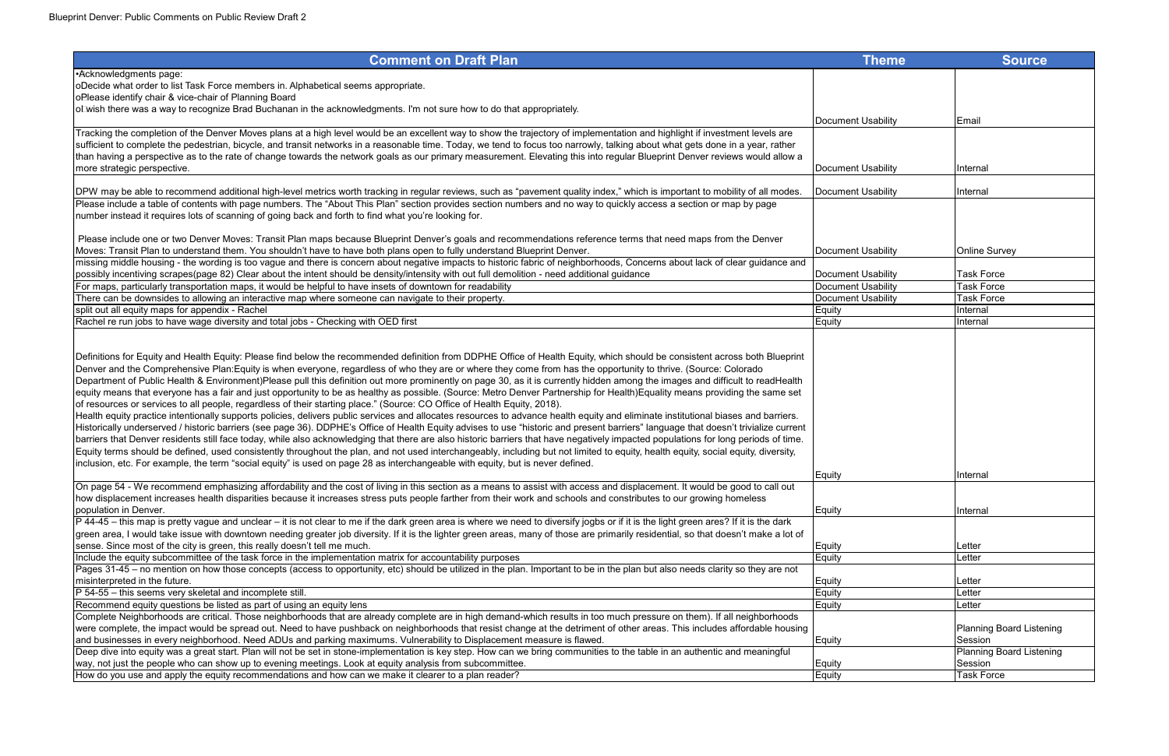| <b>Comment on Draft Plan</b>                                                                                                                                                                                                                                                                                                                                                                                                                                                                                                                                                                                                                                                                                                                                                                                                                                                                                                                                                                                                                                                                                                                                                                                                                                                                                                                                                                                                                                                                                                                                                                                                                                                                                                          | <b>Theme</b>       | <b>Source</b>            |
|---------------------------------------------------------------------------------------------------------------------------------------------------------------------------------------------------------------------------------------------------------------------------------------------------------------------------------------------------------------------------------------------------------------------------------------------------------------------------------------------------------------------------------------------------------------------------------------------------------------------------------------------------------------------------------------------------------------------------------------------------------------------------------------------------------------------------------------------------------------------------------------------------------------------------------------------------------------------------------------------------------------------------------------------------------------------------------------------------------------------------------------------------------------------------------------------------------------------------------------------------------------------------------------------------------------------------------------------------------------------------------------------------------------------------------------------------------------------------------------------------------------------------------------------------------------------------------------------------------------------------------------------------------------------------------------------------------------------------------------|--------------------|--------------------------|
| •Acknowledgments page:                                                                                                                                                                                                                                                                                                                                                                                                                                                                                                                                                                                                                                                                                                                                                                                                                                                                                                                                                                                                                                                                                                                                                                                                                                                                                                                                                                                                                                                                                                                                                                                                                                                                                                                |                    |                          |
| ODecide what order to list Task Force members in. Alphabetical seems appropriate.                                                                                                                                                                                                                                                                                                                                                                                                                                                                                                                                                                                                                                                                                                                                                                                                                                                                                                                                                                                                                                                                                                                                                                                                                                                                                                                                                                                                                                                                                                                                                                                                                                                     |                    |                          |
| oPlease identify chair & vice-chair of Planning Board                                                                                                                                                                                                                                                                                                                                                                                                                                                                                                                                                                                                                                                                                                                                                                                                                                                                                                                                                                                                                                                                                                                                                                                                                                                                                                                                                                                                                                                                                                                                                                                                                                                                                 |                    |                          |
| OLWish there was a way to recognize Brad Buchanan in the acknowledgments. I'm not sure how to do that appropriately.                                                                                                                                                                                                                                                                                                                                                                                                                                                                                                                                                                                                                                                                                                                                                                                                                                                                                                                                                                                                                                                                                                                                                                                                                                                                                                                                                                                                                                                                                                                                                                                                                  |                    |                          |
|                                                                                                                                                                                                                                                                                                                                                                                                                                                                                                                                                                                                                                                                                                                                                                                                                                                                                                                                                                                                                                                                                                                                                                                                                                                                                                                                                                                                                                                                                                                                                                                                                                                                                                                                       | Document Usability | Email                    |
| Tracking the completion of the Denver Moves plans at a high level would be an excellent way to show the trajectory of implementation and highlight if investment levels are                                                                                                                                                                                                                                                                                                                                                                                                                                                                                                                                                                                                                                                                                                                                                                                                                                                                                                                                                                                                                                                                                                                                                                                                                                                                                                                                                                                                                                                                                                                                                           |                    |                          |
| sufficient to complete the pedestrian, bicycle, and transit networks in a reasonable time. Today, we tend to focus too narrowly, talking about what gets done in a year, rather                                                                                                                                                                                                                                                                                                                                                                                                                                                                                                                                                                                                                                                                                                                                                                                                                                                                                                                                                                                                                                                                                                                                                                                                                                                                                                                                                                                                                                                                                                                                                       |                    |                          |
| than having a perspective as to the rate of change towards the network goals as our primary measurement. Elevating this into regular Blueprint Denver reviews would allow a                                                                                                                                                                                                                                                                                                                                                                                                                                                                                                                                                                                                                                                                                                                                                                                                                                                                                                                                                                                                                                                                                                                                                                                                                                                                                                                                                                                                                                                                                                                                                           |                    |                          |
| more strategic perspective.                                                                                                                                                                                                                                                                                                                                                                                                                                                                                                                                                                                                                                                                                                                                                                                                                                                                                                                                                                                                                                                                                                                                                                                                                                                                                                                                                                                                                                                                                                                                                                                                                                                                                                           | Document Usability | Internal                 |
| DPW may be able to recommend additional high-level metrics worth tracking in regular reviews, such as "pavement quality index," which is important to mobility of all modes.                                                                                                                                                                                                                                                                                                                                                                                                                                                                                                                                                                                                                                                                                                                                                                                                                                                                                                                                                                                                                                                                                                                                                                                                                                                                                                                                                                                                                                                                                                                                                          | Document Usability | Internal                 |
| Please include a table of contents with page numbers. The "About This Plan" section provides section numbers and no way to quickly access a section or map by page                                                                                                                                                                                                                                                                                                                                                                                                                                                                                                                                                                                                                                                                                                                                                                                                                                                                                                                                                                                                                                                                                                                                                                                                                                                                                                                                                                                                                                                                                                                                                                    |                    |                          |
| number instead it requires lots of scanning of going back and forth to find what you're looking for.                                                                                                                                                                                                                                                                                                                                                                                                                                                                                                                                                                                                                                                                                                                                                                                                                                                                                                                                                                                                                                                                                                                                                                                                                                                                                                                                                                                                                                                                                                                                                                                                                                  |                    |                          |
|                                                                                                                                                                                                                                                                                                                                                                                                                                                                                                                                                                                                                                                                                                                                                                                                                                                                                                                                                                                                                                                                                                                                                                                                                                                                                                                                                                                                                                                                                                                                                                                                                                                                                                                                       |                    |                          |
| Please include one or two Denver Moves: Transit Plan maps because Blueprint Denver's goals and recommendations reference terms that need maps from the Denver                                                                                                                                                                                                                                                                                                                                                                                                                                                                                                                                                                                                                                                                                                                                                                                                                                                                                                                                                                                                                                                                                                                                                                                                                                                                                                                                                                                                                                                                                                                                                                         |                    |                          |
| Moves: Transit Plan to understand them. You shouldn't have to have both plans open to fully understand Blueprint Denver.                                                                                                                                                                                                                                                                                                                                                                                                                                                                                                                                                                                                                                                                                                                                                                                                                                                                                                                                                                                                                                                                                                                                                                                                                                                                                                                                                                                                                                                                                                                                                                                                              | Document Usability | <b>Online Survey</b>     |
| missing middle housing - the wording is too vague and there is concern about negative impacts to historic fabric of neighborhoods, Concerns about lack of clear guidance and                                                                                                                                                                                                                                                                                                                                                                                                                                                                                                                                                                                                                                                                                                                                                                                                                                                                                                                                                                                                                                                                                                                                                                                                                                                                                                                                                                                                                                                                                                                                                          |                    |                          |
| possibly incentiving scrapes(page 82) Clear about the intent should be density/intensity with out full demolition - need additional guidance                                                                                                                                                                                                                                                                                                                                                                                                                                                                                                                                                                                                                                                                                                                                                                                                                                                                                                                                                                                                                                                                                                                                                                                                                                                                                                                                                                                                                                                                                                                                                                                          | Document Usability | <b>Task Force</b>        |
| For maps, particularly transportation maps, it would be helpful to have insets of downtown for readability                                                                                                                                                                                                                                                                                                                                                                                                                                                                                                                                                                                                                                                                                                                                                                                                                                                                                                                                                                                                                                                                                                                                                                                                                                                                                                                                                                                                                                                                                                                                                                                                                            | Document Usability | <b>Task Force</b>        |
| There can be downsides to allowing an interactive map where someone can navigate to their property.                                                                                                                                                                                                                                                                                                                                                                                                                                                                                                                                                                                                                                                                                                                                                                                                                                                                                                                                                                                                                                                                                                                                                                                                                                                                                                                                                                                                                                                                                                                                                                                                                                   | Document Usability | <b>Task Force</b>        |
| split out all equity maps for appendix - Rachel                                                                                                                                                                                                                                                                                                                                                                                                                                                                                                                                                                                                                                                                                                                                                                                                                                                                                                                                                                                                                                                                                                                                                                                                                                                                                                                                                                                                                                                                                                                                                                                                                                                                                       | Equity             | Internal                 |
| Rachel re run jobs to have wage diversity and total jobs - Checking with OED first                                                                                                                                                                                                                                                                                                                                                                                                                                                                                                                                                                                                                                                                                                                                                                                                                                                                                                                                                                                                                                                                                                                                                                                                                                                                                                                                                                                                                                                                                                                                                                                                                                                    | Equity             | Internal                 |
|                                                                                                                                                                                                                                                                                                                                                                                                                                                                                                                                                                                                                                                                                                                                                                                                                                                                                                                                                                                                                                                                                                                                                                                                                                                                                                                                                                                                                                                                                                                                                                                                                                                                                                                                       |                    |                          |
| Definitions for Equity and Health Equity: Please find below the recommended definition from DDPHE Office of Health Equity, which should be consistent across both Blueprint<br>Denver and the Comprehensive Plan:Equity is when everyone, regardless of who they are or where they come from has the opportunity to thrive. (Source: Colorado<br>Department of Public Health & Environment)Please pull this definition out more prominently on page 30, as it is currently hidden among the images and difficult to readHealth<br>equity means that everyone has a fair and just opportunity to be as healthy as possible. (Source: Metro Denver Partnership for Health)Equality means providing the same set<br>of resources or services to all people, regardless of their starting place." (Source: CO Office of Health Equity, 2018).<br>Health equity practice intentionally supports policies, delivers public services and allocates resources to advance health equity and eliminate institutional biases and barriers.<br>Historically underserved / historic barriers (see page 36). DDPHE's Office of Health Equity advises to use "historic and present barriers" language that doesn't trivialize current<br>barriers that Denver residents still face today, while also acknowledging that there are also historic barriers that have negatively impacted populations for long periods of time.<br>Equity terms should be defined, used consistently throughout the plan, and not used interchangeably, including but not limited to equity, health equity, social equity, diversity,<br>inclusion, etc. For example, the term "social equity" is used on page 28 as interchangeable with equity, but is never defined. | Equity             | Internal                 |
| On page 54 - We recommend emphasizing affordability and the cost of living in this section as a means to assist with access and displacement. It would be good to call out                                                                                                                                                                                                                                                                                                                                                                                                                                                                                                                                                                                                                                                                                                                                                                                                                                                                                                                                                                                                                                                                                                                                                                                                                                                                                                                                                                                                                                                                                                                                                            |                    |                          |
| how displacement increases health disparities because it increases stress puts people farther from their work and schools and constributes to our growing homeless                                                                                                                                                                                                                                                                                                                                                                                                                                                                                                                                                                                                                                                                                                                                                                                                                                                                                                                                                                                                                                                                                                                                                                                                                                                                                                                                                                                                                                                                                                                                                                    |                    |                          |
| population in Denver.                                                                                                                                                                                                                                                                                                                                                                                                                                                                                                                                                                                                                                                                                                                                                                                                                                                                                                                                                                                                                                                                                                                                                                                                                                                                                                                                                                                                                                                                                                                                                                                                                                                                                                                 | Equity             | Internal                 |
| P 44-45 – this map is pretty vague and unclear – it is not clear to me if the dark green area is where we need to diversify jogbs or if it is the light green ares? If it is the dark                                                                                                                                                                                                                                                                                                                                                                                                                                                                                                                                                                                                                                                                                                                                                                                                                                                                                                                                                                                                                                                                                                                                                                                                                                                                                                                                                                                                                                                                                                                                                 |                    |                          |
| green area, I would take issue with downtown needing greater job diversity. If it is the lighter green areas, many of those are primarily residential, so that doesn't make a lot of                                                                                                                                                                                                                                                                                                                                                                                                                                                                                                                                                                                                                                                                                                                                                                                                                                                                                                                                                                                                                                                                                                                                                                                                                                                                                                                                                                                                                                                                                                                                                  |                    |                          |
| sense. Since most of the city is green, this really doesn't tell me much.                                                                                                                                                                                                                                                                                                                                                                                                                                                                                                                                                                                                                                                                                                                                                                                                                                                                                                                                                                                                                                                                                                                                                                                                                                                                                                                                                                                                                                                                                                                                                                                                                                                             | Equity             | Letter                   |
| Include the equity subcommittee of the task force in the implementation matrix for accountability purposes                                                                                                                                                                                                                                                                                                                                                                                                                                                                                                                                                                                                                                                                                                                                                                                                                                                                                                                                                                                                                                                                                                                                                                                                                                                                                                                                                                                                                                                                                                                                                                                                                            | Equity             | Letter                   |
| Pages 31-45 – no mention on how those concepts (access to opportunity, etc) should be utilized in the plan. Important to be in the plan but also needs clarity so they are not                                                                                                                                                                                                                                                                                                                                                                                                                                                                                                                                                                                                                                                                                                                                                                                                                                                                                                                                                                                                                                                                                                                                                                                                                                                                                                                                                                                                                                                                                                                                                        |                    |                          |
| misinterpreted in the future.                                                                                                                                                                                                                                                                                                                                                                                                                                                                                                                                                                                                                                                                                                                                                                                                                                                                                                                                                                                                                                                                                                                                                                                                                                                                                                                                                                                                                                                                                                                                                                                                                                                                                                         | Equity             | Letter                   |
| P 54-55 - this seems very skeletal and incomplete still.                                                                                                                                                                                                                                                                                                                                                                                                                                                                                                                                                                                                                                                                                                                                                                                                                                                                                                                                                                                                                                                                                                                                                                                                                                                                                                                                                                                                                                                                                                                                                                                                                                                                              | Equity             | Letter                   |
| Recommend equity questions be listed as part of using an equity lens                                                                                                                                                                                                                                                                                                                                                                                                                                                                                                                                                                                                                                                                                                                                                                                                                                                                                                                                                                                                                                                                                                                                                                                                                                                                                                                                                                                                                                                                                                                                                                                                                                                                  | Equity             | Letter                   |
| Complete Neighborhoods are critical. Those neighborhoods that are already complete are in high demand-which results in too much pressure on them). If all neighborhoods                                                                                                                                                                                                                                                                                                                                                                                                                                                                                                                                                                                                                                                                                                                                                                                                                                                                                                                                                                                                                                                                                                                                                                                                                                                                                                                                                                                                                                                                                                                                                               |                    |                          |
| were complete, the impact would be spread out. Need to have pushback on neighborhoods that resist change at the detriment of other areas. This includes affordable housing                                                                                                                                                                                                                                                                                                                                                                                                                                                                                                                                                                                                                                                                                                                                                                                                                                                                                                                                                                                                                                                                                                                                                                                                                                                                                                                                                                                                                                                                                                                                                            |                    | Planning Board Listening |
| and businesses in every neighborhood. Need ADUs and parking maximums. Vulnerability to Displacement measure is flawed.                                                                                                                                                                                                                                                                                                                                                                                                                                                                                                                                                                                                                                                                                                                                                                                                                                                                                                                                                                                                                                                                                                                                                                                                                                                                                                                                                                                                                                                                                                                                                                                                                | Equity             | Session                  |
| Deep dive into equity was a great start. Plan will not be set in stone-implementation is key step. How can we bring communities to the table in an authentic and meaningful                                                                                                                                                                                                                                                                                                                                                                                                                                                                                                                                                                                                                                                                                                                                                                                                                                                                                                                                                                                                                                                                                                                                                                                                                                                                                                                                                                                                                                                                                                                                                           |                    | Planning Board Listening |
| way, not just the people who can show up to evening meetings. Look at equity analysis from subcommittee.                                                                                                                                                                                                                                                                                                                                                                                                                                                                                                                                                                                                                                                                                                                                                                                                                                                                                                                                                                                                                                                                                                                                                                                                                                                                                                                                                                                                                                                                                                                                                                                                                              | Equity             | Session                  |
| How do you use and apply the equity recommendations and how can we make it clearer to a plan reader?                                                                                                                                                                                                                                                                                                                                                                                                                                                                                                                                                                                                                                                                                                                                                                                                                                                                                                                                                                                                                                                                                                                                                                                                                                                                                                                                                                                                                                                                                                                                                                                                                                  | Equity             | <b>Task Force</b>        |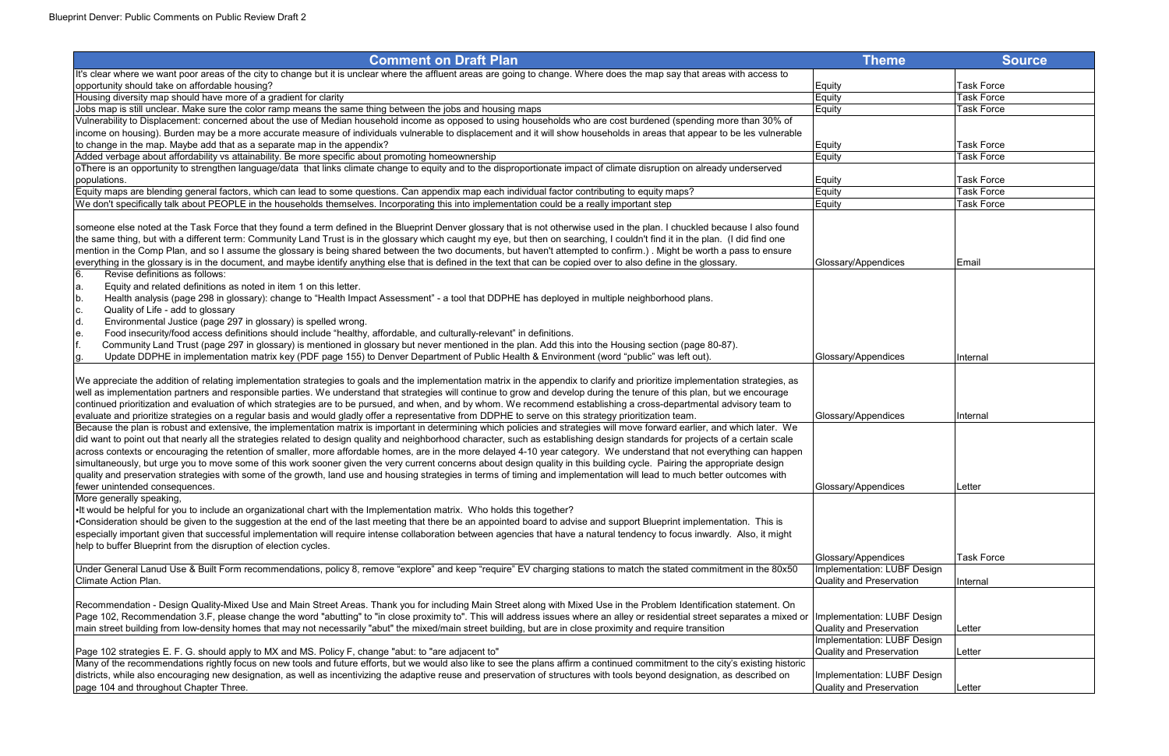| <b>Comment on Draft Plan</b>                                                                                                                                                                                                                                                                                                                                                                                                                                                                                                                                                                                                                                                                                                                                                                                                                                                                                                             | <b>Theme</b>                                            | <b>Source</b>     |
|------------------------------------------------------------------------------------------------------------------------------------------------------------------------------------------------------------------------------------------------------------------------------------------------------------------------------------------------------------------------------------------------------------------------------------------------------------------------------------------------------------------------------------------------------------------------------------------------------------------------------------------------------------------------------------------------------------------------------------------------------------------------------------------------------------------------------------------------------------------------------------------------------------------------------------------|---------------------------------------------------------|-------------------|
| It's clear where we want poor areas of the city to change but it is unclear where the affluent areas are going to change. Where does the map say that areas with access to                                                                                                                                                                                                                                                                                                                                                                                                                                                                                                                                                                                                                                                                                                                                                               |                                                         |                   |
| opportunity should take on affordable housing?                                                                                                                                                                                                                                                                                                                                                                                                                                                                                                                                                                                                                                                                                                                                                                                                                                                                                           | Equity                                                  | <b>Task Force</b> |
| Housing diversity map should have more of a gradient for clarity                                                                                                                                                                                                                                                                                                                                                                                                                                                                                                                                                                                                                                                                                                                                                                                                                                                                         | Equity                                                  | <b>Task Force</b> |
| Jobs map is still unclear. Make sure the color ramp means the same thing between the jobs and housing maps                                                                                                                                                                                                                                                                                                                                                                                                                                                                                                                                                                                                                                                                                                                                                                                                                               | Equity                                                  | <b>Task Force</b> |
| Vulnerability to Displacement: concerned about the use of Median household income as opposed to using households who are cost burdened (spending more than 30% of                                                                                                                                                                                                                                                                                                                                                                                                                                                                                                                                                                                                                                                                                                                                                                        |                                                         |                   |
| income on housing). Burden may be a more accurate measure of individuals vulnerable to displacement and it will show households in areas that appear to be les vulnerable                                                                                                                                                                                                                                                                                                                                                                                                                                                                                                                                                                                                                                                                                                                                                                |                                                         |                   |
| to change in the map. Maybe add that as a separate map in the appendix?                                                                                                                                                                                                                                                                                                                                                                                                                                                                                                                                                                                                                                                                                                                                                                                                                                                                  | Equity                                                  | <b>Task Force</b> |
| Added verbage about affordability vs attainability. Be more specific about promoting homeownership                                                                                                                                                                                                                                                                                                                                                                                                                                                                                                                                                                                                                                                                                                                                                                                                                                       | Equity                                                  | <b>Task Force</b> |
| oThere is an opportunity to strengthen language/data that links climate change to equity and to the disproportionate impact of climate disruption on already underserved                                                                                                                                                                                                                                                                                                                                                                                                                                                                                                                                                                                                                                                                                                                                                                 |                                                         |                   |
| populations.                                                                                                                                                                                                                                                                                                                                                                                                                                                                                                                                                                                                                                                                                                                                                                                                                                                                                                                             | Equity                                                  | <b>Task Force</b> |
| Equity maps are blending general factors, which can lead to some questions. Can appendix map each individual factor contributing to equity maps?                                                                                                                                                                                                                                                                                                                                                                                                                                                                                                                                                                                                                                                                                                                                                                                         | Equity                                                  | <b>Task Force</b> |
| We don't specifically talk about PEOPLE in the households themselves. Incorporating this into implementation could be a really important step                                                                                                                                                                                                                                                                                                                                                                                                                                                                                                                                                                                                                                                                                                                                                                                            | Equity                                                  | <b>Task Force</b> |
| someone else noted at the Task Force that they found a term defined in the Blueprint Denver glossary that is not otherwise used in the plan. I chuckled because I also found<br>the same thing, but with a different term: Community Land Trust is in the glossary which caught my eye, but then on searching, I couldn't find it in the plan. (I did find one<br>mention in the Comp Plan, and so I assume the glossary is being shared between the two documents, but haven't attempted to confirm.). Might be worth a pass to ensure<br>everything in the glossary is in the document, and maybe identify anything else that is defined in the text that can be copied over to also define in the glossary.                                                                                                                                                                                                                           | Glossary/Appendices                                     | Email             |
| 6.<br>Revise definitions as follows:                                                                                                                                                                                                                                                                                                                                                                                                                                                                                                                                                                                                                                                                                                                                                                                                                                                                                                     |                                                         |                   |
| Equity and related definitions as noted in item 1 on this letter.<br>la.                                                                                                                                                                                                                                                                                                                                                                                                                                                                                                                                                                                                                                                                                                                                                                                                                                                                 |                                                         |                   |
| Health analysis (page 298 in glossary): change to "Health Impact Assessment" - a tool that DDPHE has deployed in multiple neighborhood plans.<br>Ib.                                                                                                                                                                                                                                                                                                                                                                                                                                                                                                                                                                                                                                                                                                                                                                                     |                                                         |                   |
| Quality of Life - add to glossary<br>c.                                                                                                                                                                                                                                                                                                                                                                                                                                                                                                                                                                                                                                                                                                                                                                                                                                                                                                  |                                                         |                   |
| ld.<br>Environmental Justice (page 297 in glossary) is spelled wrong.                                                                                                                                                                                                                                                                                                                                                                                                                                                                                                                                                                                                                                                                                                                                                                                                                                                                    |                                                         |                   |
| Food insecurity/food access definitions should include "healthy, affordable, and culturally-relevant" in definitions.<br>le.                                                                                                                                                                                                                                                                                                                                                                                                                                                                                                                                                                                                                                                                                                                                                                                                             |                                                         |                   |
| Community Land Trust (page 297 in glossary) is mentioned in glossary but never mentioned in the plan. Add this into the Housing section (page 80-87).                                                                                                                                                                                                                                                                                                                                                                                                                                                                                                                                                                                                                                                                                                                                                                                    |                                                         |                   |
| Update DDPHE in implementation matrix key (PDF page 155) to Denver Department of Public Health & Environment (word "public" was left out).                                                                                                                                                                                                                                                                                                                                                                                                                                                                                                                                                                                                                                                                                                                                                                                               | Glossary/Appendices                                     | Internal          |
|                                                                                                                                                                                                                                                                                                                                                                                                                                                                                                                                                                                                                                                                                                                                                                                                                                                                                                                                          |                                                         |                   |
| We appreciate the addition of relating implementation strategies to goals and the implementation matrix in the appendix to clarify and prioritize implementation strategies, as<br>well as implementation partners and responsible parties. We understand that strategies will continue to grow and develop during the tenure of this plan, but we encourage<br>continued prioritization and evaluation of which strategies are to be pursued, and when, and by whom. We recommend establishing a cross-departmental advisory team to<br>evaluate and prioritize strategies on a regular basis and would gladly offer a representative from DDPHE to serve on this strategy prioritization team.                                                                                                                                                                                                                                         | Glossary/Appendices                                     | Internal          |
| Because the plan is robust and extensive, the implementation matrix is important in determining which policies and strategies will move forward earlier, and which later. We<br>did want to point out that nearly all the strategies related to design quality and neighborhood character, such as establishing design standards for projects of a certain scale<br>across contexts or encouraging the retention of smaller, more affordable homes, are in the more delayed 4-10 year category. We understand that not everything can happen<br>simultaneously, but urge you to move some of this work sooner given the very current concerns about design quality in this building cycle. Pairing the appropriate design<br>quality and preservation strategies with some of the growth, land use and housing strategies in terms of timing and implementation will lead to much better outcomes with<br>fewer unintended consequences. | Glossary/Appendices                                     | Letter            |
| More generally speaking,<br>•It would be helpful for you to include an organizational chart with the Implementation matrix. Who holds this together?<br>•Consideration should be given to the suggestion at the end of the last meeting that there be an appointed board to advise and support Blueprint implementation. This is<br>especially important given that successful implementation will require intense collaboration between agencies that have a natural tendency to focus inwardly. Also, it might                                                                                                                                                                                                                                                                                                                                                                                                                         |                                                         |                   |
| help to buffer Blueprint from the disruption of election cycles.                                                                                                                                                                                                                                                                                                                                                                                                                                                                                                                                                                                                                                                                                                                                                                                                                                                                         |                                                         | <b>Task Force</b> |
| Under General Lanud Use & Built Form recommendations, policy 8, remove "explore" and keep "require" EV charging stations to match the stated commitment in the 80x50                                                                                                                                                                                                                                                                                                                                                                                                                                                                                                                                                                                                                                                                                                                                                                     | Glossary/Appendices                                     |                   |
| Climate Action Plan.                                                                                                                                                                                                                                                                                                                                                                                                                                                                                                                                                                                                                                                                                                                                                                                                                                                                                                                     | Implementation: LUBF Design<br>Quality and Preservation |                   |
|                                                                                                                                                                                                                                                                                                                                                                                                                                                                                                                                                                                                                                                                                                                                                                                                                                                                                                                                          |                                                         | Internal          |
| Recommendation - Design Quality-Mixed Use and Main Street Areas. Thank you for including Main Street along with Mixed Use in the Problem Identification statement. On<br>Page 102, Recommendation 3.F, please change the word "abutting" to "in close proximity to". This will address issues where an alley or residential street separates a mixed or  Implementation: LUBF Design<br>main street building from low-density homes that may not necessarily "abut" the mixed/main street building, but are in close proximity and require transition                                                                                                                                                                                                                                                                                                                                                                                    | Quality and Preservation                                | Letter            |
|                                                                                                                                                                                                                                                                                                                                                                                                                                                                                                                                                                                                                                                                                                                                                                                                                                                                                                                                          | Implementation: LUBF Design                             |                   |
| Page 102 strategies E. F. G. should apply to MX and MS. Policy F, change "abut: to "are adjacent to"                                                                                                                                                                                                                                                                                                                                                                                                                                                                                                                                                                                                                                                                                                                                                                                                                                     | Quality and Preservation                                | Letter            |
| Many of the recommendations rightly focus on new tools and future efforts, but we would also like to see the plans affirm a continued commitment to the city's existing historic<br>districts, while also encouraging new designation, as well as incentivizing the adaptive reuse and preservation of structures with tools beyond designation, as described on<br>page 104 and throughout Chapter Three.                                                                                                                                                                                                                                                                                                                                                                                                                                                                                                                               | Implementation: LUBF Design<br>Quality and Preservation | Letter            |
|                                                                                                                                                                                                                                                                                                                                                                                                                                                                                                                                                                                                                                                                                                                                                                                                                                                                                                                                          |                                                         |                   |

| <b>Theme</b>                                                                                         | <b>Source</b>     |
|------------------------------------------------------------------------------------------------------|-------------------|
|                                                                                                      | <b>Task Force</b> |
| Equity<br>Equity                                                                                     | <b>Task Force</b> |
| Equity                                                                                               | <b>Task Force</b> |
|                                                                                                      |                   |
|                                                                                                      | <b>Task Force</b> |
| Equity<br>Equity                                                                                     | <b>Task Force</b> |
|                                                                                                      | <b>Task Force</b> |
| Equity<br>Equity                                                                                     | Task Force        |
| Equity                                                                                               | <b>Task Force</b> |
| Glossary/Appendices                                                                                  | Email             |
|                                                                                                      | Internal          |
| Glossary/Appendices                                                                                  |                   |
| Glossary/Appendices                                                                                  | Internal          |
| Glossary/Appendices                                                                                  | Letter            |
|                                                                                                      |                   |
| Glossary/Appendices                                                                                  | <b>Task Force</b> |
| Implementation: LUBF Design<br><b>Quality and Preservation</b>                                       | Internal          |
| Implementation: LUBF Design<br><b>Quality and Preservation</b><br><b>Implementation: LUBF Design</b> | Letter            |
| <b>Quality and Preservation</b>                                                                      | Letter            |
| Implementation: LUBF Design<br><b>Quality and Preservation</b>                                       | Letter            |
|                                                                                                      |                   |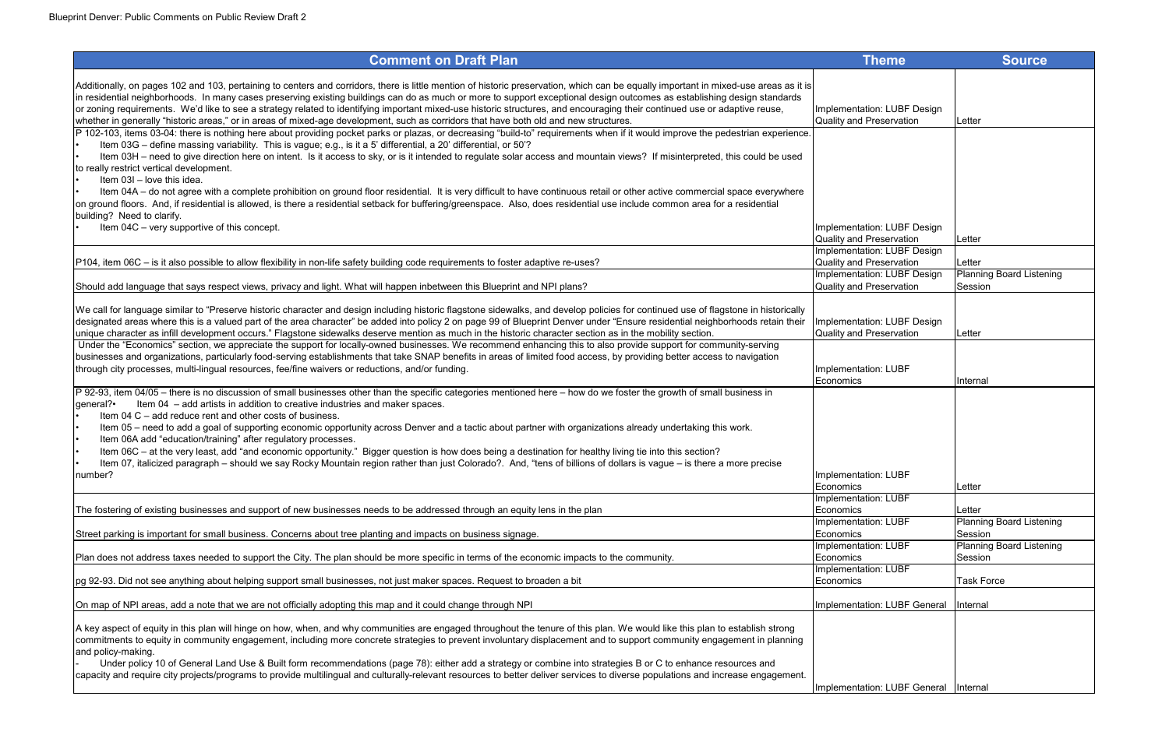| <b>Theme</b>                                                   | <b>Source</b>                   |
|----------------------------------------------------------------|---------------------------------|
|                                                                |                                 |
|                                                                |                                 |
| Implementation: LUBF Design                                    |                                 |
| Quality and Preservation                                       | Letter                          |
|                                                                |                                 |
|                                                                |                                 |
|                                                                |                                 |
|                                                                |                                 |
|                                                                |                                 |
|                                                                |                                 |
|                                                                |                                 |
| Implementation: LUBF Design                                    |                                 |
| Quality and Preservation<br><b>Implementation: LUBF Design</b> | Letter                          |
| Quality and Preservation                                       | Letter                          |
| <b>Implementation: LUBF Design</b>                             | <b>Planning Board Listening</b> |
| <b>Quality and Preservation</b>                                | Session                         |
|                                                                |                                 |
| Implementation: LUBF Design                                    |                                 |
| <b>Quality and Preservation</b>                                | Letter                          |
|                                                                |                                 |
| Implementation: LUBF                                           |                                 |
| Economics                                                      | Internal                        |
|                                                                |                                 |
|                                                                |                                 |
|                                                                |                                 |
|                                                                |                                 |
|                                                                |                                 |
|                                                                |                                 |
| Implementation: LUBF                                           |                                 |
| Economics<br><b>Implementation: LUBF</b>                       | Letter                          |
| Economics                                                      | Letter                          |
| <b>Implementation: LUBF</b>                                    | <b>Planning Board Listening</b> |
| Economics                                                      | Session                         |
| <b>Implementation: LUBF</b>                                    | <b>Planning Board Listening</b> |
| Economics<br><b>Implementation: LUBF</b>                       | Session                         |
| Economics                                                      | <b>Task Force</b>               |
|                                                                |                                 |
| Implementation: LUBF General                                   | Internal                        |
|                                                                |                                 |
|                                                                |                                 |
|                                                                |                                 |
|                                                                |                                 |
| Implementation: LUBF General                                   | Internal                        |
|                                                                |                                 |

| Additionally, on pages 102 and 103, pertaining to centers and corridors, there is little mention of historic preservation, which can be equally important in mixed-use areas as it is<br>in residential neighborhoods. In many cases preserving existing buildings can do as much or more to support exceptional design outcomes as establishing design standards<br>or zoning requirements. We'd like to see a strategy related to identifying important mixed-use historic structures, and encouraging their continued use or adaptive reuse,<br>Implementation: LUBF Design<br>Quality and Preservation<br>whether in generally "historic areas," or in areas of mixed-age development, such as corridors that have both old and new structures.<br>Letter<br>P 102-103, items 03-04: there is nothing here about providing pocket parks or plazas, or decreasing "build-to" requirements when if it would improve the pedestrian experience.<br>Item 03G - define massing variability. This is vague; e.g., is it a 5' differential, a 20' differential, or 50'?<br>Item 03H - need to give direction here on intent. Is it access to sky, or is it intended to regulate solar access and mountain views? If misinterpreted, this could be used<br>to really restrict vertical development.<br>Item 03I - love this idea.<br>Item 04A - do not agree with a complete prohibition on ground floor residential. It is very difficult to have continuous retail or other active commercial space everywhere<br>on ground floors. And, if residential is allowed, is there a residential setback for buffering/greenspace. Also, does residential use include common area for a residential<br>building? Need to clarify.<br>Item 04C - very supportive of this concept.<br>Implementation: LUBF Design<br>Quality and Preservation<br>Letter<br>Implementation: LUBF Design<br>Quality and Preservation<br>P104, item 06C – is it also possible to allow flexibility in non-life safety building code requirements to foster adaptive re-uses?<br>Letter<br>Implementation: LUBF Design<br>Quality and Preservation<br>Should add language that says respect views, privacy and light. What will happen inbetween this Blueprint and NPI plans?<br>Session<br>We call for language similar to "Preserve historic character and design including historic flagstone sidewalks, and develop policies for continued use of flagstone in historically<br>designated areas where this is a valued part of the area character" be added into policy 2 on page 99 of Blueprint Denver under "Ensure residential neighborhoods retain their<br>Implementation: LUBF Design<br>unique character as infill development occurs." Flagstone sidewalks deserve mention as much in the historic character section as in the mobility section.<br>Quality and Preservation<br>Letter<br>Under the "Economics" section, we appreciate the support for locally-owned businesses. We recommend enhancing this to also provide support for community-serving<br>businesses and organizations, particularly food-serving establishments that take SNAP benefits in areas of limited food access, by providing better access to navigation<br>through city processes, multi-lingual resources, fee/fine waivers or reductions, and/or funding.<br>Implementation: LUBF<br>Economics<br>Internal<br>P 92-93, item 04/05 - there is no discussion of small businesses other than the specific categories mentioned here - how do we foster the growth of small business in<br>general?•<br>Item 04 – add artists in addition to creative industries and maker spaces.<br>Item 04 C – add reduce rent and other costs of business.<br>Item 05 - need to add a goal of supporting economic opportunity across Denver and a tactic about partner with organizations already undertaking this work.<br>Item 06A add "education/training" after regulatory processes.<br>Item 06C – at the very least, add "and economic opportunity." Bigger question is how does being a destination for healthy living tie into this section?<br>Item 07, italicized paragraph – should we say Rocky Mountain region rather than just Colorado?. And, "tens of billions of dollars is vague – is there a more precise<br>number?<br>Implementation: LUBF<br>Economics<br>Letter<br>Implementation: LUBF<br>The fostering of existing businesses and support of new businesses needs to be addressed through an equity lens in the plan<br>Economics<br>Letter<br>Implementation: LUBF<br><b>Planning Board Lister</b><br>Street parking is important for small business. Concerns about tree planting and impacts on business signage.<br>Economics<br>Session<br>Implementation: LUBF<br>Plan does not address taxes needed to support the City. The plan should be more specific in terms of the economic impacts to the community.<br>Economics<br>Session<br>Implementation: LUBF<br>pg 92-93. Did not see anything about helping support small businesses, not just maker spaces. Request to broaden a bit<br><b>Task Force</b><br> Economics<br>On map of NPI areas, add a note that we are not officially adopting this map and it could change through NPI<br>Implementation: LUBF General<br>Internal<br>A key aspect of equity in this plan will hinge on how, when, and why communities are engaged throughout the tenure of this plan. We would like this plan to establish strong<br>commitments to equity in community engagement, including more concrete strategies to prevent involuntary displacement and to support community engagement in planning<br>and policy-making.<br>Under policy 10 of General Land Use & Built form recommendations (page 78): either add a strategy or combine into strategies B or C to enhance resources and<br>capacity and require city projects/programs to provide multilingual and culturally-relevant resources to better deliver services to diverse populations and increase engagement.<br>Implementation: LUBF General<br>Internal | <b>Comment on Draft Plan</b> | <b>Theme</b> | <b>Source</b>                |
|-------------------------------------------------------------------------------------------------------------------------------------------------------------------------------------------------------------------------------------------------------------------------------------------------------------------------------------------------------------------------------------------------------------------------------------------------------------------------------------------------------------------------------------------------------------------------------------------------------------------------------------------------------------------------------------------------------------------------------------------------------------------------------------------------------------------------------------------------------------------------------------------------------------------------------------------------------------------------------------------------------------------------------------------------------------------------------------------------------------------------------------------------------------------------------------------------------------------------------------------------------------------------------------------------------------------------------------------------------------------------------------------------------------------------------------------------------------------------------------------------------------------------------------------------------------------------------------------------------------------------------------------------------------------------------------------------------------------------------------------------------------------------------------------------------------------------------------------------------------------------------------------------------------------------------------------------------------------------------------------------------------------------------------------------------------------------------------------------------------------------------------------------------------------------------------------------------------------------------------------------------------------------------------------------------------------------------------------------------------------------------------------------------------------------------------------------------------------------------------------------------------------------------------------------------------------------------------------------------------------------------------------------------------------------------------------------------------------------------------------------------------------------------------------------------------------------------------------------------------------------------------------------------------------------------------------------------------------------------------------------------------------------------------------------------------------------------------------------------------------------------------------------------------------------------------------------------------------------------------------------------------------------------------------------------------------------------------------------------------------------------------------------------------------------------------------------------------------------------------------------------------------------------------------------------------------------------------------------------------------------------------------------------------------------------------------------------------------------------------------------------------------------------------------------------------------------------------------------------------------------------------------------------------------------------------------------------------------------------------------------------------------------------------------------------------------------------------------------------------------------------------------------------------------------------------------------------------------------------------------------------------------------------------------------------------------------------------------------------------------------------------------------------------------------------------------------------------------------------------------------------------------------------------------------------------------------------------------------------------------------------------------------------------------------------------------------------------------------------------------------------------------------------------------------------------------------------------------------------------------------------------------------------------------------------------------------------------------------------------------------------------------------------------------------------------------------------------------------------------------------------------------------------------------------------------------------------------------------------------------------------------------------------------------------------------------------------------------------------------------------------------------------------------------------------------------------------------------------------------------------------------------------------------------------------------------------------------------------------------------------------------------------------------------------------------------------------------------------------------------------------------------------------------------------------------------------------------------------------------------------------------------------------------------------------------------------------------------------------------------------------------------------------------------------------|------------------------------|--------------|------------------------------|
|                                                                                                                                                                                                                                                                                                                                                                                                                                                                                                                                                                                                                                                                                                                                                                                                                                                                                                                                                                                                                                                                                                                                                                                                                                                                                                                                                                                                                                                                                                                                                                                                                                                                                                                                                                                                                                                                                                                                                                                                                                                                                                                                                                                                                                                                                                                                                                                                                                                                                                                                                                                                                                                                                                                                                                                                                                                                                                                                                                                                                                                                                                                                                                                                                                                                                                                                                                                                                                                                                                                                                                                                                                                                                                                                                                                                                                                                                                                                                                                                                                                                                                                                                                                                                                                                                                                                                                                                                                                                                                                                                                                                                                                                                                                                                                                                                                                                                                                                                                                                                                                                                                                                                                                                                                                                                                                                                                                                                                                                                                                                                                                                                                                                                                                                                                                                                                                                                                                                                                                                                                                       |                              |              |                              |
|                                                                                                                                                                                                                                                                                                                                                                                                                                                                                                                                                                                                                                                                                                                                                                                                                                                                                                                                                                                                                                                                                                                                                                                                                                                                                                                                                                                                                                                                                                                                                                                                                                                                                                                                                                                                                                                                                                                                                                                                                                                                                                                                                                                                                                                                                                                                                                                                                                                                                                                                                                                                                                                                                                                                                                                                                                                                                                                                                                                                                                                                                                                                                                                                                                                                                                                                                                                                                                                                                                                                                                                                                                                                                                                                                                                                                                                                                                                                                                                                                                                                                                                                                                                                                                                                                                                                                                                                                                                                                                                                                                                                                                                                                                                                                                                                                                                                                                                                                                                                                                                                                                                                                                                                                                                                                                                                                                                                                                                                                                                                                                                                                                                                                                                                                                                                                                                                                                                                                                                                                                                       |                              |              |                              |
|                                                                                                                                                                                                                                                                                                                                                                                                                                                                                                                                                                                                                                                                                                                                                                                                                                                                                                                                                                                                                                                                                                                                                                                                                                                                                                                                                                                                                                                                                                                                                                                                                                                                                                                                                                                                                                                                                                                                                                                                                                                                                                                                                                                                                                                                                                                                                                                                                                                                                                                                                                                                                                                                                                                                                                                                                                                                                                                                                                                                                                                                                                                                                                                                                                                                                                                                                                                                                                                                                                                                                                                                                                                                                                                                                                                                                                                                                                                                                                                                                                                                                                                                                                                                                                                                                                                                                                                                                                                                                                                                                                                                                                                                                                                                                                                                                                                                                                                                                                                                                                                                                                                                                                                                                                                                                                                                                                                                                                                                                                                                                                                                                                                                                                                                                                                                                                                                                                                                                                                                                                                       |                              |              |                              |
|                                                                                                                                                                                                                                                                                                                                                                                                                                                                                                                                                                                                                                                                                                                                                                                                                                                                                                                                                                                                                                                                                                                                                                                                                                                                                                                                                                                                                                                                                                                                                                                                                                                                                                                                                                                                                                                                                                                                                                                                                                                                                                                                                                                                                                                                                                                                                                                                                                                                                                                                                                                                                                                                                                                                                                                                                                                                                                                                                                                                                                                                                                                                                                                                                                                                                                                                                                                                                                                                                                                                                                                                                                                                                                                                                                                                                                                                                                                                                                                                                                                                                                                                                                                                                                                                                                                                                                                                                                                                                                                                                                                                                                                                                                                                                                                                                                                                                                                                                                                                                                                                                                                                                                                                                                                                                                                                                                                                                                                                                                                                                                                                                                                                                                                                                                                                                                                                                                                                                                                                                                                       |                              |              |                              |
|                                                                                                                                                                                                                                                                                                                                                                                                                                                                                                                                                                                                                                                                                                                                                                                                                                                                                                                                                                                                                                                                                                                                                                                                                                                                                                                                                                                                                                                                                                                                                                                                                                                                                                                                                                                                                                                                                                                                                                                                                                                                                                                                                                                                                                                                                                                                                                                                                                                                                                                                                                                                                                                                                                                                                                                                                                                                                                                                                                                                                                                                                                                                                                                                                                                                                                                                                                                                                                                                                                                                                                                                                                                                                                                                                                                                                                                                                                                                                                                                                                                                                                                                                                                                                                                                                                                                                                                                                                                                                                                                                                                                                                                                                                                                                                                                                                                                                                                                                                                                                                                                                                                                                                                                                                                                                                                                                                                                                                                                                                                                                                                                                                                                                                                                                                                                                                                                                                                                                                                                                                                       |                              |              |                              |
|                                                                                                                                                                                                                                                                                                                                                                                                                                                                                                                                                                                                                                                                                                                                                                                                                                                                                                                                                                                                                                                                                                                                                                                                                                                                                                                                                                                                                                                                                                                                                                                                                                                                                                                                                                                                                                                                                                                                                                                                                                                                                                                                                                                                                                                                                                                                                                                                                                                                                                                                                                                                                                                                                                                                                                                                                                                                                                                                                                                                                                                                                                                                                                                                                                                                                                                                                                                                                                                                                                                                                                                                                                                                                                                                                                                                                                                                                                                                                                                                                                                                                                                                                                                                                                                                                                                                                                                                                                                                                                                                                                                                                                                                                                                                                                                                                                                                                                                                                                                                                                                                                                                                                                                                                                                                                                                                                                                                                                                                                                                                                                                                                                                                                                                                                                                                                                                                                                                                                                                                                                                       |                              |              | <b>Planning Board Lister</b> |
|                                                                                                                                                                                                                                                                                                                                                                                                                                                                                                                                                                                                                                                                                                                                                                                                                                                                                                                                                                                                                                                                                                                                                                                                                                                                                                                                                                                                                                                                                                                                                                                                                                                                                                                                                                                                                                                                                                                                                                                                                                                                                                                                                                                                                                                                                                                                                                                                                                                                                                                                                                                                                                                                                                                                                                                                                                                                                                                                                                                                                                                                                                                                                                                                                                                                                                                                                                                                                                                                                                                                                                                                                                                                                                                                                                                                                                                                                                                                                                                                                                                                                                                                                                                                                                                                                                                                                                                                                                                                                                                                                                                                                                                                                                                                                                                                                                                                                                                                                                                                                                                                                                                                                                                                                                                                                                                                                                                                                                                                                                                                                                                                                                                                                                                                                                                                                                                                                                                                                                                                                                                       |                              |              |                              |
|                                                                                                                                                                                                                                                                                                                                                                                                                                                                                                                                                                                                                                                                                                                                                                                                                                                                                                                                                                                                                                                                                                                                                                                                                                                                                                                                                                                                                                                                                                                                                                                                                                                                                                                                                                                                                                                                                                                                                                                                                                                                                                                                                                                                                                                                                                                                                                                                                                                                                                                                                                                                                                                                                                                                                                                                                                                                                                                                                                                                                                                                                                                                                                                                                                                                                                                                                                                                                                                                                                                                                                                                                                                                                                                                                                                                                                                                                                                                                                                                                                                                                                                                                                                                                                                                                                                                                                                                                                                                                                                                                                                                                                                                                                                                                                                                                                                                                                                                                                                                                                                                                                                                                                                                                                                                                                                                                                                                                                                                                                                                                                                                                                                                                                                                                                                                                                                                                                                                                                                                                                                       |                              |              |                              |
|                                                                                                                                                                                                                                                                                                                                                                                                                                                                                                                                                                                                                                                                                                                                                                                                                                                                                                                                                                                                                                                                                                                                                                                                                                                                                                                                                                                                                                                                                                                                                                                                                                                                                                                                                                                                                                                                                                                                                                                                                                                                                                                                                                                                                                                                                                                                                                                                                                                                                                                                                                                                                                                                                                                                                                                                                                                                                                                                                                                                                                                                                                                                                                                                                                                                                                                                                                                                                                                                                                                                                                                                                                                                                                                                                                                                                                                                                                                                                                                                                                                                                                                                                                                                                                                                                                                                                                                                                                                                                                                                                                                                                                                                                                                                                                                                                                                                                                                                                                                                                                                                                                                                                                                                                                                                                                                                                                                                                                                                                                                                                                                                                                                                                                                                                                                                                                                                                                                                                                                                                                                       |                              |              |                              |
|                                                                                                                                                                                                                                                                                                                                                                                                                                                                                                                                                                                                                                                                                                                                                                                                                                                                                                                                                                                                                                                                                                                                                                                                                                                                                                                                                                                                                                                                                                                                                                                                                                                                                                                                                                                                                                                                                                                                                                                                                                                                                                                                                                                                                                                                                                                                                                                                                                                                                                                                                                                                                                                                                                                                                                                                                                                                                                                                                                                                                                                                                                                                                                                                                                                                                                                                                                                                                                                                                                                                                                                                                                                                                                                                                                                                                                                                                                                                                                                                                                                                                                                                                                                                                                                                                                                                                                                                                                                                                                                                                                                                                                                                                                                                                                                                                                                                                                                                                                                                                                                                                                                                                                                                                                                                                                                                                                                                                                                                                                                                                                                                                                                                                                                                                                                                                                                                                                                                                                                                                                                       |                              |              |                              |
|                                                                                                                                                                                                                                                                                                                                                                                                                                                                                                                                                                                                                                                                                                                                                                                                                                                                                                                                                                                                                                                                                                                                                                                                                                                                                                                                                                                                                                                                                                                                                                                                                                                                                                                                                                                                                                                                                                                                                                                                                                                                                                                                                                                                                                                                                                                                                                                                                                                                                                                                                                                                                                                                                                                                                                                                                                                                                                                                                                                                                                                                                                                                                                                                                                                                                                                                                                                                                                                                                                                                                                                                                                                                                                                                                                                                                                                                                                                                                                                                                                                                                                                                                                                                                                                                                                                                                                                                                                                                                                                                                                                                                                                                                                                                                                                                                                                                                                                                                                                                                                                                                                                                                                                                                                                                                                                                                                                                                                                                                                                                                                                                                                                                                                                                                                                                                                                                                                                                                                                                                                                       |                              |              |                              |
|                                                                                                                                                                                                                                                                                                                                                                                                                                                                                                                                                                                                                                                                                                                                                                                                                                                                                                                                                                                                                                                                                                                                                                                                                                                                                                                                                                                                                                                                                                                                                                                                                                                                                                                                                                                                                                                                                                                                                                                                                                                                                                                                                                                                                                                                                                                                                                                                                                                                                                                                                                                                                                                                                                                                                                                                                                                                                                                                                                                                                                                                                                                                                                                                                                                                                                                                                                                                                                                                                                                                                                                                                                                                                                                                                                                                                                                                                                                                                                                                                                                                                                                                                                                                                                                                                                                                                                                                                                                                                                                                                                                                                                                                                                                                                                                                                                                                                                                                                                                                                                                                                                                                                                                                                                                                                                                                                                                                                                                                                                                                                                                                                                                                                                                                                                                                                                                                                                                                                                                                                                                       |                              |              |                              |
|                                                                                                                                                                                                                                                                                                                                                                                                                                                                                                                                                                                                                                                                                                                                                                                                                                                                                                                                                                                                                                                                                                                                                                                                                                                                                                                                                                                                                                                                                                                                                                                                                                                                                                                                                                                                                                                                                                                                                                                                                                                                                                                                                                                                                                                                                                                                                                                                                                                                                                                                                                                                                                                                                                                                                                                                                                                                                                                                                                                                                                                                                                                                                                                                                                                                                                                                                                                                                                                                                                                                                                                                                                                                                                                                                                                                                                                                                                                                                                                                                                                                                                                                                                                                                                                                                                                                                                                                                                                                                                                                                                                                                                                                                                                                                                                                                                                                                                                                                                                                                                                                                                                                                                                                                                                                                                                                                                                                                                                                                                                                                                                                                                                                                                                                                                                                                                                                                                                                                                                                                                                       |                              |              |                              |
|                                                                                                                                                                                                                                                                                                                                                                                                                                                                                                                                                                                                                                                                                                                                                                                                                                                                                                                                                                                                                                                                                                                                                                                                                                                                                                                                                                                                                                                                                                                                                                                                                                                                                                                                                                                                                                                                                                                                                                                                                                                                                                                                                                                                                                                                                                                                                                                                                                                                                                                                                                                                                                                                                                                                                                                                                                                                                                                                                                                                                                                                                                                                                                                                                                                                                                                                                                                                                                                                                                                                                                                                                                                                                                                                                                                                                                                                                                                                                                                                                                                                                                                                                                                                                                                                                                                                                                                                                                                                                                                                                                                                                                                                                                                                                                                                                                                                                                                                                                                                                                                                                                                                                                                                                                                                                                                                                                                                                                                                                                                                                                                                                                                                                                                                                                                                                                                                                                                                                                                                                                                       |                              |              |                              |
|                                                                                                                                                                                                                                                                                                                                                                                                                                                                                                                                                                                                                                                                                                                                                                                                                                                                                                                                                                                                                                                                                                                                                                                                                                                                                                                                                                                                                                                                                                                                                                                                                                                                                                                                                                                                                                                                                                                                                                                                                                                                                                                                                                                                                                                                                                                                                                                                                                                                                                                                                                                                                                                                                                                                                                                                                                                                                                                                                                                                                                                                                                                                                                                                                                                                                                                                                                                                                                                                                                                                                                                                                                                                                                                                                                                                                                                                                                                                                                                                                                                                                                                                                                                                                                                                                                                                                                                                                                                                                                                                                                                                                                                                                                                                                                                                                                                                                                                                                                                                                                                                                                                                                                                                                                                                                                                                                                                                                                                                                                                                                                                                                                                                                                                                                                                                                                                                                                                                                                                                                                                       |                              |              | <b>Planning Board Lister</b> |
|                                                                                                                                                                                                                                                                                                                                                                                                                                                                                                                                                                                                                                                                                                                                                                                                                                                                                                                                                                                                                                                                                                                                                                                                                                                                                                                                                                                                                                                                                                                                                                                                                                                                                                                                                                                                                                                                                                                                                                                                                                                                                                                                                                                                                                                                                                                                                                                                                                                                                                                                                                                                                                                                                                                                                                                                                                                                                                                                                                                                                                                                                                                                                                                                                                                                                                                                                                                                                                                                                                                                                                                                                                                                                                                                                                                                                                                                                                                                                                                                                                                                                                                                                                                                                                                                                                                                                                                                                                                                                                                                                                                                                                                                                                                                                                                                                                                                                                                                                                                                                                                                                                                                                                                                                                                                                                                                                                                                                                                                                                                                                                                                                                                                                                                                                                                                                                                                                                                                                                                                                                                       |                              |              |                              |
|                                                                                                                                                                                                                                                                                                                                                                                                                                                                                                                                                                                                                                                                                                                                                                                                                                                                                                                                                                                                                                                                                                                                                                                                                                                                                                                                                                                                                                                                                                                                                                                                                                                                                                                                                                                                                                                                                                                                                                                                                                                                                                                                                                                                                                                                                                                                                                                                                                                                                                                                                                                                                                                                                                                                                                                                                                                                                                                                                                                                                                                                                                                                                                                                                                                                                                                                                                                                                                                                                                                                                                                                                                                                                                                                                                                                                                                                                                                                                                                                                                                                                                                                                                                                                                                                                                                                                                                                                                                                                                                                                                                                                                                                                                                                                                                                                                                                                                                                                                                                                                                                                                                                                                                                                                                                                                                                                                                                                                                                                                                                                                                                                                                                                                                                                                                                                                                                                                                                                                                                                                                       |                              |              |                              |
|                                                                                                                                                                                                                                                                                                                                                                                                                                                                                                                                                                                                                                                                                                                                                                                                                                                                                                                                                                                                                                                                                                                                                                                                                                                                                                                                                                                                                                                                                                                                                                                                                                                                                                                                                                                                                                                                                                                                                                                                                                                                                                                                                                                                                                                                                                                                                                                                                                                                                                                                                                                                                                                                                                                                                                                                                                                                                                                                                                                                                                                                                                                                                                                                                                                                                                                                                                                                                                                                                                                                                                                                                                                                                                                                                                                                                                                                                                                                                                                                                                                                                                                                                                                                                                                                                                                                                                                                                                                                                                                                                                                                                                                                                                                                                                                                                                                                                                                                                                                                                                                                                                                                                                                                                                                                                                                                                                                                                                                                                                                                                                                                                                                                                                                                                                                                                                                                                                                                                                                                                                                       |                              |              |                              |
|                                                                                                                                                                                                                                                                                                                                                                                                                                                                                                                                                                                                                                                                                                                                                                                                                                                                                                                                                                                                                                                                                                                                                                                                                                                                                                                                                                                                                                                                                                                                                                                                                                                                                                                                                                                                                                                                                                                                                                                                                                                                                                                                                                                                                                                                                                                                                                                                                                                                                                                                                                                                                                                                                                                                                                                                                                                                                                                                                                                                                                                                                                                                                                                                                                                                                                                                                                                                                                                                                                                                                                                                                                                                                                                                                                                                                                                                                                                                                                                                                                                                                                                                                                                                                                                                                                                                                                                                                                                                                                                                                                                                                                                                                                                                                                                                                                                                                                                                                                                                                                                                                                                                                                                                                                                                                                                                                                                                                                                                                                                                                                                                                                                                                                                                                                                                                                                                                                                                                                                                                                                       |                              |              |                              |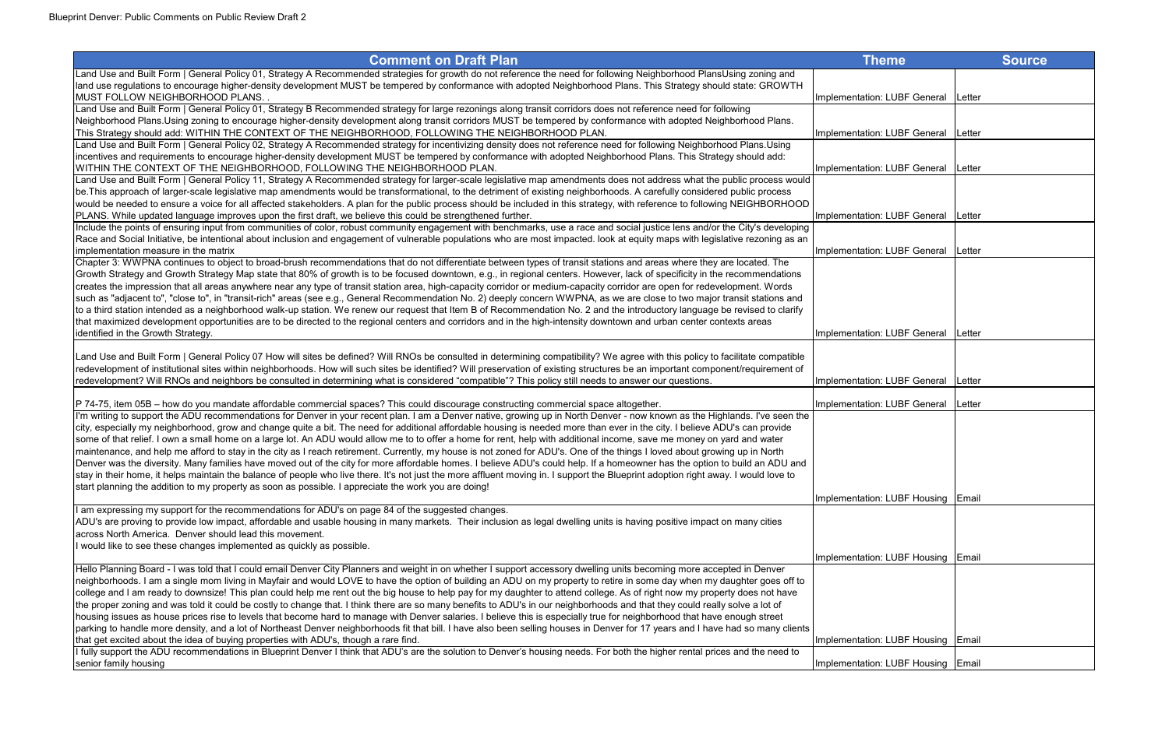| <b>Comment on Draft Plan</b>                                                                                                                                                                                                                                                                                                                                      | <b>Theme</b>                       |        | <b>Source</b> |
|-------------------------------------------------------------------------------------------------------------------------------------------------------------------------------------------------------------------------------------------------------------------------------------------------------------------------------------------------------------------|------------------------------------|--------|---------------|
| Land Use and Built Form   General Policy 01, Strategy A Recommended strategies for growth do not reference the need for following Neighborhood PlansUsing zoning and                                                                                                                                                                                              |                                    |        |               |
| land use regulations to encourage higher-density development MUST be tempered by conformance with adopted Neighborhood Plans. This Strategy should state: GROWTH<br><b>IMUST FOLLOW NEIGHBORHOOD PLANS.</b>                                                                                                                                                       | Implementation: LUBF General       | Letter |               |
| Land Use and Built Form   General Policy 01, Strategy B Recommended strategy for large rezonings along transit corridors does not reference need for following                                                                                                                                                                                                    |                                    |        |               |
| Neighborhood Plans. Using zoning to encourage higher-density development along transit corridors MUST be tempered by conformance with adopted Neighborhood Plans.                                                                                                                                                                                                 |                                    |        |               |
| This Strategy should add: WITHIN THE CONTEXT OF THE NEIGHBORHOOD, FOLLOWING THE NEIGHBORHOOD PLAN.                                                                                                                                                                                                                                                                | Implementation: LUBF General       | Letter |               |
| Land Use and Built Form   General Policy 02, Strategy A Recommended strategy for incentivizing density does not reference need for following Neighborhood Plans.Using                                                                                                                                                                                             |                                    |        |               |
| incentives and requirements to encourage higher-density development MUST be tempered by conformance with adopted Neighborhood Plans. This Strategy should add:                                                                                                                                                                                                    |                                    |        |               |
| WITHIN THE CONTEXT OF THE NEIGHBORHOOD, FOLLOWING THE NEIGHBORHOOD PLAN.                                                                                                                                                                                                                                                                                          | Implementation: LUBF General       | Letter |               |
| Land Use and Built Form   General Policy 11, Strategy A Recommended strategy for larger-scale legislative map amendments does not address what the public process would                                                                                                                                                                                           |                                    |        |               |
| be. This approach of larger-scale legislative map amendments would be transformational, to the detriment of existing neighborhoods. A carefully considered public process                                                                                                                                                                                         |                                    |        |               |
| would be needed to ensure a voice for all affected stakeholders. A plan for the public process should be included in this strategy, with reference to following NEIGHBORHOOD                                                                                                                                                                                      |                                    |        |               |
| PLANS. While updated language improves upon the first draft, we believe this could be strengthened further.                                                                                                                                                                                                                                                       | Implementation: LUBF General       | Letter |               |
| Include the points of ensuring input from communities of color, robust community engagement with benchmarks, use a race and social justice lens and/or the City's developing                                                                                                                                                                                      |                                    |        |               |
| Race and Social Initiative, be intentional about inclusion and engagement of vulnerable populations who are most impacted. look at equity maps with legislative rezoning as an                                                                                                                                                                                    |                                    |        |               |
| implementation measure in the matrix                                                                                                                                                                                                                                                                                                                              | Implementation: LUBF General       | Letter |               |
| Chapter 3: WWPNA continues to object to broad-brush recommendations that do not differentiate between types of transit stations and areas where they are located. The                                                                                                                                                                                             |                                    |        |               |
| Growth Strategy and Growth Strategy Map state that 80% of growth is to be focused downtown, e.g., in regional centers. However, lack of specificity in the recommendations                                                                                                                                                                                        |                                    |        |               |
| creates the impression that all areas anywhere near any type of transit station area, high-capacity corridor or medium-capacity corridor are open for redevelopment. Words                                                                                                                                                                                        |                                    |        |               |
| such as "adjacent to", "close to", in "transit-rich" areas (see e.g., General Recommendation No. 2) deeply concern WWPNA, as we are close to two major transit stations and                                                                                                                                                                                       |                                    |        |               |
| to a third station intended as a neighborhood walk-up station. We renew our request that Item B of Recommendation No. 2 and the introductory language be revised to clarify                                                                                                                                                                                       |                                    |        |               |
| that maximized development opportunities are to be directed to the regional centers and corridors and in the high-intensity downtown and urban center contexts areas                                                                                                                                                                                              |                                    |        |               |
| identified in the Growth Strategy.                                                                                                                                                                                                                                                                                                                                | Implementation: LUBF General       | Letter |               |
|                                                                                                                                                                                                                                                                                                                                                                   |                                    |        |               |
| Land Use and Built Form   General Policy 07 How will sites be defined? Will RNOs be consulted in determining compatibility? We agree with this policy to facilitate compatible<br>redevelopment of institutional sites within neighborhoods. How will such sites be identified? Will preservation of existing structures be an important component/requirement of |                                    |        |               |
|                                                                                                                                                                                                                                                                                                                                                                   | Implementation: LUBF General       |        |               |
| redevelopment? Will RNOs and neighbors be consulted in determining what is considered "compatible"? This policy still needs to answer our questions.                                                                                                                                                                                                              |                                    | Letter |               |
| P 74-75, item 05B - how do you mandate affordable commercial spaces? This could discourage constructing commercial space altogether.                                                                                                                                                                                                                              | Implementation: LUBF General       | Letter |               |
| I'm writing to support the ADU recommendations for Denver in your recent plan. I am a Denver native, growing up in North Denver - now known as the Highlands. I've seen the                                                                                                                                                                                       |                                    |        |               |
| city, especially my neighborhood, grow and change quite a bit. The need for additional affordable housing is needed more than ever in the city. I believe ADU's can provide                                                                                                                                                                                       |                                    |        |               |
| some of that relief. I own a small home on a large lot. An ADU would allow me to to offer a home for rent, help with additional income, save me money on yard and water                                                                                                                                                                                           |                                    |        |               |
| maintenance, and help me afford to stay in the city as I reach retirement. Currently, my house is not zoned for ADU's. One of the things I loved about growing up in North                                                                                                                                                                                        |                                    |        |               |
| Denver was the diversity. Many families have moved out of the city for more affordable homes. I believe ADU's could help. If a homeowner has the option to build an ADU and                                                                                                                                                                                       |                                    |        |               |
| stay in their home, it helps maintain the balance of people who live there. It's not just the more affluent moving in. I support the Blueprint adoption right away. I would love to                                                                                                                                                                               |                                    |        |               |
| start planning the addition to my property as soon as possible. I appreciate the work you are doing!                                                                                                                                                                                                                                                              |                                    |        |               |
|                                                                                                                                                                                                                                                                                                                                                                   | Implementation: LUBF Housing Email |        |               |
| I am expressing my support for the recommendations for ADU's on page 84 of the suggested changes.                                                                                                                                                                                                                                                                 |                                    |        |               |
| ADU's are proving to provide low impact, affordable and usable housing in many markets. Their inclusion as legal dwelling units is having positive impact on many cities                                                                                                                                                                                          |                                    |        |               |
| across North America. Denver should lead this movement.                                                                                                                                                                                                                                                                                                           |                                    |        |               |
| would like to see these changes implemented as quickly as possible.                                                                                                                                                                                                                                                                                               |                                    |        |               |
|                                                                                                                                                                                                                                                                                                                                                                   | Implementation: LUBF Housing Email |        |               |
| Hello Planning Board - I was told that I could email Denver City Planners and weight in on whether I support accessory dwelling units becoming more accepted in Denver                                                                                                                                                                                            |                                    |        |               |
| neighborhoods. I am a single mom living in Mayfair and would LOVE to have the option of building an ADU on my property to retire in some day when my daughter goes off to                                                                                                                                                                                         |                                    |        |               |
| college and I am ready to downsize! This plan could help me rent out the big house to help pay for my daughter to attend college. As of right now my property does not have                                                                                                                                                                                       |                                    |        |               |
| the proper zoning and was told it could be costly to change that. I think there are so many benefits to ADU's in our neighborhoods and that they could really solve a lot of                                                                                                                                                                                      |                                    |        |               |
| housing issues as house prices rise to levels that become hard to manage with Denver salaries. I believe this is especially true for neighborhood that have enough street                                                                                                                                                                                         |                                    |        |               |
| parking to handle more density, and a lot of Northeast Denver neighborhoods fit that bill. I have also been selling houses in Denver for 17 years and I have had so many clients                                                                                                                                                                                  |                                    |        |               |
| that get excited about the idea of buying properties with ADU's, though a rare find.<br>I fully support the ADU recommendations in Blueprint Denver I think that ADU's are the solution to Denver's housing needs. For both the higher rental prices and the need to                                                                                              | Implementation: LUBF Housing Email |        |               |
| senior family housing                                                                                                                                                                                                                                                                                                                                             |                                    |        |               |
|                                                                                                                                                                                                                                                                                                                                                                   | Implementation: LUBF Housing Email |        |               |

| <b>Theme</b>                 | <b>Source</b> |
|------------------------------|---------------|
|                              |               |
| Implementation: LUBF General | Letter        |
|                              |               |
| Implementation: LUBF General | Letter        |
|                              |               |
| Implementation: LUBF General | Letter        |
|                              |               |
| Implementation: LUBF General | Letter        |
|                              |               |
| Implementation: LUBF General | Letter        |
|                              |               |
|                              |               |
|                              |               |
| Implementation: LUBF General | Letter        |
|                              |               |
|                              |               |
| Implementation: LUBF General | Letter        |
| Implementation: LUBF General | Letter        |
|                              |               |
|                              |               |
|                              |               |
|                              |               |
| Implementation: LUBF Housing | Email         |
|                              |               |
|                              | Email         |
| Implementation: LUBF Housing |               |
|                              |               |
|                              |               |
|                              |               |
| Implementation: LUBF Housing | Email         |
| Implementation: LUBF Housing | Email         |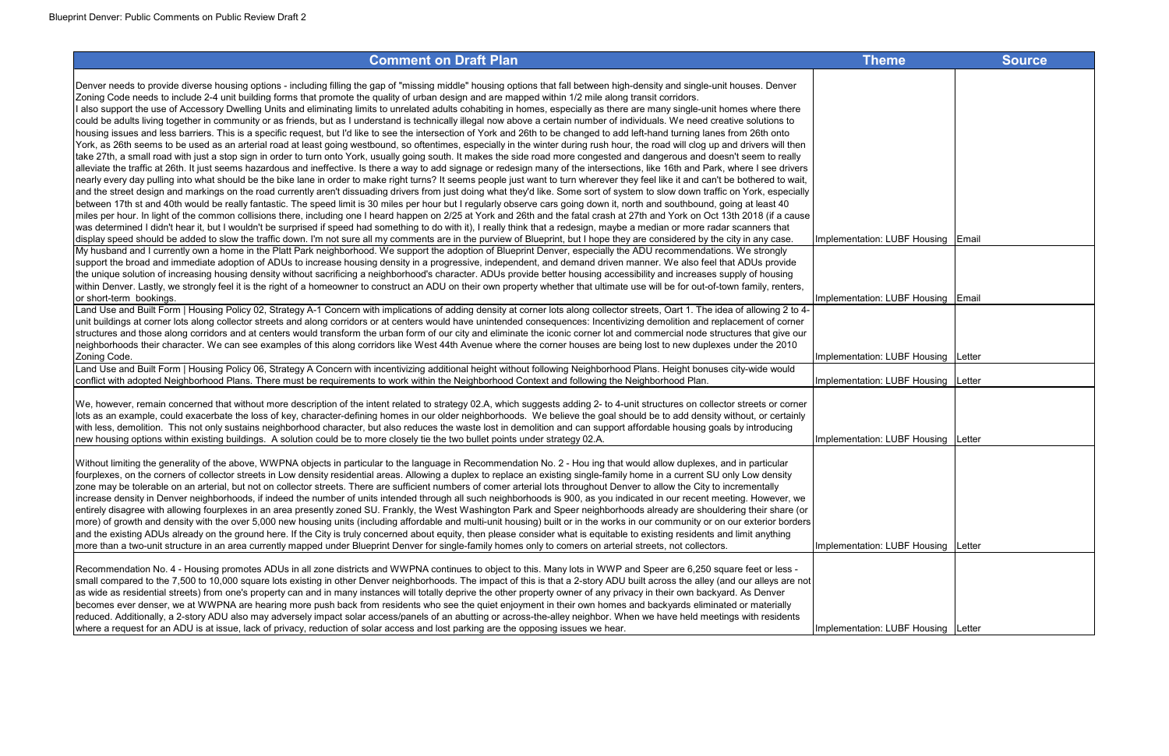| <b>Comment on Draft Plan</b>                                                                                                                                                         | <b>Theme</b>                          | <b>Source</b> |
|--------------------------------------------------------------------------------------------------------------------------------------------------------------------------------------|---------------------------------------|---------------|
| Denver needs to provide diverse housing options - including filling the gap of "missing middle" housing options that fall between high-density and single-unit houses. Denver        |                                       |               |
| Zoning Code needs to include 2-4 unit building forms that promote the quality of urban design and are mapped within 1/2 mile along transit corridors.                                |                                       |               |
| I also support the use of Accessory Dwelling Units and eliminating limits to unrelated adults cohabiting in homes, especially as there are many single-unit homes where there        |                                       |               |
| could be adults living together in community or as friends, but as I understand is technically illegal now above a certain number of individuals. We need creative solutions to      |                                       |               |
| housing issues and less barriers. This is a specific request, but I'd like to see the intersection of York and 26th to be changed to add left-hand turning lanes from 26th onto      |                                       |               |
| York, as 26th seems to be used as an arterial road at least going westbound, so oftentimes, especially in the winter during rush hour, the road will clog up and drivers will then   |                                       |               |
| take 27th, a small road with just a stop sign in order to turn onto York, usually going south. It makes the side road more congested and dangerous and doesn't seem to really        |                                       |               |
| alleviate the traffic at 26th. It just seems hazardous and ineffective. Is there a way to add signage or redesign many of the intersections, like 16th and Park, where I see drivers |                                       |               |
| nearly every day pulling into what should be the bike lane in order to make right turns? It seems people just want to turn wherever they feel like it and can't be bothered to wait, |                                       |               |
| and the street design and markings on the road currently aren't dissuading drivers from just doing what they'd like. Some sort of system to slow down traffic on York, especially    |                                       |               |
| between 17th st and 40th would be really fantastic. The speed limit is 30 miles per hour but I regularly observe cars going down it, north and southbound, going at least 40         |                                       |               |
| miles per hour. In light of the common collisions there, including one I heard happen on 2/25 at York and 26th and the fatal crash at 27th and York on Oct 13th 2018 (if a cause     |                                       |               |
| was determined I didn't hear it, but I wouldn't be surprised if speed had something to do with it), I really think that a redesign, maybe a median or more radar scanners that       |                                       |               |
| display speed should be added to slow the traffic down. I'm not sure all my comments are in the purview of Blueprint, but I hope they are considered by the city in any case.        | Implementation: LUBF Housing Email    |               |
| My husband and I currently own a home in the Platt Park neighborhood. We support the adoption of Blueprint Denver, especially the ADU recommendations. We strongly                   |                                       |               |
| support the broad and immediate adoption of ADUs to increase housing density in a progressive, independent, and demand driven manner. We also feel that ADUs provide                 |                                       |               |
| the unique solution of increasing housing density without sacrificing a neighborhood's character. ADUs provide better housing accessibility and increases supply of housing          |                                       |               |
| within Denver. Lastly, we strongly feel it is the right of a homeowner to construct an ADU on their own property whether that ultimate use will be for out-of-town family, renters,  |                                       |               |
| or short-term bookings.                                                                                                                                                              | Implementation: LUBF Housing Email    |               |
| Land Use and Built Form   Housing Policy 02, Strategy A-1 Concern with implications of adding density at corner lots along collector streets, Oart 1. The idea of allowing 2 to 4-   |                                       |               |
| unit buildings at corner lots along collector streets and along corridors or at centers would have unintended consequences: Incentivizing demolition and replacement of corner       |                                       |               |
| structures and those along corridors and at centers would transform the urban form of our city and eliminate the iconic corner lot and commercial node structures that give our      |                                       |               |
| neighborhoods their character. We can see examples of this along corridors like West 44th Avenue where the corner houses are being lost to new duplexes under the 2010               |                                       |               |
| Zoning Code.                                                                                                                                                                         | Implementation: LUBF Housing   Letter |               |
| Land Use and Built Form   Housing Policy 06, Strategy A Concern with incentivizing additional height without following Neighborhood Plans. Height bonuses city-wide would            |                                       |               |
| conflict with adopted Neighborhood Plans. There must be requirements to work within the Neighborhood Context and following the Neighborhood Plan.                                    | Implementation: LUBF Housing   Letter |               |
| We, however, remain concerned that without more description of the intent related to strategy 02.A, which suggests adding 2- to 4-unit structures on collector streets or corner     |                                       |               |
| lots as an example, could exacerbate the loss of key, character-defining homes in our older neighborhoods. We believe the goal should be to add density without, or certainly        |                                       |               |
| with less, demolition. This not only sustains neighborhood character, but also reduces the waste lost in demolition and can support affordable housing goals by introducing          |                                       |               |
| new housing options within existing buildings. A solution could be to more closely tie the two bullet points under strategy 02.A.                                                    | Implementation: LUBF Housing   Letter |               |
|                                                                                                                                                                                      |                                       |               |
| Without limiting the generality of the above, WWPNA objects in particular to the language in Recommendation No. 2 - Hou ing that would allow duplexes, and in particular             |                                       |               |
| fourplexes, on the corners of collector streets in Low density residential areas. Allowing a duplex to replace an existing single-family home in a current SU only Low density       |                                       |               |
| zone may be tolerable on an arterial, but not on collector streets. There are sufficient numbers of comer arterial lots throughout Denver to allow the City to incrementally         |                                       |               |
| increase density in Denver neighborhoods, if indeed the number of units intended through all such neighborhoods is 900, as you indicated in our recent meeting. However, we          |                                       |               |
| entirely disagree with allowing fourplexes in an area presently zoned SU. Frankly, the West Washington Park and Speer neighborhoods already are shouldering their share (or          |                                       |               |
| more) of growth and density with the over 5,000 new housing units (including affordable and multi-unit housing) built or in the works in our community or on our exterior borders    |                                       |               |
| and the existing ADUs already on the ground here. If the City is truly concerned about equity, then please consider what is equitable to existing residents and limit anything       |                                       |               |
| more than a two-unit structure in an area currently mapped under Blueprint Denver for single-family homes only to comers on arterial streets, not collectors.                        | Implementation: LUBF Housing Letter   |               |
|                                                                                                                                                                                      |                                       |               |
| Recommendation No. 4 - Housing promotes ADUs in all zone districts and WWPNA continues to object to this. Many lots in WWP and Speer are 6,250 square feet or less -                 |                                       |               |
| small compared to the 7,500 to 10,000 square lots existing in other Denver neighborhoods. The impact of this is that a 2-story ADU built across the alley (and our alleys are not    |                                       |               |
| as wide as residential streets) from one's property can and in many instances will totally deprive the other property owner of any privacy in their own backyard. As Denver          |                                       |               |
| becomes ever denser, we at WWPNA are hearing more push back from residents who see the quiet enjoyment in their own homes and backyards eliminated or materially                     |                                       |               |
| reduced. Additionally, a 2-story ADU also may adversely impact solar access/panels of an abutting or across-the-alley neighbor. When we have held meetings with residents            |                                       |               |
| where a request for an ADU is at issue, lack of privacy, reduction of solar access and lost parking are the opposing issues we hear.                                                 | Implementation: LUBF Housing   Letter |               |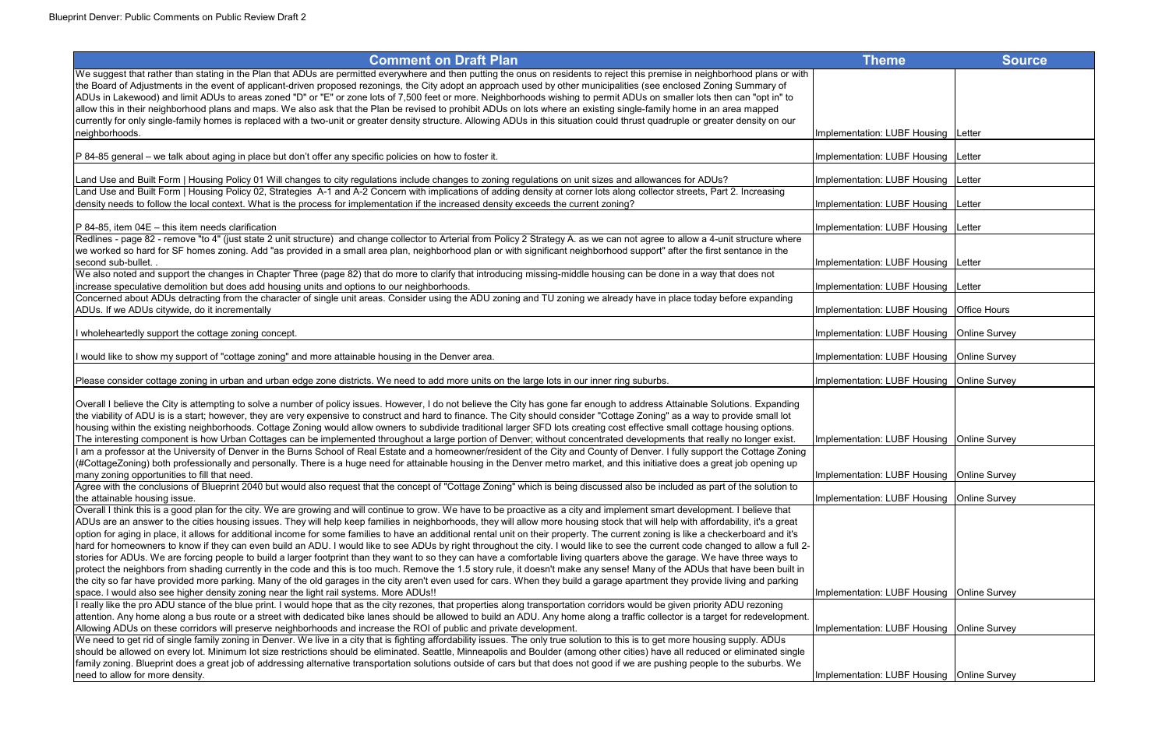| <b>Comment on Draft Plan</b>                                                                                                                                                         | Theme                                        | <b>Source</b>  |
|--------------------------------------------------------------------------------------------------------------------------------------------------------------------------------------|----------------------------------------------|----------------|
| We suggest that rather than stating in the Plan that ADUs are permitted everywhere and then putting the onus on residents to reject this premise in neighborhood plans or with       |                                              |                |
| the Board of Adjustments in the event of applicant-driven proposed rezonings, the City adopt an approach used by other municipalities (see enclosed Zoning Summary of                |                                              |                |
| ADUs in Lakewood) and limit ADUs to areas zoned "D" or "E" or zone lots of 7,500 feet or more. Neighborhoods wishing to permit ADUs on smaller lots then can "opt in" to             |                                              |                |
| allow this in their neighborhood plans and maps. We also ask that the Plan be revised to prohibit ADUs on lots where an existing single-family home in an area mapped                |                                              |                |
| currently for only single-family homes is replaced with a two-unit or greater density structure. Allowing ADUs in this situation could thrust quadruple or greater density on our    |                                              |                |
| neighborhoods.                                                                                                                                                                       | Implementation: LUBF Housing   Letter        |                |
|                                                                                                                                                                                      |                                              |                |
| P 84-85 general – we talk about aging in place but don't offer any specific policies on how to foster it.                                                                            | Implementation: LUBF Housing   Letter        |                |
|                                                                                                                                                                                      |                                              |                |
| Land Use and Built Form   Housing Policy 01 Will changes to city regulations include changes to zoning regulations on unit sizes and allowances for ADUs?                            | Implementation: LUBF Housing                 | <b>ILetter</b> |
| Land Use and Built Form   Housing Policy 02, Strategies A-1 and A-2 Concern with implications of adding density at corner lots along collector streets, Part 2. Increasing           |                                              |                |
| density needs to follow the local context. What is the process for implementation if the increased density exceeds the current zoning?                                               | Implementation: LUBF Housing   Letter        |                |
| $P$ 84-85, item 04E – this item needs clarification                                                                                                                                  | Implementation: LUBF Housing                 | <b>Letter</b>  |
| Redlines - page 82 - remove "to 4" (just state 2 unit structure) and change collector to Arterial from Policy 2 Strategy A. as we can not agree to allow a 4-unit structure where    |                                              |                |
| we worked so hard for SF homes zoning. Add "as provided in a small area plan, neighborhood plan or with significant neighborhood support" after the first sentance in the            |                                              |                |
| second sub-bullet. .                                                                                                                                                                 | Implementation: LUBF Housing   Letter        |                |
| We also noted and support the changes in Chapter Three (page 82) that do more to clarify that introducing missing-middle housing can be done in a way that does not                  |                                              |                |
| increase speculative demolition but does add housing units and options to our neighborhoods.                                                                                         | Implementation: LUBF Housing                 | Letter         |
| Concerned about ADUs detracting from the character of single unit areas. Consider using the ADU zoning and TU zoning we already have in place today before expanding                 |                                              |                |
| ADUs. If we ADUs citywide, do it incrementally                                                                                                                                       | Implementation: LUBF Housing   Office Hours  |                |
|                                                                                                                                                                                      |                                              |                |
| I wholeheartedly support the cottage zoning concept.                                                                                                                                 | Implementation: LUBF Housing   Online Survey |                |
|                                                                                                                                                                                      |                                              |                |
| I would like to show my support of "cottage zoning" and more attainable housing in the Denver area.                                                                                  | Implementation: LUBF Housing   Online Survey |                |
| Please consider cottage zoning in urban and urban edge zone districts. We need to add more units on the large lots in our inner ring suburbs.                                        | Implementation: LUBF Housing   Online Survey |                |
|                                                                                                                                                                                      |                                              |                |
| Overall I believe the City is attempting to solve a number of policy issues. However, I do not believe the City has gone far enough to address Attainable Solutions. Expanding       |                                              |                |
| the viability of ADU is is a start; however, they are very expensive to construct and hard to finance. The City should consider "Cottage Zoning" as a way to provide small lot       |                                              |                |
| housing within the existing neighborhoods. Cottage Zoning would allow owners to subdivide traditional larger SFD lots creating cost effective small cottage housing options.         |                                              |                |
| The interesting component is how Urban Cottages can be implemented throughout a large portion of Denver; without concentrated developments that really no longer exist.              | Implementation: LUBF Housing   Online Survey |                |
| I am a professor at the University of Denver in the Burns School of Real Estate and a homeowner/resident of the City and County of Denver. I fully support the Cottage Zoning        |                                              |                |
| (#CottageZoning) both professionally and personally. There is a huge need for attainable housing in the Denver metro market, and this initiative does a great job opening up         |                                              |                |
| many zoning opportunities to fill that need.                                                                                                                                         | Implementation: LUBF Housing   Online Survey |                |
| Agree with the conclusions of Blueprint 2040 but would also request that the concept of "Cottage Zoning" which is being discussed also be included as part of the solution to        |                                              |                |
| the attainable housing issue.                                                                                                                                                        | Implementation: LUBF Housing   Online Survey |                |
| Overall I think this is a good plan for the city. We are growing and will continue to grow. We have to be proactive as a city and implement smart development. I believe that        |                                              |                |
| ADUs are an answer to the cities housing issues. They will help keep families in neighborhoods, they will allow more housing stock that will help with affordability, it's a great   |                                              |                |
| option for aging in place, it allows for additional income for some families to have an additional rental unit on their property. The current zoning is like a checkerboard and it's |                                              |                |
| hard for homeowners to know if they can even build an ADU. I would like to see ADUs by right throughout the city. I would like to see the current code changed to allow a full 2-    |                                              |                |
| stories for ADUs. We are forcing people to build a larger footprint than they want to so they can have a comfortable living quarters above the garage. We have three ways to         |                                              |                |
| protect the neighbors from shading currently in the code and this is too much. Remove the 1.5 story rule, it doesn't make any sense! Many of the ADUs that have been built in        |                                              |                |
| the city so far have provided more parking. Many of the old garages in the city aren't even used for cars. When they build a garage apartment they provide living and parking        |                                              |                |
| space. I would also see higher density zoning near the light rail systems. More ADUs!!                                                                                               | Implementation: LUBF Housing   Online Survey |                |
| I really like the pro ADU stance of the blue print. I would hope that as the city rezones, that properties along transportation corridors would be given priority ADU rezoning       |                                              |                |
| attention. Any home along a bus route or a street with dedicated bike lanes should be allowed to build an ADU. Any home along a traffic collector is a target for redevelopment.     |                                              |                |
| Allowing ADUs on these corridors will preserve neighborhoods and increase the ROI of public and private development.                                                                 | Implementation: LUBF Housing   Online Survey |                |
| We need to get rid of single family zoning in Denver. We live in a city that is fighting affordability issues. The only true solution to this is to get more housing supply. ADUs    |                                              |                |
| should be allowed on every lot. Minimum lot size restrictions should be eliminated. Seattle, Minneapolis and Boulder (among other cities) have all reduced or eliminated single      |                                              |                |
| family zoning. Blueprint does a great job of addressing alternative transportation solutions outside of cars but that does not good if we are pushing people to the suburbs. We      |                                              |                |
| need to allow for more density.                                                                                                                                                      | Implementation: LUBF Housing   Online Survey |                |

| <b>Comment on Draft Plan</b> |  |
|------------------------------|--|
|------------------------------|--|

| <b>Theme</b>        | <b>Source</b>        |
|---------------------|----------------------|
|                     |                      |
|                     |                      |
| ation: LUBF Housing | Letter               |
| ation: LUBF Housing | Letter               |
| ation: LUBF Housing | Letter               |
| ation: LUBF Housing | Letter               |
| ation: LUBF Housing | Letter               |
| ation: LUBF Housing | Letter               |
| ation: LUBF Housing | Letter               |
| ation: LUBF Housing | <b>Office Hours</b>  |
|                     |                      |
| ation: LUBF Housing | <b>Online Survey</b> |
| ation: LUBF Housing | Online Survey        |
| ation: LUBF Housing | <b>Online Survey</b> |
|                     |                      |
| ation: LUBF Housing | Online Survey        |
|                     |                      |
| ation: LUBF Housing | Online Survey        |
| ation: LUBF Housing | Online Survey        |
|                     |                      |
|                     |                      |
|                     |                      |
| ation: LUBF Housing | <b>Online Survey</b> |
| ation: LUBF Housing | Online Survey        |
|                     |                      |
| ation: LUBF Housing | <b>Online Survey</b> |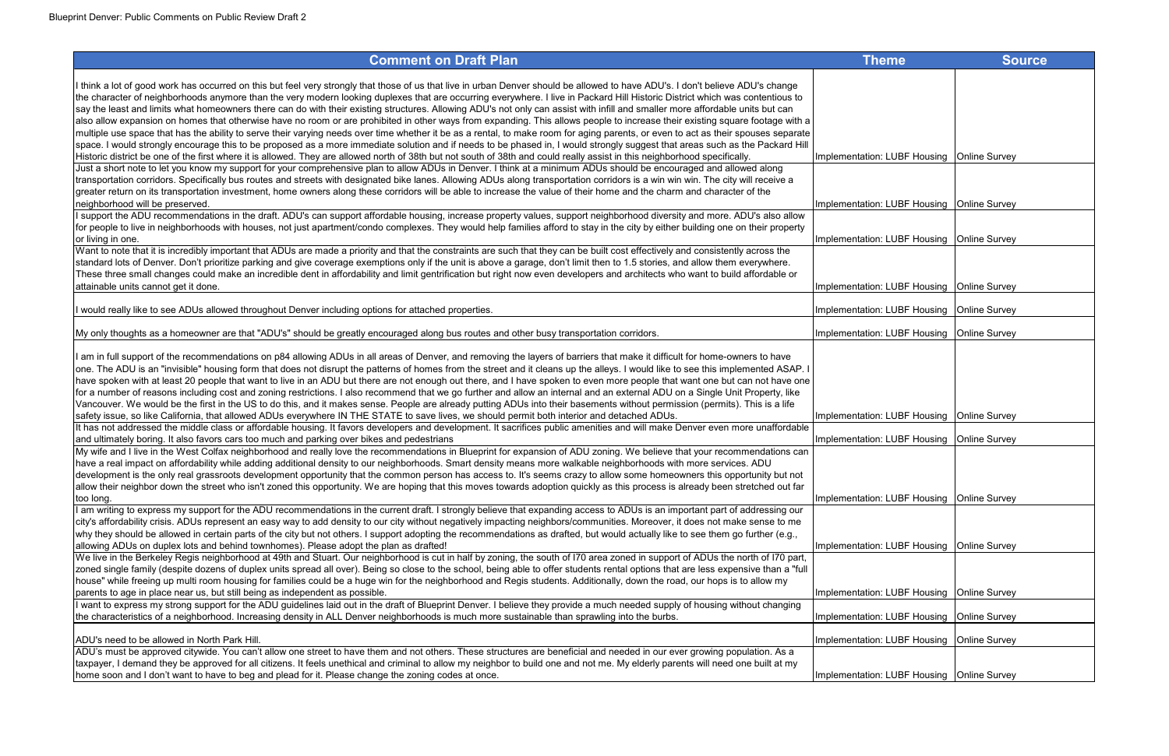| I think a lot of good work has occurred on this but feel very strongly that those of us that live in urban Denver should be allowed to have ADU's. I don't believe ADU's change                       |                                              |  |
|-------------------------------------------------------------------------------------------------------------------------------------------------------------------------------------------------------|----------------------------------------------|--|
| the character of neighborhoods anymore than the very modern looking duplexes that are occurring everywhere. I live in Packard Hill Historic District which was contentious to                         |                                              |  |
| say the least and limits what homeowners there can do with their existing structures. Allowing ADU's not only can assist with infill and smaller more affordable units but can                        |                                              |  |
| also allow expansion on homes that otherwise have no room or are prohibited in other ways from expanding. This allows people to increase their existing square footage with a                         |                                              |  |
| multiple use space that has the ability to serve their varying needs over time whether it be as a rental, to make room for aging parents, or even to act as their spouses separate                    |                                              |  |
| space. I would strongly encourage this to be proposed as a more immediate solution and if needs to be phased in, I would strongly suggest that areas such as the Packard Hill                         |                                              |  |
| Historic district be one of the first where it is allowed. They are allowed north of 38th but not south of 38th and could really assist in this neighborhood specifically.                            | Implementation: LUBF Housing   Online Survey |  |
| Just a short note to let you know my support for your comprehensive plan to allow ADUs in Denver. I think at a minimum ADUs should be encouraged and allowed along                                    |                                              |  |
| transportation corridors. Specifically bus routes and streets with designated bike lanes. Allowing ADUs along transportation corridors is a win win win. The city will receive a                      |                                              |  |
| greater return on its transportation investment, home owners along these corridors will be able to increase the value of their home and the charm and character of the                                |                                              |  |
| neighborhood will be preserved.                                                                                                                                                                       | Implementation: LUBF Housing   Online Survey |  |
| I support the ADU recommendations in the draft. ADU's can support affordable housing, increase property values, support neighborhood diversity and more. ADU's also allow                             |                                              |  |
| for people to live in neighborhoods with houses, not just apartment/condo complexes. They would help families afford to stay in the city by either building one on their property                     |                                              |  |
|                                                                                                                                                                                                       | Implementation: LUBF Housing   Online Survey |  |
| or living in one.<br>Want to note that it is incredibly important that ADUs are made a priority and that the constraints are such that they can be built cost effectively and consistently across the |                                              |  |
|                                                                                                                                                                                                       |                                              |  |
| standard lots of Denver. Don't prioritize parking and give coverage exemptions only if the unit is above a garage, don't limit then to 1.5 stories, and allow them everywhere.                        |                                              |  |
| These three small changes could make an incredible dent in affordability and limit gentrification but right now even developers and architects who want to build affordable or                        |                                              |  |
| attainable units cannot get it done.                                                                                                                                                                  | Implementation: LUBF Housing   Online Survey |  |
|                                                                                                                                                                                                       |                                              |  |
| I would really like to see ADUs allowed throughout Denver including options for attached properties.                                                                                                  | Implementation: LUBF Housing   Online Survey |  |
|                                                                                                                                                                                                       |                                              |  |
| My only thoughts as a homeowner are that "ADU's" should be greatly encouraged along bus routes and other busy transportation corridors.                                                               | Implementation: LUBF Housing   Online Survey |  |
|                                                                                                                                                                                                       |                                              |  |
| am in full support of the recommendations on p84 allowing ADUs in all areas of Denver, and removing the layers of barriers that make it difficult for home-owners to have                             |                                              |  |
| one. The ADU is an "invisible" housing form that does not disrupt the patterns of homes from the street and it cleans up the alleys. I would like to see this implemented ASAP. I                     |                                              |  |
| have spoken with at least 20 people that want to live in an ADU but there are not enough out there, and I have spoken to even more people that want one but can not have one                          |                                              |  |
| for a number of reasons including cost and zoning restrictions. I also recommend that we go further and allow an internal and an external ADU on a Single Unit Property, like                         |                                              |  |
| Vancouver. We would be the first in the US to do this, and it makes sense. People are already putting ADUs into their basements without permission (permits). This is a life                          |                                              |  |
| safety issue, so like California, that allowed ADUs everywhere IN THE STATE to save lives, we should permit both interior and detached ADUs.                                                          | Implementation: LUBF Housing   Online Survey |  |
| It has not addressed the middle class or affordable housing. It favors developers and development. It sacrifices public amenities and will make Denver even more unaffordable                         |                                              |  |
| and ultimately boring. It also favors cars too much and parking over bikes and pedestrians                                                                                                            | Implementation: LUBF Housing   Online Survey |  |
| My wife and I live in the West Colfax neighborhood and really love the recommendations in Blueprint for expansion of ADU zoning. We believe that your recommendations can                             |                                              |  |
| have a real impact on affordability while adding additional density to our neighborhoods. Smart density means more walkable neighborhoods with more services. ADU                                     |                                              |  |
| development is the only real grassroots development opportunity that the common person has access to. It's seems crazy to allow some homeowners this opportunity but not                              |                                              |  |
| allow their neighbor down the street who isn't zoned this opportunity. We are hoping that this moves towards adoption quickly as this process is already been stretched out far                       |                                              |  |
| too long.                                                                                                                                                                                             | Implementation: LUBF Housing   Online Survey |  |
| am writing to express my support for the ADU recommendations in the current draft. I strongly believe that expanding access to ADUs is an important part of addressing our                            |                                              |  |
| city's affordability crisis. ADUs represent an easy way to add density to our city without negatively impacting neighbors/communities. Moreover, it does not make sense to me                         |                                              |  |
| why they should be allowed in certain parts of the city but not others. I support adopting the recommendations as drafted, but would actually like to see them go further (e.g.,                      |                                              |  |
| allowing ADUs on duplex lots and behind townhomes). Please adopt the plan as drafted!                                                                                                                 | Implementation: LUBF Housing   Online Survey |  |
| We live in the Berkeley Regis neighborhood at 49th and Stuart. Our neighborhood is cut in half by zoning, the south of I70 area zoned in support of ADUs the north of I70 part,                       |                                              |  |
| zoned single family (despite dozens of duplex units spread all over). Being so close to the school, being able to offer students rental options that are less expensive than a "full                  |                                              |  |
| house" while freeing up multi room housing for families could be a huge win for the neighborhood and Regis students. Additionally, down the road, our hops is to allow my                             |                                              |  |
|                                                                                                                                                                                                       |                                              |  |
| parents to age in place near us, but still being as independent as possible.                                                                                                                          | Implementation: LUBF Housing   Online Survey |  |
| I want to express my strong support for the ADU guidelines laid out in the draft of Blueprint Denver. I believe they provide a much needed supply of housing without changing                         |                                              |  |
| the characteristics of a neighborhood. Increasing density in ALL Denver neighborhoods is much more sustainable than sprawling into the burbs.                                                         | Implementation: LUBF Housing   Online Survey |  |
|                                                                                                                                                                                                       |                                              |  |
| ADU's need to be allowed in North Park Hill.                                                                                                                                                          | Implementation: LUBF Housing   Online Survey |  |
| ADU's must be approved citywide. You can't allow one street to have them and not others. These structures are beneficial and needed in our ever growing population. As a                              |                                              |  |
| taxpayer, I demand they be approved for all citizens. It feels unethical and criminal to allow my neighbor to build one and not me. My elderly parents will need one built at my                      |                                              |  |
| home soon and I don't want to have to beg and plead for it. Please change the zoning codes at once.                                                                                                   | Implementation: LUBF Housing   Online Survey |  |

| <b>Theme</b>        | <b>Source</b>        |
|---------------------|----------------------|
|                     |                      |
|                     |                      |
|                     |                      |
|                     |                      |
| ation: LUBF Housing | <b>Online Survey</b> |
|                     |                      |
| ation: LUBF Housing | <b>Online Survey</b> |
|                     |                      |
| ation: LUBF Housing | Online Survey        |
|                     |                      |
| ation: LUBF Housing | <b>Online Survey</b> |
| ation: LUBF Housing | Online Survey        |
| ation: LUBF Housing | Online Survey        |
|                     |                      |
|                     |                      |
|                     |                      |
| ation: LUBF Housing | <b>Online Survey</b> |
|                     |                      |
| ation: LUBF Housing | <b>Online Survey</b> |
|                     |                      |
| ation: LUBF Housing | Online Survey        |
|                     |                      |
|                     |                      |
| ation: LUBF Housing | <b>Online Survey</b> |
|                     |                      |
| ation: LUBF Housing | <b>Online Survey</b> |
| ation: LUBF Housing | Online Survey        |
| ation: LUBF Housing | <b>Online Survey</b> |
|                     |                      |
| ation: LUBF Housing | Online Survey        |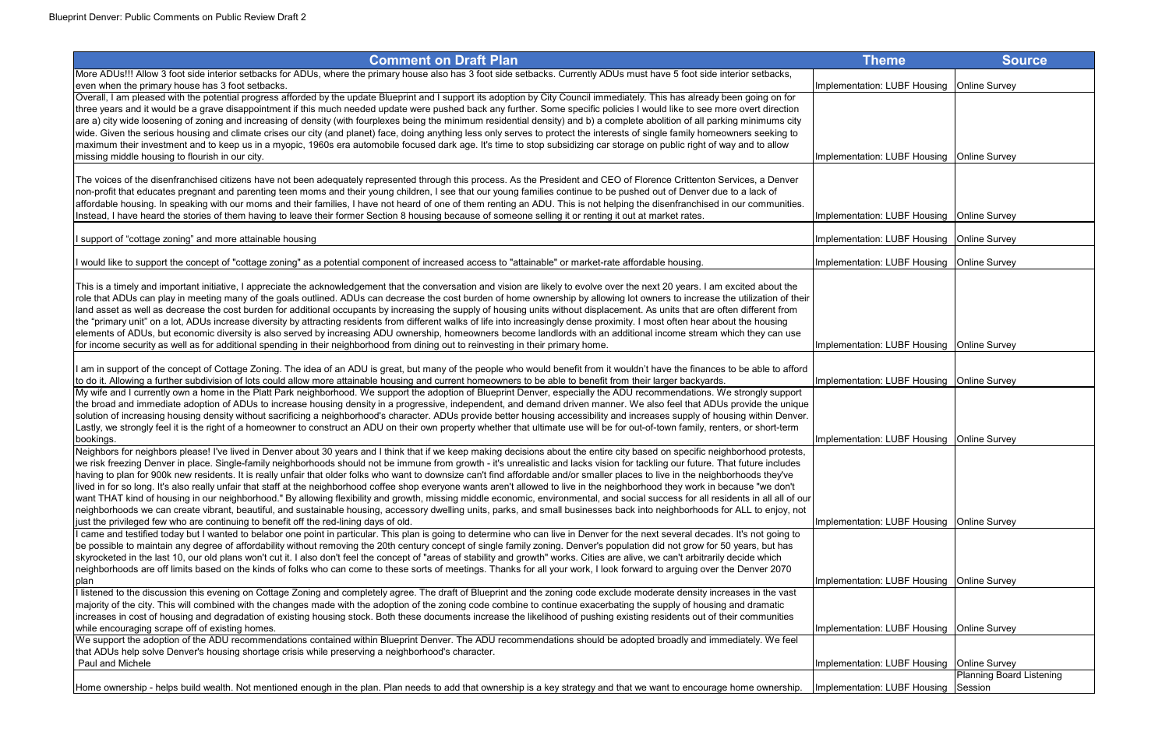| <b>Comment on Draft Plan</b>                                                                                                                                                                                                                                                                                                                                          | <b>Theme</b>                                 | <b>Source</b>                |
|-----------------------------------------------------------------------------------------------------------------------------------------------------------------------------------------------------------------------------------------------------------------------------------------------------------------------------------------------------------------------|----------------------------------------------|------------------------------|
| More ADUs!!! Allow 3 foot side interior setbacks for ADUs, where the primary house also has 3 foot side setbacks. Currently ADUs must have 5 foot side interior setbacks,                                                                                                                                                                                             |                                              |                              |
| even when the primary house has 3 foot setbacks.                                                                                                                                                                                                                                                                                                                      | Implementation: LUBF Housing                 | <b>Online Survey</b>         |
| Overall, I am pleased with the potential progress afforded by the update Blueprint and I support its adoption by City Council immediately. This has already been going on for                                                                                                                                                                                         |                                              |                              |
| three years and it would be a grave disappointment if this much needed update were pushed back any further. Some specific policies I would like to see more overt direction                                                                                                                                                                                           |                                              |                              |
| are a) city wide loosening of zoning and increasing of density (with fourplexes being the minimum residential density) and b) a complete abolition of all parking minimums city                                                                                                                                                                                       |                                              |                              |
| wide. Given the serious housing and climate crises our city (and planet) face, doing anything less only serves to protect the interests of single family homeowners seeking to                                                                                                                                                                                        |                                              |                              |
| maximum their investment and to keep us in a myopic, 1960s era automobile focused dark age. It's time to stop subsidizing car storage on public right of way and to allow                                                                                                                                                                                             |                                              |                              |
| missing middle housing to flourish in our city.                                                                                                                                                                                                                                                                                                                       | Implementation: LUBF Housing   Online Survey |                              |
|                                                                                                                                                                                                                                                                                                                                                                       |                                              |                              |
| The voices of the disenfranchised citizens have not been adequately represented through this process. As the President and CEO of Florence Crittenton Services, a Denver<br>non-profit that educates pregnant and parenting teen moms and their young children, I see that our young families continue to be pushed out of Denver due to a lack of                    |                                              |                              |
| affordable housing. In speaking with our moms and their families, I have not heard of one of them renting an ADU. This is not helping the disenfranchised in our communities.                                                                                                                                                                                         |                                              |                              |
| Instead, I have heard the stories of them having to leave their former Section 8 housing because of someone selling it or renting it out at market rates.                                                                                                                                                                                                             | Implementation: LUBF Housing   Online Survey |                              |
|                                                                                                                                                                                                                                                                                                                                                                       |                                              |                              |
| I support of "cottage zoning" and more attainable housing                                                                                                                                                                                                                                                                                                             | Implementation: LUBF Housing                 | <b>Online Survey</b>         |
|                                                                                                                                                                                                                                                                                                                                                                       |                                              |                              |
| I would like to support the concept of "cottage zoning" as a potential component of increased access to "attainable" or market-rate affordable housing.                                                                                                                                                                                                               | Implementation: LUBF Housing                 | <b>Online Survey</b>         |
|                                                                                                                                                                                                                                                                                                                                                                       |                                              |                              |
| This is a timely and important initiative, I appreciate the acknowledgement that the conversation and vision are likely to evolve over the next 20 years. I am excited about the                                                                                                                                                                                      |                                              |                              |
| role that ADUs can play in meeting many of the goals outlined. ADUs can decrease the cost burden of home ownership by allowing lot owners to increase the utilization of their                                                                                                                                                                                        |                                              |                              |
| land asset as well as decrease the cost burden for additional occupants by increasing the supply of housing units without displacement. As units that are often different from<br>the "primary unit" on a lot, ADUs increase diversity by attracting residents from different walks of life into increasingly dense proximity. I most often hear about the housing    |                                              |                              |
| elements of ADUs, but economic diversity is also served by increasing ADU ownership, homeowners become landlords with an additional income stream which they can use                                                                                                                                                                                                  |                                              |                              |
| for income security as well as for additional spending in their neighborhood from dining out to reinvesting in their primary home.                                                                                                                                                                                                                                    | Implementation: LUBF Housing   Online Survey |                              |
|                                                                                                                                                                                                                                                                                                                                                                       |                                              |                              |
| I am in support of the concept of Cottage Zoning. The idea of an ADU is great, but many of the people who would benefit from it wouldn't have the finances to be able to afford                                                                                                                                                                                       |                                              |                              |
| to do it. Allowing a further subdivision of lots could allow more attainable housing and current homeowners to be able to benefit from their larger backyards.                                                                                                                                                                                                        | Implementation: LUBF Housing   Online Survey |                              |
| My wife and I currently own a home in the Platt Park neighborhood. We support the adoption of Blueprint Denver, especially the ADU recommendations. We strongly support                                                                                                                                                                                               |                                              |                              |
| the broad and immediate adoption of ADUs to increase housing density in a progressive, independent, and demand driven manner. We also feel that ADUs provide the unique                                                                                                                                                                                               |                                              |                              |
| solution of increasing housing density without sacrificing a neighborhood's character. ADUs provide better housing accessibility and increases supply of housing within Denver.                                                                                                                                                                                       |                                              |                              |
| Lastly, we strongly feel it is the right of a homeowner to construct an ADU on their own property whether that ultimate use will be for out-of-town family, renters, or short-term                                                                                                                                                                                    |                                              |                              |
| bookings.                                                                                                                                                                                                                                                                                                                                                             | Implementation: LUBF Housing   Online Survey |                              |
| Neighbors for neighbors please! I've lived in Denver about 30 years and I think that if we keep making decisions about the entire city based on specific neighborhood protests,                                                                                                                                                                                       |                                              |                              |
| we risk freezing Denver in place. Single-family neighborhoods should not be immune from growth - it's unrealistic and lacks vision for tackling our future. That future includes<br>having to plan for 900k new residents. It is really unfair that older folks who want to downsize can't find affordable and/or smaller places to live in the neighborhoods they've |                                              |                              |
| lived in for so long. It's also really unfair that staff at the neighborhood coffee shop everyone wants aren't allowed to live in the neighborhood they work in because "we don't                                                                                                                                                                                     |                                              |                              |
| want THAT kind of housing in our neighborhood." By allowing flexibility and growth, missing middle economic, environmental, and social success for all residents in all all of our                                                                                                                                                                                    |                                              |                              |
| neighborhoods we can create vibrant, beautiful, and sustainable housing, accessory dwelling units, parks, and small businesses back into neighborhoods for ALL to enjoy, not                                                                                                                                                                                          |                                              |                              |
| just the privileged few who are continuing to benefit off the red-lining days of old.                                                                                                                                                                                                                                                                                 | Implementation: LUBF Housing   Online Survey |                              |
| came and testified today but I wanted to belabor one point in particular. This plan is going to determine who can live in Denver for the next several decades. It's not going to                                                                                                                                                                                      |                                              |                              |
| be possible to maintain any degree of affordability without removing the 20th century concept of single family zoning. Denver's population did not grow for 50 years, but has                                                                                                                                                                                         |                                              |                              |
| skyrocketed in the last 10, our old plans won't cut it. I also don't feel the concept of "areas of stability and growth" works. Cities are alive, we can't arbitrarily decide which                                                                                                                                                                                   |                                              |                              |
| neighborhoods are off limits based on the kinds of folks who can come to these sorts of meetings. Thanks for all your work, I look forward to arguing over the Denver 2070                                                                                                                                                                                            |                                              |                              |
| plan                                                                                                                                                                                                                                                                                                                                                                  | Implementation: LUBF Housing   Online Survey |                              |
| listened to the discussion this evening on Cottage Zoning and completely agree. The draft of Blueprint and the zoning code exclude moderate density increases in the vast                                                                                                                                                                                             |                                              |                              |
| majority of the city. This will combined with the changes made with the adoption of the zoning code combine to continue exacerbating the supply of housing and dramatic                                                                                                                                                                                               |                                              |                              |
| increases in cost of housing and degradation of existing housing stock. Both these documents increase the likelihood of pushing existing residents out of their communities                                                                                                                                                                                           |                                              |                              |
| while encouraging scrape off of existing homes.                                                                                                                                                                                                                                                                                                                       | Implementation: LUBF Housing   Online Survey |                              |
| We support the adoption of the ADU recommendations contained within Blueprint Denver. The ADU recommendations should be adopted broadly and immediately. We feel                                                                                                                                                                                                      |                                              |                              |
| that ADUs help solve Denver's housing shortage crisis while preserving a neighborhood's character.<br>Paul and Michele                                                                                                                                                                                                                                                | Implementation: LUBF Housing                 | <b>Online Survey</b>         |
|                                                                                                                                                                                                                                                                                                                                                                       |                                              | <b>Planning Board Lister</b> |
| Home ownership - helps build wealth. Not mentioned enough in the plan. Plan needs to add that ownership is a key strategy and that we want to encourage home ownership.                                                                                                                                                                                               | Implementation: LUBF Housing                 | Session                      |
|                                                                                                                                                                                                                                                                                                                                                                       |                                              |                              |

| Theme               | <b>Source</b>                                           |
|---------------------|---------------------------------------------------------|
| ation: LUBF Housing | Online Survey                                           |
|                     |                                                         |
|                     |                                                         |
| ation: LUBF Housing | Online Survey                                           |
|                     |                                                         |
|                     |                                                         |
| ation: LUBF Housing | <b>Online Survey</b>                                    |
| ation: LUBF Housing | Online Survey                                           |
| ation: LUBF Housing | Online Survey                                           |
|                     |                                                         |
|                     |                                                         |
|                     |                                                         |
| ation: LUBF Housing | <b>Online Survey</b>                                    |
|                     |                                                         |
| ation: LUBF Housing | <b>Online Survey</b>                                    |
|                     |                                                         |
| ation: LUBF Housing | Online Survey                                           |
|                     |                                                         |
|                     |                                                         |
|                     |                                                         |
| ation: LUBF Housing | <b>Online Survey</b>                                    |
|                     |                                                         |
|                     |                                                         |
| ation: LUBF Housing | <b>Online Survey</b>                                    |
|                     |                                                         |
| ation: LUBF Housing | <b>Online Survey</b>                                    |
|                     |                                                         |
| ation: LUBF Housing | <b>Online Survey</b><br><b>Planning Board Listening</b> |
| ation: LUBF Housing | Session                                                 |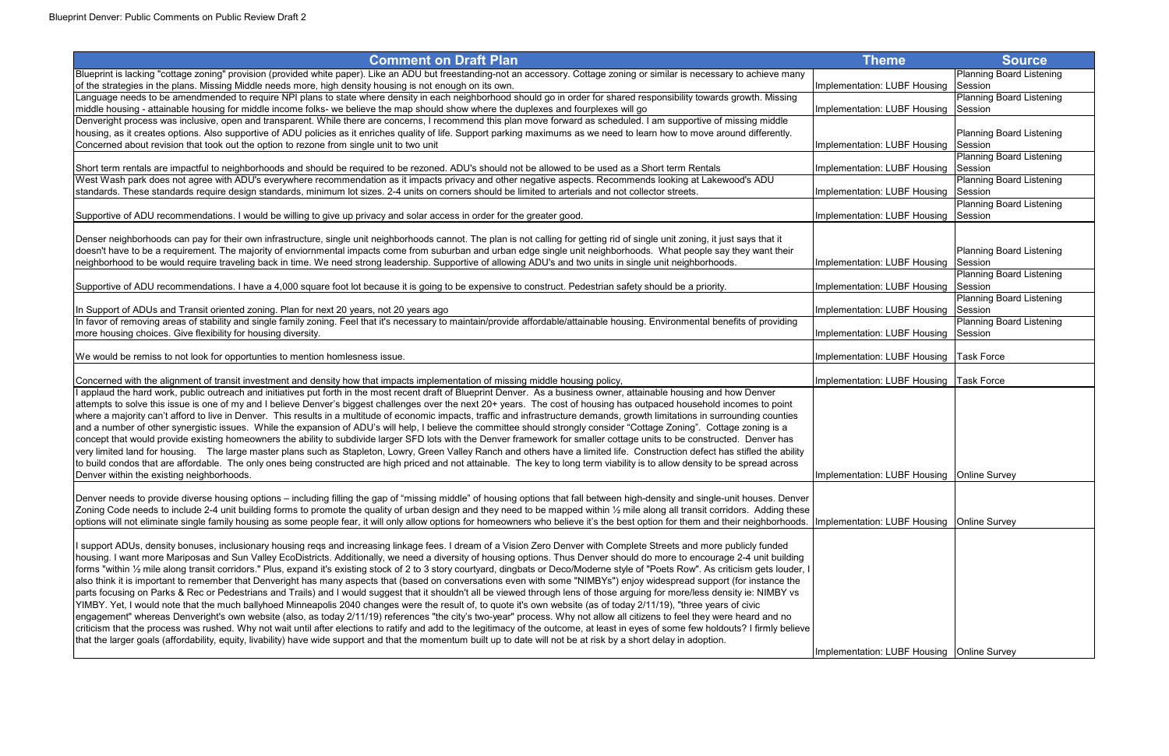| <b>Comment on Draft Plan</b>                                                                                                                                                                                                  | Theme                                        | <b>Source</b>                |
|-------------------------------------------------------------------------------------------------------------------------------------------------------------------------------------------------------------------------------|----------------------------------------------|------------------------------|
| Blueprint is lacking "cottage zoning" provision (provided white paper). Like an ADU but freestanding-not an accessory. Cottage zoning or similar is necessary to achieve many                                                 |                                              | <b>Planning Board Lister</b> |
| of the strategies in the plans. Missing Middle needs more, high density housing is not enough on its own.                                                                                                                     | Implementation: LUBF Housing                 | Session                      |
| Language needs to be amendmended to require NPI plans to state where density in each neighborhood should go in order for shared responsibility towards growth. Missing                                                        |                                              | <b>Planning Board Lister</b> |
| middle housing - attainable housing for middle income folks- we believe the map should show where the duplexes and fourplexes will go                                                                                         | Implementation: LUBF Housing                 | Session                      |
| Denveright process was inclusive, open and transparent. While there are concerns, I recommend this plan move forward as scheduled. I am supportive of missing middle                                                          |                                              |                              |
| housing, as it creates options. Also supportive of ADU policies as it enriches quality of life. Support parking maximums as we need to learn how to move around differently.                                                  |                                              | <b>Planning Board Lister</b> |
| Concerned about revision that took out the option to rezone from single unit to two unit                                                                                                                                      | Implementation: LUBF Housing                 | Session                      |
|                                                                                                                                                                                                                               |                                              | <b>Planning Board Lister</b> |
| Short term rentals are impactful to neighborhoods and should be required to be rezoned. ADU's should not be allowed to be used as a Short term Rentals                                                                        | Implementation: LUBF Housing                 | Session                      |
| West Wash park does not agree with ADU's everywhere recommendation as it impacts privacy and other negative aspects. Recommends looking at Lakewood's ADU                                                                     |                                              | <b>Planning Board Lister</b> |
| standards. These standards require design standards, minimum lot sizes. 2-4 units on corners should be limited to arterials and not collector streets.                                                                        | Implementation: LUBF Housing                 | Session                      |
|                                                                                                                                                                                                                               |                                              | <b>Planning Board Lister</b> |
| Supportive of ADU recommendations. I would be willing to give up privacy and solar access in order for the greater good.                                                                                                      | Implementation: LUBF Housing                 | Session                      |
|                                                                                                                                                                                                                               |                                              |                              |
| Denser neighborhoods can pay for their own infrastructure, single unit neighborhoods cannot. The plan is not calling for getting rid of single unit zoning, it just says that it                                              |                                              |                              |
| doesn't have to be a requirement. The majority of enviornmental impacts come from suburban and urban edge single unit neighborhoods. What people say they want their                                                          |                                              | <b>Planning Board Lister</b> |
| neighborhood to be would require traveling back in time. We need strong leadership. Supportive of allowing ADU's and two units in single unit neighborhoods.                                                                  | Implementation: LUBF Housing                 | Session                      |
|                                                                                                                                                                                                                               |                                              | <b>Planning Board Lister</b> |
| Supportive of ADU recommendations. I have a 4,000 square foot lot because it is going to be expensive to construct. Pedestrian safety should be a priority.                                                                   | Implementation: LUBF Housing                 | Session                      |
|                                                                                                                                                                                                                               |                                              | <b>Planning Board Lister</b> |
| In Support of ADUs and Transit oriented zoning. Plan for next 20 years, not 20 years ago                                                                                                                                      | Implementation: LUBF Housing                 | Session                      |
| In favor of removing areas of stability and single family zoning. Feel that it's necessary to maintain/provide affordable/attainable housing. Environmental benefits of providing                                             |                                              | <b>Planning Board Lister</b> |
| more housing choices. Give flexibility for housing diversity.                                                                                                                                                                 | Implementation: LUBF Housing                 | Session                      |
|                                                                                                                                                                                                                               |                                              |                              |
| We would be remiss to not look for opportunties to mention homlesness issue.                                                                                                                                                  | Implementation: LUBF Housing   Task Force    |                              |
|                                                                                                                                                                                                                               |                                              |                              |
| Concerned with the alignment of transit investment and density how that impacts implementation of missing middle housing policy,                                                                                              | Implementation: LUBF Housing   Task Force    |                              |
| I applaud the hard work, public outreach and initiatives put forth in the most recent draft of Blueprint Denver. As a business owner, attainable housing and how Denver                                                       |                                              |                              |
| attempts to solve this issue is one of my and I believe Denver's biggest challenges over the next 20+ years. The cost of housing has outpaced household incomes to point                                                      |                                              |                              |
| where a majority can't afford to live in Denver. This results in a multitude of economic impacts, traffic and infrastructure demands, growth limitations in surrounding counties                                              |                                              |                              |
| and a number of other synergistic issues. While the expansion of ADU's will help, I believe the committee should strongly consider "Cottage Zoning". Cottage zoning is a                                                      |                                              |                              |
| concept that would provide existing homeowners the ability to subdivide larger SFD lots with the Denver framework for smaller cottage units to be constructed. Denver has                                                     |                                              |                              |
| very limited land for housing. The large master plans such as Stapleton, Lowry, Green Valley Ranch and others have a limited life. Construction defect has stifled the ability                                                |                                              |                              |
| to build condos that are affordable. The only ones being constructed are high priced and not attainable. The key to long term viability is to allow density to be spread across                                               |                                              |                              |
| Denver within the existing neighborhoods.                                                                                                                                                                                     | Implementation: LUBF Housing   Online Survey |                              |
|                                                                                                                                                                                                                               |                                              |                              |
| Denver needs to provide diverse housing options – including filling the gap of "missing middle" of housing options that fall between high-density and single-unit houses. Denver                                              |                                              |                              |
| Zoning Code needs to include 2-4 unit building forms to promote the quality of urban design and they need to be mapped within 1/2 mile along all transit corridors. Adding these                                              |                                              |                              |
| options will not eliminate single family housing as some people fear, it will only allow options for homeowners who believe it's the best option for them and their neighborhoods. Implementation: LUBF Housing Online Survey |                                              |                              |
|                                                                                                                                                                                                                               |                                              |                              |
| I support ADUs, density bonuses, inclusionary housing reqs and increasing linkage fees. I dream of a Vision Zero Denver with Complete Streets and more publicly funded                                                        |                                              |                              |
| housing. I want more Mariposas and Sun Valley EcoDistricts. Additionally, we need a diversity of housing options. Thus Denver should do more to encourage 2-4 unit building                                                   |                                              |                              |
| forms "within 1/2 mile along transit corridors." Plus, expand it's existing stock of 2 to 3 story courtyard, dingbats or Deco/Moderne style of "Poets Row". As criticism gets louder, I                                       |                                              |                              |
| also think it is important to remember that Denveright has many aspects that (based on conversations even with some "NIMBYs") enjoy widespread support (for instance the                                                      |                                              |                              |
| parts focusing on Parks & Rec or Pedestrians and Trails) and I would suggest that it shouldn't all be viewed through lens of those arguing for more/less density ie: NIMBY vs                                                 |                                              |                              |
| YIMBY. Yet, I would note that the much ballyhoed Minneapolis 2040 changes were the result of, to quote it's own website (as of today 2/11/19), "three years of civic                                                          |                                              |                              |
| engagement" whereas Denveright's own website (also, as today 2/11/19) references "the city's two-year" process. Why not allow all citizens to feel they were heard and no                                                     |                                              |                              |
| criticism that the process was rushed. Why not wait until after elections to ratify and add to the legitimacy of the outcome, at least in eyes of some few holdouts? I firmly believe                                         |                                              |                              |
| that the larger goals (affordability, equity, livability) have wide support and that the momentum built up to date will not be at risk by a short delay in adoption.                                                          |                                              |                              |
|                                                                                                                                                                                                                               | Implementation: LUBF Housing   Online Survey |                              |

| <b>Theme</b>                        | <b>Source</b>                              |
|-------------------------------------|--------------------------------------------|
|                                     | <b>Planning Board Listening</b>            |
| Implementation: LUBF Housing        | Session                                    |
|                                     | <b>Planning Board Listening</b>            |
| <b>Implementation: LUBF Housing</b> | Session                                    |
|                                     |                                            |
|                                     | <b>Planning Board Listening</b>            |
| Implementation: LUBF Housing        | Session                                    |
|                                     | <b>Planning Board Listening</b>            |
| Implementation: LUBF Housing        | Session                                    |
| Implementation: LUBF Housing        | <b>Planning Board Listening</b><br>Session |
|                                     | <b>Planning Board Listening</b>            |
| Implementation: LUBF Housing        | Session                                    |
|                                     |                                            |
|                                     |                                            |
|                                     | <b>Planning Board Listening</b>            |
| Implementation: LUBF Housing        | Session                                    |
|                                     | <b>Planning Board Listening</b>            |
| Implementation: LUBF Housing        | Session                                    |
|                                     | <b>Planning Board Listening</b>            |
| Implementation: LUBF Housing        | Session                                    |
|                                     | <b>Planning Board Listening</b>            |
| Implementation: LUBF Housing        | Session                                    |
|                                     |                                            |
| Implementation: LUBF Housing        | <b>Task Force</b>                          |
| Implementation: LUBF Housing        | <b>Task Force</b>                          |
|                                     |                                            |
|                                     |                                            |
|                                     |                                            |
|                                     |                                            |
|                                     |                                            |
|                                     |                                            |
|                                     |                                            |
| Implementation: LUBF Housing        | <b>Online Survey</b>                       |
|                                     |                                            |
|                                     |                                            |
| Implementation: LUBF Housing        | <b>Online Survey</b>                       |
|                                     |                                            |
|                                     |                                            |
|                                     |                                            |
|                                     |                                            |
|                                     |                                            |
|                                     |                                            |
|                                     |                                            |
|                                     |                                            |
|                                     |                                            |
|                                     |                                            |
| Implementation: LUBF Housing        | <b>Online Survey</b>                       |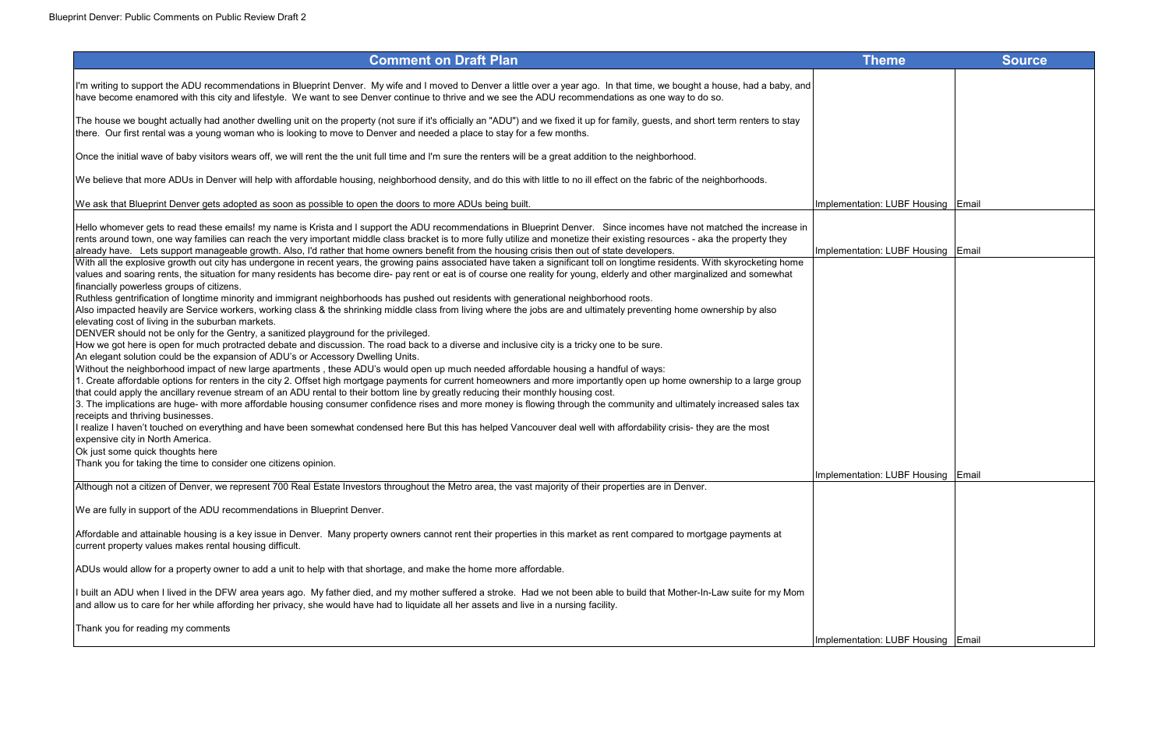| <b>Comment on Draft Plan</b>                                                                                                                                                                                                                                                                                                                                                                                                                                                                                                                                                                                                                                                                                                                                                                                                                                                                                                                                                                                                                                                                                                                                                                                                                                                                                                                                                                                                                                                                                                                                                                                                                                                                                                                                                                                                                                                                                                                                                                                                                                                                                                                                                                                                                                    | <b>Theme</b>                       | <b>Source</b> |
|-----------------------------------------------------------------------------------------------------------------------------------------------------------------------------------------------------------------------------------------------------------------------------------------------------------------------------------------------------------------------------------------------------------------------------------------------------------------------------------------------------------------------------------------------------------------------------------------------------------------------------------------------------------------------------------------------------------------------------------------------------------------------------------------------------------------------------------------------------------------------------------------------------------------------------------------------------------------------------------------------------------------------------------------------------------------------------------------------------------------------------------------------------------------------------------------------------------------------------------------------------------------------------------------------------------------------------------------------------------------------------------------------------------------------------------------------------------------------------------------------------------------------------------------------------------------------------------------------------------------------------------------------------------------------------------------------------------------------------------------------------------------------------------------------------------------------------------------------------------------------------------------------------------------------------------------------------------------------------------------------------------------------------------------------------------------------------------------------------------------------------------------------------------------------------------------------------------------------------------------------------------------|------------------------------------|---------------|
| I'm writing to support the ADU recommendations in Blueprint Denver. My wife and I moved to Denver a little over a year ago. In that time, we bought a house, had a baby, and<br>have become enamored with this city and lifestyle. We want to see Denver continue to thrive and we see the ADU recommendations as one way to do so.                                                                                                                                                                                                                                                                                                                                                                                                                                                                                                                                                                                                                                                                                                                                                                                                                                                                                                                                                                                                                                                                                                                                                                                                                                                                                                                                                                                                                                                                                                                                                                                                                                                                                                                                                                                                                                                                                                                             |                                    |               |
| The house we bought actually had another dwelling unit on the property (not sure if it's officially an "ADU") and we fixed it up for family, guests, and short term renters to stay<br>there. Our first rental was a young woman who is looking to move to Denver and needed a place to stay for a few months.                                                                                                                                                                                                                                                                                                                                                                                                                                                                                                                                                                                                                                                                                                                                                                                                                                                                                                                                                                                                                                                                                                                                                                                                                                                                                                                                                                                                                                                                                                                                                                                                                                                                                                                                                                                                                                                                                                                                                  |                                    |               |
| Once the initial wave of baby visitors wears off, we will rent the the unit full time and I'm sure the renters will be a great addition to the neighborhood.                                                                                                                                                                                                                                                                                                                                                                                                                                                                                                                                                                                                                                                                                                                                                                                                                                                                                                                                                                                                                                                                                                                                                                                                                                                                                                                                                                                                                                                                                                                                                                                                                                                                                                                                                                                                                                                                                                                                                                                                                                                                                                    |                                    |               |
| We believe that more ADUs in Denver will help with affordable housing, neighborhood density, and do this with little to no ill effect on the fabric of the neighborhoods.                                                                                                                                                                                                                                                                                                                                                                                                                                                                                                                                                                                                                                                                                                                                                                                                                                                                                                                                                                                                                                                                                                                                                                                                                                                                                                                                                                                                                                                                                                                                                                                                                                                                                                                                                                                                                                                                                                                                                                                                                                                                                       |                                    |               |
| We ask that Blueprint Denver gets adopted as soon as possible to open the doors to more ADUs being built.                                                                                                                                                                                                                                                                                                                                                                                                                                                                                                                                                                                                                                                                                                                                                                                                                                                                                                                                                                                                                                                                                                                                                                                                                                                                                                                                                                                                                                                                                                                                                                                                                                                                                                                                                                                                                                                                                                                                                                                                                                                                                                                                                       | Implementation: LUBF Housing Email |               |
| Hello whomever gets to read these emails! my name is Krista and I support the ADU recommendations in Blueprint Denver. Since incomes have not matched the increase in<br>rents around town, one way families can reach the very important middle class bracket is to more fully utilize and monetize their existing resources - aka the property they                                                                                                                                                                                                                                                                                                                                                                                                                                                                                                                                                                                                                                                                                                                                                                                                                                                                                                                                                                                                                                                                                                                                                                                                                                                                                                                                                                                                                                                                                                                                                                                                                                                                                                                                                                                                                                                                                                           |                                    |               |
| already have. Lets support manageable growth. Also, I'd rather that home owners benefit from the housing crisis then out of state developers.<br>With all the explosive growth out city has undergone in recent years, the growing pains associated have taken a significant toll on longtime residents. With skyrocketing home<br>values and soaring rents, the situation for many residents has become dire- pay rent or eat is of course one reality for young, elderly and other marginalized and somewhat<br>financially powerless groups of citizens.<br>Ruthless gentrification of longtime minority and immigrant neighborhoods has pushed out residents with generational neighborhood roots.<br>Also impacted heavily are Service workers, working class & the shrinking middle class from living where the jobs are and ultimately preventing home ownership by also<br>elevating cost of living in the suburban markets.<br>DENVER should not be only for the Gentry, a sanitized playground for the privileged.<br>How we got here is open for much protracted debate and discussion. The road back to a diverse and inclusive city is a tricky one to be sure.<br>An elegant solution could be the expansion of ADU's or Accessory Dwelling Units.<br>Without the neighborhood impact of new large apartments, these ADU's would open up much needed affordable housing a handful of ways:<br>1. Create affordable options for renters in the city 2. Offset high mortgage payments for current homeowners and more importantly open up home ownership to a large group<br>that could apply the ancillary revenue stream of an ADU rental to their bottom line by greatly reducing their monthly housing cost.<br>3. The implications are huge- with more affordable housing consumer confidence rises and more money is flowing through the community and ultimately increased sales tax<br>receipts and thriving businesses.<br>I realize I haven't touched on everything and have been somewhat condensed here But this has helped Vancouver deal well with affordability crisis- they are the most<br>expensive city in North America.<br>Ok just some quick thoughts here<br>Thank you for taking the time to consider one citizens opinion. | Implementation: LUBF Housing Email |               |
| Although not a citizen of Denver, we represent 700 Real Estate Investors throughout the Metro area, the vast majority of their properties are in Denver.                                                                                                                                                                                                                                                                                                                                                                                                                                                                                                                                                                                                                                                                                                                                                                                                                                                                                                                                                                                                                                                                                                                                                                                                                                                                                                                                                                                                                                                                                                                                                                                                                                                                                                                                                                                                                                                                                                                                                                                                                                                                                                        | Implementation: LUBF Housing Email |               |
| We are fully in support of the ADU recommendations in Blueprint Denver.                                                                                                                                                                                                                                                                                                                                                                                                                                                                                                                                                                                                                                                                                                                                                                                                                                                                                                                                                                                                                                                                                                                                                                                                                                                                                                                                                                                                                                                                                                                                                                                                                                                                                                                                                                                                                                                                                                                                                                                                                                                                                                                                                                                         |                                    |               |
| Affordable and attainable housing is a key issue in Denver. Many property owners cannot rent their properties in this market as rent compared to mortgage payments at<br>current property values makes rental housing difficult.                                                                                                                                                                                                                                                                                                                                                                                                                                                                                                                                                                                                                                                                                                                                                                                                                                                                                                                                                                                                                                                                                                                                                                                                                                                                                                                                                                                                                                                                                                                                                                                                                                                                                                                                                                                                                                                                                                                                                                                                                                |                                    |               |
| ADUs would allow for a property owner to add a unit to help with that shortage, and make the home more affordable.                                                                                                                                                                                                                                                                                                                                                                                                                                                                                                                                                                                                                                                                                                                                                                                                                                                                                                                                                                                                                                                                                                                                                                                                                                                                                                                                                                                                                                                                                                                                                                                                                                                                                                                                                                                                                                                                                                                                                                                                                                                                                                                                              |                                    |               |
| I built an ADU when I lived in the DFW area years ago. My father died, and my mother suffered a stroke. Had we not been able to build that Mother-In-Law suite for my Mom<br>and allow us to care for her while affording her privacy, she would have had to liquidate all her assets and live in a nursing facility.                                                                                                                                                                                                                                                                                                                                                                                                                                                                                                                                                                                                                                                                                                                                                                                                                                                                                                                                                                                                                                                                                                                                                                                                                                                                                                                                                                                                                                                                                                                                                                                                                                                                                                                                                                                                                                                                                                                                           |                                    |               |
| Thank you for reading my comments                                                                                                                                                                                                                                                                                                                                                                                                                                                                                                                                                                                                                                                                                                                                                                                                                                                                                                                                                                                                                                                                                                                                                                                                                                                                                                                                                                                                                                                                                                                                                                                                                                                                                                                                                                                                                                                                                                                                                                                                                                                                                                                                                                                                                               | Implementation: LUBF Housing Email |               |

| <b>Theme</b>                        | <b>Source</b> |
|-------------------------------------|---------------|
|                                     |               |
|                                     |               |
|                                     |               |
|                                     |               |
|                                     |               |
|                                     |               |
| <b>Implementation: LUBF Housing</b> | Email         |
|                                     |               |
| Implementation: LUBF Housing        | Email         |
|                                     |               |
|                                     |               |
|                                     |               |
|                                     |               |
|                                     |               |
|                                     |               |
|                                     |               |
|                                     |               |
|                                     |               |
| <b>Implementation: LUBF Housing</b> | Email         |
|                                     |               |
|                                     |               |
|                                     |               |
|                                     |               |
|                                     |               |
|                                     |               |
|                                     |               |
| Implementation: LUBF Housing Email  |               |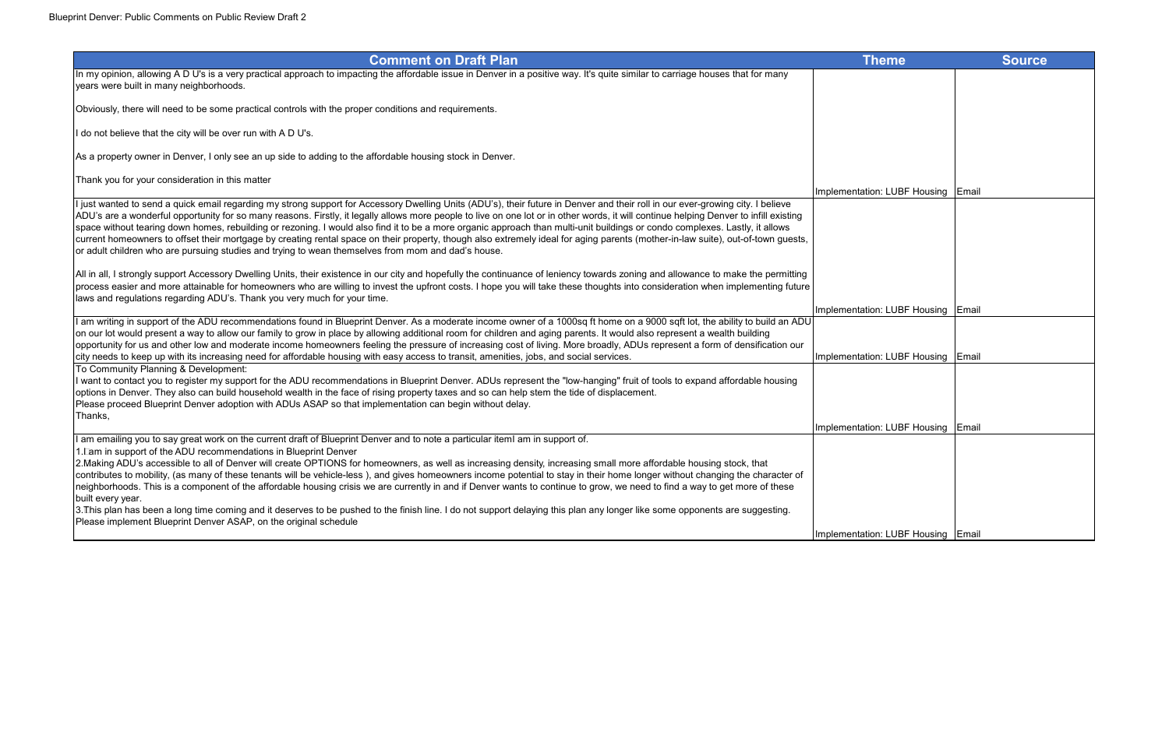| <b>Comment on Draft Plan</b>                                                                                                                                                                                                                                                                                                                                           | <b>Theme</b>                       | <b>Source</b> |
|------------------------------------------------------------------------------------------------------------------------------------------------------------------------------------------------------------------------------------------------------------------------------------------------------------------------------------------------------------------------|------------------------------------|---------------|
| In my opinion, allowing A D U's is a very practical approach to impacting the affordable issue in Denver in a positive way. It's quite similar to carriage houses that for many                                                                                                                                                                                        |                                    |               |
| years were built in many neighborhoods.                                                                                                                                                                                                                                                                                                                                |                                    |               |
| Obviously, there will need to be some practical controls with the proper conditions and requirements.                                                                                                                                                                                                                                                                  |                                    |               |
| If do not believe that the city will be over run with A D U's.                                                                                                                                                                                                                                                                                                         |                                    |               |
| As a property owner in Denver, I only see an up side to adding to the affordable housing stock in Denver.                                                                                                                                                                                                                                                              |                                    |               |
| Thank you for your consideration in this matter                                                                                                                                                                                                                                                                                                                        |                                    |               |
|                                                                                                                                                                                                                                                                                                                                                                        | Implementation: LUBF Housing Email |               |
| I just wanted to send a quick email regarding my strong support for Accessory Dwelling Units (ADU's), their future in Denver and their roll in our ever-growing city. I believe                                                                                                                                                                                        |                                    |               |
| ADU's are a wonderful opportunity for so many reasons. Firstly, it legally allows more people to live on one lot or in other words, it will continue helping Denver to infill existing<br>space without tearing down homes, rebuilding or rezoning. I would also find it to be a more organic approach than multi-unit buildings or condo complexes. Lastly, it allows |                                    |               |
| current homeowners to offset their mortgage by creating rental space on their property, though also extremely ideal for aging parents (mother-in-law suite), out-of-town guests,                                                                                                                                                                                       |                                    |               |
| or adult children who are pursuing studies and trying to wean themselves from mom and dad's house.                                                                                                                                                                                                                                                                     |                                    |               |
| All in all, I strongly support Accessory Dwelling Units, their existence in our city and hopefully the continuance of leniency towards zoning and allowance to make the permitting                                                                                                                                                                                     |                                    |               |
| process easier and more attainable for homeowners who are willing to invest the upfront costs. I hope you will take these thoughts into consideration when implementing future                                                                                                                                                                                         |                                    |               |
| laws and regulations regarding ADU's. Thank you very much for your time.                                                                                                                                                                                                                                                                                               |                                    |               |
|                                                                                                                                                                                                                                                                                                                                                                        | Implementation: LUBF Housing Email |               |
| I am writing in support of the ADU recommendations found in Blueprint Denver. As a moderate income owner of a 1000sq ft home on a 9000 sqft lot, the ability to build an ADU                                                                                                                                                                                           |                                    |               |
| on our lot would present a way to allow our family to grow in place by allowing additional room for children and aging parents. It would also represent a wealth building<br>opportunity for us and other low and moderate income homeowners feeling the pressure of increasing cost of living. More broadly, ADUs represent a form of densification our               |                                    |               |
| city needs to keep up with its increasing need for affordable housing with easy access to transit, amenities, jobs, and social services.                                                                                                                                                                                                                               | Implementation: LUBF Housing       | Email         |
| To Community Planning & Development:                                                                                                                                                                                                                                                                                                                                   |                                    |               |
| I want to contact you to register my support for the ADU recommendations in Blueprint Denver. ADUs represent the "low-hanging" fruit of tools to expand affordable housing                                                                                                                                                                                             |                                    |               |
| options in Denver. They also can build household wealth in the face of rising property taxes and so can help stem the tide of displacement.                                                                                                                                                                                                                            |                                    |               |
| Please proceed Blueprint Denver adoption with ADUs ASAP so that implementation can begin without delay.<br>Thanks,                                                                                                                                                                                                                                                     |                                    |               |
|                                                                                                                                                                                                                                                                                                                                                                        | Implementation: LUBF Housing Email |               |
| I am emailing you to say great work on the current draft of Blueprint Denver and to note a particular itemI am in support of.                                                                                                                                                                                                                                          |                                    |               |
| 1. Lam in support of the ADU recommendations in Blueprint Denver                                                                                                                                                                                                                                                                                                       |                                    |               |
| 2. Making ADU's accessible to all of Denver will create OPTIONS for homeowners, as well as increasing density, increasing small more affordable housing stock, that                                                                                                                                                                                                    |                                    |               |
| contributes to mobility, (as many of these tenants will be vehicle-less), and gives homeowners income potential to stay in their home longer without changing the character of<br>neighborhoods. This is a component of the affordable housing crisis we are currently in and if Denver wants to continue to grow, we need to find a way to get more of these          |                                    |               |
| built every year.                                                                                                                                                                                                                                                                                                                                                      |                                    |               |
| 3. This plan has been a long time coming and it deserves to be pushed to the finish line. I do not support delaying this plan any longer like some opponents are suggesting.                                                                                                                                                                                           |                                    |               |
| Please implement Blueprint Denver ASAP, on the original schedule                                                                                                                                                                                                                                                                                                       |                                    |               |
|                                                                                                                                                                                                                                                                                                                                                                        | Implementation: LUBF Housing Email |               |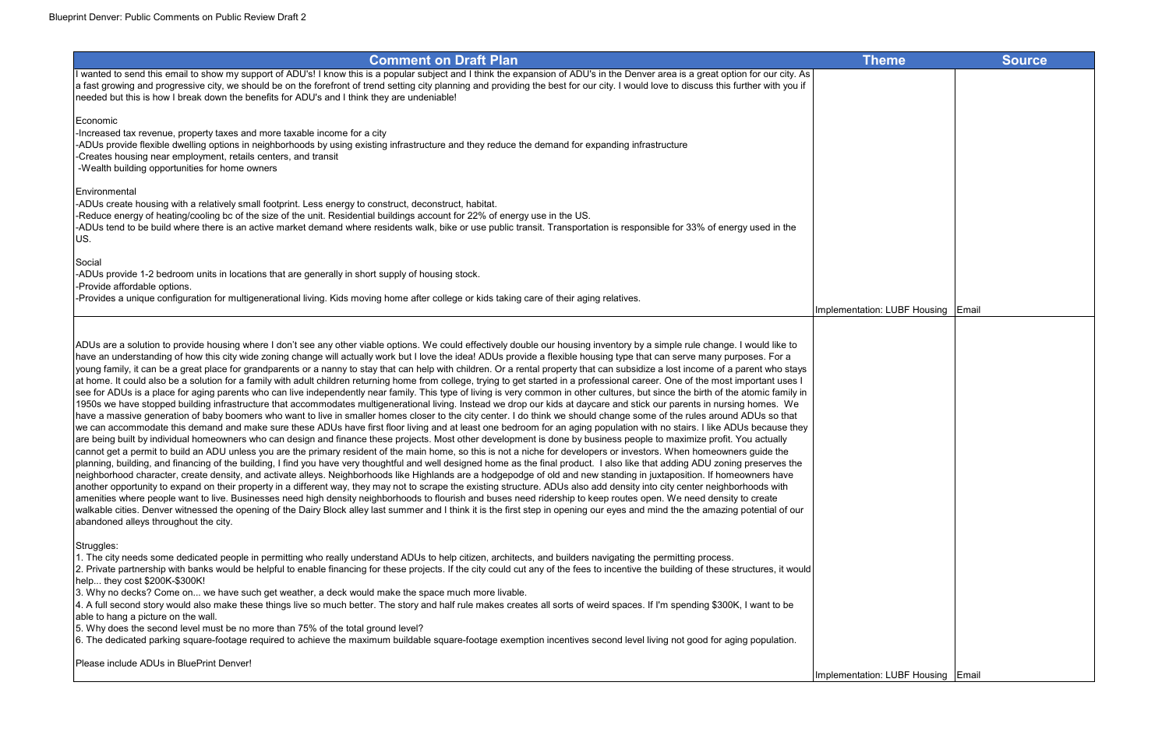

planning, building, and financing of the building, I find you have very thoughtful and well designed home as the final product. I also like that adding ADU zoning preserves the neighborhood character, create density, and activate alleys. Neighborhoods like Highlands are a hodgepodge of old and new standing in juxtaposition. If homeowners have another opportunity to expand on their property in a different way, they may not to scrape the existing structure. ADUs also add density into city center neighborhoods with amenities where people want to live. Businesses need high density neighborhoods to flourish and buses need ridership to keep routes open. We need density to create walkable cities. Denver witnessed the opening of the Dairy Block alley last summer and I think it is the first step in opening our eyes and mind the the amazing potential of our abandoned alleys throughout the city.

Struggles:

1. The city needs some dedicated people in permitting who really understand ADUs to help citizen, architects, and builders navigating the permitting process.

2. Private partnership with banks would be helpful to enable financing for these projects. If the city could cut any of the fees to incentive the building of these structures, it would help... they cost \$200K-\$300K!

3. Why no decks? Come on... we have such get weather, a deck would make the space much more livable.

4. A full second story would also make these things live so much better. The story and half rule makes creates all sorts of weird spaces. If I'm spending \$300K, I want to be able to hang a picture on the wall.

5. Why does the second level must be no more than 75% of the total ground level?

6. The dedicated parking square-footage required to achieve the maximum buildable square-footage exemption incentives second level living not good for aging population.

Please include ADUs in BluePrint Denver!

| Theme                     | <b>Source</b> |
|---------------------------|---------------|
|                           |               |
|                           |               |
|                           |               |
|                           |               |
|                           |               |
|                           |               |
|                           |               |
|                           |               |
|                           |               |
|                           |               |
|                           |               |
| ation: LUBF Housing       | Email         |
|                           |               |
|                           |               |
|                           |               |
|                           |               |
|                           |               |
|                           |               |
|                           |               |
|                           |               |
|                           |               |
|                           |               |
|                           |               |
|                           |               |
|                           |               |
|                           |               |
|                           |               |
| ation: LUBF Housing Email |               |
|                           |               |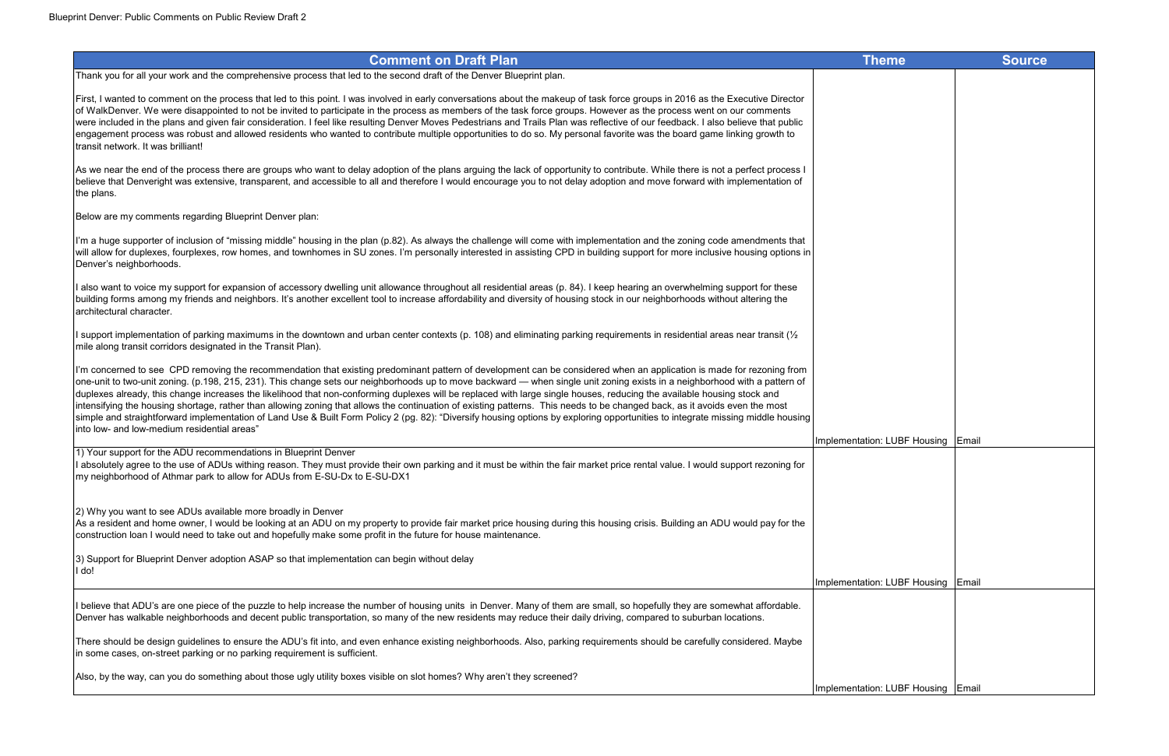| <b>Comment on Draft Plan</b>                                                                                                                                                                                                                                                                                                                                                                                                                                                                                                                                                                                                                                                                                                                                                                                                                                                                                         | <b>Theme</b>                       | Source |
|----------------------------------------------------------------------------------------------------------------------------------------------------------------------------------------------------------------------------------------------------------------------------------------------------------------------------------------------------------------------------------------------------------------------------------------------------------------------------------------------------------------------------------------------------------------------------------------------------------------------------------------------------------------------------------------------------------------------------------------------------------------------------------------------------------------------------------------------------------------------------------------------------------------------|------------------------------------|--------|
| k you for all your work and the comprehensive process that led to the second draft of the Denver Blueprint plan.                                                                                                                                                                                                                                                                                                                                                                                                                                                                                                                                                                                                                                                                                                                                                                                                     |                                    |        |
| I wanted to comment on the process that led to this point. I was involved in early conversations about the makeup of task force groups in 2016 as the Executive Director<br>alkDenver. We were disappointed to not be invited to participate in the process as members of the task force groups. However as the process went on our comments<br>included in the plans and given fair consideration. I feel like resulting Denver Moves Pedestrians and Trails Plan was reflective of our feedback. I also believe that public<br>gement process was robust and allowed residents who wanted to contribute multiple opportunities to do so. My personal favorite was the board game linking growth to<br>it network. It was brilliant!                                                                                                                                                                                |                                    |        |
| e near the end of the process there are groups who want to delay adoption of the plans arguing the lack of opportunity to contribute. While there is not a perfect process I<br>ve that Denveright was extensive, transparent, and accessible to all and therefore I would encourage you to not delay adoption and move forward with implementation of<br>lans.                                                                                                                                                                                                                                                                                                                                                                                                                                                                                                                                                      |                                    |        |
| w are my comments regarding Blueprint Denver plan:                                                                                                                                                                                                                                                                                                                                                                                                                                                                                                                                                                                                                                                                                                                                                                                                                                                                   |                                    |        |
| huge supporter of inclusion of "missing middle" housing in the plan (p.82). As always the challenge will come with implementation and the zoning code amendments that<br>llow for duplexes, fourplexes, row homes, and townhomes in SU zones. I'm personally interested in assisting CPD in building support for more inclusive housing options in<br>er's neighborhoods.                                                                                                                                                                                                                                                                                                                                                                                                                                                                                                                                            |                                    |        |
| want to voice my support for expansion of accessory dwelling unit allowance throughout all residential areas (p. 84). I keep hearing an overwhelming support for these<br>ing forms among my friends and neighbors. It's another excellent tool to increase affordability and diversity of housing stock in our neighborhoods without altering the<br>tectural character.                                                                                                                                                                                                                                                                                                                                                                                                                                                                                                                                            |                                    |        |
| port implementation of parking maximums in the downtown and urban center contexts (p. 108) and eliminating parking requirements in residential areas near transit ( $\frac{1}{2}$<br>along transit corridors designated in the Transit Plan).                                                                                                                                                                                                                                                                                                                                                                                                                                                                                                                                                                                                                                                                        |                                    |        |
| oncerned to see CPD removing the recommendation that existing predominant pattern of development can be considered when an application is made for rezoning from<br>unit to two-unit zoning. (p.198, 215, 231). This change sets our neighborhoods up to move backward — when single unit zoning exists in a neighborhood with a pattern of<br>exes already, this change increases the likelihood that non-conforming duplexes will be replaced with large single houses, reducing the available housing stock and<br>sifying the housing shortage, rather than allowing zoning that allows the continuation of existing patterns. This needs to be changed back, as it avoids even the most<br>le and straightforward implementation of Land Use & Built Form Policy 2 (pg. 82): "Diversify housing options by exploring opportunities to integrate missing middle housing<br>ow- and low-medium residential areas" |                                    |        |
|                                                                                                                                                                                                                                                                                                                                                                                                                                                                                                                                                                                                                                                                                                                                                                                                                                                                                                                      | Implementation: LUBF Housing Email |        |
| our support for the ADU recommendations in Blueprint Denver<br>olutely agree to the use of ADUs withing reason. They must provide their own parking and it must be within the fair market price rental value. I would support rezoning for<br>eighborhood of Athmar park to allow for ADUs from E-SU-Dx to E-SU-DX1                                                                                                                                                                                                                                                                                                                                                                                                                                                                                                                                                                                                  |                                    |        |
| hy you want to see ADUs available more broadly in Denver<br>resident and home owner, I would be looking at an ADU on my property to provide fair market price housing during this housing crisis. Building an ADU would pay for the<br>truction loan I would need to take out and hopefully make some profit in the future for house maintenance.                                                                                                                                                                                                                                                                                                                                                                                                                                                                                                                                                                    |                                    |        |
| ipport for Blueprint Denver adoption ASAP so that implementation can begin without delay                                                                                                                                                                                                                                                                                                                                                                                                                                                                                                                                                                                                                                                                                                                                                                                                                             |                                    |        |
|                                                                                                                                                                                                                                                                                                                                                                                                                                                                                                                                                                                                                                                                                                                                                                                                                                                                                                                      | Implementation: LUBF Housing Email |        |
| eve that ADU's are one piece of the puzzle to help increase the number of housing units in Denver. Many of them are small, so hopefully they are somewhat affordable.<br>er has walkable neighborhoods and decent public transportation, so many of the new residents may reduce their daily driving, compared to suburban locations.                                                                                                                                                                                                                                                                                                                                                                                                                                                                                                                                                                                |                                    |        |
| e should be design guidelines to ensure the ADU's fit into, and even enhance existing neighborhoods. Also, parking requirements should be carefully considered. Maybe<br>me cases, on-street parking or no parking requirement is sufficient.                                                                                                                                                                                                                                                                                                                                                                                                                                                                                                                                                                                                                                                                        |                                    |        |
| by the way, can you do something about those ugly utility boxes visible on slot homes? Why aren't they screened?                                                                                                                                                                                                                                                                                                                                                                                                                                                                                                                                                                                                                                                                                                                                                                                                     | Implementation: LUBF Housing Email |        |

Below are my comments regarding Blueprint Denver plan: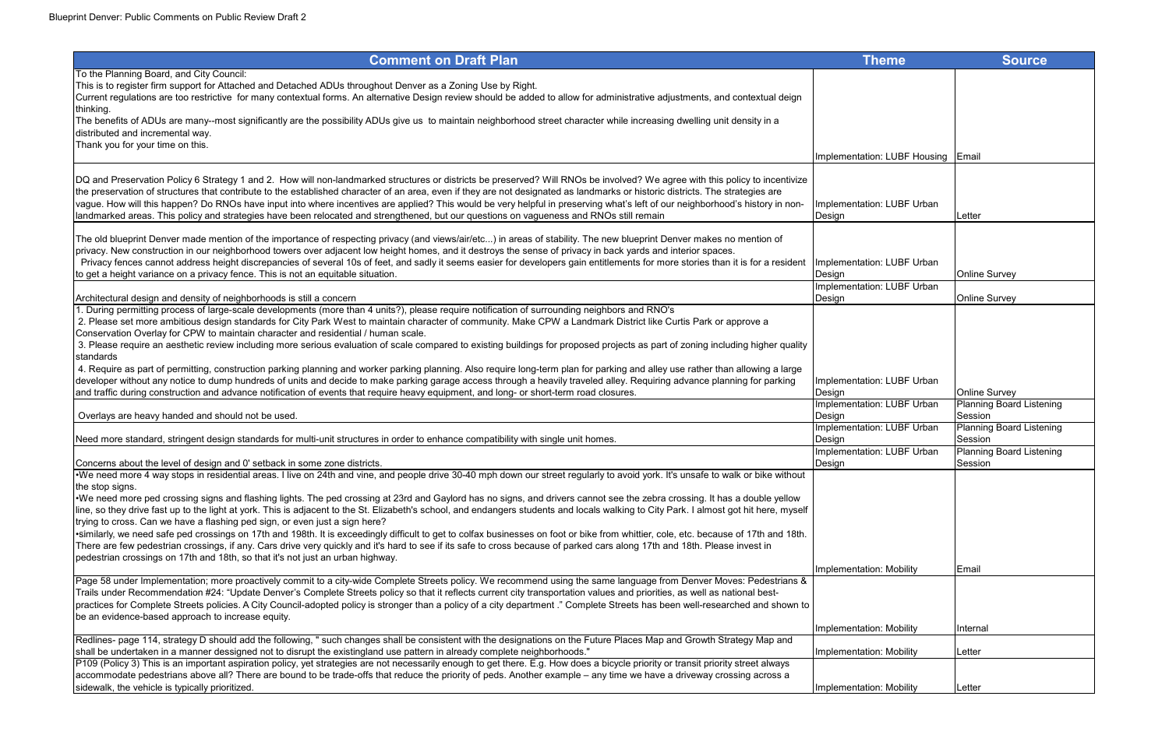| <b>Theme</b>                         | <b>Source</b>                              |
|--------------------------------------|--------------------------------------------|
|                                      |                                            |
|                                      |                                            |
|                                      |                                            |
|                                      |                                            |
|                                      |                                            |
| Implementation: LUBF Housing         | Email                                      |
|                                      |                                            |
| Implementation: LUBF Urban           |                                            |
| Design                               | Letter                                     |
|                                      |                                            |
|                                      |                                            |
| Implementation: LUBF Urban           |                                            |
| Design<br>Implementation: LUBF Urban | <b>Online Survey</b>                       |
| Design                               | Online Survey                              |
|                                      |                                            |
|                                      |                                            |
|                                      |                                            |
|                                      |                                            |
| Implementation: LUBF Urban<br>Design | Online Survey                              |
| Implementation: LUBF Urban           | <b>Planning Board Listening</b>            |
| Design<br>Implementation: LUBF Urban | Session                                    |
| Design                               | <b>Planning Board Listening</b><br>Session |
| Implementation: LUBF Urban           | <b>Planning Board Listening</b>            |
| Design                               | Session                                    |
|                                      |                                            |
|                                      |                                            |
|                                      |                                            |
|                                      |                                            |
|                                      |                                            |
| Implementation: Mobility             | Email                                      |
|                                      |                                            |
|                                      |                                            |
| Implementation: Mobility             | Internal                                   |
|                                      |                                            |
| Implementation: Mobility             | Letter                                     |
|                                      |                                            |
| Implementation: Mobility             | Letter                                     |

| To the Planning Board, and City Council:<br>This is to register firm support for Attached and Detached ADUs throughout Denver as a Zoning Use by Right.<br>Current regulations are too restrictive for many contextual forms. An alternative Design review should be added to allow for administrative adjustments, and contextual deign<br>The benefits of ADUs are many--most significantly are the possibility ADUs give us to maintain neighborhood street character while increasing dwelling unit density in a<br>distributed and incremental way.<br>Thank you for your time on this.<br>Implementation: LUBF Housing Email<br>DQ and Preservation Policy 6 Strategy 1 and 2. How will non-landmarked structures or districts be preserved? Will RNOs be involved? We agree with this policy to incentivize<br>the preservation of structures that contribute to the established character of an area, even if they are not designated as landmarks or historic districts. The strategies are<br>vague. How will this happen? Do RNOs have input into where incentives are applied? This would be very helpful in preserving what's left of our neighborhood's history in non-<br>Implementation: LUBF Urban<br>landmarked areas. This policy and strategies have been relocated and strengthened, but our questions on vagueness and RNOs still remain<br>Design<br>Letter<br>The old blueprint Denver made mention of the importance of respecting privacy (and views/air/etc) in areas of stability. The new blueprint Denver makes no mention of<br>privacy. New construction in our neighborhood towers over adjacent low height homes, and it destroys the sense of privacy in back yards and interior spaces.<br>Privacy fences cannot address height discrepancies of several 10s of feet, and sadly it seems easier for developers gain entitlements for more stories than it is for a resident<br>Implementation: LUBF Urban<br>to get a height variance on a privacy fence. This is not an equitable situation.<br><b>Online Survey</b><br>Design<br>Implementation: LUBF Urban<br>Architectural design and density of neighborhoods is still a concern<br><b>Online Survey</b><br>Design<br>During permitting process of large-scale developments (more than 4 units?), please require notification of surrounding neighbors and RNO's<br>2. Please set more ambitious design standards for City Park West to maintain character of community. Make CPW a Landmark District like Curtis Park or approve a<br>Conservation Overlay for CPW to maintain character and residential / human scale.<br>3. Please require an aesthetic review including more serious evaluation of scale compared to existing buildings for proposed projects as part of zoning including higher quality<br>standards<br>4. Require as part of permitting, construction parking planning and worker parking planning. Also require long-term plan for parking and alley use rather than allowing a large<br>developer without any notice to dump hundreds of units and decide to make parking garage access through a heavily traveled alley. Requiring advance planning for parking<br>Implementation: LUBF Urban<br>and traffic during construction and advance notification of events that require heavy equipment, and long- or short-term road closures.<br><b>Online Survey</b><br>Design<br>Implementation: LUBF Urban<br>Overlays are heavy handed and should not be used.<br>Session<br>Design<br>Implementation: LUBF Urban<br>Session<br>Need more standard, stringent design standards for multi-unit structures in order to enhance compatibility with single unit homes.<br>Design<br>Implementation: LUBF Urban<br><b>Planning Board Lister</b><br>Concerns about the level of design and 0' setback in some zone districts.<br>Design<br>Session<br>•We need more 4 way stops in residential areas. I live on 24th and vine, and people drive 30-40 mph down our street regularly to avoid york. It's unsafe to walk or bike without<br>the stop signs.<br>•We need more ped crossing signs and flashing lights. The ped crossing at 23rd and Gaylord has no signs, and drivers cannot see the zebra crossing. It has a double yellow<br>line, so they drive fast up to the light at york. This is adjacent to the St. Elizabeth's school, and endangers students and locals walking to City Park. I almost got hit here, myself<br>trying to cross. Can we have a flashing ped sign, or even just a sign here?<br>·similarly, we need safe ped crossings on 17th and 198th. It is exceedingly difficult to get to colfax businesses on foot or bike from whittier, cole, etc. because of 17th and 18th.<br>There are few pedestrian crossings, if any. Cars drive very quickly and it's hard to see if its safe to cross because of parked cars along 17th and 18th. Please invest in<br>pedestrian crossings on 17th and 18th, so that it's not just an urban highway.<br>Implementation: Mobility<br>Email<br>Page 58 under Implementation; more proactively commit to a city-wide Complete Streets policy. We recommend using the same language from Denver Moves: Pedestrians &<br>Trails under Recommendation #24: "Update Denver's Complete Streets policy so that it reflects current city transportation values and priorities, as well as national best-<br>practices for Complete Streets policies. A City Council-adopted policy is stronger than a policy of a city department." Complete Streets has been well-researched and shown to<br>be an evidence-based approach to increase equity.<br>Implementation: Mobility<br>Internal<br>Redlines- page 114, strategy D should add the following, " such changes shall be consistent with the designations on the Future Places Map and Growth Strategy Map and<br>shall be undertaken in a manner dessigned not to disrupt the existingland use pattern in already complete neighborhoods."<br>Implementation: Mobility<br>Letter | <b>Comment on Draft Plan</b>                                                                                                                                                       | <b>Theme</b> | <b>Source</b>                |
|-------------------------------------------------------------------------------------------------------------------------------------------------------------------------------------------------------------------------------------------------------------------------------------------------------------------------------------------------------------------------------------------------------------------------------------------------------------------------------------------------------------------------------------------------------------------------------------------------------------------------------------------------------------------------------------------------------------------------------------------------------------------------------------------------------------------------------------------------------------------------------------------------------------------------------------------------------------------------------------------------------------------------------------------------------------------------------------------------------------------------------------------------------------------------------------------------------------------------------------------------------------------------------------------------------------------------------------------------------------------------------------------------------------------------------------------------------------------------------------------------------------------------------------------------------------------------------------------------------------------------------------------------------------------------------------------------------------------------------------------------------------------------------------------------------------------------------------------------------------------------------------------------------------------------------------------------------------------------------------------------------------------------------------------------------------------------------------------------------------------------------------------------------------------------------------------------------------------------------------------------------------------------------------------------------------------------------------------------------------------------------------------------------------------------------------------------------------------------------------------------------------------------------------------------------------------------------------------------------------------------------------------------------------------------------------------------------------------------------------------------------------------------------------------------------------------------------------------------------------------------------------------------------------------------------------------------------------------------------------------------------------------------------------------------------------------------------------------------------------------------------------------------------------------------------------------------------------------------------------------------------------------------------------------------------------------------------------------------------------------------------------------------------------------------------------------------------------------------------------------------------------------------------------------------------------------------------------------------------------------------------------------------------------------------------------------------------------------------------------------------------------------------------------------------------------------------------------------------------------------------------------------------------------------------------------------------------------------------------------------------------------------------------------------------------------------------------------------------------------------------------------------------------------------------------------------------------------------------------------------------------------------------------------------------------------------------------------------------------------------------------------------------------------------------------------------------------------------------------------------------------------------------------------------------------------------------------------------------------------------------------------------------------------------------------------------------------------------------------------------------------------------------------------------------------------------------------------------------------------------------------------------------------------------------------------------------------------------------------------------------------------------------------------------------------------------------------------------------------------------------------------------------------------------------------------------------------------------------------------------------------------------------------------------------------------------------------------------------------------------------------------------------------------------------------------------------------------------------------------------------------------------------------------------------------------------------------------------------------------------------------------------------------------------------------------------------------------------------------------------------------------------------------------------------------------------------------------------------------------------------------------------------------------------------------------------------------------------------------------------------------------|------------------------------------------------------------------------------------------------------------------------------------------------------------------------------------|--------------|------------------------------|
|                                                                                                                                                                                                                                                                                                                                                                                                                                                                                                                                                                                                                                                                                                                                                                                                                                                                                                                                                                                                                                                                                                                                                                                                                                                                                                                                                                                                                                                                                                                                                                                                                                                                                                                                                                                                                                                                                                                                                                                                                                                                                                                                                                                                                                                                                                                                                                                                                                                                                                                                                                                                                                                                                                                                                                                                                                                                                                                                                                                                                                                                                                                                                                                                                                                                                                                                                                                                                                                                                                                                                                                                                                                                                                                                                                                                                                                                                                                                                                                                                                                                                                                                                                                                                                                                                                                                                                                                                                                                                                                                                                                                                                                                                                                                                                                                                                                                                                                                                                                                                                                                                                                                                                                                                                                                                                                                                                                                                                                                                                                                                                                                                                                                                                                                                                                                                                                                                                                                                                                                             |                                                                                                                                                                                    |              |                              |
|                                                                                                                                                                                                                                                                                                                                                                                                                                                                                                                                                                                                                                                                                                                                                                                                                                                                                                                                                                                                                                                                                                                                                                                                                                                                                                                                                                                                                                                                                                                                                                                                                                                                                                                                                                                                                                                                                                                                                                                                                                                                                                                                                                                                                                                                                                                                                                                                                                                                                                                                                                                                                                                                                                                                                                                                                                                                                                                                                                                                                                                                                                                                                                                                                                                                                                                                                                                                                                                                                                                                                                                                                                                                                                                                                                                                                                                                                                                                                                                                                                                                                                                                                                                                                                                                                                                                                                                                                                                                                                                                                                                                                                                                                                                                                                                                                                                                                                                                                                                                                                                                                                                                                                                                                                                                                                                                                                                                                                                                                                                                                                                                                                                                                                                                                                                                                                                                                                                                                                                                             |                                                                                                                                                                                    |              |                              |
|                                                                                                                                                                                                                                                                                                                                                                                                                                                                                                                                                                                                                                                                                                                                                                                                                                                                                                                                                                                                                                                                                                                                                                                                                                                                                                                                                                                                                                                                                                                                                                                                                                                                                                                                                                                                                                                                                                                                                                                                                                                                                                                                                                                                                                                                                                                                                                                                                                                                                                                                                                                                                                                                                                                                                                                                                                                                                                                                                                                                                                                                                                                                                                                                                                                                                                                                                                                                                                                                                                                                                                                                                                                                                                                                                                                                                                                                                                                                                                                                                                                                                                                                                                                                                                                                                                                                                                                                                                                                                                                                                                                                                                                                                                                                                                                                                                                                                                                                                                                                                                                                                                                                                                                                                                                                                                                                                                                                                                                                                                                                                                                                                                                                                                                                                                                                                                                                                                                                                                                                             |                                                                                                                                                                                    |              |                              |
|                                                                                                                                                                                                                                                                                                                                                                                                                                                                                                                                                                                                                                                                                                                                                                                                                                                                                                                                                                                                                                                                                                                                                                                                                                                                                                                                                                                                                                                                                                                                                                                                                                                                                                                                                                                                                                                                                                                                                                                                                                                                                                                                                                                                                                                                                                                                                                                                                                                                                                                                                                                                                                                                                                                                                                                                                                                                                                                                                                                                                                                                                                                                                                                                                                                                                                                                                                                                                                                                                                                                                                                                                                                                                                                                                                                                                                                                                                                                                                                                                                                                                                                                                                                                                                                                                                                                                                                                                                                                                                                                                                                                                                                                                                                                                                                                                                                                                                                                                                                                                                                                                                                                                                                                                                                                                                                                                                                                                                                                                                                                                                                                                                                                                                                                                                                                                                                                                                                                                                                                             | thinking.                                                                                                                                                                          |              |                              |
|                                                                                                                                                                                                                                                                                                                                                                                                                                                                                                                                                                                                                                                                                                                                                                                                                                                                                                                                                                                                                                                                                                                                                                                                                                                                                                                                                                                                                                                                                                                                                                                                                                                                                                                                                                                                                                                                                                                                                                                                                                                                                                                                                                                                                                                                                                                                                                                                                                                                                                                                                                                                                                                                                                                                                                                                                                                                                                                                                                                                                                                                                                                                                                                                                                                                                                                                                                                                                                                                                                                                                                                                                                                                                                                                                                                                                                                                                                                                                                                                                                                                                                                                                                                                                                                                                                                                                                                                                                                                                                                                                                                                                                                                                                                                                                                                                                                                                                                                                                                                                                                                                                                                                                                                                                                                                                                                                                                                                                                                                                                                                                                                                                                                                                                                                                                                                                                                                                                                                                                                             |                                                                                                                                                                                    |              |                              |
|                                                                                                                                                                                                                                                                                                                                                                                                                                                                                                                                                                                                                                                                                                                                                                                                                                                                                                                                                                                                                                                                                                                                                                                                                                                                                                                                                                                                                                                                                                                                                                                                                                                                                                                                                                                                                                                                                                                                                                                                                                                                                                                                                                                                                                                                                                                                                                                                                                                                                                                                                                                                                                                                                                                                                                                                                                                                                                                                                                                                                                                                                                                                                                                                                                                                                                                                                                                                                                                                                                                                                                                                                                                                                                                                                                                                                                                                                                                                                                                                                                                                                                                                                                                                                                                                                                                                                                                                                                                                                                                                                                                                                                                                                                                                                                                                                                                                                                                                                                                                                                                                                                                                                                                                                                                                                                                                                                                                                                                                                                                                                                                                                                                                                                                                                                                                                                                                                                                                                                                                             |                                                                                                                                                                                    |              |                              |
|                                                                                                                                                                                                                                                                                                                                                                                                                                                                                                                                                                                                                                                                                                                                                                                                                                                                                                                                                                                                                                                                                                                                                                                                                                                                                                                                                                                                                                                                                                                                                                                                                                                                                                                                                                                                                                                                                                                                                                                                                                                                                                                                                                                                                                                                                                                                                                                                                                                                                                                                                                                                                                                                                                                                                                                                                                                                                                                                                                                                                                                                                                                                                                                                                                                                                                                                                                                                                                                                                                                                                                                                                                                                                                                                                                                                                                                                                                                                                                                                                                                                                                                                                                                                                                                                                                                                                                                                                                                                                                                                                                                                                                                                                                                                                                                                                                                                                                                                                                                                                                                                                                                                                                                                                                                                                                                                                                                                                                                                                                                                                                                                                                                                                                                                                                                                                                                                                                                                                                                                             |                                                                                                                                                                                    |              |                              |
|                                                                                                                                                                                                                                                                                                                                                                                                                                                                                                                                                                                                                                                                                                                                                                                                                                                                                                                                                                                                                                                                                                                                                                                                                                                                                                                                                                                                                                                                                                                                                                                                                                                                                                                                                                                                                                                                                                                                                                                                                                                                                                                                                                                                                                                                                                                                                                                                                                                                                                                                                                                                                                                                                                                                                                                                                                                                                                                                                                                                                                                                                                                                                                                                                                                                                                                                                                                                                                                                                                                                                                                                                                                                                                                                                                                                                                                                                                                                                                                                                                                                                                                                                                                                                                                                                                                                                                                                                                                                                                                                                                                                                                                                                                                                                                                                                                                                                                                                                                                                                                                                                                                                                                                                                                                                                                                                                                                                                                                                                                                                                                                                                                                                                                                                                                                                                                                                                                                                                                                                             |                                                                                                                                                                                    |              |                              |
|                                                                                                                                                                                                                                                                                                                                                                                                                                                                                                                                                                                                                                                                                                                                                                                                                                                                                                                                                                                                                                                                                                                                                                                                                                                                                                                                                                                                                                                                                                                                                                                                                                                                                                                                                                                                                                                                                                                                                                                                                                                                                                                                                                                                                                                                                                                                                                                                                                                                                                                                                                                                                                                                                                                                                                                                                                                                                                                                                                                                                                                                                                                                                                                                                                                                                                                                                                                                                                                                                                                                                                                                                                                                                                                                                                                                                                                                                                                                                                                                                                                                                                                                                                                                                                                                                                                                                                                                                                                                                                                                                                                                                                                                                                                                                                                                                                                                                                                                                                                                                                                                                                                                                                                                                                                                                                                                                                                                                                                                                                                                                                                                                                                                                                                                                                                                                                                                                                                                                                                                             |                                                                                                                                                                                    |              |                              |
|                                                                                                                                                                                                                                                                                                                                                                                                                                                                                                                                                                                                                                                                                                                                                                                                                                                                                                                                                                                                                                                                                                                                                                                                                                                                                                                                                                                                                                                                                                                                                                                                                                                                                                                                                                                                                                                                                                                                                                                                                                                                                                                                                                                                                                                                                                                                                                                                                                                                                                                                                                                                                                                                                                                                                                                                                                                                                                                                                                                                                                                                                                                                                                                                                                                                                                                                                                                                                                                                                                                                                                                                                                                                                                                                                                                                                                                                                                                                                                                                                                                                                                                                                                                                                                                                                                                                                                                                                                                                                                                                                                                                                                                                                                                                                                                                                                                                                                                                                                                                                                                                                                                                                                                                                                                                                                                                                                                                                                                                                                                                                                                                                                                                                                                                                                                                                                                                                                                                                                                                             |                                                                                                                                                                                    |              |                              |
|                                                                                                                                                                                                                                                                                                                                                                                                                                                                                                                                                                                                                                                                                                                                                                                                                                                                                                                                                                                                                                                                                                                                                                                                                                                                                                                                                                                                                                                                                                                                                                                                                                                                                                                                                                                                                                                                                                                                                                                                                                                                                                                                                                                                                                                                                                                                                                                                                                                                                                                                                                                                                                                                                                                                                                                                                                                                                                                                                                                                                                                                                                                                                                                                                                                                                                                                                                                                                                                                                                                                                                                                                                                                                                                                                                                                                                                                                                                                                                                                                                                                                                                                                                                                                                                                                                                                                                                                                                                                                                                                                                                                                                                                                                                                                                                                                                                                                                                                                                                                                                                                                                                                                                                                                                                                                                                                                                                                                                                                                                                                                                                                                                                                                                                                                                                                                                                                                                                                                                                                             |                                                                                                                                                                                    |              |                              |
|                                                                                                                                                                                                                                                                                                                                                                                                                                                                                                                                                                                                                                                                                                                                                                                                                                                                                                                                                                                                                                                                                                                                                                                                                                                                                                                                                                                                                                                                                                                                                                                                                                                                                                                                                                                                                                                                                                                                                                                                                                                                                                                                                                                                                                                                                                                                                                                                                                                                                                                                                                                                                                                                                                                                                                                                                                                                                                                                                                                                                                                                                                                                                                                                                                                                                                                                                                                                                                                                                                                                                                                                                                                                                                                                                                                                                                                                                                                                                                                                                                                                                                                                                                                                                                                                                                                                                                                                                                                                                                                                                                                                                                                                                                                                                                                                                                                                                                                                                                                                                                                                                                                                                                                                                                                                                                                                                                                                                                                                                                                                                                                                                                                                                                                                                                                                                                                                                                                                                                                                             |                                                                                                                                                                                    |              |                              |
|                                                                                                                                                                                                                                                                                                                                                                                                                                                                                                                                                                                                                                                                                                                                                                                                                                                                                                                                                                                                                                                                                                                                                                                                                                                                                                                                                                                                                                                                                                                                                                                                                                                                                                                                                                                                                                                                                                                                                                                                                                                                                                                                                                                                                                                                                                                                                                                                                                                                                                                                                                                                                                                                                                                                                                                                                                                                                                                                                                                                                                                                                                                                                                                                                                                                                                                                                                                                                                                                                                                                                                                                                                                                                                                                                                                                                                                                                                                                                                                                                                                                                                                                                                                                                                                                                                                                                                                                                                                                                                                                                                                                                                                                                                                                                                                                                                                                                                                                                                                                                                                                                                                                                                                                                                                                                                                                                                                                                                                                                                                                                                                                                                                                                                                                                                                                                                                                                                                                                                                                             |                                                                                                                                                                                    |              |                              |
|                                                                                                                                                                                                                                                                                                                                                                                                                                                                                                                                                                                                                                                                                                                                                                                                                                                                                                                                                                                                                                                                                                                                                                                                                                                                                                                                                                                                                                                                                                                                                                                                                                                                                                                                                                                                                                                                                                                                                                                                                                                                                                                                                                                                                                                                                                                                                                                                                                                                                                                                                                                                                                                                                                                                                                                                                                                                                                                                                                                                                                                                                                                                                                                                                                                                                                                                                                                                                                                                                                                                                                                                                                                                                                                                                                                                                                                                                                                                                                                                                                                                                                                                                                                                                                                                                                                                                                                                                                                                                                                                                                                                                                                                                                                                                                                                                                                                                                                                                                                                                                                                                                                                                                                                                                                                                                                                                                                                                                                                                                                                                                                                                                                                                                                                                                                                                                                                                                                                                                                                             |                                                                                                                                                                                    |              |                              |
|                                                                                                                                                                                                                                                                                                                                                                                                                                                                                                                                                                                                                                                                                                                                                                                                                                                                                                                                                                                                                                                                                                                                                                                                                                                                                                                                                                                                                                                                                                                                                                                                                                                                                                                                                                                                                                                                                                                                                                                                                                                                                                                                                                                                                                                                                                                                                                                                                                                                                                                                                                                                                                                                                                                                                                                                                                                                                                                                                                                                                                                                                                                                                                                                                                                                                                                                                                                                                                                                                                                                                                                                                                                                                                                                                                                                                                                                                                                                                                                                                                                                                                                                                                                                                                                                                                                                                                                                                                                                                                                                                                                                                                                                                                                                                                                                                                                                                                                                                                                                                                                                                                                                                                                                                                                                                                                                                                                                                                                                                                                                                                                                                                                                                                                                                                                                                                                                                                                                                                                                             |                                                                                                                                                                                    |              |                              |
|                                                                                                                                                                                                                                                                                                                                                                                                                                                                                                                                                                                                                                                                                                                                                                                                                                                                                                                                                                                                                                                                                                                                                                                                                                                                                                                                                                                                                                                                                                                                                                                                                                                                                                                                                                                                                                                                                                                                                                                                                                                                                                                                                                                                                                                                                                                                                                                                                                                                                                                                                                                                                                                                                                                                                                                                                                                                                                                                                                                                                                                                                                                                                                                                                                                                                                                                                                                                                                                                                                                                                                                                                                                                                                                                                                                                                                                                                                                                                                                                                                                                                                                                                                                                                                                                                                                                                                                                                                                                                                                                                                                                                                                                                                                                                                                                                                                                                                                                                                                                                                                                                                                                                                                                                                                                                                                                                                                                                                                                                                                                                                                                                                                                                                                                                                                                                                                                                                                                                                                                             |                                                                                                                                                                                    |              |                              |
|                                                                                                                                                                                                                                                                                                                                                                                                                                                                                                                                                                                                                                                                                                                                                                                                                                                                                                                                                                                                                                                                                                                                                                                                                                                                                                                                                                                                                                                                                                                                                                                                                                                                                                                                                                                                                                                                                                                                                                                                                                                                                                                                                                                                                                                                                                                                                                                                                                                                                                                                                                                                                                                                                                                                                                                                                                                                                                                                                                                                                                                                                                                                                                                                                                                                                                                                                                                                                                                                                                                                                                                                                                                                                                                                                                                                                                                                                                                                                                                                                                                                                                                                                                                                                                                                                                                                                                                                                                                                                                                                                                                                                                                                                                                                                                                                                                                                                                                                                                                                                                                                                                                                                                                                                                                                                                                                                                                                                                                                                                                                                                                                                                                                                                                                                                                                                                                                                                                                                                                                             |                                                                                                                                                                                    |              |                              |
|                                                                                                                                                                                                                                                                                                                                                                                                                                                                                                                                                                                                                                                                                                                                                                                                                                                                                                                                                                                                                                                                                                                                                                                                                                                                                                                                                                                                                                                                                                                                                                                                                                                                                                                                                                                                                                                                                                                                                                                                                                                                                                                                                                                                                                                                                                                                                                                                                                                                                                                                                                                                                                                                                                                                                                                                                                                                                                                                                                                                                                                                                                                                                                                                                                                                                                                                                                                                                                                                                                                                                                                                                                                                                                                                                                                                                                                                                                                                                                                                                                                                                                                                                                                                                                                                                                                                                                                                                                                                                                                                                                                                                                                                                                                                                                                                                                                                                                                                                                                                                                                                                                                                                                                                                                                                                                                                                                                                                                                                                                                                                                                                                                                                                                                                                                                                                                                                                                                                                                                                             |                                                                                                                                                                                    |              |                              |
|                                                                                                                                                                                                                                                                                                                                                                                                                                                                                                                                                                                                                                                                                                                                                                                                                                                                                                                                                                                                                                                                                                                                                                                                                                                                                                                                                                                                                                                                                                                                                                                                                                                                                                                                                                                                                                                                                                                                                                                                                                                                                                                                                                                                                                                                                                                                                                                                                                                                                                                                                                                                                                                                                                                                                                                                                                                                                                                                                                                                                                                                                                                                                                                                                                                                                                                                                                                                                                                                                                                                                                                                                                                                                                                                                                                                                                                                                                                                                                                                                                                                                                                                                                                                                                                                                                                                                                                                                                                                                                                                                                                                                                                                                                                                                                                                                                                                                                                                                                                                                                                                                                                                                                                                                                                                                                                                                                                                                                                                                                                                                                                                                                                                                                                                                                                                                                                                                                                                                                                                             |                                                                                                                                                                                    |              |                              |
|                                                                                                                                                                                                                                                                                                                                                                                                                                                                                                                                                                                                                                                                                                                                                                                                                                                                                                                                                                                                                                                                                                                                                                                                                                                                                                                                                                                                                                                                                                                                                                                                                                                                                                                                                                                                                                                                                                                                                                                                                                                                                                                                                                                                                                                                                                                                                                                                                                                                                                                                                                                                                                                                                                                                                                                                                                                                                                                                                                                                                                                                                                                                                                                                                                                                                                                                                                                                                                                                                                                                                                                                                                                                                                                                                                                                                                                                                                                                                                                                                                                                                                                                                                                                                                                                                                                                                                                                                                                                                                                                                                                                                                                                                                                                                                                                                                                                                                                                                                                                                                                                                                                                                                                                                                                                                                                                                                                                                                                                                                                                                                                                                                                                                                                                                                                                                                                                                                                                                                                                             |                                                                                                                                                                                    |              |                              |
|                                                                                                                                                                                                                                                                                                                                                                                                                                                                                                                                                                                                                                                                                                                                                                                                                                                                                                                                                                                                                                                                                                                                                                                                                                                                                                                                                                                                                                                                                                                                                                                                                                                                                                                                                                                                                                                                                                                                                                                                                                                                                                                                                                                                                                                                                                                                                                                                                                                                                                                                                                                                                                                                                                                                                                                                                                                                                                                                                                                                                                                                                                                                                                                                                                                                                                                                                                                                                                                                                                                                                                                                                                                                                                                                                                                                                                                                                                                                                                                                                                                                                                                                                                                                                                                                                                                                                                                                                                                                                                                                                                                                                                                                                                                                                                                                                                                                                                                                                                                                                                                                                                                                                                                                                                                                                                                                                                                                                                                                                                                                                                                                                                                                                                                                                                                                                                                                                                                                                                                                             |                                                                                                                                                                                    |              |                              |
|                                                                                                                                                                                                                                                                                                                                                                                                                                                                                                                                                                                                                                                                                                                                                                                                                                                                                                                                                                                                                                                                                                                                                                                                                                                                                                                                                                                                                                                                                                                                                                                                                                                                                                                                                                                                                                                                                                                                                                                                                                                                                                                                                                                                                                                                                                                                                                                                                                                                                                                                                                                                                                                                                                                                                                                                                                                                                                                                                                                                                                                                                                                                                                                                                                                                                                                                                                                                                                                                                                                                                                                                                                                                                                                                                                                                                                                                                                                                                                                                                                                                                                                                                                                                                                                                                                                                                                                                                                                                                                                                                                                                                                                                                                                                                                                                                                                                                                                                                                                                                                                                                                                                                                                                                                                                                                                                                                                                                                                                                                                                                                                                                                                                                                                                                                                                                                                                                                                                                                                                             |                                                                                                                                                                                    |              |                              |
|                                                                                                                                                                                                                                                                                                                                                                                                                                                                                                                                                                                                                                                                                                                                                                                                                                                                                                                                                                                                                                                                                                                                                                                                                                                                                                                                                                                                                                                                                                                                                                                                                                                                                                                                                                                                                                                                                                                                                                                                                                                                                                                                                                                                                                                                                                                                                                                                                                                                                                                                                                                                                                                                                                                                                                                                                                                                                                                                                                                                                                                                                                                                                                                                                                                                                                                                                                                                                                                                                                                                                                                                                                                                                                                                                                                                                                                                                                                                                                                                                                                                                                                                                                                                                                                                                                                                                                                                                                                                                                                                                                                                                                                                                                                                                                                                                                                                                                                                                                                                                                                                                                                                                                                                                                                                                                                                                                                                                                                                                                                                                                                                                                                                                                                                                                                                                                                                                                                                                                                                             |                                                                                                                                                                                    |              |                              |
|                                                                                                                                                                                                                                                                                                                                                                                                                                                                                                                                                                                                                                                                                                                                                                                                                                                                                                                                                                                                                                                                                                                                                                                                                                                                                                                                                                                                                                                                                                                                                                                                                                                                                                                                                                                                                                                                                                                                                                                                                                                                                                                                                                                                                                                                                                                                                                                                                                                                                                                                                                                                                                                                                                                                                                                                                                                                                                                                                                                                                                                                                                                                                                                                                                                                                                                                                                                                                                                                                                                                                                                                                                                                                                                                                                                                                                                                                                                                                                                                                                                                                                                                                                                                                                                                                                                                                                                                                                                                                                                                                                                                                                                                                                                                                                                                                                                                                                                                                                                                                                                                                                                                                                                                                                                                                                                                                                                                                                                                                                                                                                                                                                                                                                                                                                                                                                                                                                                                                                                                             |                                                                                                                                                                                    |              |                              |
|                                                                                                                                                                                                                                                                                                                                                                                                                                                                                                                                                                                                                                                                                                                                                                                                                                                                                                                                                                                                                                                                                                                                                                                                                                                                                                                                                                                                                                                                                                                                                                                                                                                                                                                                                                                                                                                                                                                                                                                                                                                                                                                                                                                                                                                                                                                                                                                                                                                                                                                                                                                                                                                                                                                                                                                                                                                                                                                                                                                                                                                                                                                                                                                                                                                                                                                                                                                                                                                                                                                                                                                                                                                                                                                                                                                                                                                                                                                                                                                                                                                                                                                                                                                                                                                                                                                                                                                                                                                                                                                                                                                                                                                                                                                                                                                                                                                                                                                                                                                                                                                                                                                                                                                                                                                                                                                                                                                                                                                                                                                                                                                                                                                                                                                                                                                                                                                                                                                                                                                                             |                                                                                                                                                                                    |              |                              |
|                                                                                                                                                                                                                                                                                                                                                                                                                                                                                                                                                                                                                                                                                                                                                                                                                                                                                                                                                                                                                                                                                                                                                                                                                                                                                                                                                                                                                                                                                                                                                                                                                                                                                                                                                                                                                                                                                                                                                                                                                                                                                                                                                                                                                                                                                                                                                                                                                                                                                                                                                                                                                                                                                                                                                                                                                                                                                                                                                                                                                                                                                                                                                                                                                                                                                                                                                                                                                                                                                                                                                                                                                                                                                                                                                                                                                                                                                                                                                                                                                                                                                                                                                                                                                                                                                                                                                                                                                                                                                                                                                                                                                                                                                                                                                                                                                                                                                                                                                                                                                                                                                                                                                                                                                                                                                                                                                                                                                                                                                                                                                                                                                                                                                                                                                                                                                                                                                                                                                                                                             |                                                                                                                                                                                    |              |                              |
|                                                                                                                                                                                                                                                                                                                                                                                                                                                                                                                                                                                                                                                                                                                                                                                                                                                                                                                                                                                                                                                                                                                                                                                                                                                                                                                                                                                                                                                                                                                                                                                                                                                                                                                                                                                                                                                                                                                                                                                                                                                                                                                                                                                                                                                                                                                                                                                                                                                                                                                                                                                                                                                                                                                                                                                                                                                                                                                                                                                                                                                                                                                                                                                                                                                                                                                                                                                                                                                                                                                                                                                                                                                                                                                                                                                                                                                                                                                                                                                                                                                                                                                                                                                                                                                                                                                                                                                                                                                                                                                                                                                                                                                                                                                                                                                                                                                                                                                                                                                                                                                                                                                                                                                                                                                                                                                                                                                                                                                                                                                                                                                                                                                                                                                                                                                                                                                                                                                                                                                                             |                                                                                                                                                                                    |              |                              |
|                                                                                                                                                                                                                                                                                                                                                                                                                                                                                                                                                                                                                                                                                                                                                                                                                                                                                                                                                                                                                                                                                                                                                                                                                                                                                                                                                                                                                                                                                                                                                                                                                                                                                                                                                                                                                                                                                                                                                                                                                                                                                                                                                                                                                                                                                                                                                                                                                                                                                                                                                                                                                                                                                                                                                                                                                                                                                                                                                                                                                                                                                                                                                                                                                                                                                                                                                                                                                                                                                                                                                                                                                                                                                                                                                                                                                                                                                                                                                                                                                                                                                                                                                                                                                                                                                                                                                                                                                                                                                                                                                                                                                                                                                                                                                                                                                                                                                                                                                                                                                                                                                                                                                                                                                                                                                                                                                                                                                                                                                                                                                                                                                                                                                                                                                                                                                                                                                                                                                                                                             |                                                                                                                                                                                    |              | <b>Planning Board Lister</b> |
|                                                                                                                                                                                                                                                                                                                                                                                                                                                                                                                                                                                                                                                                                                                                                                                                                                                                                                                                                                                                                                                                                                                                                                                                                                                                                                                                                                                                                                                                                                                                                                                                                                                                                                                                                                                                                                                                                                                                                                                                                                                                                                                                                                                                                                                                                                                                                                                                                                                                                                                                                                                                                                                                                                                                                                                                                                                                                                                                                                                                                                                                                                                                                                                                                                                                                                                                                                                                                                                                                                                                                                                                                                                                                                                                                                                                                                                                                                                                                                                                                                                                                                                                                                                                                                                                                                                                                                                                                                                                                                                                                                                                                                                                                                                                                                                                                                                                                                                                                                                                                                                                                                                                                                                                                                                                                                                                                                                                                                                                                                                                                                                                                                                                                                                                                                                                                                                                                                                                                                                                             |                                                                                                                                                                                    |              |                              |
|                                                                                                                                                                                                                                                                                                                                                                                                                                                                                                                                                                                                                                                                                                                                                                                                                                                                                                                                                                                                                                                                                                                                                                                                                                                                                                                                                                                                                                                                                                                                                                                                                                                                                                                                                                                                                                                                                                                                                                                                                                                                                                                                                                                                                                                                                                                                                                                                                                                                                                                                                                                                                                                                                                                                                                                                                                                                                                                                                                                                                                                                                                                                                                                                                                                                                                                                                                                                                                                                                                                                                                                                                                                                                                                                                                                                                                                                                                                                                                                                                                                                                                                                                                                                                                                                                                                                                                                                                                                                                                                                                                                                                                                                                                                                                                                                                                                                                                                                                                                                                                                                                                                                                                                                                                                                                                                                                                                                                                                                                                                                                                                                                                                                                                                                                                                                                                                                                                                                                                                                             |                                                                                                                                                                                    |              | <b>Planning Board Lister</b> |
|                                                                                                                                                                                                                                                                                                                                                                                                                                                                                                                                                                                                                                                                                                                                                                                                                                                                                                                                                                                                                                                                                                                                                                                                                                                                                                                                                                                                                                                                                                                                                                                                                                                                                                                                                                                                                                                                                                                                                                                                                                                                                                                                                                                                                                                                                                                                                                                                                                                                                                                                                                                                                                                                                                                                                                                                                                                                                                                                                                                                                                                                                                                                                                                                                                                                                                                                                                                                                                                                                                                                                                                                                                                                                                                                                                                                                                                                                                                                                                                                                                                                                                                                                                                                                                                                                                                                                                                                                                                                                                                                                                                                                                                                                                                                                                                                                                                                                                                                                                                                                                                                                                                                                                                                                                                                                                                                                                                                                                                                                                                                                                                                                                                                                                                                                                                                                                                                                                                                                                                                             |                                                                                                                                                                                    |              |                              |
|                                                                                                                                                                                                                                                                                                                                                                                                                                                                                                                                                                                                                                                                                                                                                                                                                                                                                                                                                                                                                                                                                                                                                                                                                                                                                                                                                                                                                                                                                                                                                                                                                                                                                                                                                                                                                                                                                                                                                                                                                                                                                                                                                                                                                                                                                                                                                                                                                                                                                                                                                                                                                                                                                                                                                                                                                                                                                                                                                                                                                                                                                                                                                                                                                                                                                                                                                                                                                                                                                                                                                                                                                                                                                                                                                                                                                                                                                                                                                                                                                                                                                                                                                                                                                                                                                                                                                                                                                                                                                                                                                                                                                                                                                                                                                                                                                                                                                                                                                                                                                                                                                                                                                                                                                                                                                                                                                                                                                                                                                                                                                                                                                                                                                                                                                                                                                                                                                                                                                                                                             |                                                                                                                                                                                    |              |                              |
|                                                                                                                                                                                                                                                                                                                                                                                                                                                                                                                                                                                                                                                                                                                                                                                                                                                                                                                                                                                                                                                                                                                                                                                                                                                                                                                                                                                                                                                                                                                                                                                                                                                                                                                                                                                                                                                                                                                                                                                                                                                                                                                                                                                                                                                                                                                                                                                                                                                                                                                                                                                                                                                                                                                                                                                                                                                                                                                                                                                                                                                                                                                                                                                                                                                                                                                                                                                                                                                                                                                                                                                                                                                                                                                                                                                                                                                                                                                                                                                                                                                                                                                                                                                                                                                                                                                                                                                                                                                                                                                                                                                                                                                                                                                                                                                                                                                                                                                                                                                                                                                                                                                                                                                                                                                                                                                                                                                                                                                                                                                                                                                                                                                                                                                                                                                                                                                                                                                                                                                                             |                                                                                                                                                                                    |              |                              |
|                                                                                                                                                                                                                                                                                                                                                                                                                                                                                                                                                                                                                                                                                                                                                                                                                                                                                                                                                                                                                                                                                                                                                                                                                                                                                                                                                                                                                                                                                                                                                                                                                                                                                                                                                                                                                                                                                                                                                                                                                                                                                                                                                                                                                                                                                                                                                                                                                                                                                                                                                                                                                                                                                                                                                                                                                                                                                                                                                                                                                                                                                                                                                                                                                                                                                                                                                                                                                                                                                                                                                                                                                                                                                                                                                                                                                                                                                                                                                                                                                                                                                                                                                                                                                                                                                                                                                                                                                                                                                                                                                                                                                                                                                                                                                                                                                                                                                                                                                                                                                                                                                                                                                                                                                                                                                                                                                                                                                                                                                                                                                                                                                                                                                                                                                                                                                                                                                                                                                                                                             |                                                                                                                                                                                    |              |                              |
|                                                                                                                                                                                                                                                                                                                                                                                                                                                                                                                                                                                                                                                                                                                                                                                                                                                                                                                                                                                                                                                                                                                                                                                                                                                                                                                                                                                                                                                                                                                                                                                                                                                                                                                                                                                                                                                                                                                                                                                                                                                                                                                                                                                                                                                                                                                                                                                                                                                                                                                                                                                                                                                                                                                                                                                                                                                                                                                                                                                                                                                                                                                                                                                                                                                                                                                                                                                                                                                                                                                                                                                                                                                                                                                                                                                                                                                                                                                                                                                                                                                                                                                                                                                                                                                                                                                                                                                                                                                                                                                                                                                                                                                                                                                                                                                                                                                                                                                                                                                                                                                                                                                                                                                                                                                                                                                                                                                                                                                                                                                                                                                                                                                                                                                                                                                                                                                                                                                                                                                                             |                                                                                                                                                                                    |              |                              |
|                                                                                                                                                                                                                                                                                                                                                                                                                                                                                                                                                                                                                                                                                                                                                                                                                                                                                                                                                                                                                                                                                                                                                                                                                                                                                                                                                                                                                                                                                                                                                                                                                                                                                                                                                                                                                                                                                                                                                                                                                                                                                                                                                                                                                                                                                                                                                                                                                                                                                                                                                                                                                                                                                                                                                                                                                                                                                                                                                                                                                                                                                                                                                                                                                                                                                                                                                                                                                                                                                                                                                                                                                                                                                                                                                                                                                                                                                                                                                                                                                                                                                                                                                                                                                                                                                                                                                                                                                                                                                                                                                                                                                                                                                                                                                                                                                                                                                                                                                                                                                                                                                                                                                                                                                                                                                                                                                                                                                                                                                                                                                                                                                                                                                                                                                                                                                                                                                                                                                                                                             |                                                                                                                                                                                    |              |                              |
|                                                                                                                                                                                                                                                                                                                                                                                                                                                                                                                                                                                                                                                                                                                                                                                                                                                                                                                                                                                                                                                                                                                                                                                                                                                                                                                                                                                                                                                                                                                                                                                                                                                                                                                                                                                                                                                                                                                                                                                                                                                                                                                                                                                                                                                                                                                                                                                                                                                                                                                                                                                                                                                                                                                                                                                                                                                                                                                                                                                                                                                                                                                                                                                                                                                                                                                                                                                                                                                                                                                                                                                                                                                                                                                                                                                                                                                                                                                                                                                                                                                                                                                                                                                                                                                                                                                                                                                                                                                                                                                                                                                                                                                                                                                                                                                                                                                                                                                                                                                                                                                                                                                                                                                                                                                                                                                                                                                                                                                                                                                                                                                                                                                                                                                                                                                                                                                                                                                                                                                                             |                                                                                                                                                                                    |              |                              |
|                                                                                                                                                                                                                                                                                                                                                                                                                                                                                                                                                                                                                                                                                                                                                                                                                                                                                                                                                                                                                                                                                                                                                                                                                                                                                                                                                                                                                                                                                                                                                                                                                                                                                                                                                                                                                                                                                                                                                                                                                                                                                                                                                                                                                                                                                                                                                                                                                                                                                                                                                                                                                                                                                                                                                                                                                                                                                                                                                                                                                                                                                                                                                                                                                                                                                                                                                                                                                                                                                                                                                                                                                                                                                                                                                                                                                                                                                                                                                                                                                                                                                                                                                                                                                                                                                                                                                                                                                                                                                                                                                                                                                                                                                                                                                                                                                                                                                                                                                                                                                                                                                                                                                                                                                                                                                                                                                                                                                                                                                                                                                                                                                                                                                                                                                                                                                                                                                                                                                                                                             |                                                                                                                                                                                    |              |                              |
|                                                                                                                                                                                                                                                                                                                                                                                                                                                                                                                                                                                                                                                                                                                                                                                                                                                                                                                                                                                                                                                                                                                                                                                                                                                                                                                                                                                                                                                                                                                                                                                                                                                                                                                                                                                                                                                                                                                                                                                                                                                                                                                                                                                                                                                                                                                                                                                                                                                                                                                                                                                                                                                                                                                                                                                                                                                                                                                                                                                                                                                                                                                                                                                                                                                                                                                                                                                                                                                                                                                                                                                                                                                                                                                                                                                                                                                                                                                                                                                                                                                                                                                                                                                                                                                                                                                                                                                                                                                                                                                                                                                                                                                                                                                                                                                                                                                                                                                                                                                                                                                                                                                                                                                                                                                                                                                                                                                                                                                                                                                                                                                                                                                                                                                                                                                                                                                                                                                                                                                                             |                                                                                                                                                                                    |              |                              |
|                                                                                                                                                                                                                                                                                                                                                                                                                                                                                                                                                                                                                                                                                                                                                                                                                                                                                                                                                                                                                                                                                                                                                                                                                                                                                                                                                                                                                                                                                                                                                                                                                                                                                                                                                                                                                                                                                                                                                                                                                                                                                                                                                                                                                                                                                                                                                                                                                                                                                                                                                                                                                                                                                                                                                                                                                                                                                                                                                                                                                                                                                                                                                                                                                                                                                                                                                                                                                                                                                                                                                                                                                                                                                                                                                                                                                                                                                                                                                                                                                                                                                                                                                                                                                                                                                                                                                                                                                                                                                                                                                                                                                                                                                                                                                                                                                                                                                                                                                                                                                                                                                                                                                                                                                                                                                                                                                                                                                                                                                                                                                                                                                                                                                                                                                                                                                                                                                                                                                                                                             |                                                                                                                                                                                    |              |                              |
|                                                                                                                                                                                                                                                                                                                                                                                                                                                                                                                                                                                                                                                                                                                                                                                                                                                                                                                                                                                                                                                                                                                                                                                                                                                                                                                                                                                                                                                                                                                                                                                                                                                                                                                                                                                                                                                                                                                                                                                                                                                                                                                                                                                                                                                                                                                                                                                                                                                                                                                                                                                                                                                                                                                                                                                                                                                                                                                                                                                                                                                                                                                                                                                                                                                                                                                                                                                                                                                                                                                                                                                                                                                                                                                                                                                                                                                                                                                                                                                                                                                                                                                                                                                                                                                                                                                                                                                                                                                                                                                                                                                                                                                                                                                                                                                                                                                                                                                                                                                                                                                                                                                                                                                                                                                                                                                                                                                                                                                                                                                                                                                                                                                                                                                                                                                                                                                                                                                                                                                                             |                                                                                                                                                                                    |              |                              |
|                                                                                                                                                                                                                                                                                                                                                                                                                                                                                                                                                                                                                                                                                                                                                                                                                                                                                                                                                                                                                                                                                                                                                                                                                                                                                                                                                                                                                                                                                                                                                                                                                                                                                                                                                                                                                                                                                                                                                                                                                                                                                                                                                                                                                                                                                                                                                                                                                                                                                                                                                                                                                                                                                                                                                                                                                                                                                                                                                                                                                                                                                                                                                                                                                                                                                                                                                                                                                                                                                                                                                                                                                                                                                                                                                                                                                                                                                                                                                                                                                                                                                                                                                                                                                                                                                                                                                                                                                                                                                                                                                                                                                                                                                                                                                                                                                                                                                                                                                                                                                                                                                                                                                                                                                                                                                                                                                                                                                                                                                                                                                                                                                                                                                                                                                                                                                                                                                                                                                                                                             |                                                                                                                                                                                    |              |                              |
|                                                                                                                                                                                                                                                                                                                                                                                                                                                                                                                                                                                                                                                                                                                                                                                                                                                                                                                                                                                                                                                                                                                                                                                                                                                                                                                                                                                                                                                                                                                                                                                                                                                                                                                                                                                                                                                                                                                                                                                                                                                                                                                                                                                                                                                                                                                                                                                                                                                                                                                                                                                                                                                                                                                                                                                                                                                                                                                                                                                                                                                                                                                                                                                                                                                                                                                                                                                                                                                                                                                                                                                                                                                                                                                                                                                                                                                                                                                                                                                                                                                                                                                                                                                                                                                                                                                                                                                                                                                                                                                                                                                                                                                                                                                                                                                                                                                                                                                                                                                                                                                                                                                                                                                                                                                                                                                                                                                                                                                                                                                                                                                                                                                                                                                                                                                                                                                                                                                                                                                                             |                                                                                                                                                                                    |              |                              |
|                                                                                                                                                                                                                                                                                                                                                                                                                                                                                                                                                                                                                                                                                                                                                                                                                                                                                                                                                                                                                                                                                                                                                                                                                                                                                                                                                                                                                                                                                                                                                                                                                                                                                                                                                                                                                                                                                                                                                                                                                                                                                                                                                                                                                                                                                                                                                                                                                                                                                                                                                                                                                                                                                                                                                                                                                                                                                                                                                                                                                                                                                                                                                                                                                                                                                                                                                                                                                                                                                                                                                                                                                                                                                                                                                                                                                                                                                                                                                                                                                                                                                                                                                                                                                                                                                                                                                                                                                                                                                                                                                                                                                                                                                                                                                                                                                                                                                                                                                                                                                                                                                                                                                                                                                                                                                                                                                                                                                                                                                                                                                                                                                                                                                                                                                                                                                                                                                                                                                                                                             |                                                                                                                                                                                    |              |                              |
|                                                                                                                                                                                                                                                                                                                                                                                                                                                                                                                                                                                                                                                                                                                                                                                                                                                                                                                                                                                                                                                                                                                                                                                                                                                                                                                                                                                                                                                                                                                                                                                                                                                                                                                                                                                                                                                                                                                                                                                                                                                                                                                                                                                                                                                                                                                                                                                                                                                                                                                                                                                                                                                                                                                                                                                                                                                                                                                                                                                                                                                                                                                                                                                                                                                                                                                                                                                                                                                                                                                                                                                                                                                                                                                                                                                                                                                                                                                                                                                                                                                                                                                                                                                                                                                                                                                                                                                                                                                                                                                                                                                                                                                                                                                                                                                                                                                                                                                                                                                                                                                                                                                                                                                                                                                                                                                                                                                                                                                                                                                                                                                                                                                                                                                                                                                                                                                                                                                                                                                                             |                                                                                                                                                                                    |              |                              |
|                                                                                                                                                                                                                                                                                                                                                                                                                                                                                                                                                                                                                                                                                                                                                                                                                                                                                                                                                                                                                                                                                                                                                                                                                                                                                                                                                                                                                                                                                                                                                                                                                                                                                                                                                                                                                                                                                                                                                                                                                                                                                                                                                                                                                                                                                                                                                                                                                                                                                                                                                                                                                                                                                                                                                                                                                                                                                                                                                                                                                                                                                                                                                                                                                                                                                                                                                                                                                                                                                                                                                                                                                                                                                                                                                                                                                                                                                                                                                                                                                                                                                                                                                                                                                                                                                                                                                                                                                                                                                                                                                                                                                                                                                                                                                                                                                                                                                                                                                                                                                                                                                                                                                                                                                                                                                                                                                                                                                                                                                                                                                                                                                                                                                                                                                                                                                                                                                                                                                                                                             |                                                                                                                                                                                    |              |                              |
|                                                                                                                                                                                                                                                                                                                                                                                                                                                                                                                                                                                                                                                                                                                                                                                                                                                                                                                                                                                                                                                                                                                                                                                                                                                                                                                                                                                                                                                                                                                                                                                                                                                                                                                                                                                                                                                                                                                                                                                                                                                                                                                                                                                                                                                                                                                                                                                                                                                                                                                                                                                                                                                                                                                                                                                                                                                                                                                                                                                                                                                                                                                                                                                                                                                                                                                                                                                                                                                                                                                                                                                                                                                                                                                                                                                                                                                                                                                                                                                                                                                                                                                                                                                                                                                                                                                                                                                                                                                                                                                                                                                                                                                                                                                                                                                                                                                                                                                                                                                                                                                                                                                                                                                                                                                                                                                                                                                                                                                                                                                                                                                                                                                                                                                                                                                                                                                                                                                                                                                                             |                                                                                                                                                                                    |              |                              |
|                                                                                                                                                                                                                                                                                                                                                                                                                                                                                                                                                                                                                                                                                                                                                                                                                                                                                                                                                                                                                                                                                                                                                                                                                                                                                                                                                                                                                                                                                                                                                                                                                                                                                                                                                                                                                                                                                                                                                                                                                                                                                                                                                                                                                                                                                                                                                                                                                                                                                                                                                                                                                                                                                                                                                                                                                                                                                                                                                                                                                                                                                                                                                                                                                                                                                                                                                                                                                                                                                                                                                                                                                                                                                                                                                                                                                                                                                                                                                                                                                                                                                                                                                                                                                                                                                                                                                                                                                                                                                                                                                                                                                                                                                                                                                                                                                                                                                                                                                                                                                                                                                                                                                                                                                                                                                                                                                                                                                                                                                                                                                                                                                                                                                                                                                                                                                                                                                                                                                                                                             |                                                                                                                                                                                    |              |                              |
|                                                                                                                                                                                                                                                                                                                                                                                                                                                                                                                                                                                                                                                                                                                                                                                                                                                                                                                                                                                                                                                                                                                                                                                                                                                                                                                                                                                                                                                                                                                                                                                                                                                                                                                                                                                                                                                                                                                                                                                                                                                                                                                                                                                                                                                                                                                                                                                                                                                                                                                                                                                                                                                                                                                                                                                                                                                                                                                                                                                                                                                                                                                                                                                                                                                                                                                                                                                                                                                                                                                                                                                                                                                                                                                                                                                                                                                                                                                                                                                                                                                                                                                                                                                                                                                                                                                                                                                                                                                                                                                                                                                                                                                                                                                                                                                                                                                                                                                                                                                                                                                                                                                                                                                                                                                                                                                                                                                                                                                                                                                                                                                                                                                                                                                                                                                                                                                                                                                                                                                                             | P109 (Policy 3) This is an important aspiration policy, yet strategies are not necessarily enough to get there. E.g. How does a bicycle priority or transit priority street always |              |                              |
| accommodate pedestrians above all? There are bound to be trade-offs that reduce the priority of peds. Another example – any time we have a driveway crossing across a                                                                                                                                                                                                                                                                                                                                                                                                                                                                                                                                                                                                                                                                                                                                                                                                                                                                                                                                                                                                                                                                                                                                                                                                                                                                                                                                                                                                                                                                                                                                                                                                                                                                                                                                                                                                                                                                                                                                                                                                                                                                                                                                                                                                                                                                                                                                                                                                                                                                                                                                                                                                                                                                                                                                                                                                                                                                                                                                                                                                                                                                                                                                                                                                                                                                                                                                                                                                                                                                                                                                                                                                                                                                                                                                                                                                                                                                                                                                                                                                                                                                                                                                                                                                                                                                                                                                                                                                                                                                                                                                                                                                                                                                                                                                                                                                                                                                                                                                                                                                                                                                                                                                                                                                                                                                                                                                                                                                                                                                                                                                                                                                                                                                                                                                                                                                                                       |                                                                                                                                                                                    |              |                              |
| sidewalk, the vehicle is typically prioritized.<br>Implementation: Mobility<br>Letter                                                                                                                                                                                                                                                                                                                                                                                                                                                                                                                                                                                                                                                                                                                                                                                                                                                                                                                                                                                                                                                                                                                                                                                                                                                                                                                                                                                                                                                                                                                                                                                                                                                                                                                                                                                                                                                                                                                                                                                                                                                                                                                                                                                                                                                                                                                                                                                                                                                                                                                                                                                                                                                                                                                                                                                                                                                                                                                                                                                                                                                                                                                                                                                                                                                                                                                                                                                                                                                                                                                                                                                                                                                                                                                                                                                                                                                                                                                                                                                                                                                                                                                                                                                                                                                                                                                                                                                                                                                                                                                                                                                                                                                                                                                                                                                                                                                                                                                                                                                                                                                                                                                                                                                                                                                                                                                                                                                                                                                                                                                                                                                                                                                                                                                                                                                                                                                                                                                       |                                                                                                                                                                                    |              |                              |
|                                                                                                                                                                                                                                                                                                                                                                                                                                                                                                                                                                                                                                                                                                                                                                                                                                                                                                                                                                                                                                                                                                                                                                                                                                                                                                                                                                                                                                                                                                                                                                                                                                                                                                                                                                                                                                                                                                                                                                                                                                                                                                                                                                                                                                                                                                                                                                                                                                                                                                                                                                                                                                                                                                                                                                                                                                                                                                                                                                                                                                                                                                                                                                                                                                                                                                                                                                                                                                                                                                                                                                                                                                                                                                                                                                                                                                                                                                                                                                                                                                                                                                                                                                                                                                                                                                                                                                                                                                                                                                                                                                                                                                                                                                                                                                                                                                                                                                                                                                                                                                                                                                                                                                                                                                                                                                                                                                                                                                                                                                                                                                                                                                                                                                                                                                                                                                                                                                                                                                                                             |                                                                                                                                                                                    |              |                              |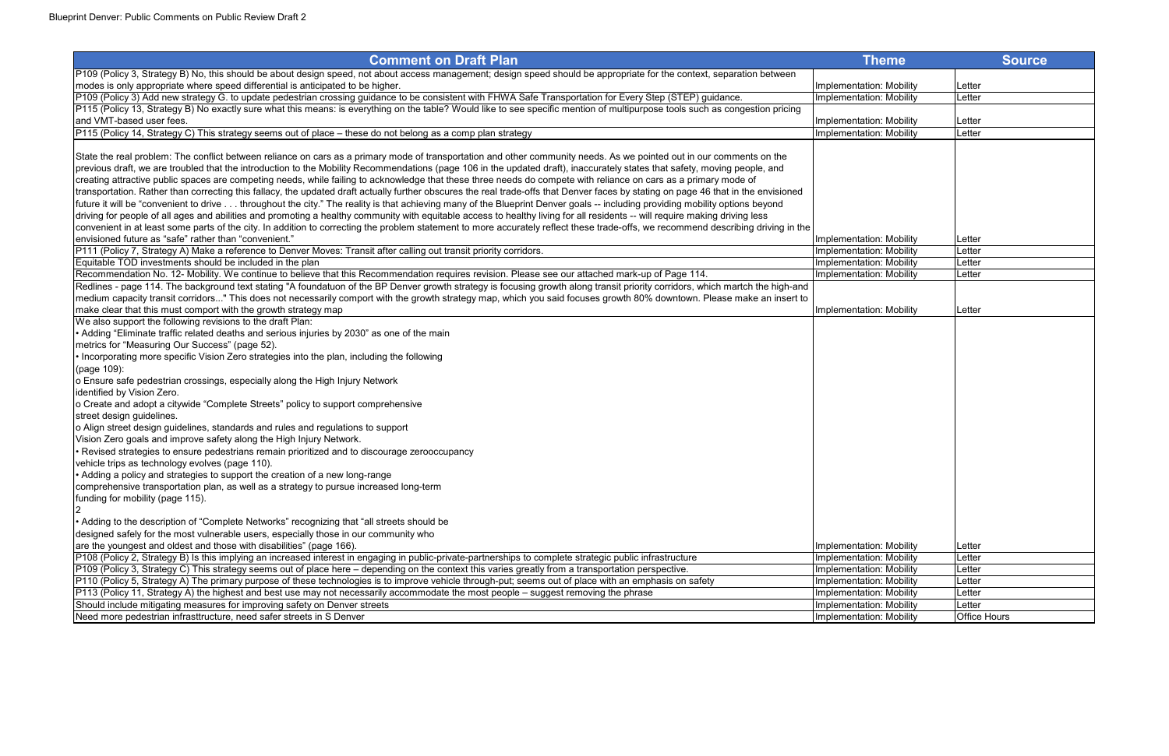| <b>Comment on Draft Plan</b>                                                                                                                                                        | <b>Theme</b>                    |                     |
|-------------------------------------------------------------------------------------------------------------------------------------------------------------------------------------|---------------------------------|---------------------|
|                                                                                                                                                                                     |                                 | <b>Source</b>       |
| P109 (Policy 3, Strategy B) No, this should be about design speed, not about access management; design speed should be appropriate for the context, separation between              |                                 |                     |
| modes is only appropriate where speed differential is anticipated to be higher.                                                                                                     | Implementation: Mobility        | Letter              |
| P109 (Policy 3) Add new strategy G. to update pedestrian crossing guidance to be consistent with FHWA Safe Transportation for Every Step (STEP) guidance.                           | Implementation: Mobility        | Letter              |
| P115 (Policy 13, Strategy B) No exactly sure what this means: is everything on the table? Would like to see specific mention of multipurpose tools such as congestion pricing       |                                 |                     |
| and VMT-based user fees.                                                                                                                                                            | Implementation: Mobility        | Letter              |
| P115 (Policy 14, Strategy C) This strategy seems out of place - these do not belong as a comp plan strategy                                                                         | <b>Implementation: Mobility</b> | Letter              |
|                                                                                                                                                                                     |                                 |                     |
| State the real problem: The conflict between reliance on cars as a primary mode of transportation and other community needs. As we pointed out in our comments on the               |                                 |                     |
| previous draft, we are troubled that the introduction to the Mobility Recommendations (page 106 in the updated draft), inaccurately states that safety, moving people, and          |                                 |                     |
| creating attractive public spaces are competing needs, while failing to acknowledge that these three needs do compete with reliance on cars as a primary mode of                    |                                 |                     |
| transportation. Rather than correcting this fallacy, the updated draft actually further obscures the real trade-offs that Denver faces by stating on page 46 that in the envisioned |                                 |                     |
| future it will be "convenient to drive throughout the city." The reality is that achieving many of the Blueprint Denver goals -- including providing mobility options beyond        |                                 |                     |
| driving for people of all ages and abilities and promoting a healthy community with equitable access to healthy living for all residents -- will require making driving less        |                                 |                     |
| convenient in at least some parts of the city. In addition to correcting the problem statement to more accurately reflect these trade-offs, we recommend describing driving in the  |                                 |                     |
| envisioned future as "safe" rather than "convenient."                                                                                                                               | Implementation: Mobility        | Letter              |
| P111 (Policy 7, Strategy A) Make a reference to Denver Moves: Transit after calling out transit priority corridors.                                                                 | Implementation: Mobility        | Letter              |
| Equitable TOD investments should be included in the plan                                                                                                                            | Implementation: Mobility        | Letter              |
| Recommendation No. 12- Mobility. We continue to believe that this Recommendation requires revision. Please see our attached mark-up of Page 114.                                    | Implementation: Mobility        | Letter              |
| Redlines - page 114. The background text stating "A foundatuon of the BP Denver growth strategy is focusing growth along transit priority corridors, which martch the high-and      |                                 |                     |
| medium capacity transit corridors" This does not necessarily comport with the growth strategy map, which you said focuses growth 80% downtown. Please make an insert to             |                                 |                     |
| make clear that this must comport with the growth strategy map                                                                                                                      | Implementation: Mobility        | Letter              |
| We also support the following revisions to the draft Plan:                                                                                                                          |                                 |                     |
| • Adding "Eliminate traffic related deaths and serious injuries by 2030" as one of the main                                                                                         |                                 |                     |
| metrics for "Measuring Our Success" (page 52).                                                                                                                                      |                                 |                     |
| Incorporating more specific Vision Zero strategies into the plan, including the following                                                                                           |                                 |                     |
| (page 109):                                                                                                                                                                         |                                 |                     |
| o Ensure safe pedestrian crossings, especially along the High Injury Network                                                                                                        |                                 |                     |
| identified by Vision Zero.                                                                                                                                                          |                                 |                     |
| o Create and adopt a citywide "Complete Streets" policy to support comprehensive                                                                                                    |                                 |                     |
| street design guidelines.                                                                                                                                                           |                                 |                     |
| o Align street design guidelines, standards and rules and regulations to support                                                                                                    |                                 |                     |
| Vision Zero goals and improve safety along the High Injury Network.                                                                                                                 |                                 |                     |
| Revised strategies to ensure pedestrians remain prioritized and to discourage zerooccupancy                                                                                         |                                 |                     |
| vehicle trips as technology evolves (page 110).                                                                                                                                     |                                 |                     |
| • Adding a policy and strategies to support the creation of a new long-range                                                                                                        |                                 |                     |
| comprehensive transportation plan, as well as a strategy to pursue increased long-term                                                                                              |                                 |                     |
| funding for mobility (page 115).                                                                                                                                                    |                                 |                     |
|                                                                                                                                                                                     |                                 |                     |
| • Adding to the description of "Complete Networks" recognizing that "all streets should be                                                                                          |                                 |                     |
| designed safely for the most vulnerable users, especially those in our community who                                                                                                |                                 |                     |
| are the youngest and oldest and those with disabilities" (page 166).                                                                                                                | Implementation: Mobility        | Letter              |
| P108 (Policy 2, Strategy B) Is this implying an increased interest in engaging in public-private-partnerships to complete strategic public infrastructure                           | Implementation: Mobility        | Letter              |
| P109 (Policy 3, Strategy C) This strategy seems out of place here – depending on the context this varies greatly from a transportation perspective.                                 | <b>Implementation: Mobility</b> | Letter              |
| P110 (Policy 5, Strategy A) The primary purpose of these technologies is to improve vehicle through-put; seems out of place with an emphasis on safety                              | Implementation: Mobility        | Letter              |
| P113 (Policy 11, Strategy A) the highest and best use may not necessarily accommodate the most people – suggest removing the phrase                                                 | Implementation: Mobility        | Letter              |
| Should include mitigating measures for improving safety on Denver streets                                                                                                           | Implementation: Mobility        | Letter              |
| Need more pedestrian infrasttructure, need safer streets in S Denver                                                                                                                | Implementation: Mobility        | <b>Office Hours</b> |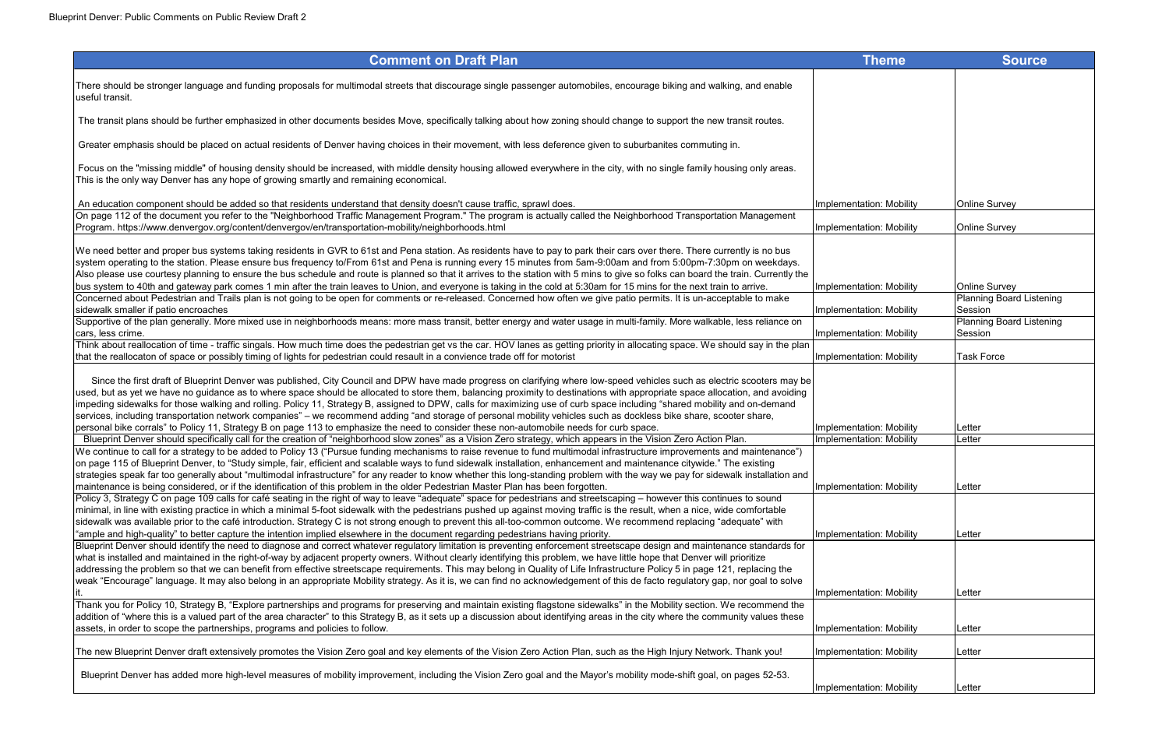# **Comment on Draft Plan** There should be stronger language and funding proposals for multimodal streets that discourage single passenger automobiles, encourage biking and walking, and enable useful transit. The transit plans should be further emphasized in other documents besides Move, specifically talking about how zoning should change to support the new transit routes. Greater emphasis should be placed on actual residents of Denver having choices in their movement, with less deference given to suburbanites commuting in. Focus on the "missing middle" of housing density should be increased, with middle density housing allowed everywhere in the city, with no single family housing only areas. This is the only way Denver has any hope of growing smartly and remaining economical. An education component should be added so that residents understand that density doesn't cause traffic, sprawl does. Investment Survey on the Implement On page 112 of the document you refer to the "Neighborhood Traffic Management Program." The program is actually called the Neighborhood Transportation Management Program. https://www.denvergov.org/content/denvergov/en/transportation-mobility/neighborhoods.html Implementation: Mobility Online Survey and Dementation: Mobility Online Survey and Dementation: Mobility Online Survey and We need better and proper bus systems taking residents in GVR to 61st and Pena station. As residents have to pay to park their cars over there. There currently is no bus system operating to the station. Please ensure bus frequency to/From 61st and Pena is running every 15 minutes from 5am-9:00am and from 5:00pm-7:30pm on weekdays. Also please use courtesy planning to ensure the bus schedule and route is planned so that it arrives to the station with 5 mins to give so folks can board the train. Currently the bus system to 40th and gateway park comes 1 min after the train leaves to Union, and everyone is taking in the cold at 5:30am for 15 mins for the next train to arrive. Implementation: Concerned about Pedestrian and Trails plan is not going to be open for comments or re-released. Concerned how often we give patio permits. It is un-acceptable to make lsidewalk smaller if patio encroaches **Implementation: Mobility of the Control**ler of the Umplementation: Mobility of the Umplementation: Mobility of the Umplementation: Mobility of the Umplementation: Mobility of the Umpl Supportive of the plan generally. More mixed use in neighborhoods means: more mass transit, better energy and water usage in multi-family. More walkable, less reliance on cars, less crime. cars, less crime. Implementation: Mobility Think about reallocation of time - traffic singals. How much time does the pedestrian get vs the car. HOV lanes as getting priority in allocating space. We should say in the plan that the reallocaton of space or possibly timing of lights for pedestrian could resault in a convience trade off for motorist Implementation: Implementation: Implementation: Implementation: Implementation: Implementation: Since the first draft of Blueprint Denver was published, City Council and DPW have made progress on clarifying where low-speed vehicles such as electric scooters may be used, but as yet we have no guidance as to where space should be allocated to store them, balancing proximity to destinations with appropriate space allocation, and avoiding impeding sidewalks for those walking and rolling. Policy 11, Strategy B, assigned to DPW, calls for maximizing use of curb space including "shared mobility and on-demand services, including transportation network companies" – we recommend adding "and storage of personal mobility vehicles such as dockless bike share, scooter share, personal bike corrals" to Policy 11, Strategy B on page 113 to emphasize the need to consider these non-automobile needs for curb space. Implement Blueprint Denver should specifically call for the creation of "neighborhood slow zones" as a Vision Zero strategy, which appears in the Vision Zero Action Plan. Implementation: We continue to call for a strategy to be added to Policy 13 ("Pursue funding mechanisms to raise revenue to fund multimodal infrastructure improvements and maintenance") lon page 115 of Blueprint Denver, to "Study simple, fair, efficient and scalable ways to fund sidewalk installation, enhancement and maintenance citywide." The existing strategies speak far too generally about "multimodal infrastructure" for any reader to know whether this long-standing problem with the way we pay for sidewalk installation and maintenance is being considered, or if the identification of this problem in the older Pedestrian Master Plan has been forgotten. In the maintenance is being considered, or if the identification of this problem in the olde Policy 3, Strategy C on page 109 calls for café seating in the right of way to leave "adequate" space for pedestrians and streetscaping – however this continues to sound minimal, in line with existing practice in which a minimal 5-foot sidewalk with the pedestrians pushed up against moving traffic is the result, when a nice, wide comfortable sidewalk was available prior to the café introduction. Strategy C is not strong enough to prevent this all-too-common outcome. We recommend replacing "adequate" with "ample and high-quality" to better capture the intention implied elsewhere in the document regarding pedestrians having priority. Blueprint Denver should identify the need to diagnose and correct whatever regulatory limitation is preventing enforcement streetscape design and maintenance standards for what is installed and maintained in the right-of-way by adjacent property owners. Without clearly identifying this problem, we have little hope that Denver will prioritize addressing the problem so that we can benefit from effective streetscape requirements. This may belong in Quality of Life Infrastructure Policy 5 in page 121, replacing the weak "Encourage" language. It may also belong in an appropriate Mobility strategy. As it is, we can find no acknowledgement of this de facto regulatory gap, nor goal to solve it. A subset of the contraction: Mobility the contraction: Mobility the Letter of the contraction: Mobility the  $\sf L$ etter  $\sf L$ Thank you for Policy 10, Strategy B, "Explore partnerships and programs for preserving and maintain existing flagstone sidewalks" in the Mobility section. We recommend the addition of "where this is a valued part of the area character" to this Strategy B, as it sets up a discussion about identifying areas in the city where the community values these assets, in order to scope the partnerships, programs and policies to follow. Including the state of the partnerships, programs and policies to follow. The new Blueprint Denver draft extensively promotes the Vision Zero goal and key elements of the Vision Zero Action Plan, such as the High Injury Network. Thank you! Implementation: Mobility Letter Thank in Thank you! Blueprint Denver has added more high-level measures of mobility improvement, including the Vision Zero goal and the Mayor's mobility mode-shift goal, on pages 52-53. Implementa

| Theme           | <b>Source</b>                              |
|-----------------|--------------------------------------------|
|                 |                                            |
|                 |                                            |
|                 |                                            |
|                 |                                            |
|                 |                                            |
|                 |                                            |
|                 |                                            |
| ation: Mobility | <b>Online Survey</b>                       |
|                 |                                            |
| ation: Mobility | <b>Online Survey</b>                       |
|                 |                                            |
|                 |                                            |
| ation: Mobility | <b>Online Survey</b>                       |
| ation: Mobility | <b>Planning Board Listening</b><br>Session |
|                 | <b>Planning Board Listening</b>            |
| ation: Mobility | Session                                    |
| ation: Mobility | <b>Task Force</b>                          |
|                 |                                            |
|                 |                                            |
|                 |                                            |
| ation: Mobility | Letter                                     |
| ation: Mobility | Letter                                     |
|                 |                                            |
| ation: Mobility | Letter                                     |
|                 |                                            |
|                 |                                            |
| ation: Mobility | Letter                                     |
|                 |                                            |
|                 |                                            |
| ation: Mobility | Letter                                     |
|                 |                                            |
| ation: Mobility | Letter                                     |
|                 |                                            |
| ation: Mobility | Letter                                     |
|                 |                                            |
| ation: Mobility | Letter                                     |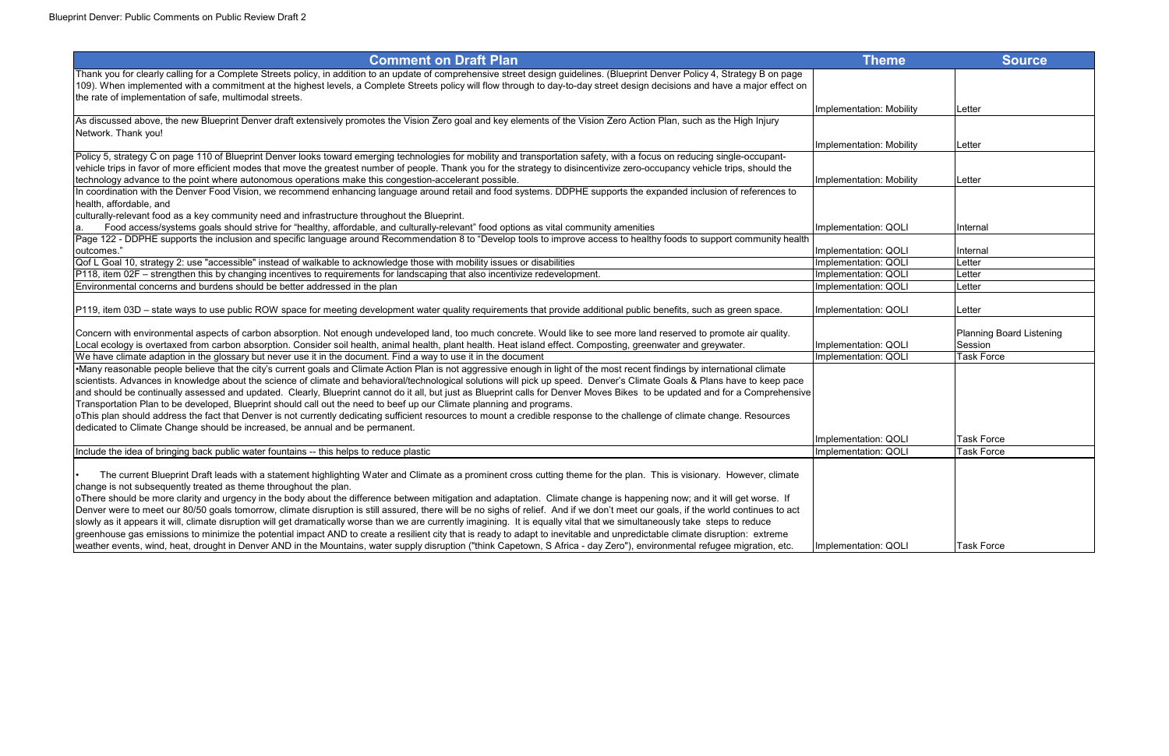| <b>Comment on Draft Plan</b>                                                                                                                                                       | <b>Theme</b>             | <b>Source</b>            |
|------------------------------------------------------------------------------------------------------------------------------------------------------------------------------------|--------------------------|--------------------------|
| Thank you for clearly calling for a Complete Streets policy, in addition to an update of comprehensive street design guidelines. (Blueprint Denver Policy 4, Strategy B on page    |                          |                          |
| 109). When implemented with a commitment at the highest levels, a Complete Streets policy will flow through to day-to-day street design decisions and have a major effect on       |                          |                          |
| the rate of implementation of safe, multimodal streets.                                                                                                                            |                          |                          |
|                                                                                                                                                                                    | Implementation: Mobility | Letter                   |
| As discussed above, the new Blueprint Denver draft extensively promotes the Vision Zero goal and key elements of the Vision Zero Action Plan, such as the High Injury              |                          |                          |
| Network. Thank you!                                                                                                                                                                |                          |                          |
|                                                                                                                                                                                    | Implementation: Mobility | Letter                   |
| Policy 5, strategy C on page 110 of Blueprint Denver looks toward emerging technologies for mobility and transportation safety, with a focus on reducing single-occupant-          |                          |                          |
| vehicle trips in favor of more efficient modes that move the greatest number of people. Thank you for the strategy to disincentivize zero-occupancy vehicle trips, should the      |                          |                          |
| technology advance to the point where autonomous operations make this congestion-accelerant possible.                                                                              | Implementation: Mobility | Letter                   |
| In coordination with the Denver Food Vision, we recommend enhancing language around retail and food systems. DDPHE supports the expanded inclusion of references to                |                          |                          |
| health, affordable, and                                                                                                                                                            |                          |                          |
| culturally-relevant food as a key community need and infrastructure throughout the Blueprint.                                                                                      |                          |                          |
| Food access/systems goals should strive for "healthy, affordable, and culturally-relevant" food options as vital community amenities                                               | Implementation: QOLI     | Internal                 |
| Page 122 - DDPHE supports the inclusion and specific language around Recommendation 8 to "Develop tools to improve access to healthy foods to support community health             |                          |                          |
| outcomes."                                                                                                                                                                         | Implementation: QOLI     | Internal                 |
| Qof L Goal 10, strategy 2: use "accessible" instead of walkable to acknowledge those with mobility issues or disabilities                                                          | Implementation: QOLI     | Letter                   |
| P118, item 02F – strengthen this by changing incentives to requirements for landscaping that also incentivize redevelopment.                                                       | Implementation: QOLI     | Letter                   |
| Environmental concerns and burdens should be better addressed in the plan                                                                                                          | Implementation: QOLI     | ∟etter                   |
|                                                                                                                                                                                    |                          |                          |
| P119, item 03D - state ways to use public ROW space for meeting development water quality requirements that provide additional public benefits, such as green space.               | Implementation: QOLI     | Letter                   |
|                                                                                                                                                                                    |                          |                          |
| Concern with environmental aspects of carbon absorption. Not enough undeveloped land, too much concrete. Would like to see more land reserved to promote air quality.              |                          | Planning Board Listening |
| Local ecology is overtaxed from carbon absorption. Consider soil health, animal health, plant health. Heat island effect. Composting, greenwater and greywater.                    | Implementation: QOLI     | Session                  |
| We have climate adaption in the glossary but never use it in the document. Find a way to use it in the document                                                                    | Implementation: QOLI     | Task Force               |
| •Many reasonable people believe that the city's current goals and Climate Action Plan is not aggressive enough in light of the most recent findings by international climate       |                          |                          |
| scientists. Advances in knowledge about the science of climate and behavioral/technological solutions will pick up speed. Denver's Climate Goals & Plans have to keep pace         |                          |                          |
| and should be continually assessed and updated. Clearly, Blueprint cannot do it all, but just as Blueprint calls for Denver Moves Bikes to be updated and for a Comprehensive      |                          |                          |
| Transportation Plan to be developed, Blueprint should call out the need to beef up our Climate planning and programs.                                                              |                          |                          |
| oThis plan should address the fact that Denver is not currently dedicating sufficient resources to mount a credible response to the challenge of climate change. Resources         |                          |                          |
| dedicated to Climate Change should be increased, be annual and be permanent.                                                                                                       |                          |                          |
|                                                                                                                                                                                    | Implementation: QOLI     | <b>Task Force</b>        |
| Include the idea of bringing back public water fountains -- this helps to reduce plastic                                                                                           | Implementation: QOLI     | <b>Task Force</b>        |
|                                                                                                                                                                                    |                          |                          |
| The current Blueprint Draft leads with a statement highlighting Water and Climate as a prominent cross cutting theme for the plan. This is visionary. However, climate             |                          |                          |
| change is not subsequently treated as theme throughout the plan.                                                                                                                   |                          |                          |
| oThere should be more clarity and urgency in the body about the difference between mitigation and adaptation. Climate change is happening now; and it will get worse. If           |                          |                          |
| Denver were to meet our 80/50 goals tomorrow, climate disruption is still assured, there will be no sighs of relief. And if we don't meet our goals, if the world continues to act |                          |                          |
| slowly as it appears it will, climate disruption will get dramatically worse than we are currently imagining. It is equally vital that we simultaneously take steps to reduce      |                          |                          |
| greenhouse gas emissions to minimize the potential impact AND to create a resilient city that is ready to adapt to inevitable and unpredictable climate disruption: extreme        |                          |                          |
| weather events, wind, heat, drought in Denver AND in the Mountains, water supply disruption ("think Capetown, S Africa - day Zero"), environmental refugee migration, etc.         | Implementation: QOLI     | <b>Task Force</b>        |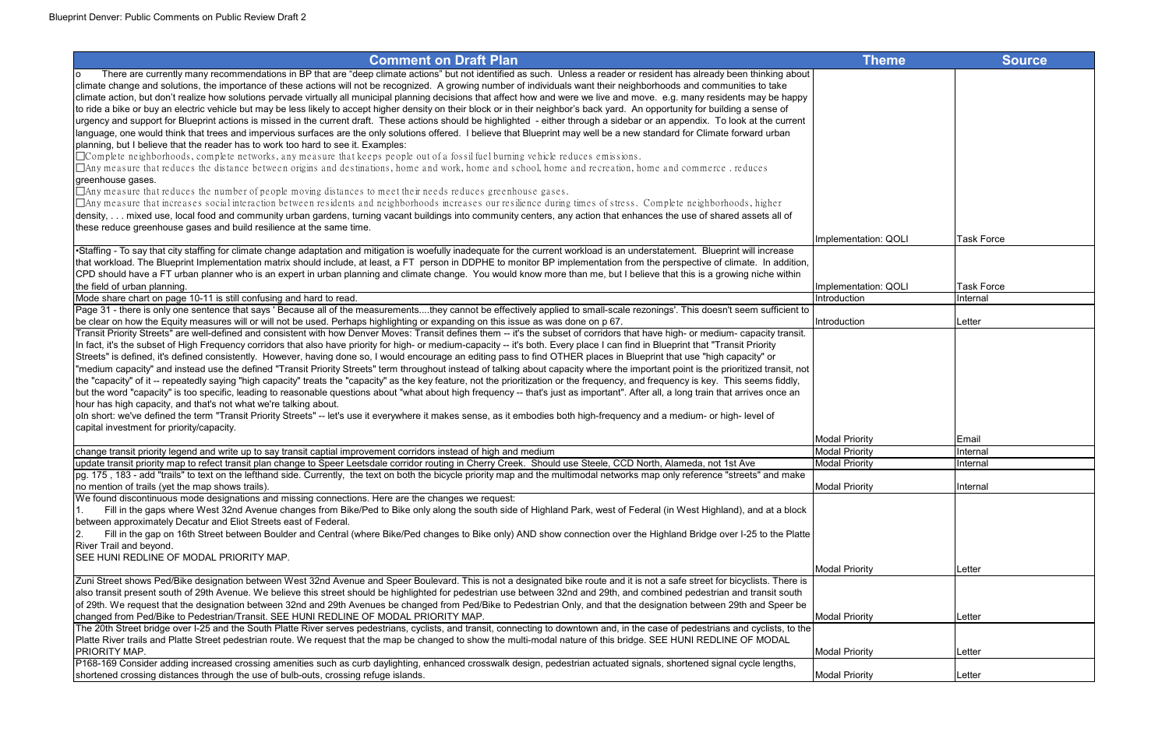| <b>Comment on Draft Plan</b>                                                                                                                                                          | <b>Theme</b>          | <b>Source</b>     |
|---------------------------------------------------------------------------------------------------------------------------------------------------------------------------------------|-----------------------|-------------------|
| There are currently many recommendations in BP that are "deep climate actions" but not identified as such. Unless a reader or resident has already been thinking about<br>ıο          |                       |                   |
| climate change and solutions, the importance of these actions will not be recognized. A growing number of individuals want their neighborhoods and communities to take                |                       |                   |
| climate action, but don't realize how solutions pervade virtually all municipal planning decisions that affect how and were we live and move. e.g. many residents may be happy        |                       |                   |
| to ride a bike or buy an electric vehicle but may be less likely to accept higher density on their block or in their neighbor's back yard. An opportunity for building a sense of     |                       |                   |
| urgency and support for Blueprint actions is missed in the current draft. These actions should be highlighted - either through a sidebar or an appendix. To look at the current       |                       |                   |
| language, one would think that trees and impervious surfaces are the only solutions offered. I believe that Blueprint may well be a new standard for Climate forward urban            |                       |                   |
| planning, but I believe that the reader has to work too hard to see it. Examples:                                                                                                     |                       |                   |
| $\Box$ Complete neighborhoods, complete networks, any measure that keeps people out of a fossil fuel burning vehicle reduces emissions.                                               |                       |                   |
| $\Box$ Any measure that reduces the distance between origins and destinations, home and work, home and school, home and recreation, home and commerce . reduces                       |                       |                   |
| greenhouse gases.                                                                                                                                                                     |                       |                   |
| $\Box$ Any measure that reduces the number of people moving distances to meet their needs reduces greenhouse gases.                                                                   |                       |                   |
| $\Box$ Any measure that increases social interaction between residents and neighborhoods increases our resilience during times of stress. Complete neighborhoods, higher              |                       |                   |
| density, mixed use, local food and community urban gardens, turning vacant buildings into community centers, any action that enhances the use of shared assets all of                 |                       |                   |
| these reduce greenhouse gases and build resilience at the same time.                                                                                                                  |                       |                   |
|                                                                                                                                                                                       | Implementation: QOLI  | <b>Task Force</b> |
| •Staffing - To say that city staffing for climate change adaptation and mitigation is woefully inadequate for the current workload is an understatement. Blueprint will increase      |                       |                   |
| that workload. The Blueprint Implementation matrix should include, at least, a FT person in DDPHE to monitor BP implementation from the perspective of climate. In addition,          |                       |                   |
| CPD should have a FT urban planner who is an expert in urban planning and climate change. You would know more than me, but I believe that this is a growing niche within              |                       |                   |
| the field of urban planning.                                                                                                                                                          | Implementation: QOLI  | <b>Task Force</b> |
| Mode share chart on page 10-11 is still confusing and hard to read.                                                                                                                   | Introduction          | Internal          |
| Page 31 - there is only one sentence that says ' Because all of the measurementsthey cannot be effectively applied to small-scale rezonings'. This doesn't seem sufficient to         |                       |                   |
| be clear on how the Equity measures will or will not be used. Perhaps highlighting or expanding on this issue as was done on p 67.                                                    | Introduction          | Letter            |
| Transit Priority Streets" are well-defined and consistent with how Denver Moves: Transit defines them -- it's the subset of corridors that have high- or medium- capacity transit.    |                       |                   |
| In fact, it's the subset of High Frequency corridors that also have priority for high- or medium-capacity -- it's both. Every place I can find in Blueprint that "Transit Priority    |                       |                   |
| Streets" is defined, it's defined consistently. However, having done so, I would encourage an editing pass to find OTHER places in Blueprint that use "high capacity" or              |                       |                   |
| "medium capacity" and instead use the defined "Transit Priority Streets" term throughout instead of talking about capacity where the important point is the prioritized transit, not  |                       |                   |
| the "capacity" of it -- repeatedly saying "high capacity" treats the "capacity" as the key feature, not the prioritization or the frequency, and frequency is key. This seems fiddly, |                       |                   |
| but the word "capacity" is too specific, leading to reasonable questions about "what about high frequency -- that's just as important". After all, a long train that arrives once an  |                       |                   |
| hour has high capacity, and that's not what we're talking about.                                                                                                                      |                       |                   |
| oln short: we've defined the term "Transit Priority Streets" -- let's use it everywhere it makes sense, as it embodies both high-frequency and a medium- or high- level of            |                       |                   |
| capital investment for priority/capacity.                                                                                                                                             | <b>Modal Priority</b> | Email             |
| change transit priority legend and write up to say transit captial improvement corridors instead of high and medium                                                                   | <b>Modal Priority</b> | Internal          |
| update transit priority map to refect transit plan change to Speer Leetsdale corridor routing in Cherry Creek. Should use Steele, CCD North, Alameda, not 1st Ave                     | <b>Modal Priority</b> | Internal          |
| pg. 175, 183 - add "trails" to text on the lefthand side. Currently, the text on both the bicycle priority map and the multimodal networks map only reference "streets" and make      |                       |                   |
| no mention of trails (yet the map shows trails).                                                                                                                                      | <b>Modal Priority</b> | Internal          |
| We found discontinuous mode designations and missing connections. Here are the changes we request:                                                                                    |                       |                   |
| Fill in the gaps where West 32nd Avenue changes from Bike/Ped to Bike only along the south side of Highland Park, west of Federal (in West Highland), and at a block                  |                       |                   |
| between approximately Decatur and Eliot Streets east of Federal.                                                                                                                      |                       |                   |
| Fill in the gap on 16th Street between Boulder and Central (where Bike/Ped changes to Bike only) AND show connection over the Highland Bridge over I-25 to the Platte                 |                       |                   |
| River Trail and beyond.                                                                                                                                                               |                       |                   |
| SEE HUNI REDLINE OF MODAL PRIORITY MAP.                                                                                                                                               |                       |                   |
|                                                                                                                                                                                       | <b>Modal Priority</b> | Letter            |
| Zuni Street shows Ped/Bike designation between West 32nd Avenue and Speer Boulevard. This is not a designated bike route and it is not a safe street for bicyclists. There is         |                       |                   |
| also transit present south of 29th Avenue. We believe this street should be highlighted for pedestrian use between 32nd and 29th, and combined pedestrian and transit south           |                       |                   |
| of 29th. We request that the designation between 32nd and 29th Avenues be changed from Ped/Bike to Pedestrian Only, and that the designation between 29th and Speer be                |                       |                   |
| changed from Ped/Bike to Pedestrian/Transit. SEE HUNI REDLINE OF MODAL PRIORITY MAP.                                                                                                  | <b>Modal Priority</b> | Letter            |
| The 20th Street bridge over I-25 and the South Platte River serves pedestrians, cyclists, and transit, connecting to downtown and, in the case of pedestrians and cyclists, to the    |                       |                   |
| Platte River trails and Platte Street pedestrian route. We request that the map be changed to show the multi-modal nature of this bridge. SEE HUNI REDLINE OF MODAL                   |                       |                   |
| PRIORITY MAP.                                                                                                                                                                         | <b>Modal Priority</b> | <b>ILetter</b>    |
| P168-169 Consider adding increased crossing amenities such as curb daylighting, enhanced crosswalk design, pedestrian actuated signals, shortened signal cycle lengths,               |                       |                   |
| shortened crossing distances through the use of bulb-outs, crossing refuge islands.                                                                                                   | <b>Modal Priority</b> | Letter            |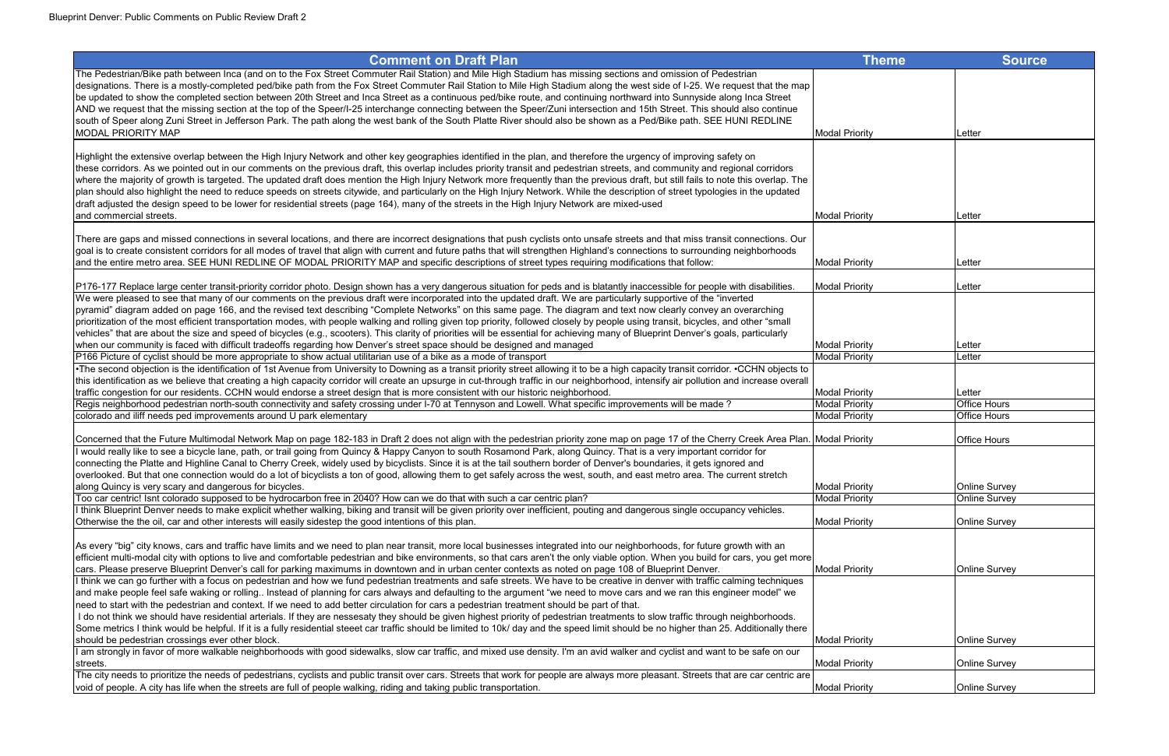| <b>Comment on Draft Plan</b>                                                                                                                                                                                                                                                                                                                                                                                                                                                                                                                                                                                                                                                                              | <b>Theme</b>          | <b>Source</b>        |
|-----------------------------------------------------------------------------------------------------------------------------------------------------------------------------------------------------------------------------------------------------------------------------------------------------------------------------------------------------------------------------------------------------------------------------------------------------------------------------------------------------------------------------------------------------------------------------------------------------------------------------------------------------------------------------------------------------------|-----------------------|----------------------|
| The Pedestrian/Bike path between Inca (and on to the Fox Street Commuter Rail Station) and Mile High Stadium has missing sections and omission of Pedestrian<br>designations. There is a mostly-completed ped/bike path from the Fox Street Commuter Rail Station to Mile High Stadium along the west side of I-25. We request that the map<br>be updated to show the completed section between 20th Street and Inca Street as a continuous ped/bike route, and continuing northward into Sunnyside along Inca Street<br>AND we request that the missing section at the top of the Speer/I-25 interchange connecting between the Speer/Zuni intersection and 15th Street. This should also continue       |                       |                      |
| south of Speer along Zuni Street in Jefferson Park. The path along the west bank of the South Platte River should also be shown as a Ped/Bike path. SEE HUNI REDLINE<br><b>MODAL PRIORITY MAP</b>                                                                                                                                                                                                                                                                                                                                                                                                                                                                                                         | <b>Modal Priority</b> | Letter               |
| Highlight the extensive overlap between the High Injury Network and other key geographies identified in the plan, and therefore the urgency of improving safety on                                                                                                                                                                                                                                                                                                                                                                                                                                                                                                                                        |                       |                      |
| these corridors. As we pointed out in our comments on the previous draft, this overlap includes priority transit and pedestrian streets, and community and regional corridors<br>where the majority of growth is targeted. The updated draft does mention the High Injury Network more frequently than the previous draft, but still fails to note this overlap. The<br>plan should also highlight the need to reduce speeds on streets citywide, and particularly on the High Injury Network. While the description of street typologies in the updated<br>draft adjusted the design speed to be lower for residential streets (page 164), many of the streets in the High Injury Network are mixed-used |                       |                      |
| and commercial streets.                                                                                                                                                                                                                                                                                                                                                                                                                                                                                                                                                                                                                                                                                   | <b>Modal Priority</b> | Letter               |
| There are gaps and missed connections in several locations, and there are incorrect designations that push cyclists onto unsafe streets and that miss transit connections. Our<br>goal is to create consistent corridors for all modes of travel that align with current and future paths that will strengthen Highland's connections to surrounding neighborhoods<br>and the entire metro area. SEE HUNI REDLINE OF MODAL PRIORITY MAP and specific descriptions of street types requiring modifications that follow:                                                                                                                                                                                    | <b>Modal Priority</b> | Letter               |
| P176-177 Replace large center transit-priority corridor photo. Design shown has a very dangerous situation for peds and is blatantly inaccessible for people with disabilities.                                                                                                                                                                                                                                                                                                                                                                                                                                                                                                                           | <b>Modal Priority</b> | Letter               |
| We were pleased to see that many of our comments on the previous draft were incorporated into the updated draft. We are particularly supportive of the "inverted                                                                                                                                                                                                                                                                                                                                                                                                                                                                                                                                          |                       |                      |
| pyramid" diagram added on page 166, and the revised text describing "Complete Networks" on this same page. The diagram and text now clearly convey an overarching<br>prioritization of the most efficient transportation modes, with people walking and rolling given top priority, followed closely by people using transit, bicycles, and other "small<br>vehicles" that are about the size and speed of bicycles (e.g., scooters). This clarity of priorities will be essential for achieving many of Blueprint Denver's goals, particularly                                                                                                                                                           |                       |                      |
| when our community is faced with difficult tradeoffs regarding how Denver's street space should be designed and managed                                                                                                                                                                                                                                                                                                                                                                                                                                                                                                                                                                                   | <b>Modal Priority</b> | Letter               |
| P166 Picture of cyclist should be more appropriate to show actual utilitarian use of a bike as a mode of transport                                                                                                                                                                                                                                                                                                                                                                                                                                                                                                                                                                                        | <b>Modal Priority</b> | Letter               |
| . The second objection is the identification of 1st Avenue from University to Downing as a transit priority street allowing it to be a high capacity transit corridor. . CCHN objects to                                                                                                                                                                                                                                                                                                                                                                                                                                                                                                                  |                       |                      |
| this identification as we believe that creating a high capacity corridor will create an upsurge in cut-through traffic in our neighborhood, intensify air pollution and increase overall                                                                                                                                                                                                                                                                                                                                                                                                                                                                                                                  |                       |                      |
| traffic congestion for our residents. CCHN would endorse a street design that is more consistent with our historic neighborhood.                                                                                                                                                                                                                                                                                                                                                                                                                                                                                                                                                                          | <b>Modal Priority</b> | Letter               |
| Regis neighborhood pedestrian north-south connectivity and safety crossing under I-70 at Tennyson and Lowell. What specific improvements will be made?                                                                                                                                                                                                                                                                                                                                                                                                                                                                                                                                                    | <b>Modal Priority</b> | <b>Office Hours</b>  |
| colorado and iliff needs ped improvements around U park elementary                                                                                                                                                                                                                                                                                                                                                                                                                                                                                                                                                                                                                                        | <b>Modal Priority</b> | <b>Office Hours</b>  |
| Concerned that the Future Multimodal Network Map on page 182-183 in Draft 2 does not align with the pedestrian priority zone map on page 17 of the Cherry Creek Area Plan. Modal Priority                                                                                                                                                                                                                                                                                                                                                                                                                                                                                                                 |                       | <b>Office Hours</b>  |
| would really like to see a bicycle lane, path, or trail going from Quincy & Happy Canyon to south Rosamond Park, along Quincy. That is a very important corridor for<br>connecting the Platte and Highline Canal to Cherry Creek, widely used by bicyclists. Since it is at the tail southern border of Denver's boundaries, it gets ignored and                                                                                                                                                                                                                                                                                                                                                          |                       |                      |
| overlooked. But that one connection would do a lot of bicyclists a ton of good, allowing them to get safely across the west, south, and east metro area. The current stretch                                                                                                                                                                                                                                                                                                                                                                                                                                                                                                                              |                       |                      |
| along Quincy is very scary and dangerous for bicycles.                                                                                                                                                                                                                                                                                                                                                                                                                                                                                                                                                                                                                                                    | <b>Modal Priority</b> | <b>Online Survey</b> |
| Too car centric! Isnt colorado supposed to be hydrocarbon free in 2040? How can we do that with such a car centric plan?                                                                                                                                                                                                                                                                                                                                                                                                                                                                                                                                                                                  | <b>Modal Priority</b> | <b>Online Survey</b> |
| I think Blueprint Denver needs to make explicit whether walking, biking and transit will be given priority over inefficient, pouting and dangerous single occupancy vehicles.<br>Otherwise the the oil, car and other interests will easily sidestep the good intentions of this plan.                                                                                                                                                                                                                                                                                                                                                                                                                    | <b>Modal Priority</b> | <b>Online Survey</b> |
| As every "big" city knows, cars and traffic have limits and we need to plan near transit, more local businesses integrated into our neighborhoods, for future growth with an                                                                                                                                                                                                                                                                                                                                                                                                                                                                                                                              |                       |                      |
| efficient multi-modal city with options to live and comfortable pedestrian and bike environments, so that cars aren't the only viable option. When you build for cars, you get more                                                                                                                                                                                                                                                                                                                                                                                                                                                                                                                       |                       |                      |
| cars. Please preserve Blueprint Denver's call for parking maximums in downtown and in urban center contexts as noted on page 108 of Blueprint Denver.                                                                                                                                                                                                                                                                                                                                                                                                                                                                                                                                                     | <b>Modal Priority</b> | <b>Online Survey</b> |
| I think we can go further with a focus on pedestrian and how we fund pedestrian treatments and safe streets. We have to be creative in denver with traffic calming techniques                                                                                                                                                                                                                                                                                                                                                                                                                                                                                                                             |                       |                      |
| and make people feel safe waking or rolling Instead of planning for cars always and defaulting to the argument "we need to move cars and we ran this engineer model" we                                                                                                                                                                                                                                                                                                                                                                                                                                                                                                                                   |                       |                      |
| need to start with the pedestrian and context. If we need to add better circulation for cars a pedestrian treatment should be part of that.                                                                                                                                                                                                                                                                                                                                                                                                                                                                                                                                                               |                       |                      |
| I do not think we should have residential arterials. If they are nessesaty they should be given highest priority of pedestrian treatments to slow traffic through neighborhoods.                                                                                                                                                                                                                                                                                                                                                                                                                                                                                                                          |                       |                      |
| Some metrics I think would be helpful. If it is a fully residential steeet car traffic should be limited to 10k/day and the speed limit should be no higher than 25. Additionally there                                                                                                                                                                                                                                                                                                                                                                                                                                                                                                                   |                       |                      |
| should be pedestrian crossings ever other block.                                                                                                                                                                                                                                                                                                                                                                                                                                                                                                                                                                                                                                                          | <b>Modal Priority</b> | <b>Online Survey</b> |
| am strongly in favor of more walkable neighborhoods with good sidewalks, slow car traffic, and mixed use density. I'm an avid walker and cyclist and want to be safe on our<br>streets.                                                                                                                                                                                                                                                                                                                                                                                                                                                                                                                   | <b>Modal Priority</b> | <b>Online Survey</b> |
| The city needs to prioritize the needs of pedestrians, cyclists and public transit over cars. Streets that work for people are always more pleasant. Streets that are car centric are                                                                                                                                                                                                                                                                                                                                                                                                                                                                                                                     |                       |                      |
| void of people. A city has life when the streets are full of people walking, riding and taking public transportation.                                                                                                                                                                                                                                                                                                                                                                                                                                                                                                                                                                                     | <b>Modal Priority</b> | <b>Online Survey</b> |

| Theme        | <b>Source</b>                         |
|--------------|---------------------------------------|
|              |                                       |
|              |                                       |
|              |                                       |
|              |                                       |
| rity         | Letter                                |
|              |                                       |
|              |                                       |
|              |                                       |
|              |                                       |
| rity         | Letter                                |
|              |                                       |
|              |                                       |
| rity         | Letter                                |
|              |                                       |
| rity         | Letter                                |
|              |                                       |
|              |                                       |
| rity         | Letter                                |
| rity         | Letter                                |
|              |                                       |
|              |                                       |
| rity<br>rity | Letter<br>Office Hours                |
| rity         | Office Hours                          |
|              |                                       |
| rity         | Office Hours                          |
|              |                                       |
|              |                                       |
| rity<br>rity | <b>Online Survey</b><br>Online Survey |
|              |                                       |
| rity         | Online Survey                         |
|              |                                       |
|              |                                       |
| rity         | Online Survey                         |
|              |                                       |
|              |                                       |
|              |                                       |
|              |                                       |
| rity         | Online Survey                         |
| rity         | Online Survey                         |
|              |                                       |
| rity         | Online Survey                         |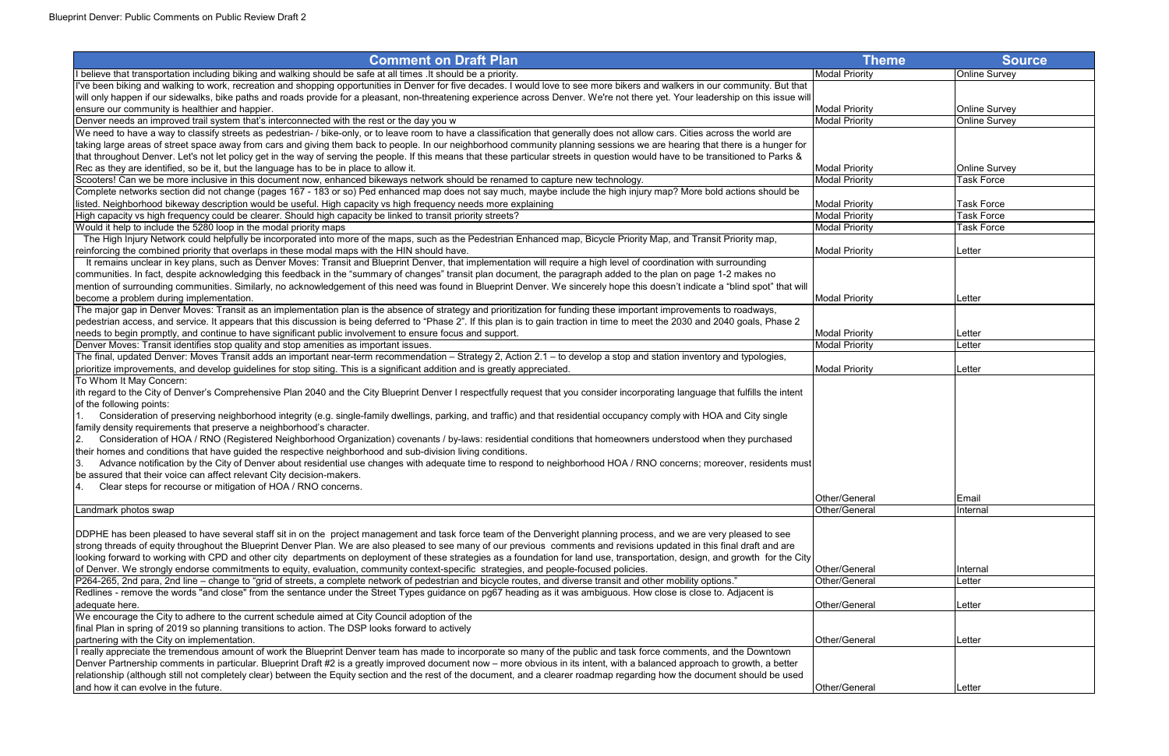| <b>Comment on Draft Plan</b>                                                                                                                                                                                       | <b>Theme</b>          | Source               |
|--------------------------------------------------------------------------------------------------------------------------------------------------------------------------------------------------------------------|-----------------------|----------------------|
| believe that transportation including biking and walking should be safe at all times . It should be a priority.                                                                                                    | <b>Modal Priority</b> | Online Survey        |
| I've been biking and walking to work, recreation and shopping opportunities in Denver for five decades. I would love to see more bikers and walkers in our community. But that                                     |                       |                      |
| will only happen if our sidewalks, bike paths and roads provide for a pleasant, non-threatening experience across Denver. We're not there yet. Your leadership on this issue will                                  |                       |                      |
| ensure our community is healthier and happier.                                                                                                                                                                     | <b>Modal Priority</b> | <b>Online Survey</b> |
| Denver needs an improved trail system that's interconnected with the rest or the day you w                                                                                                                         | <b>Modal Priority</b> | Online Survey        |
| We need to have a way to classify streets as pedestrian- / bike-only, or to leave room to have a classification that generally does not allow cars. Cities across the world are                                    |                       |                      |
| taking large areas of street space away from cars and giving them back to people. In our neighborhood community planning sessions we are hearing that there is a hunger for                                        |                       |                      |
| that throughout Denver. Let's not let policy get in the way of serving the people. If this means that these particular streets in question would have to be transitioned to Parks &                                |                       |                      |
| Rec as they are identified, so be it, but the language has to be in place to allow it.                                                                                                                             | <b>Modal Priority</b> | <b>Online Survey</b> |
| Scooters! Can we be more inclusive in this document now, enhanced bikeways network should be renamed to capture new technology.                                                                                    | <b>Modal Priority</b> | <b>Task Force</b>    |
| Complete networks section did not change (pages 167 - 183 or so) Ped enhanced map does not say much, maybe include the high injury map? More bold actions should be                                                |                       |                      |
| listed. Neighborhood bikeway description would be useful. High capacity vs high frequency needs more explaining                                                                                                    | <b>Modal Priority</b> | <b>Task Force</b>    |
| High capacity vs high frequency could be clearer. Should high capacity be linked to transit priority streets?                                                                                                      | <b>Modal Priority</b> | <b>Task Force</b>    |
| Would it help to include the 5280 loop in the modal priority maps                                                                                                                                                  | <b>Modal Priority</b> | <b>Task Force</b>    |
| The High Injury Network could helpfully be incorporated into more of the maps, such as the Pedestrian Enhanced map, Bicycle Priority Map, and Transit Priority map,                                                |                       |                      |
| reinforcing the combined priority that overlaps in these modal maps with the HIN should have.                                                                                                                      | <b>Modal Priority</b> | Letter               |
| It remains unclear in key plans, such as Denver Moves: Transit and Blueprint Denver, that implementation will require a high level of coordination with surrounding                                                |                       |                      |
| communities. In fact, despite acknowledging this feedback in the "summary of changes" transit plan document, the paragraph added to the plan on page 1-2 makes no                                                  |                       |                      |
| mention of surrounding communities. Similarly, no acknowledgement of this need was found in Blueprint Denver. We sincerely hope this doesn't indicate a "blind spot" that will                                     |                       |                      |
| become a problem during implementation.                                                                                                                                                                            | <b>Modal Priority</b> | Letter               |
| The major gap in Denver Moves: Transit as an implementation plan is the absence of strategy and prioritization for funding these important improvements to roadways,                                               |                       |                      |
| pedestrian access, and service. It appears that this discussion is being deferred to "Phase 2". If this plan is to gain traction in time to meet the 2030 and 2040 goals, Phase 2                                  |                       |                      |
| needs to begin promptly, and continue to have significant public involvement to ensure focus and support.                                                                                                          | <b>Modal Priority</b> | Letter               |
| Denver Moves: Transit identifies stop quality and stop amenities as important issues.                                                                                                                              | <b>Modal Priority</b> | Letter               |
| The final, updated Denver: Moves Transit adds an important near-term recommendation - Strategy 2, Action 2.1 - to develop a stop and station inventory and typologies,                                             |                       |                      |
| prioritize improvements, and develop guidelines for stop siting. This is a significant addition and is greatly appreciated.                                                                                        | <b>Modal Priority</b> | Letter               |
| To Whom It May Concern:                                                                                                                                                                                            |                       |                      |
| ith regard to the City of Denver's Comprehensive Plan 2040 and the City Blueprint Denver I respectfully request that you consider incorporating language that fulfills the intent                                  |                       |                      |
| of the following points:                                                                                                                                                                                           |                       |                      |
| Consideration of preserving neighborhood integrity (e.g. single-family dwellings, parking, and traffic) and that residential occupancy comply with HOA and City single                                             |                       |                      |
| family density requirements that preserve a neighborhood's character.                                                                                                                                              |                       |                      |
| Consideration of HOA / RNO (Registered Neighborhood Organization) covenants / by-laws: residential conditions that homeowners understood when they purchased<br>2.                                                 |                       |                      |
| their homes and conditions that have guided the respective neighborhood and sub-division living conditions.                                                                                                        |                       |                      |
| Advance notification by the City of Denver about residential use changes with adequate time to respond to neighborhood HOA / RNO concerns; moreover, residents must<br>I3.                                         |                       |                      |
| be assured that their voice can affect relevant City decision-makers.                                                                                                                                              |                       |                      |
| Clear steps for recourse or mitigation of HOA / RNO concerns.<br>4.                                                                                                                                                |                       |                      |
|                                                                                                                                                                                                                    | Other/General         | <b>Email</b>         |
| Landmark photos swap                                                                                                                                                                                               | Other/General         | Internal             |
|                                                                                                                                                                                                                    |                       |                      |
| DDPHE has been pleased to have several staff sit in on the project management and task force team of the Denveright planning process, and we are very pleased to see                                               |                       |                      |
| strong threads of equity throughout the Blueprint Denver Plan. We are also pleased to see many of our previous comments and revisions updated in this final draft and are                                          |                       |                      |
| looking forward to working with CPD and other city departments on deployment of these strategies as a foundation for land use, transportation, design, and growth for the City                                     |                       |                      |
| of Denver. We strongly endorse commitments to equity, evaluation, community context-specific strategies, and people-focused policies.                                                                              | Other/General         | Internal             |
| P264-265, 2nd para, 2nd line – change to "grid of streets, a complete network of pedestrian and bicycle routes, and diverse transit and other mobility options."                                                   | Other/General         | Letter               |
| Redlines - remove the words "and close" from the sentance under the Street Types guidance on pg67 heading as it was ambiguous. How close is close to. Adjacent is                                                  |                       |                      |
| adequate here.                                                                                                                                                                                                     | Other/General         | Letter               |
| We encourage the City to adhere to the current schedule aimed at City Council adoption of the                                                                                                                      |                       |                      |
| final Plan in spring of 2019 so planning transitions to action. The DSP looks forward to actively                                                                                                                  | Other/General         |                      |
| partnering with the City on implementation.<br>I really appreciate the tremendous amount of work the Blueprint Denver team has made to incorporate so many of the public and task force comments, and the Downtown |                       | Letter               |
| Denver Partnership comments in particular. Blueprint Draft #2 is a greatly improved document now – more obvious in its intent, with a balanced approach to growth, a better                                        |                       |                      |
| relationship (although still not completely clear) between the Equity section and the rest of the document, and a clearer roadmap regarding how the document should be used                                        |                       |                      |
| and how it can evolve in the future.                                                                                                                                                                               | Other/General         | Letter               |
|                                                                                                                                                                                                                    |                       |                      |

| <b>Theme</b>                                   | <b>Source</b>                         |
|------------------------------------------------|---------------------------------------|
| <b>Modal Priority</b>                          | Online Survey                         |
|                                                |                                       |
|                                                |                                       |
| <b>Modal Priority</b>                          | Online Survey<br><b>Online Survey</b> |
| <b>Modal Priority</b>                          |                                       |
|                                                |                                       |
|                                                |                                       |
| <b>Modal Priority</b>                          | Online Survey                         |
| <b>Modal Priority</b>                          | <b>Task Force</b>                     |
|                                                |                                       |
| <b>Modal Priority</b><br><b>Modal Priority</b> | <b>Task Force</b><br>Task Force       |
| <b>Modal Priority</b>                          | <b>Task Force</b>                     |
|                                                |                                       |
| <b>Modal Priority</b>                          | Letter                                |
|                                                |                                       |
|                                                |                                       |
|                                                |                                       |
| <b>Modal Priority</b>                          | Letter                                |
|                                                |                                       |
| <b>Modal Priority</b>                          | Letter                                |
| <b>Modal Priority</b>                          | Letter                                |
|                                                |                                       |
| <b>Modal Priority</b>                          | Letter                                |
|                                                |                                       |
|                                                |                                       |
|                                                |                                       |
|                                                |                                       |
|                                                |                                       |
|                                                |                                       |
|                                                |                                       |
|                                                |                                       |
| Other/General                                  | Email                                 |
| Other/General                                  | Internal                              |
|                                                |                                       |
|                                                |                                       |
|                                                |                                       |
| Other/General                                  |                                       |
| Other/General                                  | Internal<br>Letter                    |
|                                                |                                       |
| Other/General                                  | Letter                                |
|                                                |                                       |
|                                                |                                       |
| Other/General                                  | Letter                                |
|                                                |                                       |
|                                                |                                       |
| Other/General                                  | Letter                                |
|                                                |                                       |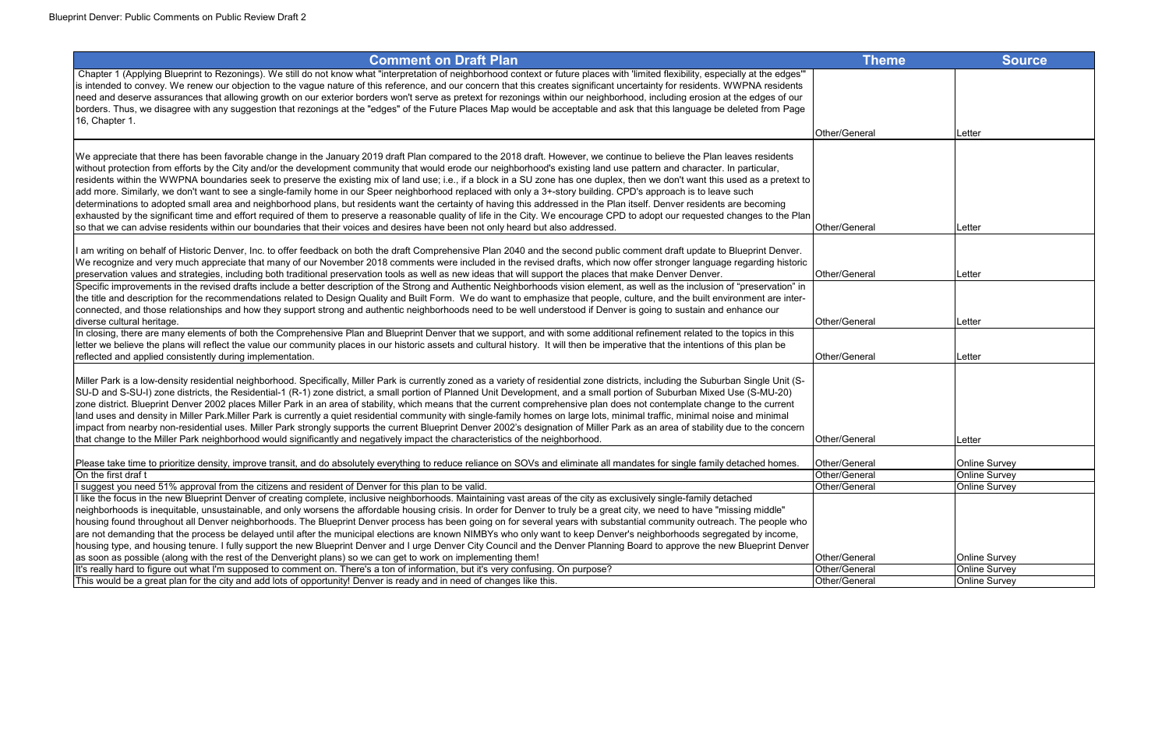| <b>Theme</b>  | <b>Source</b>        |
|---------------|----------------------|
|               |                      |
|               |                      |
|               |                      |
| Other/General | Letter               |
|               |                      |
|               |                      |
|               |                      |
|               |                      |
|               |                      |
| Other/General | Letter               |
|               |                      |
|               |                      |
| Other/General | Letter               |
|               |                      |
|               |                      |
| Other/General | Letter               |
|               |                      |
| Other/General | Letter               |
|               |                      |
|               |                      |
|               |                      |
|               |                      |
| Other/General | Letter               |
| Other/General | Online Survey        |
| Other/General | <b>Online Survey</b> |
| Other/General | <b>Online Survey</b> |
|               |                      |
|               |                      |
|               |                      |
| Other/General | Online Survey        |
| Other/General | <b>Online Survey</b> |
| Other/General | Online Survey        |

| <b>Comment on Draft Plan</b>                                                                                                                                                                                                                                                                                                                          | Theme         | <b>Source</b>        |
|-------------------------------------------------------------------------------------------------------------------------------------------------------------------------------------------------------------------------------------------------------------------------------------------------------------------------------------------------------|---------------|----------------------|
| Chapter 1 (Applying Blueprint to Rezonings). We still do not know what "interpretation of neighborhood context or future places with 'limited flexibility, especially at the edges"                                                                                                                                                                   |               |                      |
| is intended to convey. We renew our objection to the vague nature of this reference, and our concern that this creates significant uncertainty for residents. WWPNA residents                                                                                                                                                                         |               |                      |
| need and deserve assurances that allowing growth on our exterior borders won't serve as pretext for rezonings within our neighborhood, including erosion at the edges of our                                                                                                                                                                          |               |                      |
| borders. Thus, we disagree with any suggestion that rezonings at the "edges" of the Future Places Map would be acceptable and ask that this language be deleted from Page                                                                                                                                                                             |               |                      |
| 16, Chapter 1.                                                                                                                                                                                                                                                                                                                                        |               |                      |
|                                                                                                                                                                                                                                                                                                                                                       | Other/General | lLetter              |
| We appreciate that there has been favorable change in the January 2019 draft Plan compared to the 2018 draft. However, we continue to believe the Plan leaves residents                                                                                                                                                                               |               |                      |
| without protection from efforts by the City and/or the development community that would erode our neighborhood's existing land use pattern and character. In particular,                                                                                                                                                                              |               |                      |
| residents within the WWPNA boundaries seek to preserve the existing mix of land use; i.e., if a block in a SU zone has one duplex, then we don't want this used as a pretext to                                                                                                                                                                       |               |                      |
| add more. Similarly, we don't want to see a single-family home in our Speer neighborhood replaced with only a 3+-story building. CPD's approach is to leave such                                                                                                                                                                                      |               |                      |
| determinations to adopted small area and neighborhood plans, but residents want the certainty of having this addressed in the Plan itself. Denver residents are becoming                                                                                                                                                                              |               |                      |
| exhausted by the significant time and effort required of them to preserve a reasonable quality of life in the City. We encourage CPD to adopt our requested changes to the Plan                                                                                                                                                                       |               |                      |
| so that we can advise residents within our boundaries that their voices and desires have been not only heard but also addressed.                                                                                                                                                                                                                      | Other/General | Letter               |
|                                                                                                                                                                                                                                                                                                                                                       |               |                      |
| I am writing on behalf of Historic Denver, Inc. to offer feedback on both the draft Comprehensive Plan 2040 and the second public comment draft update to Blueprint Denver.                                                                                                                                                                           |               |                      |
| We recognize and very much appreciate that many of our November 2018 comments were included in the revised drafts, which now offer stronger language regarding historic                                                                                                                                                                               |               |                      |
| preservation values and strategies, including both traditional preservation tools as well as new ideas that will support the places that make Denver Denver.                                                                                                                                                                                          | Other/General | Letter               |
| Specific improvements in the revised drafts include a better description of the Strong and Authentic Neighborhoods vision element, as well as the inclusion of "preservation" in                                                                                                                                                                      |               |                      |
| the title and description for the recommendations related to Design Quality and Built Form. We do want to emphasize that people, culture, and the built environment are inter-<br>connected, and those relationships and how they support strong and authentic neighborhoods need to be well understood if Denver is going to sustain and enhance our |               |                      |
| diverse cultural heritage.                                                                                                                                                                                                                                                                                                                            | Other/General | Letter               |
| In closing, there are many elements of both the Comprehensive Plan and Blueprint Denver that we support, and with some additional refinement related to the topics in this                                                                                                                                                                            |               |                      |
| letter we believe the plans will reflect the value our community places in our historic assets and cultural history. It will then be imperative that the intentions of this plan be                                                                                                                                                                   |               |                      |
| reflected and applied consistently during implementation.                                                                                                                                                                                                                                                                                             | Other/General | <b>Letter</b>        |
|                                                                                                                                                                                                                                                                                                                                                       |               |                      |
| Miller Park is a low-density residential neighborhood. Specifically, Miller Park is currently zoned as a variety of residential zone districts, including the Suburban Single Unit (S-                                                                                                                                                                |               |                      |
| SU-D and S-SU-I) zone districts, the Residential-1 (R-1) zone district, a small portion of Planned Unit Development, and a small portion of Suburban Mixed Use (S-MU-20)                                                                                                                                                                              |               |                      |
| zone district. Blueprint Denver 2002 places Miller Park in an area of stability, which means that the current comprehensive plan does not contemplate change to the current                                                                                                                                                                           |               |                      |
| land uses and density in Miller Park.Miller Park is currently a quiet residential community with single-family homes on large lots, minimal traffic, minimal noise and minimal                                                                                                                                                                        |               |                      |
| impact from nearby non-residential uses. Miller Park strongly supports the current Blueprint Denver 2002's designation of Miller Park as an area of stability due to the concern                                                                                                                                                                      |               |                      |
| that change to the Miller Park neighborhood would significantly and negatively impact the characteristics of the neighborhood.                                                                                                                                                                                                                        | Other/General | Letter               |
| Please take time to prioritize density, improve transit, and do absolutely everything to reduce reliance on SOVs and eliminate all mandates for single family detached homes.                                                                                                                                                                         | Other/General | <b>Online Survey</b> |
| On the first draf t                                                                                                                                                                                                                                                                                                                                   | Other/General | <b>Online Survey</b> |
| I suggest you need 51% approval from the citizens and resident of Denver for this plan to be valid.                                                                                                                                                                                                                                                   | Other/General | Online Survey        |
| I like the focus in the new Blueprint Denver of creating complete, inclusive neighborhoods. Maintaining vast areas of the city as exclusively single-family detached                                                                                                                                                                                  |               |                      |
| neighborhoods is inequitable, unsustainable, and only worsens the affordable housing crisis. In order for Denver to truly be a great city, we need to have "missing middle"                                                                                                                                                                           |               |                      |
| housing found throughout all Denver neighborhoods. The Blueprint Denver process has been going on for several years with substantial community outreach. The people who                                                                                                                                                                               |               |                      |
| are not demanding that the process be delayed until after the municipal elections are known NIMBYs who only want to keep Denver's neighborhoods segregated by income,                                                                                                                                                                                 |               |                      |
| housing type, and housing tenure. I fully support the new Blueprint Denver and I urge Denver City Council and the Denver Planning Board to approve the new Blueprint Denver                                                                                                                                                                           |               |                      |
| as soon as possible (along with the rest of the Denveright plans) so we can get to work on implementing them!                                                                                                                                                                                                                                         | Other/General | <b>Online Survey</b> |
| It's really hard to figure out what I'm supposed to comment on. There's a ton of information, but it's very confusing. On purpose?                                                                                                                                                                                                                    | Other/General | <b>Online Survey</b> |

This would be a great plan for the city and add lots of opportunity! Denver is ready and in need of changes like this.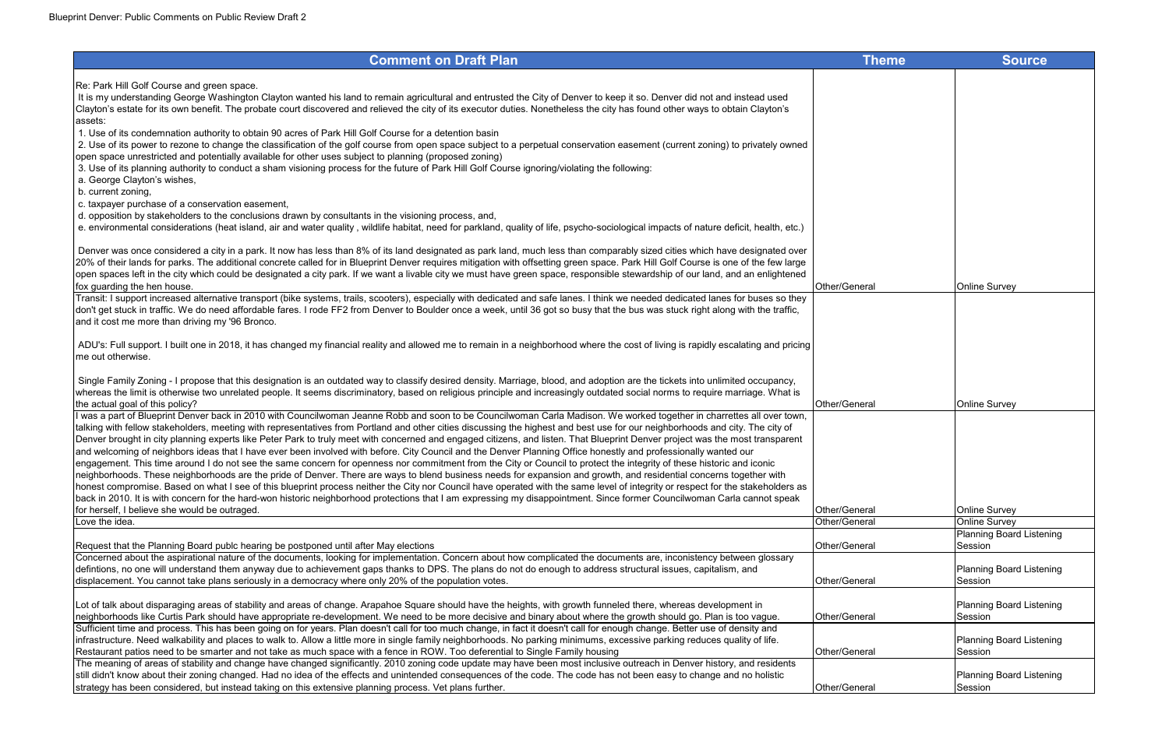Re: Park Hill Golf Course and green space.

 It is my understanding George Washington Clayton wanted his land to remain agricultural and entrusted the City of Denver to keep it so. Denver did not and instead used Clayton's estate for its own benefit. The probate court discovered and relieved the city of its executor duties. Nonetheless the city has found other ways to obtain Clayton's assets:

1. Use of its condemnation authority to obtain 90 acres of Park Hill Golf Course for a detention basin

2. Use of its power to rezone to change the classification of the golf course from open space subject to a perpetual conservation easement (current zoning) to privately owned open space unrestricted and potentially available for other uses subject to planning (proposed zoning) 3. Use of its planning authority to conduct a sham visioning process for the future of Park Hill Golf Course ignoring/violating the following: a. George Clayton's wishes, b. current zoning, c. taxpayer purchase of a conservation easement, d. opposition by stakeholders to the conclusions drawn by consultants in the visioning process, and, e. environmental considerations (heat island, air and water quality , wildlife habitat, need for parkland, quality of life, psycho-sociological impacts of nature deficit, health, etc.) Denver was once considered a city in a park. It now has less than 8% of its land designated as park land, much less than comparably sized cities which have designated over 20% of their lands for parks. The additional concrete called for in Blueprint Denver requires mitigation with offsetting green space. Park Hill Golf Course is one of the few large open spaces left in the city which could be designated a city park. If we want a livable city we must have green space, responsible stewardship of our land, and an enlightened fox guarding the hen house. Other/General Online Survey Transit: I support increased alternative transport (bike systems, trails, scooters), especially with dedicated and safe lanes. I think we needed dedicated lanes for buses so they don't get stuck in traffic. We do need affordable fares. I rode FF2 from Denver to Boulder once a week, until 36 got so busy that the bus was stuck right along with the traffic, and it cost me more than driving my '96 Bronco. ADU's: Full support. I built one in 2018, it has changed my financial reality and allowed me to remain in a neighborhood where the cost of living is rapidly escalating and pricing me out otherwise. Single Family Zoning - I propose that this designation is an outdated way to classify desired density. Marriage, blood, and adoption are the tickets into unlimited occupancy, whereas the limit is otherwise two unrelated people. It seems discriminatory, based on religious principle and increasingly outdated social norms to require marriage. What is the actual goal of this policy? Other/General Online Survey I was a part of Blueprint Denver back in 2010 with Councilwoman Jeanne Robb and soon to be Councilwoman Carla Madison. We worked together in charrettes all over town, talking with fellow stakeholders, meeting with representatives from Portland and other cities discussing the highest and best use for our neighborhoods and city. The city of Denver brought in city planning experts like Peter Park to truly meet with concerned and engaged citizens, and listen. That Blueprint Denver project was the most transparent and welcoming of neighbors ideas that I have ever been involved with before. City Council and the Denver Planning Office honestly and professionally wanted our engagement. This time around I do not see the same concern for openness nor commitment from the City or Council to protect the integrity of these historic and iconic neighborhoods. These neighborhoods are the pride of Denver. There are ways to blend business needs for expansion and growth, and residential concerns together with honest compromise. Based on what I see of this blueprint process neither the City nor Council have operated with the same level of integrity or respect for the stakeholders as back in 2010. It is with concern for the hard-won historic neighborhood protections that I am expressing my disappointment. Since former Councilwoman Carla cannot speak for herself, I believe she would be outraged.  $\Box$  Other/General Online Survey in the Survey of Survey of Survey Survey in the Survey of Survey of Survey Survey of Survey Survey Survey of Survey Survey Survey Survey Survey Love the idea. Other/General Online Survey Request that the Planning Board publc hearing be postponed until after May elections **Other Access 1996** (Other/General Ceneral Ceneral Ceneral Ceneral Ceneral Ceneral Ceneral Ceneral Ceneral Ceneral Ceneral Ceneral Cenera Concerned about the aspirational nature of the documents, looking for implementation. Concern about how complicated the documents are, inconistency between glossary defintions, no one will understand them anyway due to achievement gaps thanks to DPS. The plans do not do enough to address structural issues, capitalism, and displacement. You cannot take plans seriously in a democracy where only 20% of the population votes. Other/General Lot of talk about disparaging areas of stability and areas of change. Arapahoe Square should have the heights, with growth funneled there, whereas development in neighborhoods like Curtis Park should have appropriate re-development. We need to be more decisive and binary about where the growth should go. Plan is too vague. [Other/Gener] Sufficient time and process. This has been going on for years. Plan doesn't call for too much change, in fact it doesn't call for enough change. Better use of density and infrastructure. Need walkability and places to walk to. Allow a little more in single family neighborhoods. No parking minimums, excessive parking reduces quality of life. Restaurant patios need to be smarter and not take as much space with a fence in ROW. Too deferential to Single Family housing **Other Accepts** (Other/General Accepts) The meaning of areas of stability and change have changed significantly. 2010 zoning code update may have been most inclusive outreach in Denver history, and residents still didn't know about their zoning changed. Had no idea of the effects and unintended consequences of the code. The code has not been easy to change and no holistic

| <b>Theme</b> | Source                                     |
|--------------|--------------------------------------------|
|              |                                            |
|              |                                            |
|              |                                            |
|              |                                            |
|              |                                            |
|              |                                            |
|              |                                            |
|              |                                            |
|              |                                            |
|              |                                            |
|              |                                            |
|              |                                            |
| eral         | Online Survey                              |
|              |                                            |
|              |                                            |
|              |                                            |
|              |                                            |
|              |                                            |
|              |                                            |
| eral         | Online Survey                              |
|              |                                            |
|              |                                            |
|              |                                            |
|              |                                            |
|              |                                            |
| eral         | Online Survey                              |
| eral         | <b>Online Survey</b>                       |
| eral         | <b>Planning Board Listening</b><br>Session |
|              |                                            |
| eral         | <b>Planning Board Listening</b><br>Session |
|              |                                            |
| eral         | <b>Planning Board Listening</b><br>Session |
|              |                                            |
| eral         | <b>Planning Board Listening</b><br>Session |
|              |                                            |
| eral         | <b>Planning Board Listening</b><br>Session |
|              |                                            |

strategy has been considered, but instead taking on this extensive planning process. Vet plans further. Other/General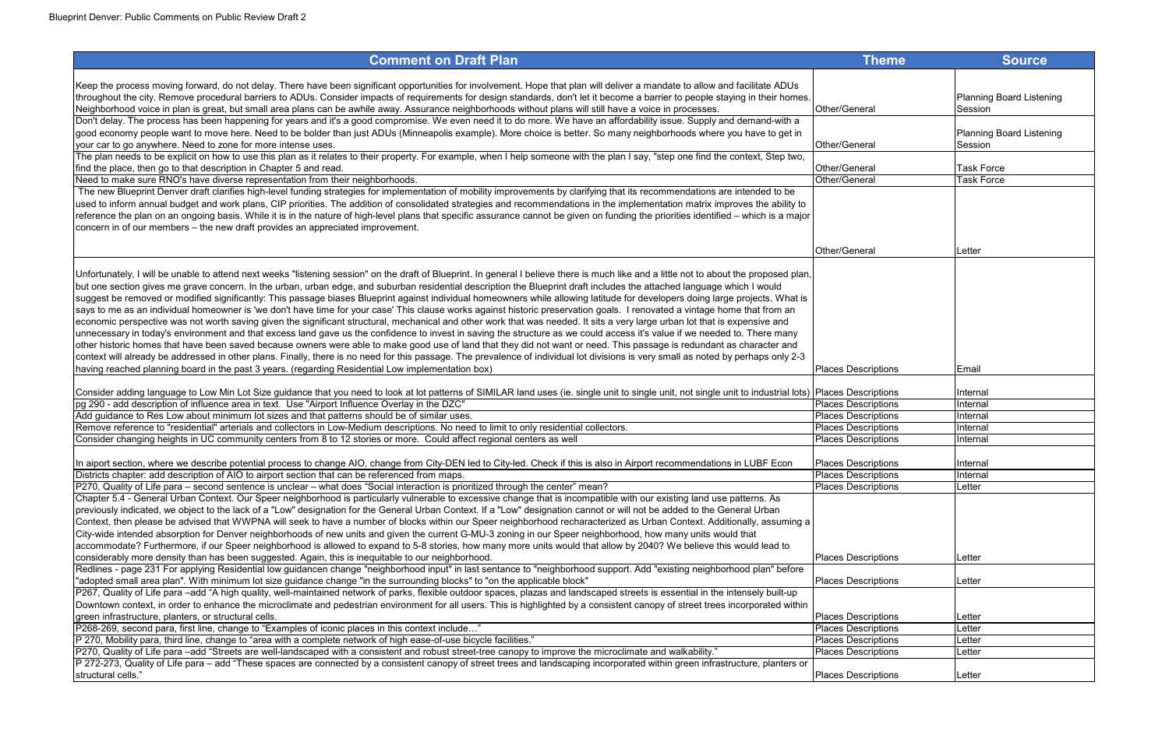| <b>Theme</b>                                             | <b>Source</b>                   |
|----------------------------------------------------------|---------------------------------|
|                                                          |                                 |
|                                                          |                                 |
|                                                          | <b>Planning Board Listening</b> |
| Other/General                                            | Session                         |
|                                                          |                                 |
|                                                          | <b>Planning Board Listening</b> |
| Other/General                                            | Session                         |
| Other/General                                            | Task Force                      |
| Other/General                                            | <b>Task Force</b>               |
|                                                          |                                 |
|                                                          |                                 |
|                                                          |                                 |
|                                                          |                                 |
|                                                          |                                 |
| Other/General                                            | Letter                          |
|                                                          |                                 |
|                                                          |                                 |
|                                                          |                                 |
|                                                          |                                 |
|                                                          |                                 |
|                                                          |                                 |
|                                                          |                                 |
|                                                          |                                 |
| <b>Places Descriptions</b>                               | Email                           |
|                                                          |                                 |
| <b>Places Descriptions</b>                               | Internal                        |
| <b>Places Descriptions</b><br><b>Places Descriptions</b> | Internal<br>Internal            |
| <b>Places Descriptions</b>                               | Internal                        |
| <b>Places Descriptions</b>                               | Internal                        |
|                                                          |                                 |
| <b>Places Descriptions</b>                               | Internal                        |
| <b>Places Descriptions</b>                               | Internal                        |
| <b>Places Descriptions</b>                               | Letter                          |
|                                                          |                                 |
|                                                          |                                 |
|                                                          |                                 |
|                                                          |                                 |
| <b>Places Descriptions</b>                               | Letter                          |
|                                                          |                                 |
| <b>Places Descriptions</b>                               | Letter                          |
|                                                          |                                 |
|                                                          |                                 |
| <b>Places Descriptions</b>                               | Letter                          |
| <b>Places Descriptions</b>                               | Letter                          |
| <b>Places Descriptions</b>                               | Letter                          |
| <b>Places Descriptions</b>                               | Letter                          |
|                                                          |                                 |
| <b>Places Descriptions</b>                               | Letter                          |

| <b>Comment on Draft Plan</b>                                                                                                                                                                                                                                                                                                                                                                                                                                                                                                                                                                                                                                                                                                                                                                                                                                                                                                                                                                                                                                                                                                                                                                                                                                               | <b>Theme</b>               | <b>Source</b>                |
|----------------------------------------------------------------------------------------------------------------------------------------------------------------------------------------------------------------------------------------------------------------------------------------------------------------------------------------------------------------------------------------------------------------------------------------------------------------------------------------------------------------------------------------------------------------------------------------------------------------------------------------------------------------------------------------------------------------------------------------------------------------------------------------------------------------------------------------------------------------------------------------------------------------------------------------------------------------------------------------------------------------------------------------------------------------------------------------------------------------------------------------------------------------------------------------------------------------------------------------------------------------------------|----------------------------|------------------------------|
| Keep the process moving forward, do not delay. There have been significant opportunities for involvement. Hope that plan will deliver a mandate to allow and facilitate ADUs<br>throughout the city. Remove procedural barriers to ADUs. Consider impacts of requirements for design standards, don't let it become a barrier to people staying in their homes.                                                                                                                                                                                                                                                                                                                                                                                                                                                                                                                                                                                                                                                                                                                                                                                                                                                                                                            |                            | <b>Planning Board Lister</b> |
| Neighborhood voice in plan is great, but small area plans can be awhile away. Assurance neighborhoods without plans will still have a voice in processes.                                                                                                                                                                                                                                                                                                                                                                                                                                                                                                                                                                                                                                                                                                                                                                                                                                                                                                                                                                                                                                                                                                                  | Other/General              | Session                      |
| Don't delay. The process has been happening for years and it's a good compromise. We even need it to do more. We have an affordability issue. Supply and demand-with a<br>good economy people want to move here. Need to be bolder than just ADUs (Minneapolis example). More choice is better. So many neighborhoods where you have to get in                                                                                                                                                                                                                                                                                                                                                                                                                                                                                                                                                                                                                                                                                                                                                                                                                                                                                                                             |                            | <b>Planning Board Lister</b> |
| your car to go anywhere. Need to zone for more intense uses.                                                                                                                                                                                                                                                                                                                                                                                                                                                                                                                                                                                                                                                                                                                                                                                                                                                                                                                                                                                                                                                                                                                                                                                                               | Other/General              | Session                      |
| The plan needs to be explicit on how to use this plan as it relates to their property. For example, when I help someone with the plan I say, "step one find the context, Step two,                                                                                                                                                                                                                                                                                                                                                                                                                                                                                                                                                                                                                                                                                                                                                                                                                                                                                                                                                                                                                                                                                         |                            |                              |
| find the place, then go to that description in Chapter 5 and read.                                                                                                                                                                                                                                                                                                                                                                                                                                                                                                                                                                                                                                                                                                                                                                                                                                                                                                                                                                                                                                                                                                                                                                                                         | Other/General              | <b>Task Force</b>            |
| Need to make sure RNO's have diverse representation from their neighborhoods.                                                                                                                                                                                                                                                                                                                                                                                                                                                                                                                                                                                                                                                                                                                                                                                                                                                                                                                                                                                                                                                                                                                                                                                              | Other/General              | <b>Task Force</b>            |
| The new Blueprint Denver draft clarifies high-level funding strategies for implementation of mobility improvements by clarifying that its recommendations are intended to be<br>used to inform annual budget and work plans, CIP priorities. The addition of consolidated strategies and recommendations in the implementation matrix improves the ability to<br>reference the plan on an ongoing basis. While it is in the nature of high-level plans that specific assurance cannot be given on funding the priorities identified – which is a major<br>concern in of our members – the new draft provides an appreciated improvement.                                                                                                                                                                                                                                                                                                                                                                                                                                                                                                                                                                                                                                   |                            |                              |
|                                                                                                                                                                                                                                                                                                                                                                                                                                                                                                                                                                                                                                                                                                                                                                                                                                                                                                                                                                                                                                                                                                                                                                                                                                                                            | Other/General              | Letter                       |
| Unfortunately, I will be unable to attend next weeks "listening session" on the draft of Blueprint. In general I believe there is much like and a little not to about the proposed plan,<br>but one section gives me grave concern. In the urban, urban edge, and suburban residential description the Blueprint draft includes the attached language which I would<br>suggest be removed or modified significantly: This passage biases Blueprint against individual homeowners while allowing latitude for developers doing large projects. What is<br>says to me as an individual homeowner is 'we don't have time for your case' This clause works against historic preservation goals. I renovated a vintage home that from an<br>economic perspective was not worth saving given the significant structural, mechanical and other work that was needed. It sits a very large urban lot that is expensive and<br>unnecessary in today's environment and that excess land gave us the confidence to invest in saving the structure as we could access it's value if we needed to. There many<br>other historic homes that have been saved because owners were able to make good use of land that they did not want or need. This passage is redundant as character and |                            |                              |
| context will already be addressed in other plans. Finally, there is no need for this passage. The prevalence of individual lot divisions is very small as noted by perhaps only 2-3<br>having reached planning board in the past 3 years. (regarding Residential Low implementation box)                                                                                                                                                                                                                                                                                                                                                                                                                                                                                                                                                                                                                                                                                                                                                                                                                                                                                                                                                                                   | <b>Places Descriptions</b> | Email                        |
|                                                                                                                                                                                                                                                                                                                                                                                                                                                                                                                                                                                                                                                                                                                                                                                                                                                                                                                                                                                                                                                                                                                                                                                                                                                                            |                            |                              |
| Consider adding language to Low Min Lot Size guidance that you need to look at lot patterns of SIMILAR land uses (ie. single unit to single unit, not single unit to industrial lots)  Places Descriptions                                                                                                                                                                                                                                                                                                                                                                                                                                                                                                                                                                                                                                                                                                                                                                                                                                                                                                                                                                                                                                                                 |                            | Internal                     |
| pg 290 - add description of influence area in text. Use "Airport Influence Overlay in the DZC"                                                                                                                                                                                                                                                                                                                                                                                                                                                                                                                                                                                                                                                                                                                                                                                                                                                                                                                                                                                                                                                                                                                                                                             | <b>Places Descriptions</b> | Internal                     |
| Add guidance to Res Low about minimum lot sizes and that patterns should be of similar uses.                                                                                                                                                                                                                                                                                                                                                                                                                                                                                                                                                                                                                                                                                                                                                                                                                                                                                                                                                                                                                                                                                                                                                                               | <b>Places Descriptions</b> | Internal                     |
| Remove reference to "residential" arterials and collectors in Low-Medium descriptions. No need to limit to only residential collectors.                                                                                                                                                                                                                                                                                                                                                                                                                                                                                                                                                                                                                                                                                                                                                                                                                                                                                                                                                                                                                                                                                                                                    | <b>Places Descriptions</b> | Internal                     |
| Consider changing heights in UC community centers from 8 to 12 stories or more. Could affect regional centers as well                                                                                                                                                                                                                                                                                                                                                                                                                                                                                                                                                                                                                                                                                                                                                                                                                                                                                                                                                                                                                                                                                                                                                      | <b>Places Descriptions</b> | Internal                     |
| In aiport section, where we describe potential process to change AIO, change from City-DEN led to City-led. Check if this is also in Airport recommendations in LUBF Econ                                                                                                                                                                                                                                                                                                                                                                                                                                                                                                                                                                                                                                                                                                                                                                                                                                                                                                                                                                                                                                                                                                  | <b>Places Descriptions</b> | Internal                     |
| Districts chapter: add description of AIO to airport section that can be referenced from maps.                                                                                                                                                                                                                                                                                                                                                                                                                                                                                                                                                                                                                                                                                                                                                                                                                                                                                                                                                                                                                                                                                                                                                                             | <b>Places Descriptions</b> | Internal                     |
| P270, Quality of Life para – second sentence is unclear – what does "Social interaction is prioritized through the center" mean?                                                                                                                                                                                                                                                                                                                                                                                                                                                                                                                                                                                                                                                                                                                                                                                                                                                                                                                                                                                                                                                                                                                                           | <b>Places Descriptions</b> | Letter                       |
| Chapter 5.4 - General Urban Context. Our Speer neighborhood is particularly vulnerable to excessive change that is incompatible with our existing land use patterns. As<br>previously indicated, we object to the lack of a "Low" designation for the General Urban Context. If a "Low" designation cannot or will not be added to the General Urban<br>Context, then please be advised that WWPNA will seek to have a number of blocks within our Speer neighborhood recharacterized as Urban Context. Additionally, assuming a<br>City-wide intended absorption for Denver neighborhoods of new units and given the current G-MU-3 zoning in our Speer neighborhood, how many units would that<br>accommodate? Furthermore, if our Speer neighborhood is allowed to expand to 5-8 stories, how many more units would that allow by 2040? We believe this would lead to                                                                                                                                                                                                                                                                                                                                                                                                   |                            |                              |
| considerably more density than has been suggested. Again, this is inequitable to our neighborhood.                                                                                                                                                                                                                                                                                                                                                                                                                                                                                                                                                                                                                                                                                                                                                                                                                                                                                                                                                                                                                                                                                                                                                                         | <b>Places Descriptions</b> | Letter                       |
| Redlines - page 231 For applying Residential low guidancen change "neighborhood input" in last sentance to "neighborhood support. Add "existing neighborhood plan" before<br>"adopted small area plan". With minimum lot size guidance change "in the surrounding blocks" to "on the applicable block"                                                                                                                                                                                                                                                                                                                                                                                                                                                                                                                                                                                                                                                                                                                                                                                                                                                                                                                                                                     | <b>Places Descriptions</b> | Letter                       |
| P267, Quality of Life para -add "A high quality, well-maintained network of parks, flexible outdoor spaces, plazas and landscaped streets is essential in the intensely built-up                                                                                                                                                                                                                                                                                                                                                                                                                                                                                                                                                                                                                                                                                                                                                                                                                                                                                                                                                                                                                                                                                           |                            |                              |
| Downtown context, in order to enhance the microclimate and pedestrian environment for all users. This is highlighted by a consistent canopy of street trees incorporated within                                                                                                                                                                                                                                                                                                                                                                                                                                                                                                                                                                                                                                                                                                                                                                                                                                                                                                                                                                                                                                                                                            |                            |                              |
| green infrastructure, planters, or structural cells.                                                                                                                                                                                                                                                                                                                                                                                                                                                                                                                                                                                                                                                                                                                                                                                                                                                                                                                                                                                                                                                                                                                                                                                                                       | <b>Places Descriptions</b> | Letter                       |
| P268-269, second para, first line, change to "Examples of iconic places in this context include"                                                                                                                                                                                                                                                                                                                                                                                                                                                                                                                                                                                                                                                                                                                                                                                                                                                                                                                                                                                                                                                                                                                                                                           | <b>Places Descriptions</b> | Letter                       |
| P 270, Mobility para, third line, change to "area with a complete network of high ease-of-use bicycle facilities."                                                                                                                                                                                                                                                                                                                                                                                                                                                                                                                                                                                                                                                                                                                                                                                                                                                                                                                                                                                                                                                                                                                                                         | <b>Places Descriptions</b> | Letter                       |
| P270, Quality of Life para –add "Streets are well-landscaped with a consistent and robust street-tree canopy to improve the microclimate and walkability."                                                                                                                                                                                                                                                                                                                                                                                                                                                                                                                                                                                                                                                                                                                                                                                                                                                                                                                                                                                                                                                                                                                 | <b>Places Descriptions</b> | Letter                       |
| P 272-273, Quality of Life para – add "These spaces are connected by a consistent canopy of street trees and landscaping incorporated within green infrastructure, planters or                                                                                                                                                                                                                                                                                                                                                                                                                                                                                                                                                                                                                                                                                                                                                                                                                                                                                                                                                                                                                                                                                             |                            |                              |
| structural cells."                                                                                                                                                                                                                                                                                                                                                                                                                                                                                                                                                                                                                                                                                                                                                                                                                                                                                                                                                                                                                                                                                                                                                                                                                                                         | <b>Places Descriptions</b> | Letter                       |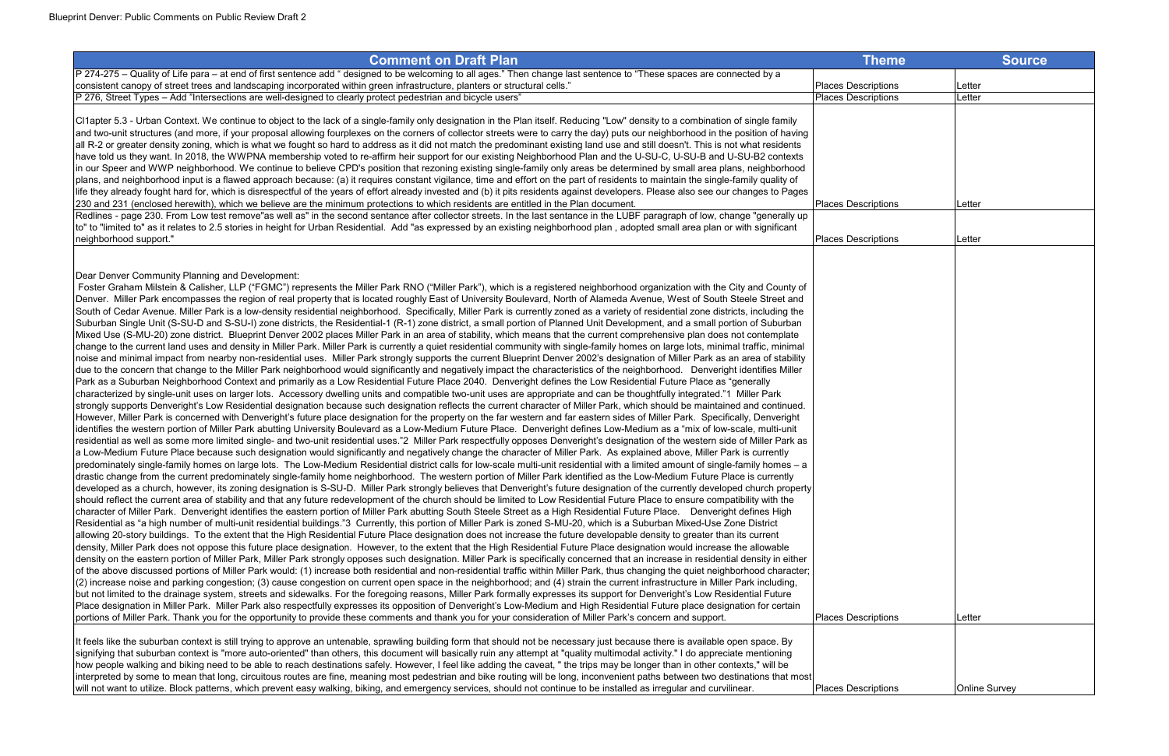| <b>Comment on Draft Plan</b>                                                                                                                                                                                                                                                                                                                                                                                                                                                                                                                                                                                                                                                                                                                                                                                                                                                                                                                                                                                                                                                                                                                                                                                                                                                                                                                                                                                                                                                                                                                                                                                                                                                                                                                                                                                                                                                                                                                                                                                                                                                                                                                                                                                                                                                                                                                                                                                                                                                                                                                                                                                                                                                                                                                                                                                                                                                                                                                                                                                                                                                                                                                                                                                                                                                                                                                                                                                                                                                                                                                                                                                                                                                                                                                                                                                                                                                                                                                                                                                                                                                                                                                                                                                                                                                                                                                                                                                                                                                                                                                                                                                                                                                                                                                                                                                                                                                                                                                                                                                                                                                                                                                                                                                                                                                                                                                                    | <b>Theme</b>                                             | <b>Source</b>        |
|-----------------------------------------------------------------------------------------------------------------------------------------------------------------------------------------------------------------------------------------------------------------------------------------------------------------------------------------------------------------------------------------------------------------------------------------------------------------------------------------------------------------------------------------------------------------------------------------------------------------------------------------------------------------------------------------------------------------------------------------------------------------------------------------------------------------------------------------------------------------------------------------------------------------------------------------------------------------------------------------------------------------------------------------------------------------------------------------------------------------------------------------------------------------------------------------------------------------------------------------------------------------------------------------------------------------------------------------------------------------------------------------------------------------------------------------------------------------------------------------------------------------------------------------------------------------------------------------------------------------------------------------------------------------------------------------------------------------------------------------------------------------------------------------------------------------------------------------------------------------------------------------------------------------------------------------------------------------------------------------------------------------------------------------------------------------------------------------------------------------------------------------------------------------------------------------------------------------------------------------------------------------------------------------------------------------------------------------------------------------------------------------------------------------------------------------------------------------------------------------------------------------------------------------------------------------------------------------------------------------------------------------------------------------------------------------------------------------------------------------------------------------------------------------------------------------------------------------------------------------------------------------------------------------------------------------------------------------------------------------------------------------------------------------------------------------------------------------------------------------------------------------------------------------------------------------------------------------------------------------------------------------------------------------------------------------------------------------------------------------------------------------------------------------------------------------------------------------------------------------------------------------------------------------------------------------------------------------------------------------------------------------------------------------------------------------------------------------------------------------------------------------------------------------------------------------------------------------------------------------------------------------------------------------------------------------------------------------------------------------------------------------------------------------------------------------------------------------------------------------------------------------------------------------------------------------------------------------------------------------------------------------------------------------------------------------------------------------------------------------------------------------------------------------------------------------------------------------------------------------------------------------------------------------------------------------------------------------------------------------------------------------------------------------------------------------------------------------------------------------------------------------------------------------------------------------------------------------------------------------------------------------------------------------------------------------------------------------------------------------------------------------------------------------------------------------------------------------------------------------------------------------------------------------------------------------------------------------------------------------------------------------------------------------------------------------------------------------------------------------|----------------------------------------------------------|----------------------|
| P 274-275 – Quality of Life para – at end of first sentence add " designed to be welcoming to all ages." Then change last sentence to "These spaces are connected by a<br>consistent canopy of street trees and landscaping incorporated within green infrastructure, planters or structural cells."                                                                                                                                                                                                                                                                                                                                                                                                                                                                                                                                                                                                                                                                                                                                                                                                                                                                                                                                                                                                                                                                                                                                                                                                                                                                                                                                                                                                                                                                                                                                                                                                                                                                                                                                                                                                                                                                                                                                                                                                                                                                                                                                                                                                                                                                                                                                                                                                                                                                                                                                                                                                                                                                                                                                                                                                                                                                                                                                                                                                                                                                                                                                                                                                                                                                                                                                                                                                                                                                                                                                                                                                                                                                                                                                                                                                                                                                                                                                                                                                                                                                                                                                                                                                                                                                                                                                                                                                                                                                                                                                                                                                                                                                                                                                                                                                                                                                                                                                                                                                                                                            | <b>Places Descriptions</b>                               | Letter               |
| P 276, Street Types - Add "Intersections are well-designed to clearly protect pedestrian and bicycle users"                                                                                                                                                                                                                                                                                                                                                                                                                                                                                                                                                                                                                                                                                                                                                                                                                                                                                                                                                                                                                                                                                                                                                                                                                                                                                                                                                                                                                                                                                                                                                                                                                                                                                                                                                                                                                                                                                                                                                                                                                                                                                                                                                                                                                                                                                                                                                                                                                                                                                                                                                                                                                                                                                                                                                                                                                                                                                                                                                                                                                                                                                                                                                                                                                                                                                                                                                                                                                                                                                                                                                                                                                                                                                                                                                                                                                                                                                                                                                                                                                                                                                                                                                                                                                                                                                                                                                                                                                                                                                                                                                                                                                                                                                                                                                                                                                                                                                                                                                                                                                                                                                                                                                                                                                                                     | <b>Places Descriptions</b>                               | Letter               |
| CI1apter 5.3 - Urban Context. We continue to object to the lack of a single-family only designation in the Plan itself. Reducing "Low" density to a combination of single family<br>and two-unit structures (and more, if your proposal allowing fourplexes on the corners of collector streets were to carry the day) puts our neighborhood in the position of having<br>all R-2 or greater density zoning, which is what we fought so hard to address as it did not match the predominant existing land use and still doesn't. This is not what residents<br>have told us they want. In 2018, the WWPNA membership voted to re-affirm heir support for our existing Neighborhood Plan and the U-SU-C, U-SU-B and U-SU-B2 contexts<br>In our Speer and WWP neighborhood. We continue to believe CPD's position that rezoning existing single-family only areas be determined by small area plans, neighborhood<br>plans, and neighborhood input is a flawed approach because: (a) it requires constant vigilance, time and effort on the part of residents to maintain the single-family quality of<br>life they already fought hard for, which is disrespectful of the years of effort already invested and (b) it pits residents against developers. Please also see our changes to Pages<br>[230 and 231 (enclosed herewith), which we believe are the minimum protections to which residents are entitled in the Plan document.<br>Redlines - page 230. From Low test remove"as well as" in the second sentance after collector streets. In the last sentance in the LUBF paragraph of low, change "generally up"<br>to" to "limited to" as it relates to 2.5 stories in height for Urban Residential. Add "as expressed by an existing neighborhood plan, adopted small area plan or with significant<br>neighborhood support."                                                                                                                                                                                                                                                                                                                                                                                                                                                                                                                                                                                                                                                                                                                                                                                                                                                                                                                                                                                                                                                                                                                                                                                                                                                                                                                                                                                                                                                                                                                                                                                                                                                                                                                                                                                                                                                                                                                                                                                                                                                                                                                                                                                                                                                                                                                                                                                                                                                                                                                                                                                                                                                                                                                                                                                                                                                                                                                                                                                                                                                                                                                                                                                                                                                                                                                                                                                                                                                                                                                           | <b>Places Descriptions</b><br><b>Places Descriptions</b> | Letter<br>Letter     |
| Dear Denver Community Planning and Development:<br>Foster Graham Milstein & Calisher, LLP ("FGMC") represents the Miller Park RNO ("Miller Park"), which is a registered neighborhood organization with the City and County of<br>Denver. Miller Park encompasses the region of real property that is located roughly East of University Boulevard, North of Alameda Avenue, West of South Steele Street and<br>South of Cedar Avenue. Miller Park is a low-density residential neighborhood. Specifically, Miller Park is currently zoned as a variety of residential zone districts, including the<br>Suburban Single Unit (S-SU-D and S-SU-I) zone districts, the Residential-1 (R-1) zone district, a small portion of Planned Unit Development, and a small portion of Suburban<br>Mixed Use (S-MU-20) zone district. Blueprint Denver 2002 places Miller Park in an area of stability, which means that the current comprehensive plan does not contemplate<br>change to the current land uses and density in Miller Park. Miller Park is currently a quiet residential community with single-family homes on large lots, minimal traffic, minimal<br>noise and minimal impact from nearby non-residential uses. Miller Park strongly supports the current Blueprint Denver 2002's designation of Miller Park as an area of stability<br>due to the concern that change to the Miller Park neighborhood would significantly and negatively impact the characteristics of the neighborhood. Denveright identifies Miller<br>Park as a Suburban Neighborhood Context and primarily as a Low Residential Future Place 2040. Denveright defines the Low Residential Future Place as "generally<br>characterized by single-unit uses on larger lots. Accessory dwelling units and compatible two-unit uses are appropriate and can be thoughtfully integrated."1 Miller Park<br>strongly supports Denveright's Low Residential designation because such designation reflects the current character of Miller Park, which should be maintained and continued.<br>However, Miller Park is concerned with Denveright's future place designation for the property on the far western and far eastern sides of Miller Park. Specifically, Denveright<br>jidentifies the western portion of Miller Park abutting University Boulevard as a Low-Medium Future Place. Denveright defines Low-Medium as a "mix of low-scale, multi-unit<br>residential as well as some more limited single- and two-unit residential uses."2 Miller Park respectfully opposes Denveright's designation of the western side of Miller Park as<br>a Low-Medium Future Place because such designation would significantly and negatively change the character of Miller Park. As explained above, Miller Park is currently<br>predominately single-family homes on large lots. The Low-Medium Residential district calls for low-scale multi-unit residential with a limited amount of single-family homes – a<br>drastic change from the current predominately single-family home neighborhood. The western portion of Miller Park identified as the Low-Medium Future Place is currently<br>developed as a church, however, its zoning designation is S-SU-D. Miller Park strongly believes that Denveright's future designation of the currently developed church property<br>should reflect the current area of stability and that any future redevelopment of the church should be limited to Low Residential Future Place to ensure compatibility with the<br>character of Miller Park. Denveright identifies the eastern portion of Miller Park abutting South Steele Street as a High Residential Future Place. Denveright defines High<br>Residential as "a high number of multi-unit residential buildings."3 Currently, this portion of Miller Park is zoned S-MU-20, which is a Suburban Mixed-Use Zone District<br>allowing 20-story buildings. To the extent that the High Residential Future Place designation does not increase the future developable density to greater than its current<br>density, Miller Park does not oppose this future place designation. However, to the extent that the High Residential Future Place designation would increase the allowable<br>density on the eastern portion of Miller Park, Miller Park strongly opposes such designation. Miller Park is specifically concerned that an increase in residential density in either<br>of the above discussed portions of Miller Park would: (1) increase both residential and non-residential traffic within Miller Park, thus changing the quiet neighborhood character;<br>(2) increase noise and parking congestion; (3) cause congestion on current open space in the neighborhood; and (4) strain the current infrastructure in Miller Park including,<br>but not limited to the drainage system, streets and sidewalks. For the foregoing reasons, Miller Park formally expresses its support for Denveright's Low Residential Future<br>Place designation in Miller Park. Miller Park also respectfully expresses its opposition of Denveright's Low-Medium and High Residential Future place designation for certain<br>portions of Miller Park. Thank you for the opportunity to provide these comments and thank you for your consideration of Miller Park's concern and support. | <b>Places Descriptions</b>                               | Letter               |
| It feels like the suburban context is still trying to approve an untenable, sprawling building form that should not be necessary just because there is available open space. By<br>signifying that suburban context is "more auto-oriented" than others, this document will basically ruin any attempt at "quality multimodal activity." I do appreciate mentioning<br>how people walking and biking need to be able to reach destinations safely. However, I feel like adding the caveat, " the trips may be longer than in other contexts," will be<br>interpreted by some to mean that long, circuitous routes are fine, meaning most pedestrian and bike routing will be long, inconvenient paths between two destinations that most<br>will not want to utilize. Block patterns, which prevent easy walking, biking, and emergency services, should not continue to be installed as irregular and curvilinear.                                                                                                                                                                                                                                                                                                                                                                                                                                                                                                                                                                                                                                                                                                                                                                                                                                                                                                                                                                                                                                                                                                                                                                                                                                                                                                                                                                                                                                                                                                                                                                                                                                                                                                                                                                                                                                                                                                                                                                                                                                                                                                                                                                                                                                                                                                                                                                                                                                                                                                                                                                                                                                                                                                                                                                                                                                                                                                                                                                                                                                                                                                                                                                                                                                                                                                                                                                                                                                                                                                                                                                                                                                                                                                                                                                                                                                                                                                                                                                                                                                                                                                                                                                                                                                                                                                                                                                                                                                             | <b>Places Descriptions</b>                               | <b>Online Survey</b> |

| Theme      | <b>Source</b> |
|------------|---------------|
| scriptions | Letter        |
| scriptions | Letter        |
|            |               |
|            |               |
|            |               |
|            |               |
|            |               |
|            |               |
| scriptions | Letter        |
|            |               |
| scriptions | Letter        |
|            |               |
|            |               |
|            |               |
|            |               |
|            |               |
|            |               |
|            |               |
|            |               |
|            |               |
|            |               |
|            |               |
|            |               |
|            |               |
|            |               |
|            |               |
|            |               |
|            |               |
|            |               |
|            |               |
|            |               |
|            |               |
|            |               |
| scriptions | Letter        |
|            |               |
|            |               |
|            |               |
| scriptions | Online Survey |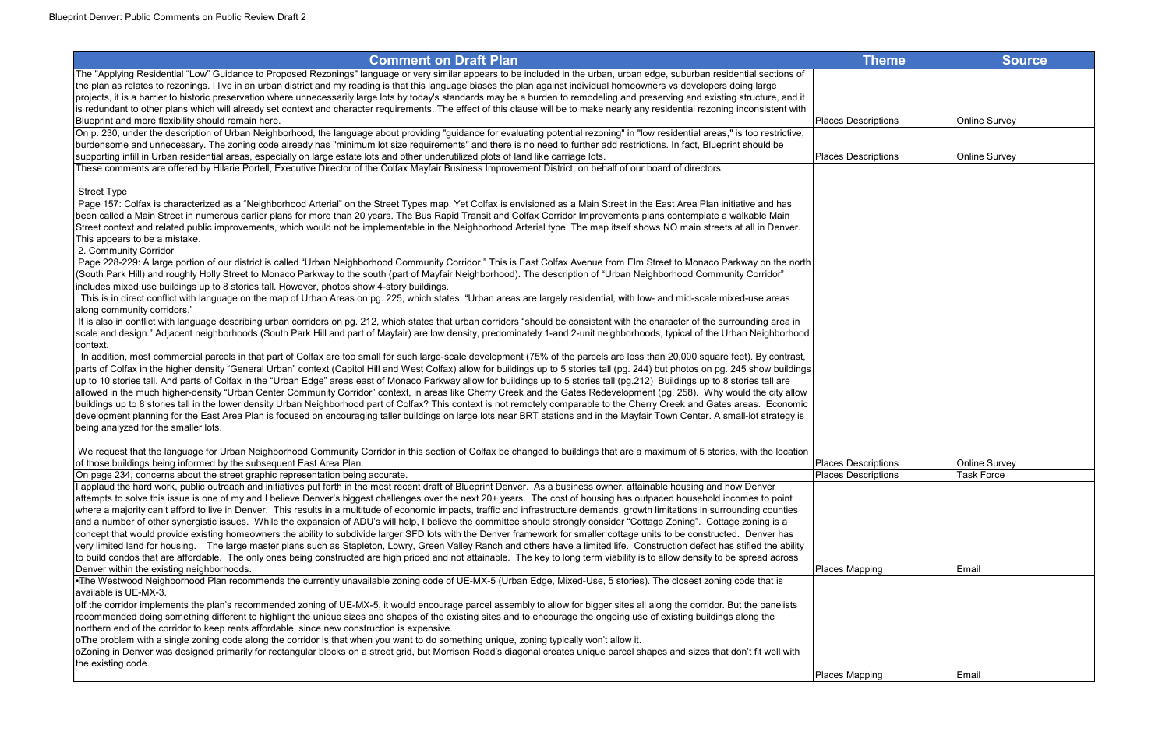| <b>Comment on Draft Plan</b>                                                                                                                                                         | <b>Theme</b>               | <b>Source</b>        |
|--------------------------------------------------------------------------------------------------------------------------------------------------------------------------------------|----------------------------|----------------------|
| The "Applying Residential "Low" Guidance to Proposed Rezonings" language or very similar appears to be included in the urban, urban edge, suburban residential sections of           |                            |                      |
| the plan as relates to rezonings. I live in an urban district and my reading is that this language biases the plan against individual homeowners vs developers doing large           |                            |                      |
| projects, it is a barrier to historic preservation where unnecessarily large lots by today's standards may be a burden to remodeling and preserving and existing structure, and it   |                            |                      |
| is redundant to other plans which will already set context and character requirements. The effect of this clause will be to make nearly any residential rezoning inconsistent with   |                            |                      |
| Blueprint and more flexibility should remain here.                                                                                                                                   | <b>Places Descriptions</b> | <b>Online Survey</b> |
| On p. 230, under the description of Urban Neighborhood, the language about providing "guidance for evaluating potential rezoning" in "low residential areas," is too restrictive,    |                            |                      |
| burdensome and unnecessary. The zoning code already has "minimum lot size requirements" and there is no need to further add restrictions. In fact, Blueprint should be               |                            |                      |
| supporting infill in Urban residential areas, especially on large estate lots and other underutilized plots of land like carriage lots.                                              | <b>Places Descriptions</b> | <b>Online Survey</b> |
| These comments are offered by Hilarie Portell, Executive Director of the Colfax Mayfair Business Improvement District, on behalf of our board of directors.                          |                            |                      |
|                                                                                                                                                                                      |                            |                      |
| <b>Street Type</b>                                                                                                                                                                   |                            |                      |
| Page 157: Colfax is characterized as a "Neighborhood Arterial" on the Street Types map. Yet Colfax is envisioned as a Main Street in the East Area Plan initiative and has           |                            |                      |
| been called a Main Street in numerous earlier plans for more than 20 years. The Bus Rapid Transit and Colfax Corridor Improvements plans contemplate a walkable Main                 |                            |                      |
| Street context and related public improvements, which would not be implementable in the Neighborhood Arterial type. The map itself shows NO main streets at all in Denver.           |                            |                      |
| This appears to be a mistake.                                                                                                                                                        |                            |                      |
| 2. Community Corridor                                                                                                                                                                |                            |                      |
| Page 228-229: A large portion of our district is called "Urban Neighborhood Community Corridor." This is East Colfax Avenue from Elm Street to Monaco Parkway on the north           |                            |                      |
| (South Park Hill) and roughly Holly Street to Monaco Parkway to the south (part of Mayfair Neighborhood). The description of "Urban Neighborhood Community Corridor"                 |                            |                      |
| includes mixed use buildings up to 8 stories tall. However, photos show 4-story buildings.                                                                                           |                            |                      |
| This is in direct conflict with language on the map of Urban Areas on pg. 225, which states: "Urban areas are largely residential, with low- and mid-scale mixed-use areas           |                            |                      |
| along community corridors."                                                                                                                                                          |                            |                      |
| It is also in conflict with language describing urban corridors on pg. 212, which states that urban corridors "should be consistent with the character of the surrounding area in    |                            |                      |
| scale and design." Adjacent neighborhoods (South Park Hill and part of Mayfair) are low density, predominately 1-and 2-unit neighborhoods, typical of the Urban Neighborhood         |                            |                      |
| context.                                                                                                                                                                             |                            |                      |
| In addition, most commercial parcels in that part of Colfax are too small for such large-scale development (75% of the parcels are less than 20,000 square feet). By contrast,       |                            |                      |
| parts of Colfax in the higher density "General Urban" context (Capitol Hill and West Colfax) allow for buildings up to 5 stories tall (pg. 244) but photos on pg. 245 show buildings |                            |                      |
| up to 10 stories tall. And parts of Colfax in the "Urban Edge" areas east of Monaco Parkway allow for buildings up to 5 stories tall (pg.212) Buildings up to 8 stories tall are     |                            |                      |
| allowed in the much higher-density "Urban Center Community Corridor" context, in areas like Cherry Creek and the Gates Redevelopment (pg. 258). Why would the city allow             |                            |                      |
| buildings up to 8 stories tall in the lower density Urban Neighborhood part of Colfax? This context is not remotely comparable to the Cherry Creek and Gates areas. Economic         |                            |                      |
| development planning for the East Area Plan is focused on encouraging taller buildings on large lots near BRT stations and in the Mayfair Town Center. A small-lot strategy is       |                            |                      |
| being analyzed for the smaller lots.                                                                                                                                                 |                            |                      |
| We request that the language for Urban Neighborhood Community Corridor in this section of Colfax be changed to buildings that are a maximum of 5 stories, with the location          |                            |                      |
| of those buildings being informed by the subsequent East Area Plan.                                                                                                                  | <b>Places Descriptions</b> | <b>Online Survey</b> |
| On page 234, concerns about the street graphic representation being accurate.                                                                                                        | <b>Places Descriptions</b> | <b>Task Force</b>    |
| I applaud the hard work, public outreach and initiatives put forth in the most recent draft of Blueprint Denver. As a business owner, attainable housing and how Denver              |                            |                      |
| attempts to solve this issue is one of my and I believe Denver's biggest challenges over the next 20+ years. The cost of housing has outpaced household incomes to point             |                            |                      |
| where a majority can't afford to live in Denver. This results in a multitude of economic impacts, traffic and infrastructure demands, growth limitations in surrounding counties     |                            |                      |
| and a number of other synergistic issues. While the expansion of ADU's will help, I believe the committee should strongly consider "Cottage Zoning". Cottage zoning is a             |                            |                      |
| concept that would provide existing homeowners the ability to subdivide larger SFD lots with the Denver framework for smaller cottage units to be constructed. Denver has            |                            |                      |
| very limited land for housing. The large master plans such as Stapleton, Lowry, Green Valley Ranch and others have a limited life. Construction defect has stifled the ability       |                            |                      |
| to build condos that are affordable. The only ones being constructed are high priced and not attainable. The key to long term viability is to allow density to be spread across      |                            |                      |
| Denver within the existing neighborhoods.                                                                                                                                            | <b>Places Mapping</b>      | Email                |
| •The Westwood Neighborhood Plan recommends the currently unavailable zoning code of UE-MX-5 (Urban Edge, Mixed-Use, 5 stories). The closest zoning code that is                      |                            |                      |
| available is UE-MX-3.                                                                                                                                                                |                            |                      |
| olf the corridor implements the plan's recommended zoning of UE-MX-5, it would encourage parcel assembly to allow for bigger sites all along the corridor. But the panelists         |                            |                      |
| recommended doing something different to highlight the unique sizes and shapes of the existing sites and to encourage the ongoing use of existing buildings along the                |                            |                      |
| northern end of the corridor to keep rents affordable, since new construction is expensive.                                                                                          |                            |                      |
| oThe problem with a single zoning code along the corridor is that when you want to do something unique, zoning typically won't allow it.                                             |                            |                      |
| oZoning in Denver was designed primarily for rectangular blocks on a street grid, but Morrison Road's diagonal creates unique parcel shapes and sizes that don't fit well with       |                            |                      |
| the existing code.                                                                                                                                                                   |                            |                      |
|                                                                                                                                                                                      | Places Mapping             | Email                |
|                                                                                                                                                                                      |                            |                      |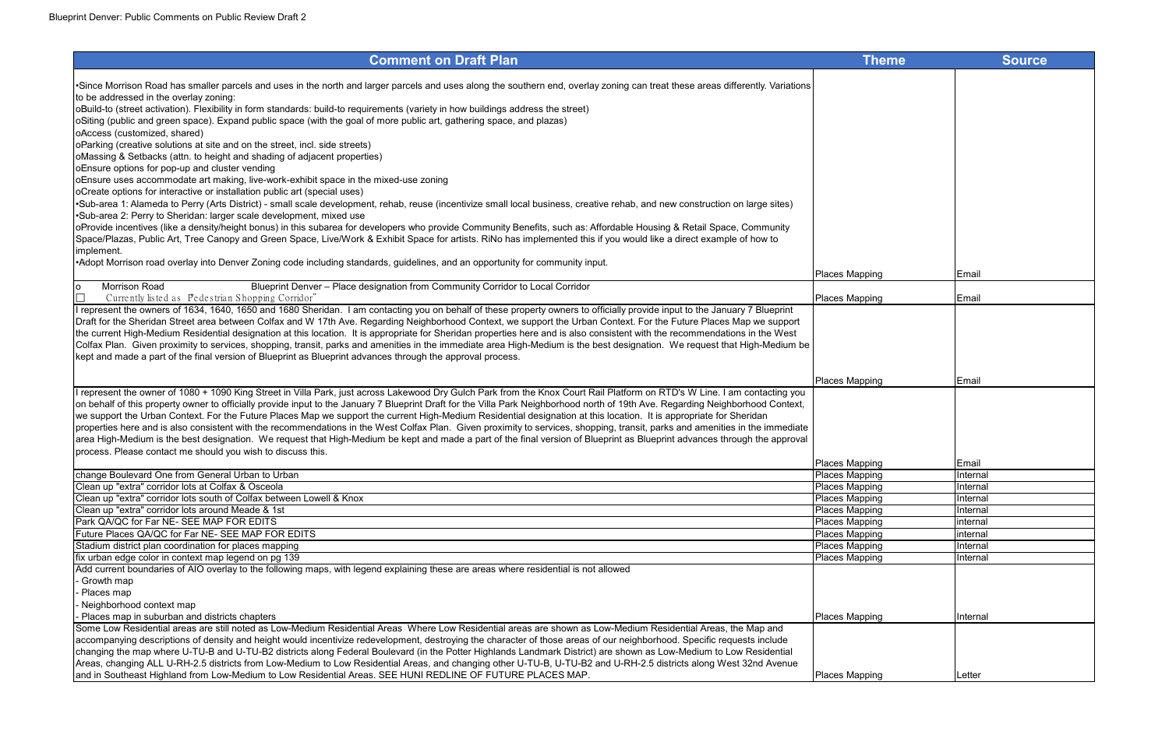| •Since Morrison Road has smaller parcels and uses in the north and larger parcels and uses along the southern end, overlay zoning can treat these areas differently. Variations<br>to be addressed in the overlay zoning:<br>oBuild-to (street activation). Flexibility in form standards: build-to requirements (variety in how buildings address the street)<br>oSiting (public and green space). Expand public space (with the goal of more public art, gathering space, and plazas)<br>oAccess (customized, shared)<br>OParking (creative solutions at site and on the street, incl. side streets)<br>oMassing & Setbacks (attn. to height and shading of adjacent properties)<br>oEnsure options for pop-up and cluster vending<br>oEnsure uses accommodate art making, live-work-exhibit space in the mixed-use zoning<br>oCreate options for interactive or installation public art (special uses)<br>•Sub-area 1: Alameda to Perry (Arts District) - small scale development, rehab, reuse (incentivize small local business, creative rehab, and new construction on large sites)<br>•Sub-area 2: Perry to Sheridan: larger scale development, mixed use<br>oProvide incentives (like a density/height bonus) in this subarea for developers who provide Community Benefits, such as: Affordable Housing & Retail Space, Community<br>Space/Plazas, Public Art, Tree Canopy and Green Space, Live/Work & Exhibit Space for artists. RiNo has implemented this if you would like a direct example of how to<br>implement.<br>-Adopt Morrison road overlay into Denver Zoning code including standards, guidelines, and an opportunity for community input.<br><b>Places Mapping</b><br>Email<br>Morrison Road<br>Blueprint Denver - Place designation from Community Corridor to Local Corridor<br>Currently listed as Pedestrian Shopping Corridor"<br>Places Mapping<br>Email<br>I represent the owners of 1634, 1640, 1650 and 1680 Sheridan. I am contacting you on behalf of these property owners to officially provide input to the January 7 Blueprint<br>Draft for the Sheridan Street area between Colfax and W 17th Ave. Regarding Neighborhood Context, we support the Urban Context. For the Future Places Map we support<br>the current High-Medium Residential designation at this location. It is appropriate for Sheridan properties here and is also consistent with the recommendations in the West<br>Colfax Plan. Given proximity to services, shopping, transit, parks and amenities in the immediate area High-Medium is the best designation. We request that High-Medium be<br>kept and made a part of the final version of Blueprint as Blueprint advances through the approval process.<br>Places Mapping<br>Email<br>I represent the owner of 1080 + 1090 King Street in Villa Park, just across Lakewood Dry Gulch Park from the Knox Court Rail Platform on RTD's W Line. I am contacting you<br>on behalf of this property owner to officially provide input to the January 7 Blueprint Draft for the Villa Park Neighborhood north of 19th Ave. Regarding Neighborhood Context,<br>we support the Urban Context. For the Future Places Map we support the current High-Medium Residential designation at this location. It is appropriate for Sheridan<br>properties here and is also consistent with the recommendations in the West Colfax Plan. Given proximity to services, shopping, transit, parks and amenities in the immediate<br>area High-Medium is the best designation. We request that High-Medium be kept and made a part of the final version of Blueprint as Blueprint advances through the approval<br>process. Please contact me should you wish to discuss this.<br>Places Mapping<br>Email<br>change Boulevard One from General Urban to Urban<br><b>Places Mapping</b><br><b>Internal</b><br>Places Mapping<br>Clean up "extra" corridor lots at Colfax & Osceola<br>Internal<br>Clean up "extra" corridor lots south of Colfax between Lowell & Knox<br>Places Mapping<br>Internal<br>Clean up "extra" corridor lots around Meade & 1st<br>Places Mapping<br>Internal<br>Park QA/QC for Far NE-SEE MAP FOR EDITS<br>Places Mapping<br>internal<br>Future Places QA/QC for Far NE- SEE MAP FOR EDITS<br>Places Mapping<br>internal<br>Places Mapping<br>Stadium district plan coordination for places mapping<br>Internal<br>fix urban edge color in context map legend on pg 139<br><b>Places Mapping</b><br><b>Internal</b><br>Add current boundaries of AIO overlay to the following maps, with legend explaining these are areas where residential is not allowed<br>Growth map<br>Places map<br>Neighborhood context map<br>Places map in suburban and districts chapters<br><b>Places Mapping</b><br>Internal<br>Some Low Residential areas are still noted as Low-Medium Residential Areas Where Low Residential areas are shown as Low-Medium Residential Areas, the Map and<br>accompanying descriptions of density and height would incentivize redevelopment, destroying the character of those areas of our neighborhood. Specific requests include<br>changing the map where U-TU-B and U-TU-B2 districts along Federal Boulevard (in the Potter Highlands Landmark District) are shown as Low-Medium to Low Residential<br>Areas, changing ALL U-RH-2.5 districts from Low-Medium to Low Residential Areas, and changing other U-TU-B, U-TU-B2 and U-RH-2.5 districts along West 32nd Avenue<br>and in Southeast Highland from Low-Medium to Low Residential Areas. SEE HUNI REDLINE OF FUTURE PLACES MAP.<br><b>Places Mapping</b><br>Letter | <b>Comment on Draft Plan</b> | <b>Theme</b> | <b>Source</b> |
|---------------------------------------------------------------------------------------------------------------------------------------------------------------------------------------------------------------------------------------------------------------------------------------------------------------------------------------------------------------------------------------------------------------------------------------------------------------------------------------------------------------------------------------------------------------------------------------------------------------------------------------------------------------------------------------------------------------------------------------------------------------------------------------------------------------------------------------------------------------------------------------------------------------------------------------------------------------------------------------------------------------------------------------------------------------------------------------------------------------------------------------------------------------------------------------------------------------------------------------------------------------------------------------------------------------------------------------------------------------------------------------------------------------------------------------------------------------------------------------------------------------------------------------------------------------------------------------------------------------------------------------------------------------------------------------------------------------------------------------------------------------------------------------------------------------------------------------------------------------------------------------------------------------------------------------------------------------------------------------------------------------------------------------------------------------------------------------------------------------------------------------------------------------------------------------------------------------------------------------------------------------------------------------------------------------------------------------------------------------------------------------------------------------------------------------------------------------------------------------------------------------------------------------------------------------------------------------------------------------------------------------------------------------------------------------------------------------------------------------------------------------------------------------------------------------------------------------------------------------------------------------------------------------------------------------------------------------------------------------------------------------------------------------------------------------------------------------------------------------------------------------------------------------------------------------------------------------------------------------------------------------------------------------------------------------------------------------------------------------------------------------------------------------------------------------------------------------------------------------------------------------------------------------------------------------------------------------------------------------------------------------------------------------------------------------------------------------------------------------------------------------------------------------------------------------------------------------------------------------------------------------------------------------------------------------------------------------------------------------------------------------------------------------------------------------------------------------------------------------------------------------------------------------------------------------------------------------------------------------------------------------------------------------------------------------------------------------------------------------------------------------------------------------------------------------------------------------------------------------------------------------------------------------------------------------------------------------------------------------------------------------------------------------------------------------------------------------------------------------------------------------------------------------------------------------------------------------------------------------------------------------------------------------------------------------------------------------------------------------------------------------------------------------------------------------------------------------------------------------------------------------------------------------------------------------------------------------------------------------------------------------------------------------------------------------------------------------------------------------------------------------------------------------------------------------------------------------------------------------------------------------------------------------------------------------------------------------------------------------------------|------------------------------|--------------|---------------|
|                                                                                                                                                                                                                                                                                                                                                                                                                                                                                                                                                                                                                                                                                                                                                                                                                                                                                                                                                                                                                                                                                                                                                                                                                                                                                                                                                                                                                                                                                                                                                                                                                                                                                                                                                                                                                                                                                                                                                                                                                                                                                                                                                                                                                                                                                                                                                                                                                                                                                                                                                                                                                                                                                                                                                                                                                                                                                                                                                                                                                                                                                                                                                                                                                                                                                                                                                                                                                                                                                                                                                                                                                                                                                                                                                                                                                                                                                                                                                                                                                                                                                                                                                                                                                                                                                                                                                                                                                                                                                                                                                                                                                                                                                                                                                                                                                                                                                                                                                                                                                                                                                                                                                                                                                                                                                                                                                                                                                                                                                                                                                                                                                           |                              |              |               |
|                                                                                                                                                                                                                                                                                                                                                                                                                                                                                                                                                                                                                                                                                                                                                                                                                                                                                                                                                                                                                                                                                                                                                                                                                                                                                                                                                                                                                                                                                                                                                                                                                                                                                                                                                                                                                                                                                                                                                                                                                                                                                                                                                                                                                                                                                                                                                                                                                                                                                                                                                                                                                                                                                                                                                                                                                                                                                                                                                                                                                                                                                                                                                                                                                                                                                                                                                                                                                                                                                                                                                                                                                                                                                                                                                                                                                                                                                                                                                                                                                                                                                                                                                                                                                                                                                                                                                                                                                                                                                                                                                                                                                                                                                                                                                                                                                                                                                                                                                                                                                                                                                                                                                                                                                                                                                                                                                                                                                                                                                                                                                                                                                           |                              |              |               |
|                                                                                                                                                                                                                                                                                                                                                                                                                                                                                                                                                                                                                                                                                                                                                                                                                                                                                                                                                                                                                                                                                                                                                                                                                                                                                                                                                                                                                                                                                                                                                                                                                                                                                                                                                                                                                                                                                                                                                                                                                                                                                                                                                                                                                                                                                                                                                                                                                                                                                                                                                                                                                                                                                                                                                                                                                                                                                                                                                                                                                                                                                                                                                                                                                                                                                                                                                                                                                                                                                                                                                                                                                                                                                                                                                                                                                                                                                                                                                                                                                                                                                                                                                                                                                                                                                                                                                                                                                                                                                                                                                                                                                                                                                                                                                                                                                                                                                                                                                                                                                                                                                                                                                                                                                                                                                                                                                                                                                                                                                                                                                                                                                           |                              |              |               |
|                                                                                                                                                                                                                                                                                                                                                                                                                                                                                                                                                                                                                                                                                                                                                                                                                                                                                                                                                                                                                                                                                                                                                                                                                                                                                                                                                                                                                                                                                                                                                                                                                                                                                                                                                                                                                                                                                                                                                                                                                                                                                                                                                                                                                                                                                                                                                                                                                                                                                                                                                                                                                                                                                                                                                                                                                                                                                                                                                                                                                                                                                                                                                                                                                                                                                                                                                                                                                                                                                                                                                                                                                                                                                                                                                                                                                                                                                                                                                                                                                                                                                                                                                                                                                                                                                                                                                                                                                                                                                                                                                                                                                                                                                                                                                                                                                                                                                                                                                                                                                                                                                                                                                                                                                                                                                                                                                                                                                                                                                                                                                                                                                           |                              |              |               |
|                                                                                                                                                                                                                                                                                                                                                                                                                                                                                                                                                                                                                                                                                                                                                                                                                                                                                                                                                                                                                                                                                                                                                                                                                                                                                                                                                                                                                                                                                                                                                                                                                                                                                                                                                                                                                                                                                                                                                                                                                                                                                                                                                                                                                                                                                                                                                                                                                                                                                                                                                                                                                                                                                                                                                                                                                                                                                                                                                                                                                                                                                                                                                                                                                                                                                                                                                                                                                                                                                                                                                                                                                                                                                                                                                                                                                                                                                                                                                                                                                                                                                                                                                                                                                                                                                                                                                                                                                                                                                                                                                                                                                                                                                                                                                                                                                                                                                                                                                                                                                                                                                                                                                                                                                                                                                                                                                                                                                                                                                                                                                                                                                           | lo                           |              |               |
|                                                                                                                                                                                                                                                                                                                                                                                                                                                                                                                                                                                                                                                                                                                                                                                                                                                                                                                                                                                                                                                                                                                                                                                                                                                                                                                                                                                                                                                                                                                                                                                                                                                                                                                                                                                                                                                                                                                                                                                                                                                                                                                                                                                                                                                                                                                                                                                                                                                                                                                                                                                                                                                                                                                                                                                                                                                                                                                                                                                                                                                                                                                                                                                                                                                                                                                                                                                                                                                                                                                                                                                                                                                                                                                                                                                                                                                                                                                                                                                                                                                                                                                                                                                                                                                                                                                                                                                                                                                                                                                                                                                                                                                                                                                                                                                                                                                                                                                                                                                                                                                                                                                                                                                                                                                                                                                                                                                                                                                                                                                                                                                                                           |                              |              |               |
|                                                                                                                                                                                                                                                                                                                                                                                                                                                                                                                                                                                                                                                                                                                                                                                                                                                                                                                                                                                                                                                                                                                                                                                                                                                                                                                                                                                                                                                                                                                                                                                                                                                                                                                                                                                                                                                                                                                                                                                                                                                                                                                                                                                                                                                                                                                                                                                                                                                                                                                                                                                                                                                                                                                                                                                                                                                                                                                                                                                                                                                                                                                                                                                                                                                                                                                                                                                                                                                                                                                                                                                                                                                                                                                                                                                                                                                                                                                                                                                                                                                                                                                                                                                                                                                                                                                                                                                                                                                                                                                                                                                                                                                                                                                                                                                                                                                                                                                                                                                                                                                                                                                                                                                                                                                                                                                                                                                                                                                                                                                                                                                                                           |                              |              |               |
|                                                                                                                                                                                                                                                                                                                                                                                                                                                                                                                                                                                                                                                                                                                                                                                                                                                                                                                                                                                                                                                                                                                                                                                                                                                                                                                                                                                                                                                                                                                                                                                                                                                                                                                                                                                                                                                                                                                                                                                                                                                                                                                                                                                                                                                                                                                                                                                                                                                                                                                                                                                                                                                                                                                                                                                                                                                                                                                                                                                                                                                                                                                                                                                                                                                                                                                                                                                                                                                                                                                                                                                                                                                                                                                                                                                                                                                                                                                                                                                                                                                                                                                                                                                                                                                                                                                                                                                                                                                                                                                                                                                                                                                                                                                                                                                                                                                                                                                                                                                                                                                                                                                                                                                                                                                                                                                                                                                                                                                                                                                                                                                                                           |                              |              |               |
|                                                                                                                                                                                                                                                                                                                                                                                                                                                                                                                                                                                                                                                                                                                                                                                                                                                                                                                                                                                                                                                                                                                                                                                                                                                                                                                                                                                                                                                                                                                                                                                                                                                                                                                                                                                                                                                                                                                                                                                                                                                                                                                                                                                                                                                                                                                                                                                                                                                                                                                                                                                                                                                                                                                                                                                                                                                                                                                                                                                                                                                                                                                                                                                                                                                                                                                                                                                                                                                                                                                                                                                                                                                                                                                                                                                                                                                                                                                                                                                                                                                                                                                                                                                                                                                                                                                                                                                                                                                                                                                                                                                                                                                                                                                                                                                                                                                                                                                                                                                                                                                                                                                                                                                                                                                                                                                                                                                                                                                                                                                                                                                                                           |                              |              |               |
|                                                                                                                                                                                                                                                                                                                                                                                                                                                                                                                                                                                                                                                                                                                                                                                                                                                                                                                                                                                                                                                                                                                                                                                                                                                                                                                                                                                                                                                                                                                                                                                                                                                                                                                                                                                                                                                                                                                                                                                                                                                                                                                                                                                                                                                                                                                                                                                                                                                                                                                                                                                                                                                                                                                                                                                                                                                                                                                                                                                                                                                                                                                                                                                                                                                                                                                                                                                                                                                                                                                                                                                                                                                                                                                                                                                                                                                                                                                                                                                                                                                                                                                                                                                                                                                                                                                                                                                                                                                                                                                                                                                                                                                                                                                                                                                                                                                                                                                                                                                                                                                                                                                                                                                                                                                                                                                                                                                                                                                                                                                                                                                                                           |                              |              |               |
|                                                                                                                                                                                                                                                                                                                                                                                                                                                                                                                                                                                                                                                                                                                                                                                                                                                                                                                                                                                                                                                                                                                                                                                                                                                                                                                                                                                                                                                                                                                                                                                                                                                                                                                                                                                                                                                                                                                                                                                                                                                                                                                                                                                                                                                                                                                                                                                                                                                                                                                                                                                                                                                                                                                                                                                                                                                                                                                                                                                                                                                                                                                                                                                                                                                                                                                                                                                                                                                                                                                                                                                                                                                                                                                                                                                                                                                                                                                                                                                                                                                                                                                                                                                                                                                                                                                                                                                                                                                                                                                                                                                                                                                                                                                                                                                                                                                                                                                                                                                                                                                                                                                                                                                                                                                                                                                                                                                                                                                                                                                                                                                                                           |                              |              |               |
|                                                                                                                                                                                                                                                                                                                                                                                                                                                                                                                                                                                                                                                                                                                                                                                                                                                                                                                                                                                                                                                                                                                                                                                                                                                                                                                                                                                                                                                                                                                                                                                                                                                                                                                                                                                                                                                                                                                                                                                                                                                                                                                                                                                                                                                                                                                                                                                                                                                                                                                                                                                                                                                                                                                                                                                                                                                                                                                                                                                                                                                                                                                                                                                                                                                                                                                                                                                                                                                                                                                                                                                                                                                                                                                                                                                                                                                                                                                                                                                                                                                                                                                                                                                                                                                                                                                                                                                                                                                                                                                                                                                                                                                                                                                                                                                                                                                                                                                                                                                                                                                                                                                                                                                                                                                                                                                                                                                                                                                                                                                                                                                                                           |                              |              |               |
|                                                                                                                                                                                                                                                                                                                                                                                                                                                                                                                                                                                                                                                                                                                                                                                                                                                                                                                                                                                                                                                                                                                                                                                                                                                                                                                                                                                                                                                                                                                                                                                                                                                                                                                                                                                                                                                                                                                                                                                                                                                                                                                                                                                                                                                                                                                                                                                                                                                                                                                                                                                                                                                                                                                                                                                                                                                                                                                                                                                                                                                                                                                                                                                                                                                                                                                                                                                                                                                                                                                                                                                                                                                                                                                                                                                                                                                                                                                                                                                                                                                                                                                                                                                                                                                                                                                                                                                                                                                                                                                                                                                                                                                                                                                                                                                                                                                                                                                                                                                                                                                                                                                                                                                                                                                                                                                                                                                                                                                                                                                                                                                                                           |                              |              |               |
|                                                                                                                                                                                                                                                                                                                                                                                                                                                                                                                                                                                                                                                                                                                                                                                                                                                                                                                                                                                                                                                                                                                                                                                                                                                                                                                                                                                                                                                                                                                                                                                                                                                                                                                                                                                                                                                                                                                                                                                                                                                                                                                                                                                                                                                                                                                                                                                                                                                                                                                                                                                                                                                                                                                                                                                                                                                                                                                                                                                                                                                                                                                                                                                                                                                                                                                                                                                                                                                                                                                                                                                                                                                                                                                                                                                                                                                                                                                                                                                                                                                                                                                                                                                                                                                                                                                                                                                                                                                                                                                                                                                                                                                                                                                                                                                                                                                                                                                                                                                                                                                                                                                                                                                                                                                                                                                                                                                                                                                                                                                                                                                                                           |                              |              |               |
|                                                                                                                                                                                                                                                                                                                                                                                                                                                                                                                                                                                                                                                                                                                                                                                                                                                                                                                                                                                                                                                                                                                                                                                                                                                                                                                                                                                                                                                                                                                                                                                                                                                                                                                                                                                                                                                                                                                                                                                                                                                                                                                                                                                                                                                                                                                                                                                                                                                                                                                                                                                                                                                                                                                                                                                                                                                                                                                                                                                                                                                                                                                                                                                                                                                                                                                                                                                                                                                                                                                                                                                                                                                                                                                                                                                                                                                                                                                                                                                                                                                                                                                                                                                                                                                                                                                                                                                                                                                                                                                                                                                                                                                                                                                                                                                                                                                                                                                                                                                                                                                                                                                                                                                                                                                                                                                                                                                                                                                                                                                                                                                                                           |                              |              |               |
|                                                                                                                                                                                                                                                                                                                                                                                                                                                                                                                                                                                                                                                                                                                                                                                                                                                                                                                                                                                                                                                                                                                                                                                                                                                                                                                                                                                                                                                                                                                                                                                                                                                                                                                                                                                                                                                                                                                                                                                                                                                                                                                                                                                                                                                                                                                                                                                                                                                                                                                                                                                                                                                                                                                                                                                                                                                                                                                                                                                                                                                                                                                                                                                                                                                                                                                                                                                                                                                                                                                                                                                                                                                                                                                                                                                                                                                                                                                                                                                                                                                                                                                                                                                                                                                                                                                                                                                                                                                                                                                                                                                                                                                                                                                                                                                                                                                                                                                                                                                                                                                                                                                                                                                                                                                                                                                                                                                                                                                                                                                                                                                                                           |                              |              |               |
|                                                                                                                                                                                                                                                                                                                                                                                                                                                                                                                                                                                                                                                                                                                                                                                                                                                                                                                                                                                                                                                                                                                                                                                                                                                                                                                                                                                                                                                                                                                                                                                                                                                                                                                                                                                                                                                                                                                                                                                                                                                                                                                                                                                                                                                                                                                                                                                                                                                                                                                                                                                                                                                                                                                                                                                                                                                                                                                                                                                                                                                                                                                                                                                                                                                                                                                                                                                                                                                                                                                                                                                                                                                                                                                                                                                                                                                                                                                                                                                                                                                                                                                                                                                                                                                                                                                                                                                                                                                                                                                                                                                                                                                                                                                                                                                                                                                                                                                                                                                                                                                                                                                                                                                                                                                                                                                                                                                                                                                                                                                                                                                                                           |                              |              |               |
|                                                                                                                                                                                                                                                                                                                                                                                                                                                                                                                                                                                                                                                                                                                                                                                                                                                                                                                                                                                                                                                                                                                                                                                                                                                                                                                                                                                                                                                                                                                                                                                                                                                                                                                                                                                                                                                                                                                                                                                                                                                                                                                                                                                                                                                                                                                                                                                                                                                                                                                                                                                                                                                                                                                                                                                                                                                                                                                                                                                                                                                                                                                                                                                                                                                                                                                                                                                                                                                                                                                                                                                                                                                                                                                                                                                                                                                                                                                                                                                                                                                                                                                                                                                                                                                                                                                                                                                                                                                                                                                                                                                                                                                                                                                                                                                                                                                                                                                                                                                                                                                                                                                                                                                                                                                                                                                                                                                                                                                                                                                                                                                                                           |                              |              |               |
|                                                                                                                                                                                                                                                                                                                                                                                                                                                                                                                                                                                                                                                                                                                                                                                                                                                                                                                                                                                                                                                                                                                                                                                                                                                                                                                                                                                                                                                                                                                                                                                                                                                                                                                                                                                                                                                                                                                                                                                                                                                                                                                                                                                                                                                                                                                                                                                                                                                                                                                                                                                                                                                                                                                                                                                                                                                                                                                                                                                                                                                                                                                                                                                                                                                                                                                                                                                                                                                                                                                                                                                                                                                                                                                                                                                                                                                                                                                                                                                                                                                                                                                                                                                                                                                                                                                                                                                                                                                                                                                                                                                                                                                                                                                                                                                                                                                                                                                                                                                                                                                                                                                                                                                                                                                                                                                                                                                                                                                                                                                                                                                                                           |                              |              |               |
|                                                                                                                                                                                                                                                                                                                                                                                                                                                                                                                                                                                                                                                                                                                                                                                                                                                                                                                                                                                                                                                                                                                                                                                                                                                                                                                                                                                                                                                                                                                                                                                                                                                                                                                                                                                                                                                                                                                                                                                                                                                                                                                                                                                                                                                                                                                                                                                                                                                                                                                                                                                                                                                                                                                                                                                                                                                                                                                                                                                                                                                                                                                                                                                                                                                                                                                                                                                                                                                                                                                                                                                                                                                                                                                                                                                                                                                                                                                                                                                                                                                                                                                                                                                                                                                                                                                                                                                                                                                                                                                                                                                                                                                                                                                                                                                                                                                                                                                                                                                                                                                                                                                                                                                                                                                                                                                                                                                                                                                                                                                                                                                                                           |                              |              |               |
|                                                                                                                                                                                                                                                                                                                                                                                                                                                                                                                                                                                                                                                                                                                                                                                                                                                                                                                                                                                                                                                                                                                                                                                                                                                                                                                                                                                                                                                                                                                                                                                                                                                                                                                                                                                                                                                                                                                                                                                                                                                                                                                                                                                                                                                                                                                                                                                                                                                                                                                                                                                                                                                                                                                                                                                                                                                                                                                                                                                                                                                                                                                                                                                                                                                                                                                                                                                                                                                                                                                                                                                                                                                                                                                                                                                                                                                                                                                                                                                                                                                                                                                                                                                                                                                                                                                                                                                                                                                                                                                                                                                                                                                                                                                                                                                                                                                                                                                                                                                                                                                                                                                                                                                                                                                                                                                                                                                                                                                                                                                                                                                                                           |                              |              |               |
|                                                                                                                                                                                                                                                                                                                                                                                                                                                                                                                                                                                                                                                                                                                                                                                                                                                                                                                                                                                                                                                                                                                                                                                                                                                                                                                                                                                                                                                                                                                                                                                                                                                                                                                                                                                                                                                                                                                                                                                                                                                                                                                                                                                                                                                                                                                                                                                                                                                                                                                                                                                                                                                                                                                                                                                                                                                                                                                                                                                                                                                                                                                                                                                                                                                                                                                                                                                                                                                                                                                                                                                                                                                                                                                                                                                                                                                                                                                                                                                                                                                                                                                                                                                                                                                                                                                                                                                                                                                                                                                                                                                                                                                                                                                                                                                                                                                                                                                                                                                                                                                                                                                                                                                                                                                                                                                                                                                                                                                                                                                                                                                                                           |                              |              |               |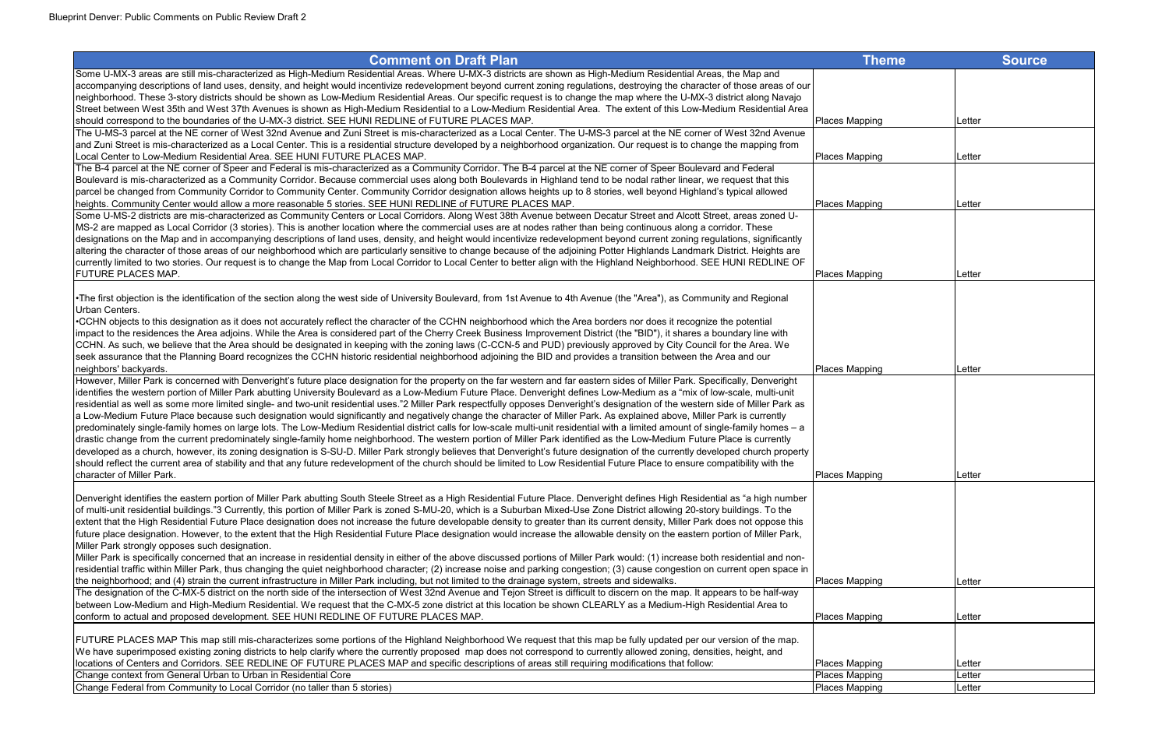| <b>Comment on Draft Plan</b>                                                                                                                                                         | <b>Theme</b>          | <b>Source</b> |
|--------------------------------------------------------------------------------------------------------------------------------------------------------------------------------------|-----------------------|---------------|
| Some U-MX-3 areas are still mis-characterized as High-Medium Residential Areas. Where U-MX-3 districts are shown as High-Medium Residential Areas, the Map and                       |                       |               |
| accompanying descriptions of land uses, density, and height would incentivize redevelopment beyond current zoning regulations, destroying the character of those areas of our        |                       |               |
| neighborhood. These 3-story districts should be shown as Low-Medium Residential Areas. Our specific request is to change the map where the U-MX-3 district along Navajo              |                       |               |
| Street between West 35th and West 37th Avenues is shown as High-Medium Residential to a Low-Medium Residential Area. The extent of this Low-Medium Residential Area                  |                       |               |
| should correspond to the boundaries of the U-MX-3 district. SEE HUNI REDLINE of FUTURE PLACES MAP.                                                                                   | Places Mapping        | Letter        |
| The U-MS-3 parcel at the NE corner of West 32nd Avenue and Zuni Street is mis-characterized as a Local Center. The U-MS-3 parcel at the NE corner of West 32nd Avenue                |                       |               |
| and Zuni Street is mis-characterized as a Local Center. This is a residential structure developed by a neighborhood organization. Our request is to change the mapping from          |                       |               |
| Local Center to Low-Medium Residential Area. SEE HUNI FUTURE PLACES MAP.                                                                                                             | Places Mapping        | Letter        |
| The B-4 parcel at the NE corner of Speer and Federal is mis-characterized as a Community Corridor. The B-4 parcel at the NE corner of Speer Boulevard and Federal                    |                       |               |
| Boulevard is mis-characterized as a Community Corridor. Because commercial uses along both Boulevards in Highland tend to be nodal rather linear, we request that this               |                       |               |
| parcel be changed from Community Corridor to Community Center. Community Corridor designation allows heights up to 8 stories, well beyond Highland's typical allowed                 |                       |               |
| heights. Community Center would allow a more reasonable 5 stories. SEE HUNI REDLINE of FUTURE PLACES MAP.                                                                            | Places Mapping        | Letter        |
| Some U-MS-2 districts are mis-characterized as Community Centers or Local Corridors. Along West 38th Avenue between Decatur Street and Alcott Street, areas zoned U-                 |                       |               |
| MS-2 are mapped as Local Corridor (3 stories). This is another location where the commercial uses are at nodes rather than being continuous along a corridor. These                  |                       |               |
| designations on the Map and in accompanying descriptions of land uses, density, and height would incentivize redevelopment beyond current zoning regulations, significantly          |                       |               |
| altering the character of those areas of our neighborhood which are particularly sensitive to change because of the adjoining Potter Highlands Landmark District. Heights are        |                       |               |
| currently limited to two stories. Our request is to change the Map from Local Corridor to Local Center to better align with the Highland Neighborhood. SEE HUNI REDLINE OF           |                       |               |
| <b>FUTURE PLACES MAP.</b>                                                                                                                                                            | Places Mapping        | Letter        |
|                                                                                                                                                                                      |                       |               |
| The first objection is the identification of the section along the west side of University Boulevard, from 1st Avenue to 4th Avenue (the "Area"), as Community and Regional          |                       |               |
| Urban Centers.                                                                                                                                                                       |                       |               |
| •CCHN objects to this designation as it does not accurately reflect the character of the CCHN neighborhood which the Area borders nor does it recognize the potential                |                       |               |
| limpact to the residences the Area adjoins. While the Area is considered part of the Cherry Creek Business Improvement District (the "BID"), it shares a boundary line with          |                       |               |
| CCHN. As such, we believe that the Area should be designated in keeping with the zoning laws (C-CCN-5 and PUD) previously approved by City Council for the Area. We                  |                       |               |
| seek assurance that the Planning Board recognizes the CCHN historic residential neighborhood adjoining the BID and provides a transition between the Area and our                    |                       |               |
| neighbors' backyards.                                                                                                                                                                | Places Mapping        | Letter        |
| However, Miller Park is concerned with Denveright's future place designation for the property on the far western and far eastern sides of Miller Park. Specifically, Denveright      |                       |               |
| identifies the western portion of Miller Park abutting University Boulevard as a Low-Medium Future Place. Denveright defines Low-Medium as a "mix of low-scale, multi-unit           |                       |               |
| residential as well as some more limited single- and two-unit residential uses."2 Miller Park respectfully opposes Denveright's designation of the western side of Miller Park as    |                       |               |
| a Low-Medium Future Place because such designation would significantly and negatively change the character of Miller Park. As explained above, Miller Park is currently              |                       |               |
| predominately single-family homes on large lots. The Low-Medium Residential district calls for low-scale multi-unit residential with a limited amount of single-family homes - a     |                       |               |
| drastic change from the current predominately single-family home neighborhood. The western portion of Miller Park identified as the Low-Medium Future Place is currently             |                       |               |
| developed as a church, however, its zoning designation is S-SU-D. Miller Park strongly believes that Denveright's future designation of the currently developed church property      |                       |               |
| should reflect the current area of stability and that any future redevelopment of the church should be limited to Low Residential Future Place to ensure compatibility with the      |                       |               |
| character of Miller Park.                                                                                                                                                            | Places Mapping        | Letter        |
|                                                                                                                                                                                      |                       |               |
| Denveright identifies the eastern portion of Miller Park abutting South Steele Street as a High Residential Future Place. Denveright defines High Residential as "a high number      |                       |               |
| of multi-unit residential buildings."3 Currently, this portion of Miller Park is zoned S-MU-20, which is a Suburban Mixed-Use Zone District allowing 20-story buildings. To the      |                       |               |
| extent that the High Residential Future Place designation does not increase the future developable density to greater than its current density, Miller Park does not oppose this     |                       |               |
| future place designation. However, to the extent that the High Residential Future Place designation would increase the allowable density on the eastern portion of Miller Park,      |                       |               |
| Miller Park strongly opposes such designation.                                                                                                                                       |                       |               |
| Miller Park is specifically concerned that an increase in residential density in either of the above discussed portions of Miller Park would: (1) increase both residential and non- |                       |               |
| residential traffic within Miller Park, thus changing the quiet neighborhood character; (2) increase noise and parking congestion; (3) cause congestion on current open space in     |                       |               |
| the neighborhood; and (4) strain the current infrastructure in Miller Park including, but not limited to the drainage system, streets and sidewalks.                                 | Places Mapping        | Letter        |
| The designation of the C-MX-5 district on the north side of the intersection of West 32nd Avenue and Tejon Street is difficult to discern on the map. It appears to be half-way      |                       |               |
| between Low-Medium and High-Medium Residential. We request that the C-MX-5 zone district at this location be shown CLEARLY as a Medium-High Residential Area to                      |                       |               |
| conform to actual and proposed development. SEE HUNI REDLINE OF FUTURE PLACES MAP.                                                                                                   | Places Mapping        | Letter        |
| FUTURE PLACES MAP This map still mis-characterizes some portions of the Highland Neighborhood We request that this map be fully updated per our version of the map.                  |                       |               |
| We have superimposed existing zoning districts to help clarify where the currently proposed map does not correspond to currently allowed zoning, densities, height, and              |                       |               |
| locations of Centers and Corridors. SEE REDLINE OF FUTURE PLACES MAP and specific descriptions of areas still requiring modifications that follow:                                   | Places Mapping        | Letter        |
| Change context from General Urban to Urban in Residential Core                                                                                                                       | <b>Places Mapping</b> | Letter        |
| Change Federal from Community to Local Corridor (no taller than 5 stories)                                                                                                           | <b>Places Mapping</b> | Letter        |
|                                                                                                                                                                                      |                       |               |

| Theme        | Source           |
|--------------|------------------|
|              |                  |
|              |                  |
|              |                  |
| pping        | Letter           |
|              |                  |
| <u>pping</u> | Letter           |
|              |                  |
|              |                  |
| pping        | Letter           |
|              |                  |
|              |                  |
|              |                  |
|              |                  |
| pping        | Letter           |
|              |                  |
|              |                  |
|              |                  |
|              |                  |
| pping        | Letter           |
|              |                  |
|              |                  |
|              |                  |
|              |                  |
|              |                  |
|              |                  |
| pping        | Letter           |
|              |                  |
|              |                  |
|              |                  |
|              |                  |
|              |                  |
|              |                  |
| pping        | Letter           |
|              |                  |
| <u>pping</u> | Letter           |
|              |                  |
|              |                  |
| pping        | Letter           |
| pping        | Letter<br>Letter |
| pping        |                  |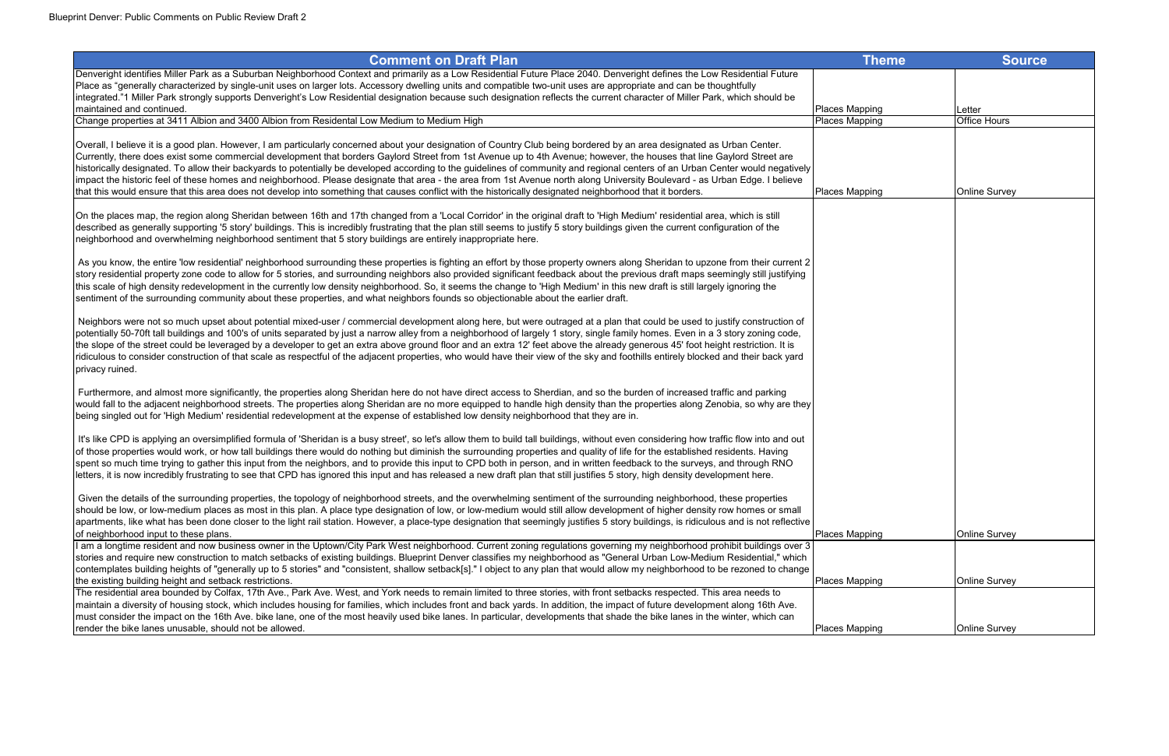| <b>Comment on Draft Plan</b>                                                                                                                                                                                                                                                                                                                                           | <b>Theme</b>          | <b>Source</b>        |
|------------------------------------------------------------------------------------------------------------------------------------------------------------------------------------------------------------------------------------------------------------------------------------------------------------------------------------------------------------------------|-----------------------|----------------------|
| Denveright identifies Miller Park as a Suburban Neighborhood Context and primarily as a Low Residential Future Place 2040. Denveright defines the Low Residential Future                                                                                                                                                                                               |                       |                      |
| Place as "generally characterized by single-unit uses on larger lots. Accessory dwelling units and compatible two-unit uses are appropriate and can be thoughtfully<br>ntegrated."1 Miller Park strongly supports Denveright's Low Residential designation because such designation reflects the current character of Miller Park, which should be                     |                       |                      |
| maintained and continued.                                                                                                                                                                                                                                                                                                                                              | Places Mapping        | Letter               |
| Change properties at 3411 Albion and 3400 Albion from Residental Low Medium to Medium High                                                                                                                                                                                                                                                                             | Places Mapping        | <b>Office Hours</b>  |
| Overall, I believe it is a good plan. However, I am particularly concerned about your designation of Country Club being bordered by an area designated as Urban Center.                                                                                                                                                                                                |                       |                      |
| Currently, there does exist some commercial development that borders Gaylord Street from 1st Avenue up to 4th Avenue; however, the houses that line Gaylord Street are                                                                                                                                                                                                 |                       |                      |
| historically designated. To allow their backyards to potentially be developed according to the guidelines of community and regional centers of an Urban Center would negatively                                                                                                                                                                                        |                       |                      |
| impact the historic feel of these homes and neighborhood. Please designate that area - the area from 1st Avenue north along University Boulevard - as Urban Edge. I believe                                                                                                                                                                                            |                       |                      |
| that this would ensure that this area does not develop into something that causes conflict with the historically designated neighborhood that it borders.                                                                                                                                                                                                              | <b>Places Mapping</b> | <b>Online Survey</b> |
| On the places map, the region along Sheridan between 16th and 17th changed from a 'Local Corridor' in the original draft to 'High Medium' residential area, which is still                                                                                                                                                                                             |                       |                      |
| described as generally supporting '5 story' buildings. This is incredibly frustrating that the plan still seems to justify 5 story buildings given the current configuration of the<br>neighborhood and overwhelming neighborhood sentiment that 5 story buildings are entirely inappropriate here.                                                                    |                       |                      |
|                                                                                                                                                                                                                                                                                                                                                                        |                       |                      |
| As you know, the entire 'low residential' neighborhood surrounding these properties is fighting an effort by those property owners along Sheridan to upzone from their current 2                                                                                                                                                                                       |                       |                      |
| story residential property zone code to allow for 5 stories, and surrounding neighbors also provided significant feedback about the previous draft maps seemingly still justifying<br>this scale of high density redevelopment in the currently low density neighborhood. So, it seems the change to 'High Medium' in this new draft is still largely ignoring the     |                       |                      |
| sentiment of the surrounding community about these properties, and what neighbors founds so objectionable about the earlier draft.                                                                                                                                                                                                                                     |                       |                      |
|                                                                                                                                                                                                                                                                                                                                                                        |                       |                      |
| Neighbors were not so much upset about potential mixed-user / commercial development along here, but were outraged at a plan that could be used to justify construction of<br>potentially 50-70ft tall buildings and 100's of units separated by just a narrow alley from a neighborhood of largely 1 story, single family homes. Even in a 3 story zoning code,       |                       |                      |
| the slope of the street could be leveraged by a developer to get an extra above ground floor and an extra 12' feet above the already generous 45' foot height restriction. It is                                                                                                                                                                                       |                       |                      |
| ridiculous to consider construction of that scale as respectful of the adjacent properties, who would have their view of the sky and foothills entirely blocked and their back yard                                                                                                                                                                                    |                       |                      |
| privacy ruined.                                                                                                                                                                                                                                                                                                                                                        |                       |                      |
| Furthermore, and almost more significantly, the properties along Sheridan here do not have direct access to Sherdian, and so the burden of increased traffic and parking                                                                                                                                                                                               |                       |                      |
| would fall to the adjacent neighborhood streets. The properties along Sheridan are no more equipped to handle high density than the properties along Zenobia, so why are they                                                                                                                                                                                          |                       |                      |
| being singled out for 'High Medium' residential redevelopment at the expense of established low density neighborhood that they are in.                                                                                                                                                                                                                                 |                       |                      |
| It's like CPD is applying an oversimplified formula of 'Sheridan is a busy street', so let's allow them to build tall buildings, without even considering how traffic flow into and out                                                                                                                                                                                |                       |                      |
| of those properties would work, or how tall buildings there would do nothing but diminish the surrounding properties and quality of life for the established residents. Having                                                                                                                                                                                         |                       |                      |
| spent so much time trying to gather this input from the neighbors, and to provide this input to CPD both in person, and in written feedback to the surveys, and through RNO<br>letters, it is now incredibly frustrating to see that CPD has ignored this input and has released a new draft plan that still justifies 5 story, high density development here.         |                       |                      |
|                                                                                                                                                                                                                                                                                                                                                                        |                       |                      |
| Given the details of the surrounding properties, the topology of neighborhood streets, and the overwhelming sentiment of the surrounding neighborhood, these properties                                                                                                                                                                                                |                       |                      |
| should be low, or low-medium places as most in this plan. A place type designation of low, or low-medium would still allow development of higher density row homes or small<br>apartments, like what has been done closer to the light rail station. However, a place-type designation that seemingly justifies 5 story buildings, is ridiculous and is not reflective |                       |                      |
| of neighborhood input to these plans.                                                                                                                                                                                                                                                                                                                                  | Places Mapping        | <b>Online Survey</b> |
| am a longtime resident and now business owner in the Uptown/City Park West neighborhood. Current zoning regulations governing my neighborhood prohibit buildings over 3                                                                                                                                                                                                |                       |                      |
| stories and require new construction to match setbacks of existing buildings. Blueprint Denver classifies my neighborhood as "General Urban Low-Medium Residential," which                                                                                                                                                                                             |                       |                      |
| contemplates building heights of "generally up to 5 stories" and "consistent, shallow setback[s]." I object to any plan that would allow my neighborhood to be rezoned to change<br>the existing building height and setback restrictions.                                                                                                                             | Places Mapping        | <b>Online Survey</b> |
| The residential area bounded by Colfax, 17th Ave., Park Ave. West, and York needs to remain limited to three stories, with front setbacks respected. This area needs to                                                                                                                                                                                                |                       |                      |
| maintain a diversity of housing stock, which includes housing for families, which includes front and back yards. In addition, the impact of future development along 16th Ave.                                                                                                                                                                                         |                       |                      |
| must consider the impact on the 16th Ave. bike lane, one of the most heavily used bike lanes. In particular, developments that shade the bike lanes in the winter, which can<br>render the bike lanes unusable, should not be allowed.                                                                                                                                 | Places Mapping        | <b>Online Survey</b> |
|                                                                                                                                                                                                                                                                                                                                                                        |                       |                      |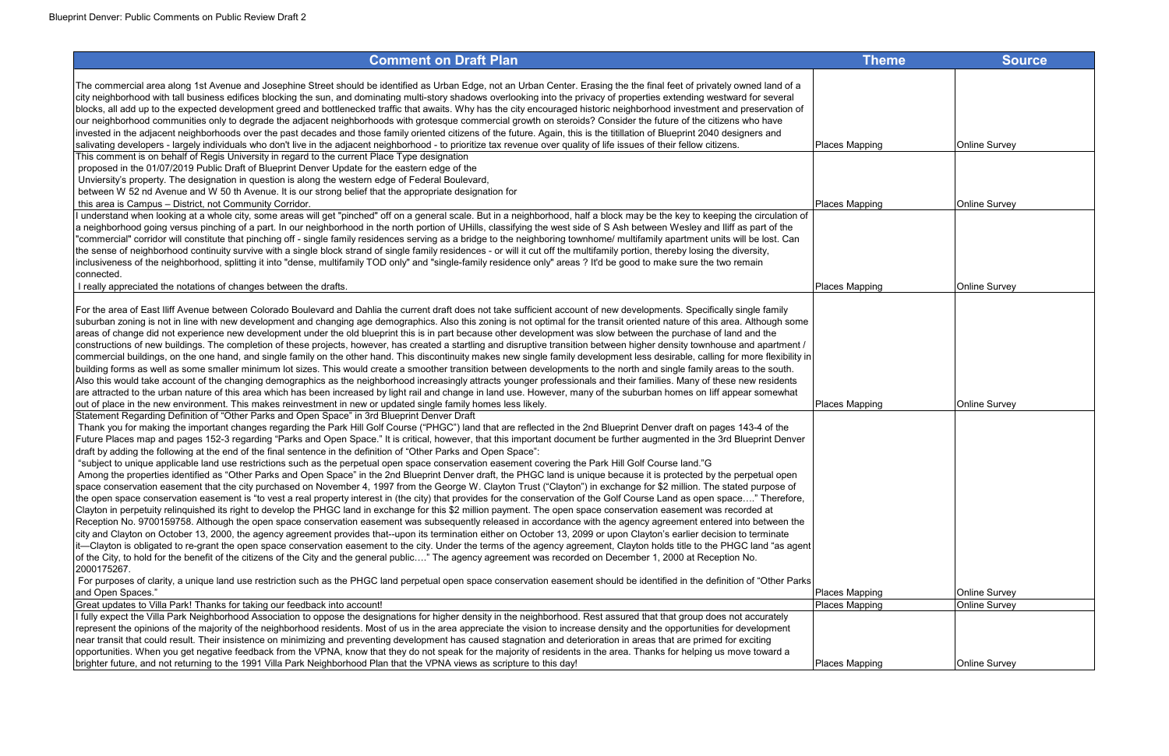| <b>Comment on Draft Plan</b>                                                                                                                                                                                                                                                                                                                                                                                                                                                                                                                                                                                                                                                                                                                                                                                                                                                                                                                                                                                                                                                                                                                                                                                                                                                                                                                                                                                                                                                                                                                                                                                                                                                                                                                                                                                                                                                                                                                                                                                                                                                                                                                                                                                                                                                                                                                                | <b>Theme</b>          | <b>Source</b>        |
|-------------------------------------------------------------------------------------------------------------------------------------------------------------------------------------------------------------------------------------------------------------------------------------------------------------------------------------------------------------------------------------------------------------------------------------------------------------------------------------------------------------------------------------------------------------------------------------------------------------------------------------------------------------------------------------------------------------------------------------------------------------------------------------------------------------------------------------------------------------------------------------------------------------------------------------------------------------------------------------------------------------------------------------------------------------------------------------------------------------------------------------------------------------------------------------------------------------------------------------------------------------------------------------------------------------------------------------------------------------------------------------------------------------------------------------------------------------------------------------------------------------------------------------------------------------------------------------------------------------------------------------------------------------------------------------------------------------------------------------------------------------------------------------------------------------------------------------------------------------------------------------------------------------------------------------------------------------------------------------------------------------------------------------------------------------------------------------------------------------------------------------------------------------------------------------------------------------------------------------------------------------------------------------------------------------------------------------------------------------|-----------------------|----------------------|
| The commercial area along 1st Avenue and Josephine Street should be identified as Urban Edge, not an Urban Center. Erasing the the final feet of privately owned land of a<br>city neighborhood with tall business edifices blocking the sun, and dominating multi-story shadows overlooking into the privacy of properties extending westward for several<br>blocks, all add up to the expected development greed and bottlenecked traffic that awaits. Why has the city encouraged historic neighborhood investment and preservation of<br>our neighborhood communities only to degrade the adjacent neighborhoods with grotesque commercial growth on steroids? Consider the future of the citizens who have<br>invested in the adjacent neighborhoods over the past decades and those family oriented citizens of the future. Again, this is the titillation of Blueprint 2040 designers and                                                                                                                                                                                                                                                                                                                                                                                                                                                                                                                                                                                                                                                                                                                                                                                                                                                                                                                                                                                                                                                                                                                                                                                                                                                                                                                                                                                                                                                            |                       |                      |
| salivating developers - largely individuals who don't live in the adjacent neighborhood - to prioritize tax revenue over quality of life issues of their fellow citizens.                                                                                                                                                                                                                                                                                                                                                                                                                                                                                                                                                                                                                                                                                                                                                                                                                                                                                                                                                                                                                                                                                                                                                                                                                                                                                                                                                                                                                                                                                                                                                                                                                                                                                                                                                                                                                                                                                                                                                                                                                                                                                                                                                                                   | Places Mapping        | <b>Online Survey</b> |
| This comment is on behalf of Regis University in regard to the current Place Type designation<br>proposed in the 01/07/2019 Public Draft of Blueprint Denver Update for the eastern edge of the<br>Unviersity's property. The designation in question is along the western edge of Federal Boulevard,<br>between W 52 nd Avenue and W 50 th Avenue. It is our strong belief that the appropriate designation for<br>this area is Campus - District, not Community Corridor.                                                                                                                                                                                                                                                                                                                                                                                                                                                                                                                                                                                                                                                                                                                                                                                                                                                                                                                                                                                                                                                                                                                                                                                                                                                                                                                                                                                                                                                                                                                                                                                                                                                                                                                                                                                                                                                                                 | Places Mapping        | <b>Online Survey</b> |
| I understand when looking at a whole city, some areas will get "pinched" off on a general scale. But in a neighborhood, half a block may be the key to keeping the circulation of                                                                                                                                                                                                                                                                                                                                                                                                                                                                                                                                                                                                                                                                                                                                                                                                                                                                                                                                                                                                                                                                                                                                                                                                                                                                                                                                                                                                                                                                                                                                                                                                                                                                                                                                                                                                                                                                                                                                                                                                                                                                                                                                                                           |                       |                      |
| a neighborhood going versus pinching of a part. In our neighborhood in the north portion of UHills, classifying the west side of S Ash between Wesley and Iliff as part of the<br>"commercial" corridor will constitute that pinching off - single family residences serving as a bridge to the neighboring townhome/ multifamily apartment units will be lost. Can<br>the sense of neighborhood continuity survive with a single block strand of single family residences - or will it cut off the multifamily portion, thereby losing the diversity,<br>inclusiveness of the neighborhood, splitting it into "dense, multifamily TOD only" and "single-family residence only" areas ? It'd be good to make sure the two remain<br>connected.                                                                                                                                                                                                                                                                                                                                                                                                                                                                                                                                                                                                                                                                                                                                                                                                                                                                                                                                                                                                                                                                                                                                                                                                                                                                                                                                                                                                                                                                                                                                                                                                              |                       |                      |
| I really appreciated the notations of changes between the drafts.                                                                                                                                                                                                                                                                                                                                                                                                                                                                                                                                                                                                                                                                                                                                                                                                                                                                                                                                                                                                                                                                                                                                                                                                                                                                                                                                                                                                                                                                                                                                                                                                                                                                                                                                                                                                                                                                                                                                                                                                                                                                                                                                                                                                                                                                                           | <b>Places Mapping</b> | <b>Online Survey</b> |
| For the area of East Iliff Avenue between Colorado Boulevard and Dahlia the current draft does not take sufficient account of new developments. Specifically single family<br>suburban zoning is not in line with new development and changing age demographics. Also this zoning is not optimal for the transit oriented nature of this area. Although some<br>areas of change did not experience new development under the old blueprint this is in part because other development was slow between the purchase of land and the<br>constructions of new buildings. The completion of these projects, however, has created a startling and disruptive transition between higher density townhouse and apartment /<br>commercial buildings, on the one hand, and single family on the other hand. This discontinuity makes new single family development less desirable, calling for more flexibility in<br>building forms as well as some smaller minimum lot sizes. This would create a smoother transition between developments to the north and single family areas to the south.<br>Also this would take account of the changing demographics as the neighborhood increasingly attracts younger professionals and their families. Many of these new residents<br>are attracted to the urban nature of this area which has been increased by light rail and change in land use. However, many of the suburban homes on liff appear somewhat<br>out of place in the new environment. This makes reinvestment in new or updated single family homes less likely.                                                                                                                                                                                                                                                                                                                                                                                                                                                                                                                                                                                                                                                                                                                                                                                         | <b>Places Mapping</b> | <b>Online Survey</b> |
| Statement Regarding Definition of "Other Parks and Open Space" in 3rd Blueprint Denver Draft<br>Thank you for making the important changes regarding the Park Hill Golf Course ("PHGC") land that are reflected in the 2nd Blueprint Denver draft on pages 143-4 of the<br>Future Places map and pages 152-3 regarding "Parks and Open Space." It is critical, however, that this important document be further augmented in the 3rd Blueprint Denver<br>draft by adding the following at the end of the final sentence in the definition of "Other Parks and Open Space":<br>"subject to unique applicable land use restrictions such as the perpetual open space conservation easement covering the Park Hill Golf Course land."G<br>Among the properties identified as "Other Parks and Open Space" in the 2nd Blueprint Denver draft, the PHGC land is unique because it is protected by the perpetual open<br>space conservation easement that the city purchased on November 4, 1997 from the George W. Clayton Trust ("Clayton") in exchange for \$2 million. The stated purpose of<br>the open space conservation easement is "to vest a real property interest in (the city) that provides for the conservation of the Golf Course Land as open space" Therefore,<br>Clayton in perpetuity relinquished its right to develop the PHGC land in exchange for this \$2 million payment. The open space conservation easement was recorded at<br>Reception No. 9700159758. Although the open space conservation easement was subsequently released in accordance with the agency agreement entered into between the<br>city and Clayton on October 13, 2000, the agency agreement provides that--upon its termination either on October 13, 2099 or upon Clayton's earlier decision to terminate<br>it—Clayton is obligated to re-grant the open space conservation easement to the city. Under the terms of the agency agreement, Clayton holds title to the PHGC land "as agent<br>of the City, to hold for the benefit of the citizens of the City and the general public" The agency agreement was recorded on December 1, 2000 at Reception No.<br>2000175267.<br>For purposes of clarity, a unique land use restriction such as the PHGC land perpetual open space conservation easement should be identified in the definition of "Other Parks" |                       |                      |
| and Open Spaces."                                                                                                                                                                                                                                                                                                                                                                                                                                                                                                                                                                                                                                                                                                                                                                                                                                                                                                                                                                                                                                                                                                                                                                                                                                                                                                                                                                                                                                                                                                                                                                                                                                                                                                                                                                                                                                                                                                                                                                                                                                                                                                                                                                                                                                                                                                                                           | Places Mapping        | <b>Online Survey</b> |
| Great updates to Villa Park! Thanks for taking our feedback into account!                                                                                                                                                                                                                                                                                                                                                                                                                                                                                                                                                                                                                                                                                                                                                                                                                                                                                                                                                                                                                                                                                                                                                                                                                                                                                                                                                                                                                                                                                                                                                                                                                                                                                                                                                                                                                                                                                                                                                                                                                                                                                                                                                                                                                                                                                   | <b>Places Mapping</b> | <b>Online Survey</b> |
| If fully expect the Villa Park Neighborhood Association to oppose the designations for higher density in the neighborhood. Rest assured that that group does not accurately<br>represent the opinions of the majority of the neighborhood residents. Most of us in the area appreciate the vision to increase density and the opportunities for development<br>near transit that could result. Their insistence on minimizing and preventing development has caused stagnation and deterioration in areas that are primed for exciting<br>opportunities. When you get negative feedback from the VPNA, know that they do not speak for the majority of residents in the area. Thanks for helping us move toward a<br>brighter future, and not returning to the 1991 Villa Park Neighborhood Plan that the VPNA views as scripture to this day!                                                                                                                                                                                                                                                                                                                                                                                                                                                                                                                                                                                                                                                                                                                                                                                                                                                                                                                                                                                                                                                                                                                                                                                                                                                                                                                                                                                                                                                                                                              | Places Mapping        | <b>Online Survey</b> |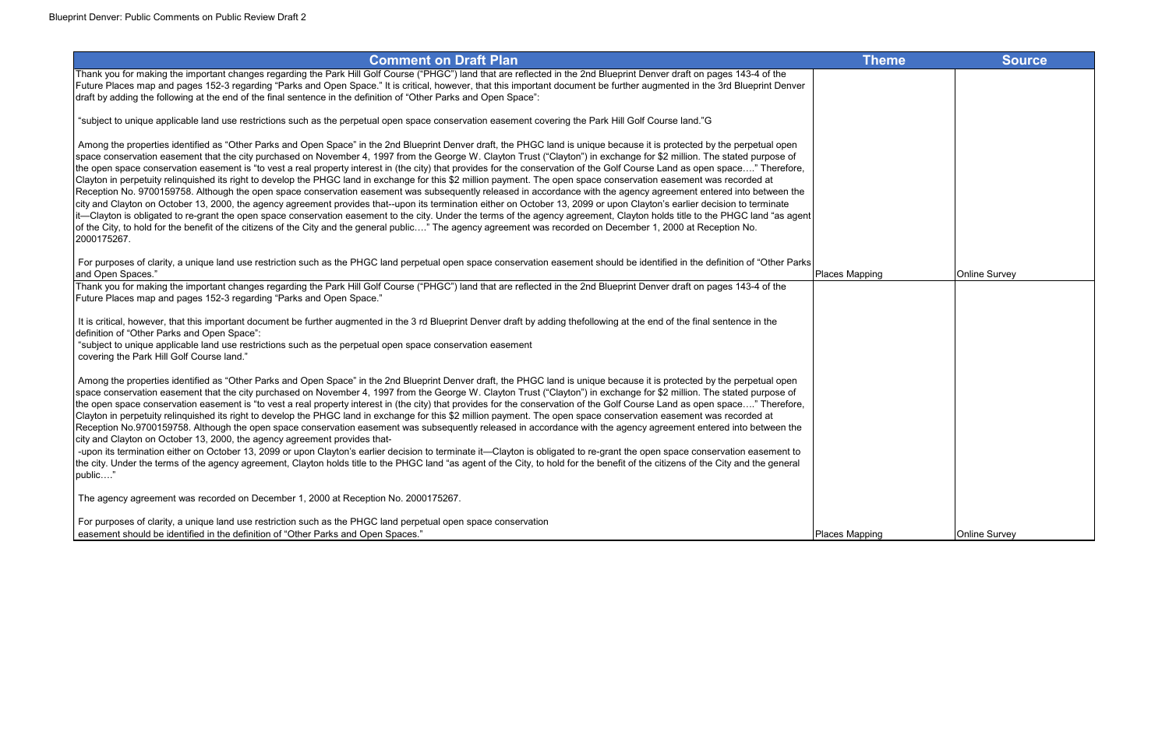# **Comment on Draft Plan** Thank you for making the important changes regarding the Park Hill Golf Course ("PHGC") land that are reflected in the 2nd Blueprint Denver draft on pages 143-4 of the Future Places map and pages 152-3 regarding "Parks and Open Space." It is critical, however, that this important document be further augmented in the 3rd Blueprint Denver draft by adding the following at the end of the final sentence in the definition of "Other Parks and Open Space": "subject to unique applicable land use restrictions such as the perpetual open space conservation easement covering the Park Hill Golf Course land."G Among the properties identified as "Other Parks and Open Space" in the 2nd Blueprint Denver draft, the PHGC land is unique because it is protected by the perpetual open space conservation easement that the city purchased on November 4, 1997 from the George W. Clayton Trust ("Clayton") in exchange for \$2 million. The stated purpose of the open space conservation easement is "to vest a real property interest in (the city) that provides for the conservation of the Golf Course Land as open space…." Therefore, Clayton in perpetuity relinquished its right to develop the PHGC land in exchange for this \$2 million payment. The open space conservation easement was recorded at Reception No. 9700159758. Although the open space conservation easement was subsequently released in accordance with the agency agreement entered into between the city and Clayton on October 13, 2000, the agency agreement provides that--upon its termination either on October 13, 2099 or upon Clayton's earlier decision to terminate it—Clayton is obligated to re-grant the open space conservation easement to the city. Under the terms of the agency agreement, Clayton holds title to the PHGC land "as agent of the City, to hold for the benefit of the citizens of the City and the general public…." The agency agreement was recorded on December 1, 2000 at Reception No. 2000175267. For purposes of clarity, a unique land use restriction such as the PHGC land perpetual open space conservation easement should be identified in the definition of "Other Parks and Open Spaces." Places Mapping Online Survey Thank you for making the important changes regarding the Park Hill Golf Course ("PHGC") land that are reflected in the 2nd Blueprint Denver draft on pages 143-4 of the Future Places map and pages 152-3 regarding "Parks and Open Space." It is critical, however, that this important document be further augmented in the 3 rd Blueprint Denver draft by adding thefollowing at the end of the final sentence in the definition of "Other Parks and Open Space": "subject to unique applicable land use restrictions such as the perpetual open space conservation easement covering the Park Hill Golf Course land." Among the properties identified as "Other Parks and Open Space" in the 2nd Blueprint Denver draft, the PHGC land is unique because it is protected by the perpetual open space conservation easement that the city purchased on November 4, 1997 from the George W. Clayton Trust ("Clayton") in exchange for \$2 million. The stated purpose of the open space conservation easement is "to vest a real property interest in (the city) that provides for the conservation of the Golf Course Land as open space…." Therefore, Clayton in perpetuity relinquished its right to develop the PHGC land in exchange for this \$2 million payment. The open space conservation easement was recorded at Reception No.9700159758. Although the open space conservation easement was subsequently released in accordance with the agency agreement entered into between the city and Clayton on October 13, 2000, the agency agreement provides that- -upon its termination either on October 13, 2099 or upon Clayton's earlier decision to terminate it—Clayton is obligated to re-grant the open space conservation easement to the city. Under the terms of the agency agreement, Clayton holds title to the PHGC land "as agent of the City, to hold for the benefit of the citizens of the City and the general public…." The agency agreement was recorded on December 1, 2000 at Reception No. 2000175267. For purposes of clarity, a unique land use restriction such as the PHGC land perpetual open space conservation easement should be identified in the definition of "Other Parks and Open Spaces." Places Mapping Online Survey on the Survey of Places Mapping Online Survey of Places Mapping Online Survey of Places Mapping Online Survey o

| <b>Theme</b> | Source        |
|--------------|---------------|
|              |               |
|              |               |
|              |               |
|              |               |
|              |               |
|              |               |
|              |               |
|              |               |
|              |               |
|              |               |
|              |               |
| pping        | Online Survey |
|              |               |
|              |               |
|              |               |
|              |               |
|              |               |
|              |               |
|              |               |
|              |               |
|              |               |
|              |               |
|              |               |
|              |               |
|              |               |
|              |               |
| pping        | Online Survey |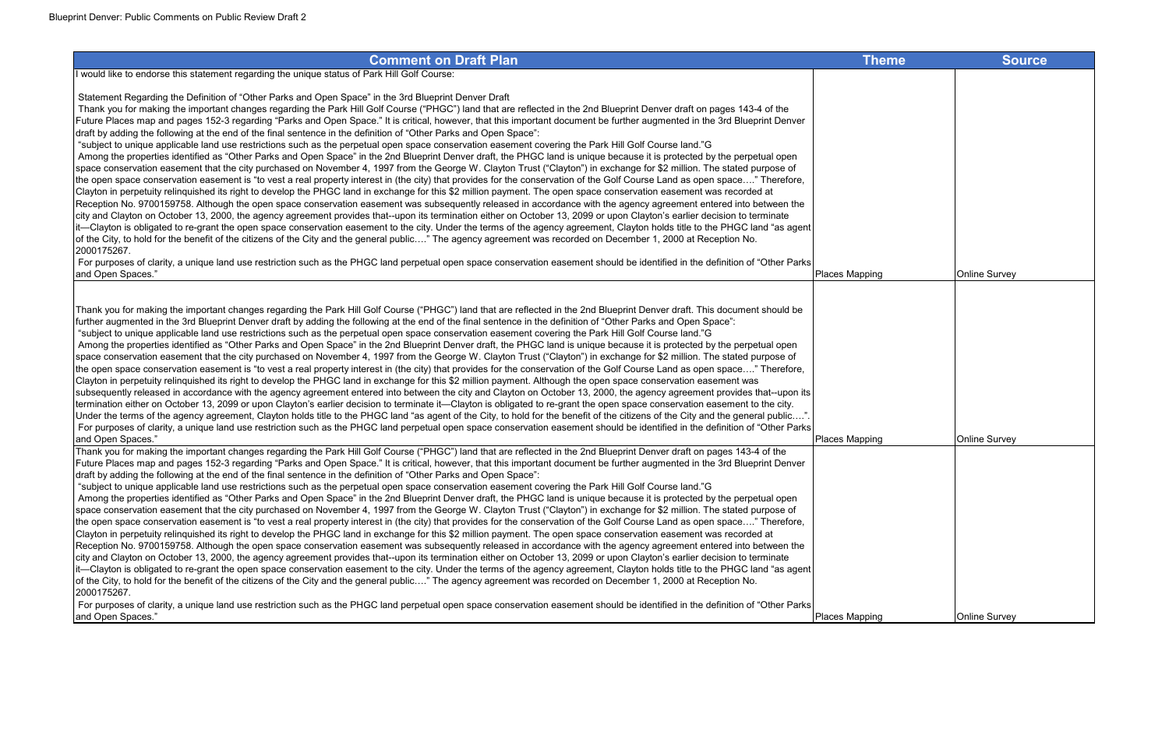I would like to endorse this statement regarding the unique status of Park Hill Golf Course:

Statement Regarding the Definition of "Other Parks and Open Space" in the 3rd Blueprint Denver Draft

 Thank you for making the important changes regarding the Park Hill Golf Course ("PHGC") land that are reflected in the 2nd Blueprint Denver draft on pages 143-4 of the Future Places map and pages 152-3 regarding "Parks and Open Space." It is critical, however, that this important document be further augmented in the 3rd Blueprint Denver draft by adding the following at the end of the final sentence in the definition of "Other Parks and Open Space":

For purposes of clarity, a unique land use restriction such as the PHGC land perpetual open space conservation easement should be identified in the definition of "Other Parks<br>and Open Spaces." and Open Spaces." Places Mapping Online Survey

 "subject to unique applicable land use restrictions such as the perpetual open space conservation easement covering the Park Hill Golf Course land."G Among the properties identified as "Other Parks and Open Space" in the 2nd Blueprint Denver draft, the PHGC land is unique because it is protected by the perpetual open space conservation easement that the city purchased on November 4, 1997 from the George W. Clayton Trust ("Clayton") in exchange for \$2 million. The stated purpose of the open space conservation easement is "to vest a real property interest in (the city) that provides for the conservation of the Golf Course Land as open space…." Therefore, Clayton in perpetuity relinquished its right to develop the PHGC land in exchange for this \$2 million payment. The open space conservation easement was recorded at Reception No. 9700159758. Although the open space conservation easement was subsequently released in accordance with the agency agreement entered into between the city and Clayton on October 13, 2000, the agency agreement provides that--upon its termination either on October 13, 2099 or upon Clayton's earlier decision to terminate it—Clayton is obligated to re-grant the open space conservation easement to the city. Under the terms of the agency agreement, Clayton holds title to the PHGC land "as agent of the City, to hold for the benefit of the citizens of the City and the general public…." The agency agreement was recorded on December 1, 2000 at Reception No. 2000175267.

Thank you for making the important changes regarding the Park Hill Golf Course ("PHGC") land that are reflected in the 2nd Blueprint Denver draft. This document should be further augmented in the 3rd Blueprint Denver draft by adding the following at the end of the final sentence in the definition of "Other Parks and Open Space": "subject to unique applicable land use restrictions such as the perpetual open space conservation easement covering the Park Hill Golf Course land."G Among the properties identified as "Other Parks and Open Space" in the 2nd Blueprint Denver draft, the PHGC land is unique because it is protected by the perpetual open space conservation easement that the city purchased on November 4, 1997 from the George W. Clayton Trust ("Clayton") in exchange for \$2 million. The stated purpose of the open space conservation easement is "to vest a real property interest in (the city) that provides for the conservation of the Golf Course Land as open space…." Therefore, Clayton in perpetuity relinquished its right to develop the PHGC land in exchange for this \$2 million payment. Although the open space conservation easement was subsequently released in accordance with the agency agreement entered into between the city and Clayton on October 13, 2000, the agency agreement provides that--upon its termination either on October 13, 2099 or upon Clayton's earlier decision to terminate it—Clayton is obligated to re-grant the open space conservation easement to the city. Under the terms of the agency agreement, Clayton holds title to the PHGC land "as agent of the City, to hold for the benefit of the citizens of the City and the general public....". For purposes of clarity, a unique land use restriction such as the PHGC land perpetual open space conservation easement should be identified in the definition of "Other Parks and Open Spaces." Places Mapping Online Survey Thank you for making the important changes regarding the Park Hill Golf Course ("PHGC") land that are reflected in the 2nd Blueprint Denver draft on pages 143-4 of the Future Places map and pages 152-3 regarding "Parks and Open Space." It is critical, however, that this important document be further augmented in the 3rd Blueprint Denver draft by adding the following at the end of the final sentence in the definition of "Other Parks and Open Space": "subject to unique applicable land use restrictions such as the perpetual open space conservation easement covering the Park Hill Golf Course land."G

 Among the properties identified as "Other Parks and Open Space" in the 2nd Blueprint Denver draft, the PHGC land is unique because it is protected by the perpetual open space conservation easement that the city purchased on November 4, 1997 from the George W. Clayton Trust ("Clayton") in exchange for \$2 million. The stated purpose of the open space conservation easement is "to vest a real property interest in (the city) that provides for the conservation of the Golf Course Land as open space…." Therefore, Clayton in perpetuity relinquished its right to develop the PHGC land in exchange for this \$2 million payment. The open space conservation easement was recorded at Reception No. 9700159758. Although the open space conservation easement was subsequently released in accordance with the agency agreement entered into between the city and Clayton on October 13, 2000, the agency agreement provides that--upon its termination either on October 13, 2099 or upon Clayton's earlier decision to terminate it—Clayton is obligated to re-grant the open space conservation easement to the city. Under the terms of the agency agreement, Clayton holds title to the PHGC land "as agent of the City, to hold for the benefit of the citizens of the City and the general public…." The agency agreement was recorded on December 1, 2000 at Reception No. 2000175267.

 For purposes of clarity, a unique land use restriction such as the PHGC land perpetual open space conservation easement should be identified in the definition of "Other Parks and Open Spaces." Places Mapping Online Survey

| Theme        | Source        |
|--------------|---------------|
|              |               |
|              |               |
|              |               |
|              |               |
|              |               |
|              |               |
|              |               |
|              |               |
|              |               |
|              |               |
| pping        | Online Survey |
|              |               |
|              |               |
|              |               |
|              |               |
|              |               |
|              |               |
|              |               |
| pping        | Online Survey |
|              |               |
|              |               |
|              |               |
|              |               |
|              |               |
|              |               |
|              |               |
|              |               |
| <u>pping</u> | Online Survey |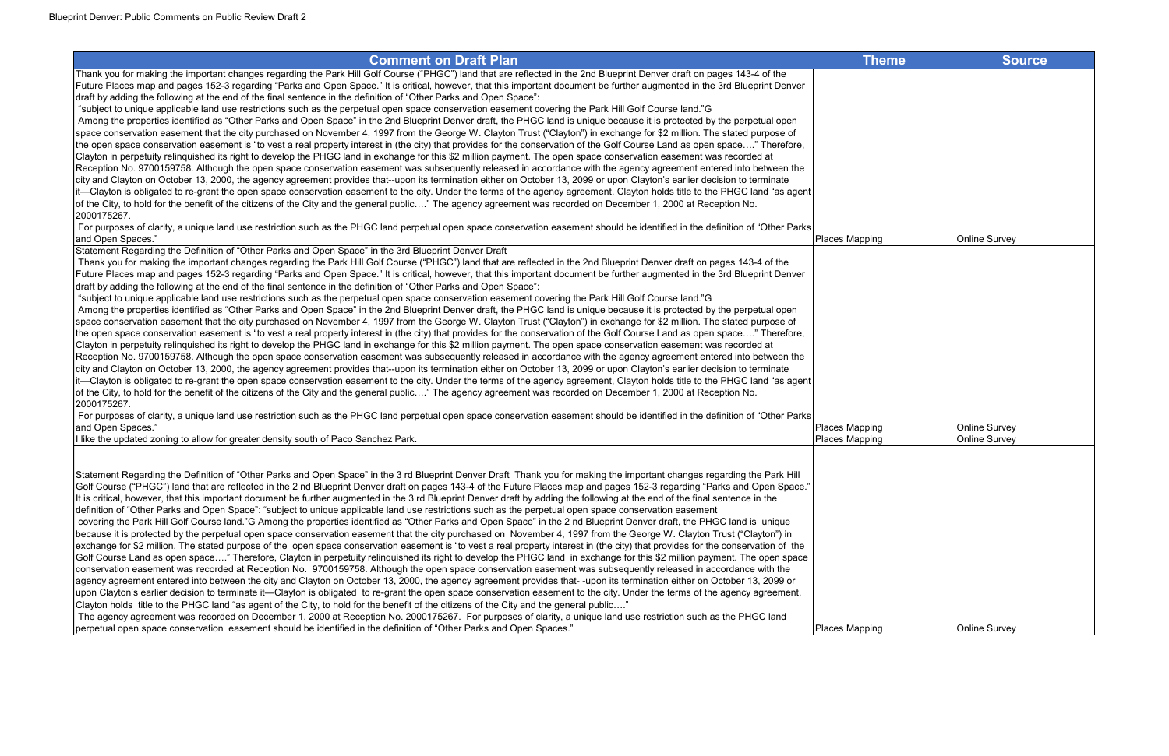#### **Comment on Draft Plan** Thank you for making the important changes regarding the Park Hill Golf Course ("PHGC") land that are reflected in the 2nd Blueprint Denver draft on pages 143-4 of the Future Places map and pages 152-3 regarding "Parks and Open Space." It is critical, however, that this important document be further augmented in the 3rd Blueprint Denver draft by adding the following at the end of the final sentence in the definition of "Other Parks and Open Space": "subject to unique applicable land use restrictions such as the perpetual open space conservation easement covering the Park Hill Golf Course land."G Among the properties identified as "Other Parks and Open Space" in the 2nd Blueprint Denver draft, the PHGC land is unique because it is protected by the perpetual open space conservation easement that the city purchased on November 4, 1997 from the George W. Clayton Trust ("Clayton") in exchange for \$2 million. The stated purpose of the open space conservation easement is "to vest a real property interest in (the city) that provides for the conservation of the Golf Course Land as open space…." Therefore, Clayton in perpetuity relinquished its right to develop the PHGC land in exchange for this \$2 million payment. The open space conservation easement was recorded at Reception No. 9700159758. Although the open space conservation easement was subsequently released in accordance with the agency agreement entered into between the city and Clayton on October 13, 2000, the agency agreement provides that--upon its termination either on October 13, 2099 or upon Clayton's earlier decision to terminate it—Clayton is obligated to re-grant the open space conservation easement to the city. Under the terms of the agency agreement, Clayton holds title to the PHGC land "as agent of the City, to hold for the benefit of the citizens of the City and the general public…." The agency agreement was recorded on December 1, 2000 at Reception No. 2000175267. For purposes of clarity, a unique land use restriction such as the PHGC land perpetual open space conservation easement should be identified in the definition of "Other Parks Places Ma and Open Spaces." Places Mapping Online Survey Statement Regarding the Definition of "Other Parks and Open Space" in the 3rd Blueprint Denver Draft Thank you for making the important changes regarding the Park Hill Golf Course ("PHGC") land that are reflected in the 2nd Blueprint Denver draft on pages 143-4 of the Future Places map and pages 152-3 regarding "Parks and Open Space." It is critical, however, that this important document be further augmented in the 3rd Blueprint Denver draft by adding the following at the end of the final sentence in the definition of "Other Parks and Open Space": "subject to unique applicable land use restrictions such as the perpetual open space conservation easement covering the Park Hill Golf Course land."G Among the properties identified as "Other Parks and Open Space" in the 2nd Blueprint Denver draft, the PHGC land is unique because it is protected by the perpetual open space conservation easement that the city purchased on November 4, 1997 from the George W. Clayton Trust ("Clayton") in exchange for \$2 million. The stated purpose of the open space conservation easement is "to vest a real property interest in (the city) that provides for the conservation of the Golf Course Land as open space…." Therefore, Clayton in perpetuity relinquished its right to develop the PHGC land in exchange for this \$2 million payment. The open space conservation easement was recorded at Reception No. 9700159758. Although the open space conservation easement was subsequently released in accordance with the agency agreement entered into between the city and Clayton on October 13, 2000, the agency agreement provides that--upon its termination either on October 13, 2099 or upon Clayton's earlier decision to terminate it—Clayton is obligated to re-grant the open space conservation easement to the city. Under the terms of the agency agreement, Clayton holds title to the PHGC land "as agent

2000175267. For purposes of clarity, a unique land use restriction such as the PHGC land perpetual open space conservation easement should be identified in the definition of "Other Parks"

of the City, to hold for the benefit of the citizens of the City and the general public…." The agency agreement was recorded on December 1, 2000 at Reception No.

| and Open Spaces."                                                                                                                                                                 | <b>Places Mapping</b> | Online Survey        |
|-----------------------------------------------------------------------------------------------------------------------------------------------------------------------------------|-----------------------|----------------------|
| Il like the updated zoning to allow for greater density south of Paco Sanchez Park.                                                                                               | Places Mapping        | <b>Online Survey</b> |
|                                                                                                                                                                                   |                       |                      |
|                                                                                                                                                                                   |                       |                      |
| Statement Regarding the Definition of "Other Parks and Open Space" in the 3rd Blueprint Denver Draft Thank you for making the important changes regarding the Park Hill           |                       |                      |
| Golf Course ("PHGC") land that are reflected in the 2 nd Blueprint Denver draft on pages 143-4 of the Future Places map and pages 152-3 regarding "Parks and Open Space."         |                       |                      |
| It is critical, however, that this important document be further augmented in the 3 rd Blueprint Denver draft by adding the following at the end of the final sentence in the     |                       |                      |
| definition of "Other Parks and Open Space": "subject to unique applicable land use restrictions such as the perpetual open space conservation easement                            |                       |                      |
| covering the Park Hill Golf Course land."G Among the properties identified as "Other Parks and Open Space" in the 2 nd Blueprint Denver draft, the PHGC land is unique            |                       |                      |
| because it is protected by the perpetual open space conservation easement that the city purchased on November 4, 1997 from the George W. Clayton Trust ("Clayton") in             |                       |                      |
| exchange for \$2 million. The stated purpose of the open space conservation easement is "to vest a real property interest in (the city) that provides for the conservation of the |                       |                      |
| Golf Course Land as open space" Therefore, Clayton in perpetuity relinguished its right to develop the PHGC land in exchange for this \$2 million payment. The open space         |                       |                      |
| conservation easement was recorded at Reception No. 9700159758. Although the open space conservation easement was subsequently released in accordance with the                    |                       |                      |
| agency agreement entered into between the city and Clayton on October 13, 2000, the agency agreement provides that--upon its termination either on October 13, 2099 or            |                       |                      |
| upon Clayton's earlier decision to terminate it—Clayton is obligated to re-grant the open space conservation easement to the city. Under the terms of the agency agreement,       |                       |                      |
| Clayton holds title to the PHGC land "as agent of the City, to hold for the benefit of the citizens of the City and the general public"                                           |                       |                      |
| The agency agreement was recorded on December 1, 2000 at Reception No. 2000175267. For purposes of clarity, a unique land use restriction such as the PHGC land                   |                       |                      |
| perpetual open space conservation easement should be identified in the definition of "Other Parks and Open Spaces."                                                               | <b>Places Mapping</b> | <b>Online Survey</b> |

| Theme        | <b>Source</b>                  |
|--------------|--------------------------------|
|              |                                |
|              |                                |
|              |                                |
|              |                                |
|              |                                |
|              |                                |
|              |                                |
|              |                                |
| pping        | Online Survey                  |
|              |                                |
|              |                                |
|              |                                |
|              |                                |
|              |                                |
|              |                                |
|              |                                |
|              |                                |
| pping        | Online Survey<br>Online Survey |
| pping        |                                |
|              |                                |
|              |                                |
|              |                                |
|              |                                |
|              |                                |
|              |                                |
|              |                                |
|              |                                |
| <u>pping</u> | <b>Online Survey</b>           |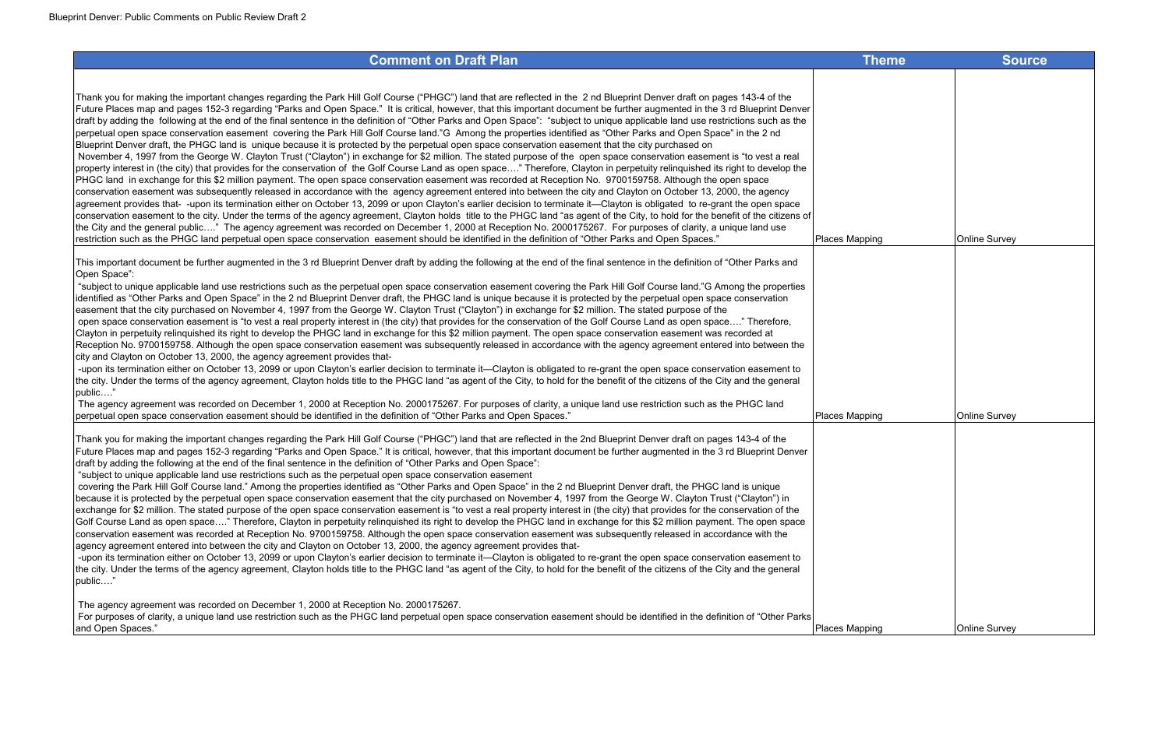| Thank you for making the important changes regarding the Park Hill Golf Course ("PHGC") land that are reflected in the 2 nd Blueprint Denver draft on pages 143-4 of the           |                |                      |
|------------------------------------------------------------------------------------------------------------------------------------------------------------------------------------|----------------|----------------------|
| Future Places map and pages 152-3 regarding "Parks and Open Space." It is critical, however, that this important document be further augmented in the 3 rd Blueprint Denver        |                |                      |
| draft by adding the following at the end of the final sentence in the definition of "Other Parks and Open Space": "subject to unique applicable land use restrictions such as the  |                |                      |
| perpetual open space conservation easement covering the Park Hill Golf Course land."G Among the properties identified as "Other Parks and Open Space" in the 2 nd                  |                |                      |
| Blueprint Denver draft, the PHGC land is unique because it is protected by the perpetual open space conservation easement that the city purchased on                               |                |                      |
| November 4, 1997 from the George W. Clayton Trust ("Clayton") in exchange for \$2 million. The stated purpose of the open space conservation easement is "to vest a real           |                |                      |
| property interest in (the city) that provides for the conservation of the Golf Course Land as open space" Therefore, Clayton in perpetuity relinquished its right to develop the   |                |                      |
| PHGC land in exchange for this \$2 million payment. The open space conservation easement was recorded at Reception No. 9700159758. Although the open space                         |                |                      |
| conservation easement was subsequently released in accordance with the agency agreement entered into between the city and Clayton on October 13, 2000, the agency                  |                |                      |
| agreement provides that- -upon its termination either on October 13, 2099 or upon Clayton's earlier decision to terminate it—Clayton is obligated to re-grant the open space       |                |                      |
| conservation easement to the city. Under the terms of the agency agreement, Clayton holds title to the PHGC land "as agent of the City, to hold for the benefit of the citizens of |                |                      |
| the City and the general public" The agency agreement was recorded on December 1, 2000 at Reception No. 2000175267. For purposes of clarity, a unique land use                     |                |                      |
| restriction such as the PHGC land perpetual open space conservation easement should be identified in the definition of "Other Parks and Open Spaces."                              | Places Mapping | <b>Online Survey</b> |
|                                                                                                                                                                                    |                |                      |

 The agency agreement was recorded on December 1, 2000 at Reception No. 2000175267. For purposes of clarity, a unique land use restriction such as the PHGC land Iperpetual open space conservation easement should be identified in the definition of "Other Parks and Open Spaces." Provided a provided by the Survey of Places Ma

This important document be further augmented in the 3 rd Blueprint Denver draft by adding the following at the end of the final sentence in the definition of "Other Parks and Open Space":

 "subject to unique applicable land use restrictions such as the perpetual open space conservation easement covering the Park Hill Golf Course land."G Among the properties identified as "Other Parks and Open Space" in the 2 nd Blueprint Denver draft, the PHGC land is unique because it is protected by the perpetual open space conservation easement that the city purchased on November 4, 1997 from the George W. Clayton Trust ("Clayton") in exchange for \$2 million. The stated purpose of the open space conservation easement is "to vest a real property interest in (the city) that provides for the conservation of the Golf Course Land as open space…." Therefore, Clayton in perpetuity relinquished its right to develop the PHGC land in exchange for this \$2 million payment. The open space conservation easement was recorded at Reception No. 9700159758. Although the open space conservation easement was subsequently released in accordance with the agency agreement entered into between the city and Clayton on October 13, 2000, the agency agreement provides that-

 -upon its termination either on October 13, 2099 or upon Clayton's earlier decision to terminate it—Clayton is obligated to re-grant the open space conservation easement to the city. Under the terms of the agency agreement, Clayton holds title to the PHGC land "as agent of the City, to hold for the benefit of the citizens of the City and the general public…."

Thank you for making the important changes regarding the Park Hill Golf Course ("PHGC") land that are reflected in the 2nd Blueprint Denver draft on pages 143-4 of the Future Places map and pages 152-3 regarding "Parks and Open Space." It is critical, however, that this important document be further augmented in the 3 rd Blueprint Denver draft by adding the following at the end of the final sentence in the definition of "Other Parks and Open Space":

"subject to unique applicable land use restrictions such as the perpetual open space conservation easement

 covering the Park Hill Golf Course land." Among the properties identified as "Other Parks and Open Space" in the 2 nd Blueprint Denver draft, the PHGC land is unique because it is protected by the perpetual open space conservation easement that the city purchased on November 4, 1997 from the George W. Clayton Trust ("Clayton") in exchange for \$2 million. The stated purpose of the open space conservation easement is "to vest a real property interest in (the city) that provides for the conservation of the Golf Course Land as open space...." Therefore, Clayton in perpetuity relinquished its right to develop the PHGC land in exchange for this \$2 million payment. The open space conservation easement was recorded at Reception No. 9700159758. Although the open space conservation easement was subsequently released in accordance with the agency agreement entered into between the city and Clayton on October 13, 2000, the agency agreement provides that-

 -upon its termination either on October 13, 2099 or upon Clayton's earlier decision to terminate it—Clayton is obligated to re-grant the open space conservation easement to the city. Under the terms of the agency agreement, Clayton holds title to the PHGC land "as agent of the City, to hold for the benefit of the citizens of the City and the general public…."

The agency agreement was recorded on December 1, 2000 at Reception No. 2000175267.

 For purposes of clarity, a unique land use restriction such as the PHGC land perpetual open space conservation easement should be identified in the definition of "Other Parks and Open Spaces." Places Mapping Online Survey

| Theme        | <b>Source</b>        |
|--------------|----------------------|
|              |                      |
|              |                      |
|              |                      |
|              |                      |
|              |                      |
|              |                      |
|              |                      |
|              |                      |
| <u>pping</u> | Online Survey        |
|              |                      |
|              |                      |
|              |                      |
|              |                      |
|              |                      |
|              |                      |
|              |                      |
| pping        | <b>Online Survey</b> |
|              |                      |
|              |                      |
|              |                      |
|              |                      |
|              |                      |
|              |                      |
|              |                      |
|              |                      |
|              |                      |
|              |                      |
| <u>pping</u> | Online Survey        |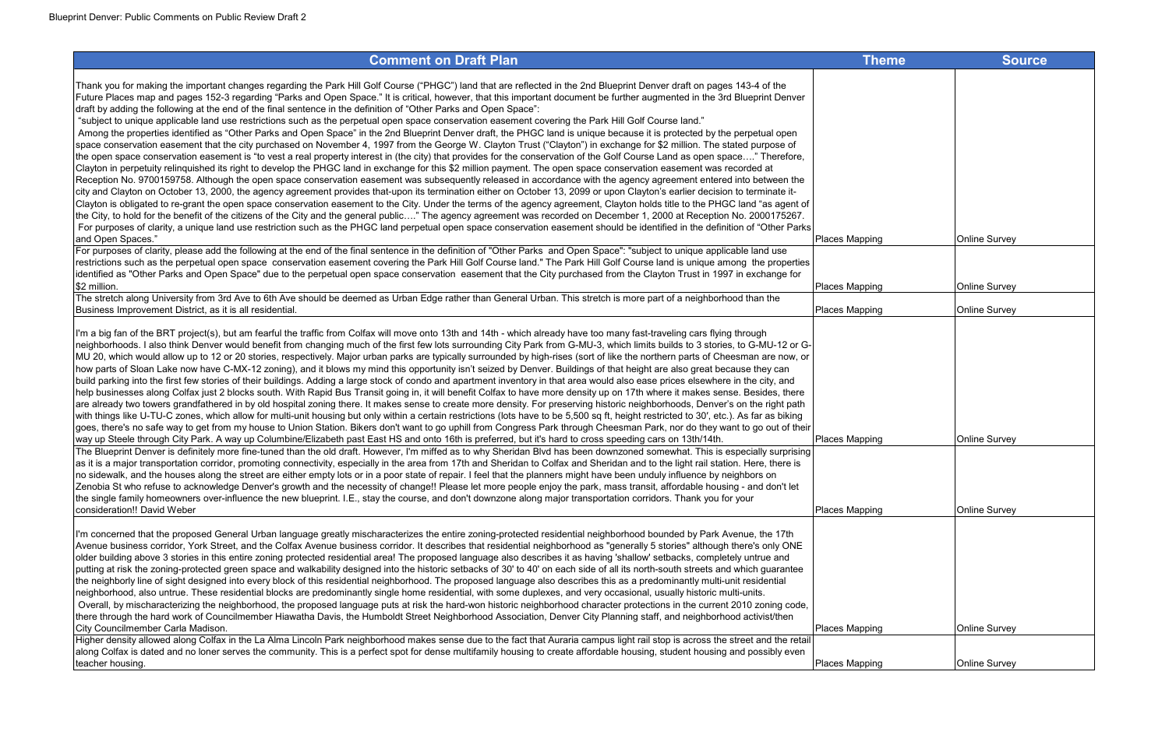#### **Comment on Draft Plan** Thank you for making the important changes regarding the Park Hill Golf Course ("PHGC") land that are reflected in the 2nd Blueprint Denver draft on pages 143-4 of the Future Places map and pages 152-3 regarding "Parks and Open Space." It is critical, however, that this important document be further augmented in the 3rd Blueprint Denver draft by adding the following at the end of the final sentence in the definition of "Other Parks and Open Space": "subject to unique applicable land use restrictions such as the perpetual open space conservation easement covering the Park Hill Golf Course land." Among the properties identified as "Other Parks and Open Space" in the 2nd Blueprint Denver draft, the PHGC land is unique because it is protected by the perpetual open space conservation easement that the city purchased on November 4, 1997 from the George W. Clayton Trust ("Clayton") in exchange for \$2 million. The stated purpose of the open space conservation easement is "to vest a real property interest in (the city) that provides for the conservation of the Golf Course Land as open space…." Therefore, Clayton in perpetuity relinquished its right to develop the PHGC land in exchange for this \$2 million payment. The open space conservation easement was recorded at Reception No. 9700159758. Although the open space conservation easement was subsequently released in accordance with the agency agreement entered into between the city and Clayton on October 13, 2000, the agency agreement provides that-upon its termination either on October 13, 2099 or upon Clayton's earlier decision to terminate it-Clayton is obligated to re-grant the open space conservation easement to the City. Under the terms of the agency agreement, Clayton holds title to the PHGC land "as agent of the City, to hold for the benefit of the citizens of the City and the general public…." The agency agreement was recorded on December 1, 2000 at Reception No. 2000175267. For purposes of clarity, a unique land use restriction such as the PHGC land perpetual open space conservation easement should be identified in the definition of "Other Parks and Open Spaces." Places Mapping Online Survey For purposes of clarity, please add the following at the end of the final sentence in the definition of "Other Parks and Open Space": "subject to unique applicable land use restrictions such as the perpetual open space conservation easement covering the Park Hill Golf Course land." The Park Hill Golf Course land is unique among the properties identified as "Other Parks and Open Space" due to the perpetual open space conservation easement that the City purchased from the Clayton Trust in 1997 in exchange for<br>S2 million. \$2 million. Places Mapping Online Survey The stretch along University from 3rd Ave to 6th Ave should be deemed as Urban Edge rather than General Urban. This stretch is more part of a neighborhood than the Business Improvement District, as it is all residential. And the survey of the Survey of the Survey of Survey Survey of the Survey of Survey Survey of Places Mapping Online Survey of the Survey of Survey of Survey of Surve I'm a big fan of the BRT project(s), but am fearful the traffic from Colfax will move onto 13th and 14th - which already have too many fast-traveling cars flying through neighborhoods. I also think Denver would benefit from changing much of the first few lots surrounding City Park from G-MU-3, which limits builds to 3 stories, to G-MU-12 or G-MU 20, which would allow up to 12 or 20 stories, respectively. Major urban parks are typically surrounded by high-rises (sort of like the northern parts of Cheesman are now, or how parts of Sloan Lake now have C-MX-12 zoning), and it blows my mind this opportunity isn't seized by Denver. Buildings of that height are also great because they can build parking into the first few stories of their buildings. Adding a large stock of condo and apartment inventory in that area would also ease prices elsewhere in the city, and help businesses along Colfax just 2 blocks south. With Rapid Bus Transit going in, it will benefit Colfax to have more density up on 17th where it makes sense. Besides, there are already two towers grandfathered in by old hospital zoning there. It makes sense to create more density. For preserving historic neighborhoods, Denver's on the right path with things like U-TU-C zones, which allow for multi-unit housing but only within a certain restrictions (lots have to be 5,500 sq ft, height restricted to 30', etc.). As far as biking goes, there's no safe way to get from my house to Union Station. Bikers don't want to go uphill from Congress Park through Cheesman Park, nor do they want to go out of their way up Steele through City Park. A way up Columbine/Elizabeth past East HS and onto 16th is preferred, but it's hard to cross speeding cars on 13th/14th. The Blueprint Denver is definitely more fine-tuned than the old draft. However, I'm miffed as to why Sheridan Blvd has been downzoned somewhat. This is especially surprising as it is a major transportation corridor, promoting connectivity, especially in the area from 17th and Sheridan to Colfax and Sheridan and to the light rail station. Here, there is Ino sidewalk, and the houses along the street are either empty lots or in a poor state of repair. I feel that the planners might have been unduly influence by neighbors on Zenobia St who refuse to acknowledge Denver's growth and the necessity of change!! Please let more people enjoy the park, mass transit, affordable housing - and don't let the single family homeowners over-influence the new blueprint. I.E., stay the course, and don't downzone along major transportation corridors. Thank you for your consideration!! David Weber Places Mapping Online Survey I'm concerned that the proposed General Urban language greatly mischaracterizes the entire zoning-protected residential neighborhood bounded by Park Avenue, the 17th Avenue business corridor, York Street, and the Colfax Avenue business corridor. It describes that residential neighborhood as "generally 5 stories" although there's only ONE older building above 3 stories in this entire zoning protected residential area! The proposed language also describes it as having 'shallow' setbacks, completely untrue and putting at risk the zoning-protected green space and walkability designed into the historic setbacks of 30' to 40' on each side of all its north-south streets and which guarantee the neighborly line of sight designed into every block of this residential neighborhood. The proposed language also describes this as a predominantly multi-unit residential neighborhood, also untrue. These residential blocks are predominantly single home residential, with some duplexes, and very occasional, usually historic multi-units. Overall, by mischaracterizing the neighborhood, the proposed language puts at risk the hard-won historic neighborhood character protections in the current 2010 zoning code, there through the hard work of Councilmember Hiawatha Davis, the Humboldt Street Neighborhood Association, Denver City Planning staff, and neighborhood activist/then City Councilmember Carla Madison. **Places Ma** Higher density allowed along Colfax in the La Alma Lincoln Park neighborhood makes sense due to the fact that Auraria campus light rail stop is across the street and the retail along Colfax is dated and no loner serves the community. This is a perfect spot for dense multifamily housing to create affordable housing, student housing and possibly even teacher housing. Places Mapping Online Survey

| <b>Theme</b> | Source               |
|--------------|----------------------|
|              |                      |
|              |                      |
|              |                      |
|              |                      |
|              |                      |
|              |                      |
|              |                      |
|              |                      |
| <u>pping</u> | Online Survey        |
|              |                      |
| <u>pping</u> | Online Survey        |
| <u>pping</u> | Online Survey        |
|              |                      |
|              |                      |
|              |                      |
|              |                      |
|              |                      |
|              |                      |
| <u>pping</u> | <b>Online Survey</b> |
|              |                      |
|              |                      |
| <u>pping</u> | <b>Online Survey</b> |
|              |                      |
|              |                      |
|              |                      |
|              |                      |
|              |                      |
| pping        | Online Survey        |
|              |                      |
| pping        | Online Survey        |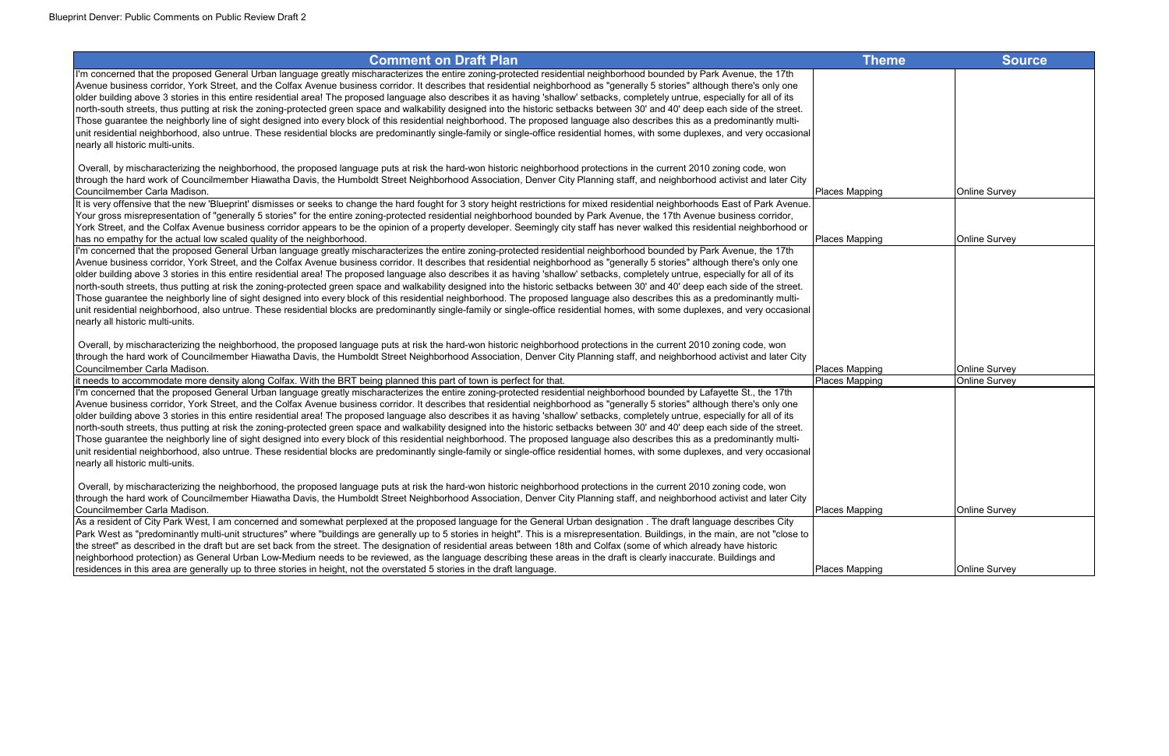| <b>Comment on Draft Plan</b>                                                                                                                                                                                                                                                                                                                                                                                                                                                                                                                         | <b>Theme</b>          | <b>Source</b>        |
|------------------------------------------------------------------------------------------------------------------------------------------------------------------------------------------------------------------------------------------------------------------------------------------------------------------------------------------------------------------------------------------------------------------------------------------------------------------------------------------------------------------------------------------------------|-----------------------|----------------------|
| I'm concerned that the proposed General Urban language greatly mischaracterizes the entire zoning-protected residential neighborhood bounded by Park Avenue, the 17th<br>Avenue business corridor, York Street, and the Colfax Avenue business corridor. It describes that residential neighborhood as "generally 5 stories" although there's only one<br>older building above 3 stories in this entire residential area! The proposed language also describes it as having 'shallow' setbacks, completely untrue, especially for all of its         |                       |                      |
| north-south streets, thus putting at risk the zoning-protected green space and walkability designed into the historic setbacks between 30' and 40' deep each side of the street.<br>Those guarantee the neighborly line of sight designed into every block of this residential neighborhood. The proposed language also describes this as a predominantly multi-<br>unit residential neighborhood, also untrue. These residential blocks are predominantly single-family or single-office residential homes, with some duplexes, and very occasional |                       |                      |
| nearly all historic multi-units.                                                                                                                                                                                                                                                                                                                                                                                                                                                                                                                     |                       |                      |
| Overall, by mischaracterizing the neighborhood, the proposed language puts at risk the hard-won historic neighborhood protections in the current 2010 zoning code, won<br>through the hard work of Councilmember Hiawatha Davis, the Humboldt Street Neighborhood Association, Denver City Planning staff, and neighborhood activist and later City<br>Councilmember Carla Madison.                                                                                                                                                                  | Places Mapping        | <b>Online Survey</b> |
| It is very offensive that the new 'Blueprint' dismisses or seeks to change the hard fought for 3 story height restrictions for mixed residential neighborhoods East of Park Avenue.                                                                                                                                                                                                                                                                                                                                                                  |                       |                      |
| Your gross misrepresentation of "generally 5 stories" for the entire zoning-protected residential neighborhood bounded by Park Avenue, the 17th Avenue business corridor,<br>York Street, and the Colfax Avenue business corridor appears to be the opinion of a property developer. Seemingly city staff has never walked this residential neighborhood or                                                                                                                                                                                          |                       |                      |
| has no empathy for the actual low scaled quality of the neighborhood.<br>I'm concerned that the proposed General Urban language greatly mischaracterizes the entire zoning-protected residential neighborhood bounded by Park Avenue, the 17th                                                                                                                                                                                                                                                                                                       | <b>Places Mapping</b> | <b>Online Survey</b> |
| Avenue business corridor, York Street, and the Colfax Avenue business corridor. It describes that residential neighborhood as "generally 5 stories" although there's only one                                                                                                                                                                                                                                                                                                                                                                        |                       |                      |
| older building above 3 stories in this entire residential area! The proposed language also describes it as having 'shallow' setbacks, completely untrue, especially for all of its                                                                                                                                                                                                                                                                                                                                                                   |                       |                      |
| north-south streets, thus putting at risk the zoning-protected green space and walkability designed into the historic setbacks between 30' and 40' deep each side of the street.                                                                                                                                                                                                                                                                                                                                                                     |                       |                      |
| Those guarantee the neighborly line of sight designed into every block of this residential neighborhood. The proposed language also describes this as a predominantly multi-                                                                                                                                                                                                                                                                                                                                                                         |                       |                      |
| unit residential neighborhood, also untrue. These residential blocks are predominantly single-family or single-office residential homes, with some duplexes, and very occasional                                                                                                                                                                                                                                                                                                                                                                     |                       |                      |
| nearly all historic multi-units.                                                                                                                                                                                                                                                                                                                                                                                                                                                                                                                     |                       |                      |
| Overall, by mischaracterizing the neighborhood, the proposed language puts at risk the hard-won historic neighborhood protections in the current 2010 zoning code, won                                                                                                                                                                                                                                                                                                                                                                               |                       |                      |
| through the hard work of Councilmember Hiawatha Davis, the Humboldt Street Neighborhood Association, Denver City Planning staff, and neighborhood activist and later City                                                                                                                                                                                                                                                                                                                                                                            |                       |                      |
| Councilmember Carla Madison.                                                                                                                                                                                                                                                                                                                                                                                                                                                                                                                         | Places Mapping        | <b>Online Survey</b> |
| it needs to accommodate more density along Colfax. With the BRT being planned this part of town is perfect for that.                                                                                                                                                                                                                                                                                                                                                                                                                                 | <b>Places Mapping</b> | <b>Online Survey</b> |
| I'm concerned that the proposed General Urban language greatly mischaracterizes the entire zoning-protected residential neighborhood bounded by Lafayette St., the 17th                                                                                                                                                                                                                                                                                                                                                                              |                       |                      |
| Avenue business corridor, York Street, and the Colfax Avenue business corridor. It describes that residential neighborhood as "generally 5 stories" although there's only one                                                                                                                                                                                                                                                                                                                                                                        |                       |                      |
| older building above 3 stories in this entire residential area! The proposed language also describes it as having 'shallow' setbacks, completely untrue, especially for all of its                                                                                                                                                                                                                                                                                                                                                                   |                       |                      |
| north-south streets, thus putting at risk the zoning-protected green space and walkability designed into the historic setbacks between 30' and 40' deep each side of the street.<br>Those guarantee the neighborly line of sight designed into every block of this residential neighborhood. The proposed language also describes this as a predominantly multi-                                                                                                                                                                                     |                       |                      |
| unit residential neighborhood, also untrue. These residential blocks are predominantly single-family or single-office residential homes, with some duplexes, and very occasional                                                                                                                                                                                                                                                                                                                                                                     |                       |                      |
| nearly all historic multi-units.                                                                                                                                                                                                                                                                                                                                                                                                                                                                                                                     |                       |                      |
| Overall, by mischaracterizing the neighborhood, the proposed language puts at risk the hard-won historic neighborhood protections in the current 2010 zoning code, won                                                                                                                                                                                                                                                                                                                                                                               |                       |                      |
| through the hard work of Councilmember Hiawatha Davis, the Humboldt Street Neighborhood Association, Denver City Planning staff, and neighborhood activist and later City                                                                                                                                                                                                                                                                                                                                                                            |                       |                      |
| Councilmember Carla Madison.                                                                                                                                                                                                                                                                                                                                                                                                                                                                                                                         | Places Mapping        | <b>Online Survey</b> |
| As a resident of City Park West, I am concerned and somewhat perplexed at the proposed language for the General Urban designation. The draft language describes City                                                                                                                                                                                                                                                                                                                                                                                 |                       |                      |
| Park West as "predominantly multi-unit structures" where "buildings are generally up to 5 stories in height". This is a misrepresentation. Buildings, in the main, are not "close to                                                                                                                                                                                                                                                                                                                                                                 |                       |                      |
| the street" as described in the draft but are set back from the street. The designation of residential areas between 18th and Colfax (some of which already have historic                                                                                                                                                                                                                                                                                                                                                                            |                       |                      |
| neighborhood protection) as General Urban Low-Medium needs to be reviewed, as the language describing these areas in the draft is clearly inaccurate. Buildings and                                                                                                                                                                                                                                                                                                                                                                                  |                       |                      |
| residences in this area are generally up to three stories in height, not the overstated 5 stories in the draft language.                                                                                                                                                                                                                                                                                                                                                                                                                             | Places Mapping        | <b>Online Survey</b> |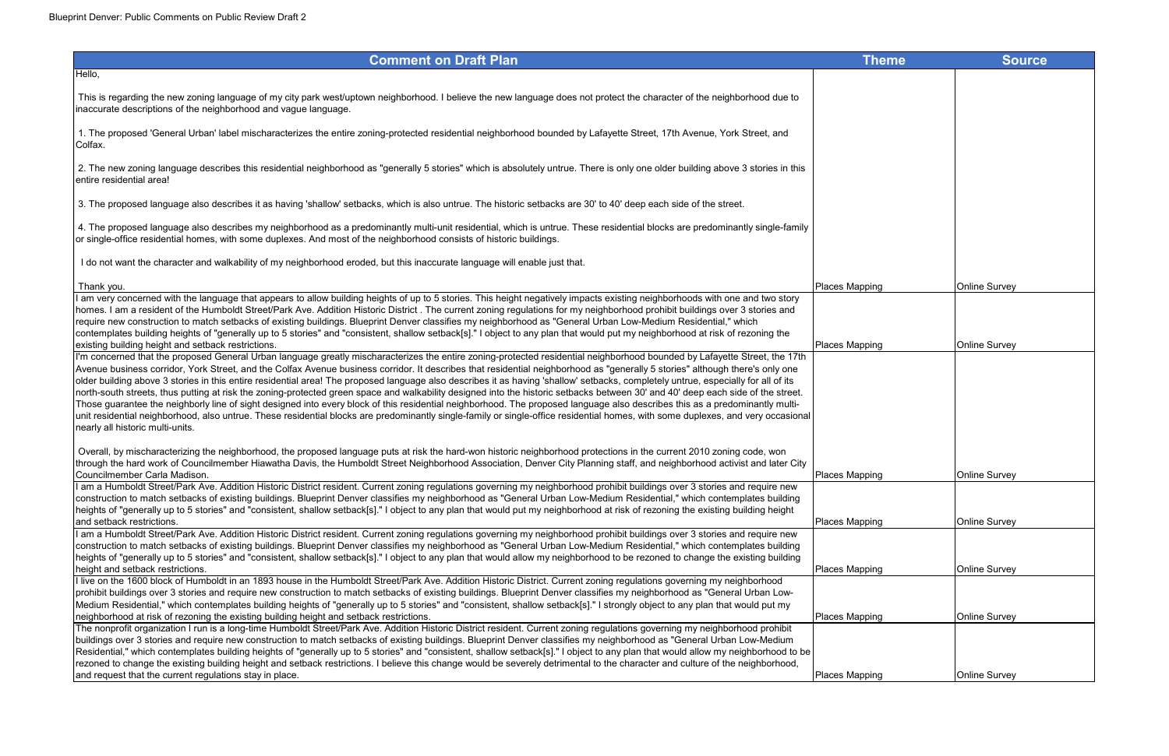| <b>Comment on Draft Plan</b>                                                                                                                                                                                                                                                                                                                                                                                                                                                                                                                                                                                                                                                                                                                                                                                                                                                                                                                                                                                                                                                                                                                  | <b>Theme</b>          | <b>Source</b>        |
|-----------------------------------------------------------------------------------------------------------------------------------------------------------------------------------------------------------------------------------------------------------------------------------------------------------------------------------------------------------------------------------------------------------------------------------------------------------------------------------------------------------------------------------------------------------------------------------------------------------------------------------------------------------------------------------------------------------------------------------------------------------------------------------------------------------------------------------------------------------------------------------------------------------------------------------------------------------------------------------------------------------------------------------------------------------------------------------------------------------------------------------------------|-----------------------|----------------------|
| Hello,                                                                                                                                                                                                                                                                                                                                                                                                                                                                                                                                                                                                                                                                                                                                                                                                                                                                                                                                                                                                                                                                                                                                        |                       |                      |
| This is regarding the new zoning language of my city park west/uptown neighborhood. I believe the new language does not protect the character of the neighborhood due to<br>inaccurate descriptions of the neighborhood and vague language.                                                                                                                                                                                                                                                                                                                                                                                                                                                                                                                                                                                                                                                                                                                                                                                                                                                                                                   |                       |                      |
| 1. The proposed 'General Urban' label mischaracterizes the entire zoning-protected residential neighborhood bounded by Lafayette Street, 17th Avenue, York Street, and<br>Colfax.                                                                                                                                                                                                                                                                                                                                                                                                                                                                                                                                                                                                                                                                                                                                                                                                                                                                                                                                                             |                       |                      |
| 2. The new zoning language describes this residential neighborhood as "generally 5 stories" which is absolutely untrue. There is only one older building above 3 stories in this<br>entire residential area!                                                                                                                                                                                                                                                                                                                                                                                                                                                                                                                                                                                                                                                                                                                                                                                                                                                                                                                                  |                       |                      |
| 3. The proposed language also describes it as having 'shallow' setbacks, which is also untrue. The historic setbacks are 30' to 40' deep each side of the street.                                                                                                                                                                                                                                                                                                                                                                                                                                                                                                                                                                                                                                                                                                                                                                                                                                                                                                                                                                             |                       |                      |
| 4. The proposed language also describes my neighborhood as a predominantly multi-unit residential, which is untrue. These residential blocks are predominantly single-family<br>or single-office residential homes, with some duplexes. And most of the neighborhood consists of historic buildings.                                                                                                                                                                                                                                                                                                                                                                                                                                                                                                                                                                                                                                                                                                                                                                                                                                          |                       |                      |
| I do not want the character and walkability of my neighborhood eroded, but this inaccurate language will enable just that.                                                                                                                                                                                                                                                                                                                                                                                                                                                                                                                                                                                                                                                                                                                                                                                                                                                                                                                                                                                                                    |                       |                      |
| Thank you.                                                                                                                                                                                                                                                                                                                                                                                                                                                                                                                                                                                                                                                                                                                                                                                                                                                                                                                                                                                                                                                                                                                                    | <b>Places Mapping</b> | <b>Online Survey</b> |
| I am very concerned with the language that appears to allow building heights of up to 5 stories. This height negatively impacts existing neighborhoods with one and two story<br>homes. I am a resident of the Humboldt Street/Park Ave. Addition Historic District. The current zoning regulations for my neighborhood prohibit buildings over 3 stories and<br>require new construction to match setbacks of existing buildings. Blueprint Denver classifies my neighborhood as "General Urban Low-Medium Residential," which<br>contemplates building heights of "generally up to 5 stories" and "consistent, shallow setback[s]." I object to any plan that would put my neighborhood at risk of rezoning the                                                                                                                                                                                                                                                                                                                                                                                                                             |                       |                      |
| existing building height and setback restrictions.                                                                                                                                                                                                                                                                                                                                                                                                                                                                                                                                                                                                                                                                                                                                                                                                                                                                                                                                                                                                                                                                                            | <b>Places Mapping</b> | <b>Online Survey</b> |
| I'm concerned that the proposed General Urban language greatly mischaracterizes the entire zoning-protected residential neighborhood bounded by Lafayette Street, the 17th<br>Avenue business corridor, York Street, and the Colfax Avenue business corridor. It describes that residential neighborhood as "generally 5 stories" although there's only one<br>older building above 3 stories in this entire residential area! The proposed language also describes it as having 'shallow' setbacks, completely untrue, especially for all of its<br>north-south streets, thus putting at risk the zoning-protected green space and walkability designed into the historic setbacks between 30' and 40' deep each side of the street.<br>Those guarantee the neighborly line of sight designed into every block of this residential neighborhood. The proposed language also describes this as a predominantly multi-<br>unit residential neighborhood, also untrue. These residential blocks are predominantly single-family or single-office residential homes, with some duplexes, and very occasional<br>nearly all historic multi-units. |                       |                      |
| Overall, by mischaracterizing the neighborhood, the proposed language puts at risk the hard-won historic neighborhood protections in the current 2010 zoning code, won<br>through the hard work of Councilmember Hiawatha Davis, the Humboldt Street Neighborhood Association, Denver City Planning staff, and neighborhood activist and later City<br>Councilmember Carla Madison.                                                                                                                                                                                                                                                                                                                                                                                                                                                                                                                                                                                                                                                                                                                                                           | Places Mapping        | <b>Online Survey</b> |
| I am a Humboldt Street/Park Ave. Addition Historic District resident. Current zoning regulations governing my neighborhood prohibit buildings over 3 stories and require new<br>construction to match setbacks of existing buildings. Blueprint Denver classifies my neighborhood as "General Urban Low-Medium Residential," which contemplates building<br>heights of "generally up to 5 stories" and "consistent, shallow setback[s]." I object to any plan that would put my neighborhood at risk of rezoning the existing building height                                                                                                                                                                                                                                                                                                                                                                                                                                                                                                                                                                                                 |                       |                      |
| and setback restrictions.<br>I am a Humboldt Street/Park Ave. Addition Historic District resident. Current zoning regulations governing my neighborhood prohibit buildings over 3 stories and require new                                                                                                                                                                                                                                                                                                                                                                                                                                                                                                                                                                                                                                                                                                                                                                                                                                                                                                                                     | Places Mapping        | <b>Online Survey</b> |
| construction to match setbacks of existing buildings. Blueprint Denver classifies my neighborhood as "General Urban Low-Medium Residential," which contemplates building<br>heights of "generally up to 5 stories" and "consistent, shallow setback[s]." I object to any plan that would allow my neighborhood to be rezoned to change the existing building                                                                                                                                                                                                                                                                                                                                                                                                                                                                                                                                                                                                                                                                                                                                                                                  |                       |                      |
| height and setback restrictions.                                                                                                                                                                                                                                                                                                                                                                                                                                                                                                                                                                                                                                                                                                                                                                                                                                                                                                                                                                                                                                                                                                              | Places Mapping        | <b>Online Survey</b> |
| I live on the 1600 block of Humboldt in an 1893 house in the Humboldt Street/Park Ave. Addition Historic District. Current zoning regulations governing my neighborhood<br>prohibit buildings over 3 stories and require new construction to match setbacks of existing buildings. Blueprint Denver classifies my neighborhood as "General Urban Low-                                                                                                                                                                                                                                                                                                                                                                                                                                                                                                                                                                                                                                                                                                                                                                                         |                       |                      |
| Medium Residential," which contemplates building heights of "generally up to 5 stories" and "consistent, shallow setback[s]." I strongly object to any plan that would put my                                                                                                                                                                                                                                                                                                                                                                                                                                                                                                                                                                                                                                                                                                                                                                                                                                                                                                                                                                 |                       |                      |
| neighborhood at risk of rezoning the existing building height and setback restrictions.                                                                                                                                                                                                                                                                                                                                                                                                                                                                                                                                                                                                                                                                                                                                                                                                                                                                                                                                                                                                                                                       | Places Mapping        | <b>Online Survey</b> |
| The nonprofit organization I run is a long-time Humboldt Street/Park Ave. Addition Historic District resident. Current zoning regulations governing my neighborhood prohibit                                                                                                                                                                                                                                                                                                                                                                                                                                                                                                                                                                                                                                                                                                                                                                                                                                                                                                                                                                  |                       |                      |
| buildings over 3 stories and require new construction to match setbacks of existing buildings. Blueprint Denver classifies my neighborhood as "General Urban Low-Medium                                                                                                                                                                                                                                                                                                                                                                                                                                                                                                                                                                                                                                                                                                                                                                                                                                                                                                                                                                       |                       |                      |
| Residential," which contemplates building heights of "generally up to 5 stories" and "consistent, shallow setback[s]." I object to any plan that would allow my neighborhood to be<br>rezoned to change the existing building height and setback restrictions. I believe this change would be severely detrimental to the character and culture of the neighborhood,                                                                                                                                                                                                                                                                                                                                                                                                                                                                                                                                                                                                                                                                                                                                                                          |                       |                      |
| and request that the current regulations stay in place.                                                                                                                                                                                                                                                                                                                                                                                                                                                                                                                                                                                                                                                                                                                                                                                                                                                                                                                                                                                                                                                                                       | Places Mapping        | <b>Online Survey</b> |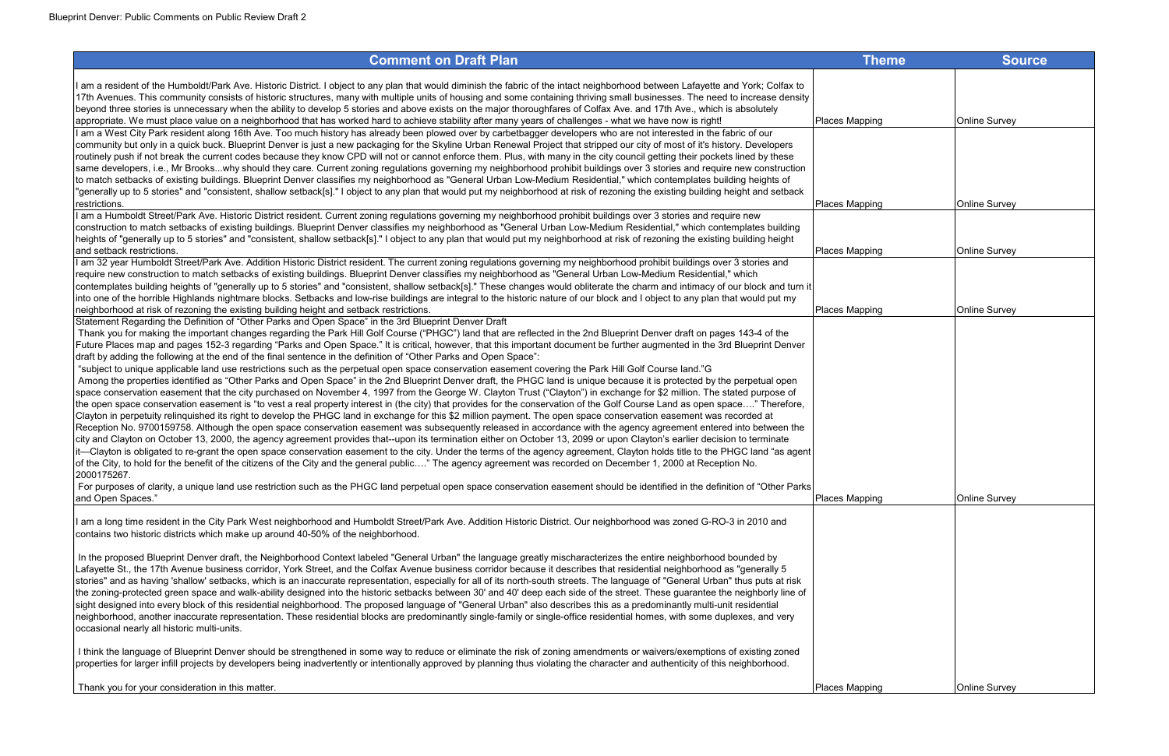| <b>Comment on Draft Plan</b>                                                                                                                                                                                                                                                                                                                                                                                                                                                                                                                                                                                                                                                                                                                                                                                                                                                                                                                                                                                                                                                                                                                                                                                                                                                                                                                                                                                                                                                                                                                                                                                                                                                                                                                                                                                                                                                                                                                                                                                                                                                                                                                                                                                                                                                                                                                                                             | <b>Theme</b>          | <b>Source</b>        |
|------------------------------------------------------------------------------------------------------------------------------------------------------------------------------------------------------------------------------------------------------------------------------------------------------------------------------------------------------------------------------------------------------------------------------------------------------------------------------------------------------------------------------------------------------------------------------------------------------------------------------------------------------------------------------------------------------------------------------------------------------------------------------------------------------------------------------------------------------------------------------------------------------------------------------------------------------------------------------------------------------------------------------------------------------------------------------------------------------------------------------------------------------------------------------------------------------------------------------------------------------------------------------------------------------------------------------------------------------------------------------------------------------------------------------------------------------------------------------------------------------------------------------------------------------------------------------------------------------------------------------------------------------------------------------------------------------------------------------------------------------------------------------------------------------------------------------------------------------------------------------------------------------------------------------------------------------------------------------------------------------------------------------------------------------------------------------------------------------------------------------------------------------------------------------------------------------------------------------------------------------------------------------------------------------------------------------------------------------------------------------------------|-----------------------|----------------------|
| am a resident of the Humboldt/Park Ave. Historic District. I object to any plan that would diminish the fabric of the intact neighborhood between Lafayette and York; Colfax to<br>17th Avenues. This community consists of historic structures, many with multiple units of housing and some containing thriving small businesses. The need to increase density<br>beyond three stories is unnecessary when the ability to develop 5 stories and above exists on the major thoroughfares of Colfax Ave. and 17th Ave., which is absolutely<br>appropriate. We must place value on a neighborhood that has worked hard to achieve stability after many years of challenges - what we have now is right!                                                                                                                                                                                                                                                                                                                                                                                                                                                                                                                                                                                                                                                                                                                                                                                                                                                                                                                                                                                                                                                                                                                                                                                                                                                                                                                                                                                                                                                                                                                                                                                                                                                                                  | Places Mapping        | <b>Online Survey</b> |
| I am a West City Park resident along 16th Ave. Too much history has already been plowed over by carbetbagger developers who are not interested in the fabric of our<br>community but only in a quick buck. Blueprint Denver is just a new packaging for the Skyline Urban Renewal Project that stripped our city of most of it's history. Developers<br>routinely push if not break the current codes because they know CPD will not or cannot enforce them. Plus, with many in the city council getting their pockets lined by these<br>same developers, i.e., Mr Brookswhy should they care. Current zoning regulations governing my neighborhood prohibit buildings over 3 stories and require new construction<br>to match setbacks of existing buildings. Blueprint Denver classifies my neighborhood as "General Urban Low-Medium Residential," which contemplates building heights of<br>generally up to 5 stories" and "consistent, shallow setback[s]." I object to any plan that would put my neighborhood at risk of rezoning the existing building height and setback                                                                                                                                                                                                                                                                                                                                                                                                                                                                                                                                                                                                                                                                                                                                                                                                                                                                                                                                                                                                                                                                                                                                                                                                                                                                                                        |                       |                      |
| restrictions.                                                                                                                                                                                                                                                                                                                                                                                                                                                                                                                                                                                                                                                                                                                                                                                                                                                                                                                                                                                                                                                                                                                                                                                                                                                                                                                                                                                                                                                                                                                                                                                                                                                                                                                                                                                                                                                                                                                                                                                                                                                                                                                                                                                                                                                                                                                                                                            | Places Mapping        | <b>Online Survey</b> |
| I am a Humboldt Street/Park Ave. Historic District resident. Current zoning regulations governing my neighborhood prohibit buildings over 3 stories and require new<br>construction to match setbacks of existing buildings. Blueprint Denver classifies my neighborhood as "General Urban Low-Medium Residential," which contemplates building<br>heights of "generally up to 5 stories" and "consistent, shallow setback[s]." I object to any plan that would put my neighborhood at risk of rezoning the existing building height<br>and setback restrictions.                                                                                                                                                                                                                                                                                                                                                                                                                                                                                                                                                                                                                                                                                                                                                                                                                                                                                                                                                                                                                                                                                                                                                                                                                                                                                                                                                                                                                                                                                                                                                                                                                                                                                                                                                                                                                        | Places Mapping        | <b>Online Survey</b> |
| I am 32 year Humboldt Street/Park Ave. Addition Historic District resident. The current zoning regulations governing my neighborhood prohibit buildings over 3 stories and<br>require new construction to match setbacks of existing buildings. Blueprint Denver classifies my neighborhood as "General Urban Low-Medium Residential," which<br>contemplates building heights of "generally up to 5 stories" and "consistent, shallow setback[s]." These changes would obliterate the charm and intimacy of our block and turn it<br>into one of the horrible Highlands nightmare blocks. Setbacks and low-rise buildings are integral to the historic nature of our block and I object to any plan that would put my                                                                                                                                                                                                                                                                                                                                                                                                                                                                                                                                                                                                                                                                                                                                                                                                                                                                                                                                                                                                                                                                                                                                                                                                                                                                                                                                                                                                                                                                                                                                                                                                                                                                    |                       |                      |
| neighborhood at risk of rezoning the existing building height and setback restrictions.                                                                                                                                                                                                                                                                                                                                                                                                                                                                                                                                                                                                                                                                                                                                                                                                                                                                                                                                                                                                                                                                                                                                                                                                                                                                                                                                                                                                                                                                                                                                                                                                                                                                                                                                                                                                                                                                                                                                                                                                                                                                                                                                                                                                                                                                                                  | Places Mapping        | Online Survey        |
| Statement Regarding the Definition of "Other Parks and Open Space" in the 3rd Blueprint Denver Draft<br>Thank you for making the important changes regarding the Park Hill Golf Course ("PHGC") land that are reflected in the 2nd Blueprint Denver draft on pages 143-4 of the<br>Future Places map and pages 152-3 regarding "Parks and Open Space." It is critical, however, that this important document be further augmented in the 3rd Blueprint Denver<br>draft by adding the following at the end of the final sentence in the definition of "Other Parks and Open Space":<br>"subject to unique applicable land use restrictions such as the perpetual open space conservation easement covering the Park Hill Golf Course land."G<br>Among the properties identified as "Other Parks and Open Space" in the 2nd Blueprint Denver draft, the PHGC land is unique because it is protected by the perpetual open<br>space conservation easement that the city purchased on November 4, 1997 from the George W. Clayton Trust ("Clayton") in exchange for \$2 million. The stated purpose of<br>the open space conservation easement is "to vest a real property interest in (the city) that provides for the conservation of the Golf Course Land as open space" Therefore,<br>Clayton in perpetuity relinquished its right to develop the PHGC land in exchange for this \$2 million payment. The open space conservation easement was recorded at<br>Reception No. 9700159758. Although the open space conservation easement was subsequently released in accordance with the agency agreement entered into between the<br>city and Clayton on October 13, 2000, the agency agreement provides that--upon its termination either on October 13, 2099 or upon Clayton's earlier decision to terminate<br>it—Clayton is obligated to re-grant the open space conservation easement to the city. Under the terms of the agency agreement, Clayton holds title to the PHGC land "as agent<br>of the City, to hold for the benefit of the citizens of the City and the general public" The agency agreement was recorded on December 1, 2000 at Reception No.<br>2000175267.<br>For purposes of clarity, a unique land use restriction such as the PHGC land perpetual open space conservation easement should be identified in the definition of "Other Parks"<br>and Open Spaces." | <b>Places Mapping</b> | Online Survey        |
| am a long time resident in the City Park West neighborhood and Humboldt Street/Park Ave. Addition Historic District. Our neighborhood was zoned G-RO-3 in 2010 and<br>contains two historic districts which make up around 40-50% of the neighborhood.                                                                                                                                                                                                                                                                                                                                                                                                                                                                                                                                                                                                                                                                                                                                                                                                                                                                                                                                                                                                                                                                                                                                                                                                                                                                                                                                                                                                                                                                                                                                                                                                                                                                                                                                                                                                                                                                                                                                                                                                                                                                                                                                   |                       |                      |
| In the proposed Blueprint Denver draft, the Neighborhood Context labeled "General Urban" the language greatly mischaracterizes the entire neighborhood bounded by<br>Lafayette St., the 17th Avenue business corridor, York Street, and the Colfax Avenue business corridor because it describes that residential neighborhood as "generally 5<br>stories" and as having 'shallow' setbacks, which is an inaccurate representation, especially for all of its north-south streets. The language of "General Urban" thus puts at risk<br>the zoning-protected green space and walk-ability designed into the historic setbacks between 30' and 40' deep each side of the street. These guarantee the neighborly line of<br>sight designed into every block of this residential neighborhood. The proposed language of "General Urban" also describes this as a predominantly multi-unit residential<br>neighborhood, another inaccurate representation. These residential blocks are predominantly single-family or single-office residential homes, with some duplexes, and very<br>occasional nearly all historic multi-units.                                                                                                                                                                                                                                                                                                                                                                                                                                                                                                                                                                                                                                                                                                                                                                                                                                                                                                                                                                                                                                                                                                                                                                                                                                                          |                       |                      |
| I think the language of Blueprint Denver should be strengthened in some way to reduce or eliminate the risk of zoning amendments or waivers/exemptions of existing zoned<br>properties for larger infill projects by developers being inadvertently or intentionally approved by planning thus violating the character and authenticity of this neighborhood.                                                                                                                                                                                                                                                                                                                                                                                                                                                                                                                                                                                                                                                                                                                                                                                                                                                                                                                                                                                                                                                                                                                                                                                                                                                                                                                                                                                                                                                                                                                                                                                                                                                                                                                                                                                                                                                                                                                                                                                                                            |                       |                      |
| Thank you for your consideration in this matter.                                                                                                                                                                                                                                                                                                                                                                                                                                                                                                                                                                                                                                                                                                                                                                                                                                                                                                                                                                                                                                                                                                                                                                                                                                                                                                                                                                                                                                                                                                                                                                                                                                                                                                                                                                                                                                                                                                                                                                                                                                                                                                                                                                                                                                                                                                                                         | Places Mapping        | <b>Online Survey</b> |

| <b>Theme</b> | Source        |
|--------------|---------------|
|              |               |
|              |               |
| <u>pping</u> | Online Survey |
|              |               |
|              |               |
| pping        | Online Survey |
|              |               |
| <u>pping</u> | Online Survey |
|              |               |
|              |               |
| pping        | Online Survey |
|              |               |
|              |               |
|              |               |
|              |               |
|              |               |
|              |               |
|              |               |
| <u>pping</u> | Online Survey |
|              |               |
|              |               |
|              |               |
|              |               |
|              |               |
|              |               |
|              |               |
| <u>pping</u> | Online Survey |
|              |               |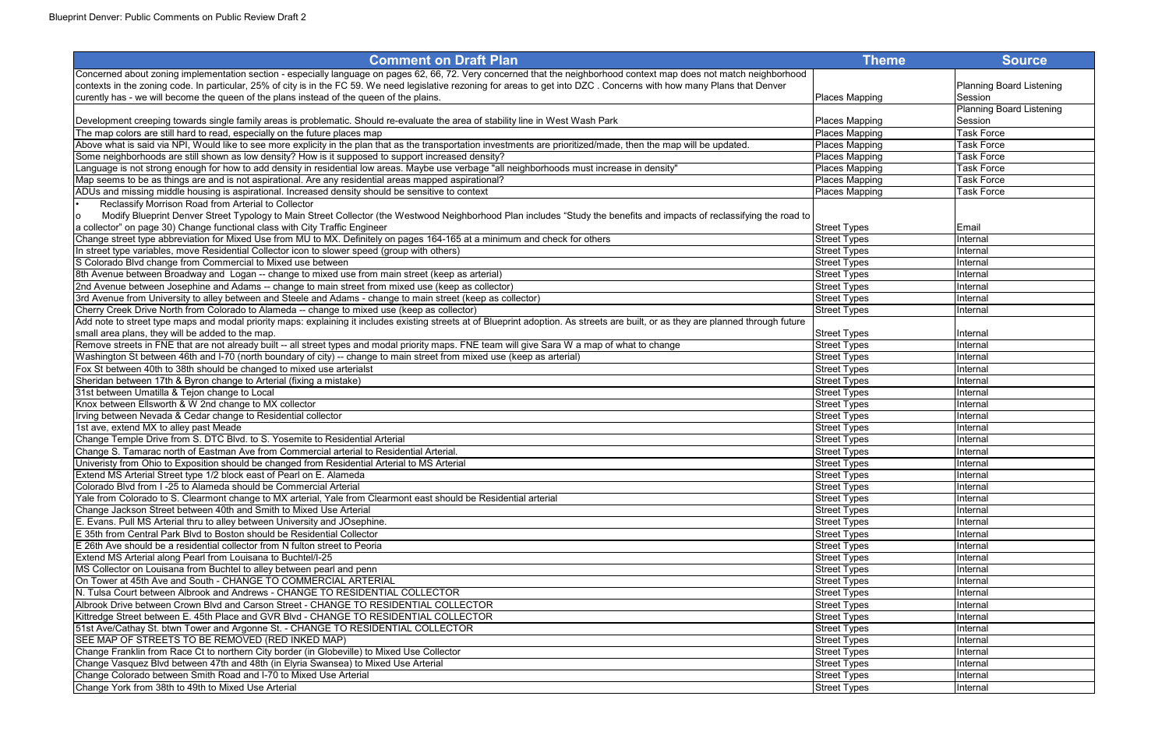| <b>Comment on Draft Plan</b>                                                                                                                                                        | <b>Theme</b>        | <b>Source</b>            |
|-------------------------------------------------------------------------------------------------------------------------------------------------------------------------------------|---------------------|--------------------------|
| Concerned about zoning implementation section - especially language on pages 62, 66, 72. Very concerned that the neighborhood context map does not match neighborhood               |                     |                          |
| contexts in the zoning code. In particular, 25% of city is in the FC 59. We need legislative rezoning for areas to get into DZC. Concerns with how many Plans that Denver           |                     | Planning Board Listening |
| curently has - we will become the queen of the plans instead of the queen of the plains.                                                                                            | Places Mapping      | Session                  |
|                                                                                                                                                                                     |                     | Planning Board Listening |
| Development creeping towards single family areas is problematic. Should re-evaluate the area of stability line in West Wash Park                                                    | Places Mapping      | Session                  |
| The map colors are still hard to read, especially on the future places map                                                                                                          | Places Mapping      | Task Force               |
| Above what is said via NPI, Would like to see more explicity in the plan that as the transportation investments are prioritized/made, then the map will be updated.                 | Places Mapping      | <b>Task Force</b>        |
| Some neighborhoods are still shown as low density? How is it supposed to support increased density?                                                                                 | Places Mapping      | <b>Task Force</b>        |
| Language is not strong enough for how to add density in residential low areas. Maybe use verbage "all neighborhoods must increase in density"                                       | Places Mapping      | Task Force               |
| Map seems to be as things are and is not aspirational. Are any residential areas mapped aspirational?                                                                               | Places Mapping      | <b>Task Force</b>        |
| ADUs and missing middle housing is aspirational. Increased density should be sensitive to context                                                                                   | Places Mapping      | <b>Task Force</b>        |
| Reclassify Morrison Road from Arterial to Collector                                                                                                                                 |                     |                          |
| Modify Blueprint Denver Street Typology to Main Street Collector (the Westwood Neighborhood Plan includes "Study the benefits and impacts of reclassifying the road to<br>Iо        |                     |                          |
| a collector" on page 30) Change functional class with City Traffic Engineer                                                                                                         | <b>Street Types</b> | Email                    |
| Change street type abbreviation for Mixed Use from MU to MX. Definitely on pages 164-165 at a minimum and check for others                                                          | <b>Street Types</b> | Internal                 |
| In street type variables, move Residential Collector icon to slower speed (group with others)                                                                                       | <b>Street Types</b> | Internal                 |
| S Colorado Blvd change from Commercial to Mixed use between                                                                                                                         | <b>Street Types</b> | Internal                 |
| 8th Avenue between Broadway and Logan -- change to mixed use from main street (keep as arterial)                                                                                    | <b>Street Types</b> | Internal                 |
| 2nd Avenue between Josephine and Adams -- change to main street from mixed use (keep as collector)                                                                                  | <b>Street Types</b> | Internal                 |
| 3rd Avenue from University to alley between and Steele and Adams - change to main street (keep as collector)                                                                        | <b>Street Types</b> | Internal                 |
| Cherry Creek Drive North from Colorado to Alameda -- change to mixed use (keep as collector)                                                                                        | <b>Street Types</b> | Internal                 |
| Add note to street type maps and modal priority maps: explaining it includes existing streets at of Blueprint adoption. As streets are built, or as they are planned through future |                     |                          |
| small area plans, they will be added to the map.                                                                                                                                    | <b>Street Types</b> | Internal                 |
| Remove streets in FNE that are not already built -- all street types and modal priority maps. FNE team will give Sara W a map of what to change                                     | <b>Street Types</b> | Internal                 |
| Washington St between 46th and I-70 (north boundary of city) -- change to main street from mixed use (keep as arterial)                                                             | <b>Street Types</b> | Internal                 |
| Fox St between 40th to 38th should be changed to mixed use arterialst                                                                                                               | <b>Street Types</b> | Internal                 |
| Sheridan between 17th & Byron change to Arterial (fixing a mistake)                                                                                                                 | <b>Street Types</b> | Internal                 |
| 31st between Umatilla & Tejon change to Local                                                                                                                                       | <b>Street Types</b> | Internal                 |
| Knox between Ellsworth & W 2nd change to MX collector                                                                                                                               | <b>Street Types</b> | Internal                 |
| Irving between Nevada & Cedar change to Residential collector                                                                                                                       | <b>Street Types</b> | Internal                 |
| 1st ave, extend MX to alley past Meade                                                                                                                                              | <b>Street Types</b> | Internal                 |
| Change Temple Drive from S. DTC Blvd. to S. Yosemite to Residential Arterial                                                                                                        | <b>Street Types</b> | Internal                 |
| Change S. Tamarac north of Eastman Ave from Commercial arterial to Residential Arterial.                                                                                            | <b>Street Types</b> | Internal                 |
| Univeristy from Ohio to Exposition should be changed from Residential Arterial to MS Arterial                                                                                       | <b>Street Types</b> | Internal                 |
| Extend MS Arterial Street type 1/2 block east of Pearl on E. Alameda                                                                                                                | <b>Street Types</b> | Internal                 |
| Colorado Blvd from I-25 to Alameda should be Commercial Arterial                                                                                                                    | <b>Street Types</b> | Internal                 |
| Yale from Colorado to S. Clearmont change to MX arterial, Yale from Clearmont east should be Residential arterial                                                                   | <b>Street Types</b> | Internal                 |
| Change Jackson Street between 40th and Smith to Mixed Use Arterial                                                                                                                  | <b>Street Types</b> | Internal                 |
| E. Evans. Pull MS Arterial thru to alley between University and JOsephine.                                                                                                          | <b>Street Types</b> | Internal                 |
| E 35th from Central Park Blvd to Boston should be Residential Collector                                                                                                             | <b>Street Types</b> | Internal                 |
| E 26th Ave should be a residential collector from N fulton street to Peoria                                                                                                         | <b>Street Types</b> | Internal                 |
| Extend MS Arterial along Pearl from Louisana to Buchtel/I-25                                                                                                                        | <b>Street Types</b> | Internal                 |
| MS Collector on Louisana from Buchtel to alley between pearl and penn                                                                                                               | <b>Street Types</b> | Internal                 |
| On Tower at 45th Ave and South - CHANGE TO COMMERCIAL ARTERIAL                                                                                                                      | <b>Street Types</b> | Internal                 |
| N. Tulsa Court between Albrook and Andrews - CHANGE TO RESIDENTIAL COLLECTOR                                                                                                        | <b>Street Types</b> | Internal                 |
| Albrook Drive between Crown Blvd and Carson Street - CHANGE TO RESIDENTIAL COLLECTOR                                                                                                | <b>Street Types</b> | Internal                 |
| Kittredge Street between E. 45th Place and GVR Blvd - CHANGE TO RESIDENTIAL COLLECTOR                                                                                               | <b>Street Types</b> | Internal                 |
| 51st Ave/Cathay St. btwn Tower and Argonne St. - CHANGE TO RESIDENTIAL COLLECTOR                                                                                                    | <b>Street Types</b> | Internal                 |
| SEE MAP OF STREETS TO BE REMOVED (RED INKED MAP)                                                                                                                                    | <b>Street Types</b> | Internal                 |
| Change Franklin from Race Ct to northern City border (in Globeville) to Mixed Use Collector                                                                                         | <b>Street Types</b> | Internal                 |
| Change Vasquez Blvd between 47th and 48th (in Elyria Swansea) to Mixed Use Arterial                                                                                                 | <b>Street Types</b> | Internal                 |
| Change Colorado between Smith Road and I-70 to Mixed Use Arterial                                                                                                                   | <b>Street Types</b> | Internal                 |
|                                                                                                                                                                                     |                     |                          |
| Change York from 38th to 49th to Mixed Use Arterial                                                                                                                                 | <b>Street Types</b> | Internal                 |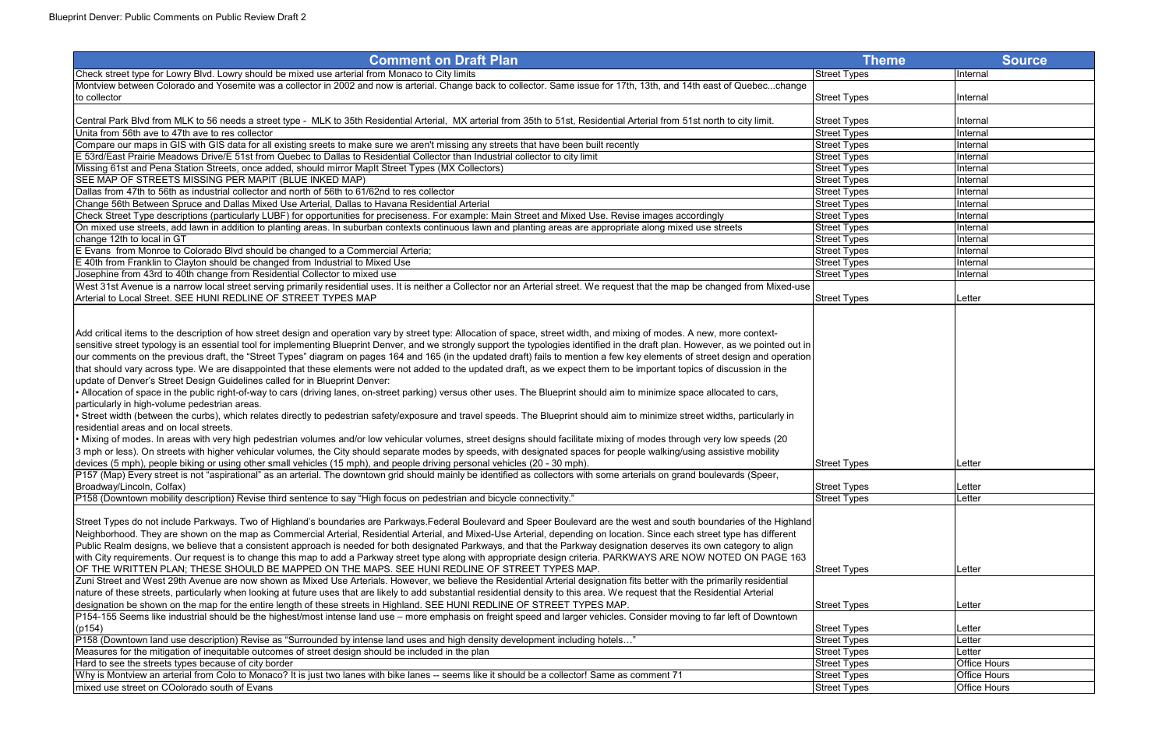| <b>Comment on Draft Plan</b>                                                                                                                                                         | <b>Theme</b>        | <b>Source</b>       |
|--------------------------------------------------------------------------------------------------------------------------------------------------------------------------------------|---------------------|---------------------|
| Check street type for Lowry Blvd. Lowry should be mixed use arterial from Monaco to City limits                                                                                      | <b>Street Types</b> | Internal            |
| Montview between Colorado and Yosemite was a collector in 2002 and now is arterial. Change back to collector. Same issue for 17th, 13th, and 14th east of Quebecchange               |                     |                     |
| to collector                                                                                                                                                                         | <b>Street Types</b> | <b>Internal</b>     |
| Central Park Blvd from MLK to 56 needs a street type - MLK to 35th Residential Arterial, MX arterial from 35th to 51st, Residential Arterial from 51st north to city limit.          | <b>Street Types</b> | Internal            |
| Unita from 56th ave to 47th ave to res collector                                                                                                                                     | Street Types        | Internal            |
| Compare our maps in GIS with GIS data for all existing sreets to make sure we aren't missing any streets that have been built recently                                               | <b>Street Types</b> | Internal            |
| E 53rd/East Prairie Meadows Drive/E 51st from Quebec to Dallas to Residential Collector than Industrial collector to city limit                                                      | <b>Street Types</b> | Internal            |
| Missing 61st and Pena Station Streets, once added, should mirror Maplt Street Types (MX Collectors)                                                                                  | <b>Street Types</b> | Internal            |
| SEE MAP OF STREETS MISSING PER MAPIT (BLUE INKED MAP)                                                                                                                                | <b>Street Types</b> | Internal            |
| Dallas from 47th to 56th as industrial collector and north of 56th to 61/62nd to res collector                                                                                       | <b>Street Types</b> | Internal            |
| Change 56th Between Spruce and Dallas Mixed Use Arterial, Dallas to Havana Residential Arterial                                                                                      | <b>Street Types</b> | Internal            |
| Check Street Type descriptions (particularly LUBF) for opportunities for preciseness. For example: Main Street and Mixed Use. Revise images accordingly                              | <b>Street Types</b> | <b>Internal</b>     |
| On mixed use streets, add lawn in addition to planting areas. In suburban contexts continuous lawn and planting areas are appropriate along mixed use streets                        | <b>Street Types</b> | <b>Internal</b>     |
| change 12th to local in GT                                                                                                                                                           | <b>Street Types</b> | <b>Internal</b>     |
| E Evans from Monroe to Colorado Blvd should be changed to a Commercial Arteria;                                                                                                      | <b>Street Types</b> | Internal            |
| E 40th from Franklin to Clayton should be changed from Industrial to Mixed Use                                                                                                       | <b>Street Types</b> | Internal            |
| Josephine from 43rd to 40th change from Residential Collector to mixed use                                                                                                           | <b>Street Types</b> | Internal            |
| West 31st Avenue is a narrow local street serving primarily residential uses. It is neither a Collector nor an Arterial street. We request that the map be changed from Mixed-use    |                     |                     |
| Arterial to Local Street. SEE HUNI REDLINE OF STREET TYPES MAP                                                                                                                       | <b>Street Types</b> | Letter              |
|                                                                                                                                                                                      |                     |                     |
| Add critical items to the description of how street design and operation vary by street type: Allocation of space, street width, and mixing of modes. A new, more context-           |                     |                     |
| sensitive street typology is an essential tool for implementing Blueprint Denver, and we strongly support the typologies identified in the draft plan. However, as we pointed out in |                     |                     |
| our comments on the previous draft, the "Street Types" diagram on pages 164 and 165 (in the updated draft) fails to mention a few key elements of street design and operation        |                     |                     |
| that should vary across type. We are disappointed that these elements were not added to the updated draft, as we expect them to be important topics of discussion in the             |                     |                     |
| update of Denver's Street Design Guidelines called for in Blueprint Denver:                                                                                                          |                     |                     |
| . Allocation of space in the public right-of-way to cars (driving lanes, on-street parking) versus other uses. The Blueprint should aim to minimize space allocated to cars,         |                     |                     |
| particularly in high-volume pedestrian areas.                                                                                                                                        |                     |                     |
| • Street width (between the curbs), which relates directly to pedestrian safety/exposure and travel speeds. The Blueprint should aim to minimize street widths, particularly in      |                     |                     |
| residential areas and on local streets.                                                                                                                                              |                     |                     |
| • Mixing of modes. In areas with very high pedestrian volumes and/or low vehicular volumes, street designs should facilitate mixing of modes through very low speeds (20             |                     |                     |
| 3 mph or less). On streets with higher vehicular volumes, the City should separate modes by speeds, with designated spaces for people walking/using assistive mobility               |                     |                     |
| devices (5 mph), people biking or using other small vehicles (15 mph), and people driving personal vehicles (20 - 30 mph).                                                           | <b>Street Types</b> | Letter              |
| P157 (Map) Every street is not "aspirational" as an arterial. The downtown grid should mainly be identified as collectors with some arterials on grand boulevards (Speer             |                     |                     |
| Broadway/Lincoln, Colfax)                                                                                                                                                            | <b>Street Types</b> | Letter              |
| P158 (Downtown mobility description) Revise third sentence to say "High focus on pedestrian and bicycle connectivity."                                                               | <b>Street Types</b> | Letter              |
|                                                                                                                                                                                      |                     |                     |
| Street Types do not include Parkways. Two of Highland's boundaries are Parkways. Federal Boulevard and Speer Boulevard are the west and south boundaries of the Highland             |                     |                     |
| Neighborhood. They are shown on the map as Commercial Arterial, Residential Arterial, and Mixed-Use Arterial, depending on location. Since each street type has different            |                     |                     |
| Public Realm designs, we believe that a consistent approach is needed for both designated Parkways, and that the Parkway designation deserves its own category to align              |                     |                     |
| with City requirements. Our request is to change this map to add a Parkway street type along with appropriate design criteria. PARKWAYS ARE NOW NOTED ON PAGE 163                    |                     |                     |
| OF THE WRITTEN PLAN; THESE SHOULD BE MAPPED ON THE MAPS. SEE HUNI REDLINE OF STREET TYPES MAP.                                                                                       | <b>Street Types</b> | Letter              |
| Zuni Street and West 29th Avenue are now shown as Mixed Use Arterials. However, we believe the Residential Arterial designation fits better with the primarily residential           |                     |                     |
| nature of these streets, particularly when looking at future uses that are likely to add substantial residential density to this area. We request that the Residential Arterial      |                     |                     |
| designation be shown on the map for the entire length of these streets in Highland. SEE HUNI REDLINE OF STREET TYPES MAP.                                                            | <b>Street Types</b> | Letter              |
| P154-155 Seems like industrial should be the highest/most intense land use – more emphasis on freight speed and larger vehicles. Consider moving to far left of Downtown             |                     |                     |
| (p154)                                                                                                                                                                               | <b>Street Types</b> | Letter              |
| P158 (Downtown land use description) Revise as "Surrounded by intense land uses and high density development including hotels"                                                       | <b>Street Types</b> | Letter              |
| Measures for the mitigation of inequitable outcomes of street design should be included in the plan                                                                                  | <b>Street Types</b> | Letter              |
| Hard to see the streets types because of city border                                                                                                                                 | <b>Street Types</b> | <b>Office Hours</b> |
| Why is Montview an arterial from Colo to Monaco? It is just two lanes with bike lanes -- seems like it should be a collector! Same as comment 71                                     | <b>Street Types</b> | <b>Office Hours</b> |
| mixed use street on COolorado south of Evans                                                                                                                                         | <b>Street Types</b> | <b>Office Hours</b> |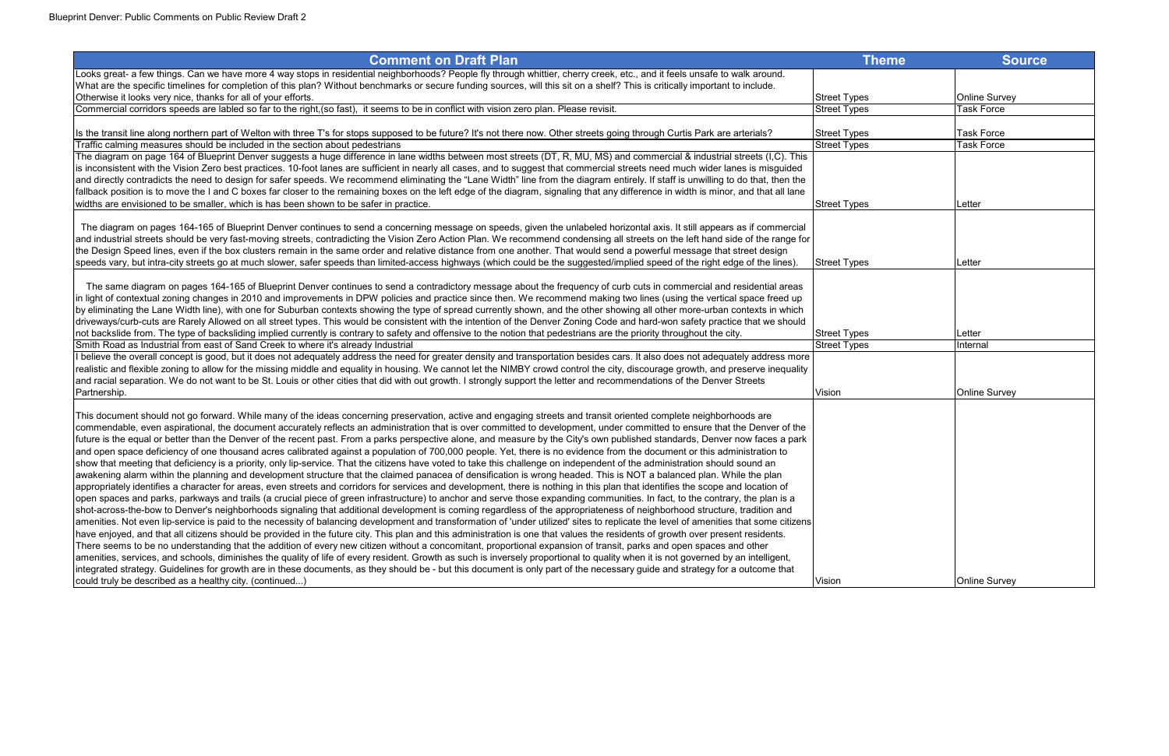| <b>Comment on Draft Plan</b>                                                                                                                                                                                                                                                                                                                        | <b>Theme</b>        | <b>Source</b>        |
|-----------------------------------------------------------------------------------------------------------------------------------------------------------------------------------------------------------------------------------------------------------------------------------------------------------------------------------------------------|---------------------|----------------------|
| Looks great- a few things. Can we have more 4 way stops in residential neighborhoods? People fly through whittier, cherry creek, etc., and it feels unsafe to walk around.                                                                                                                                                                          |                     |                      |
| What are the specific timelines for completion of this plan? Without benchmarks or secure funding sources, will this sit on a shelf? This is critically important to include.                                                                                                                                                                       |                     |                      |
| Otherwise it looks very nice, thanks for all of your efforts.                                                                                                                                                                                                                                                                                       | <b>Street Types</b> | <b>Online Survey</b> |
| Commercial corridors speeds are labled so far to the right, (so fast), it seems to be in conflict with vision zero plan. Please revisit.                                                                                                                                                                                                            | <b>Street Types</b> | Task Force           |
| Its the transit line along northern part of Welton with three T's for stops supposed to be future? It's not there now. Other streets going through Curtis Park are arterials?                                                                                                                                                                       | <b>Street Types</b> | <b>Task Force</b>    |
| Traffic calming measures should be included in the section about pedestrians                                                                                                                                                                                                                                                                        | <b>Street Types</b> | <b>Task Force</b>    |
| The diagram on page 164 of Blueprint Denver suggests a huge difference in lane widths between most streets (DT, R, MU, MS) and commercial & industrial streets (I,C). This                                                                                                                                                                          |                     |                      |
| is inconsistent with the Vision Zero best practices. 10-foot lanes are sufficient in nearly all cases, and to suggest that commercial streets need much wider lanes is misguided                                                                                                                                                                    |                     |                      |
| and directly contradicts the need to design for safer speeds. We recommend eliminating the "Lane Width" line from the diagram entirely. If staff is unwilling to do that, then the                                                                                                                                                                  |                     |                      |
| fallback position is to move the I and C boxes far closer to the remaining boxes on the left edge of the diagram, signaling that any difference in width is minor, and that all lane                                                                                                                                                                |                     |                      |
| widths are envisioned to be smaller, which is has been shown to be safer in practice.                                                                                                                                                                                                                                                               | <b>Street Types</b> | Letter               |
| The diagram on pages 164-165 of Blueprint Denver continues to send a concerning message on speeds, given the unlabeled horizontal axis. It still appears as if commercial                                                                                                                                                                           |                     |                      |
| and industrial streets should be very fast-moving streets, contradicting the Vision Zero Action Plan. We recommend condensing all streets on the left hand side of the range for                                                                                                                                                                    |                     |                      |
| the Design Speed lines, even if the box clusters remain in the same order and relative distance from one another. That would send a powerful message that street design                                                                                                                                                                             |                     |                      |
| speeds vary, but intra-city streets go at much slower, safer speeds than limited-access highways (which could be the suggested/implied speed of the right edge of the lines).                                                                                                                                                                       | <b>Street Types</b> | Letter               |
|                                                                                                                                                                                                                                                                                                                                                     |                     |                      |
| The same diagram on pages 164-165 of Blueprint Denver continues to send a contradictory message about the frequency of curb cuts in commercial and residential areas                                                                                                                                                                                |                     |                      |
| in light of contextual zoning changes in 2010 and improvements in DPW policies and practice since then. We recommend making two lines (using the vertical space freed up                                                                                                                                                                            |                     |                      |
| by eliminating the Lane Width line), with one for Suburban contexts showing the type of spread currently shown, and the other showing all other more-urban contexts in which                                                                                                                                                                        |                     |                      |
| driveways/curb-cuts are Rarely Allowed on all street types. This would be consistent with the intention of the Denver Zoning Code and hard-won safety practice that we should                                                                                                                                                                       |                     |                      |
| not backslide from. The type of backsliding implied currently is contrary to safety and offensive to the notion that pedestrians are the priority throughout the city.<br>Smith Road as Industrial from east of Sand Creek to where it's already Industrial                                                                                         | <b>Street Types</b> | Letter               |
| I believe the overall concept is good, but it does not adequately address the need for greater density and transportation besides cars. It also does not adequately address more                                                                                                                                                                    | <b>Street Types</b> | Internal             |
| realistic and flexible zoning to allow for the missing middle and equality in housing. We cannot let the NIMBY crowd control the city, discourage growth, and preserve inequality                                                                                                                                                                   |                     |                      |
| and racial separation. We do not want to be St. Louis or other cities that did with out growth. I strongly support the letter and recommendations of the Denver Streets                                                                                                                                                                             |                     |                      |
| Partnership.                                                                                                                                                                                                                                                                                                                                        | Vision              | <b>Online Survey</b> |
|                                                                                                                                                                                                                                                                                                                                                     |                     |                      |
| This document should not go forward. While many of the ideas concerning preservation, active and engaging streets and transit oriented complete neighborhoods are                                                                                                                                                                                   |                     |                      |
| commendable, even aspirational, the document accurately reflects an administration that is over committed to development, under committed to ensure that the Denver of the                                                                                                                                                                          |                     |                      |
| future is the equal or better than the Denver of the recent past. From a parks perspective alone, and measure by the City's own published standards, Denver now faces a park                                                                                                                                                                        |                     |                      |
| and open space deficiency of one thousand acres calibrated against a population of 700,000 people. Yet, there is no evidence from the document or this administration to                                                                                                                                                                            |                     |                      |
| show that meeting that deficiency is a priority, only lip-service. That the citizens have voted to take this challenge on independent of the administration should sound an<br>awakening alarm within the planning and development structure that the claimed panacea of densification is wrong headed. This is NOT a balanced plan. While the plan |                     |                      |
| appropriately identifies a character for areas, even streets and corridors for services and development, there is nothing in this plan that identifies the scope and location of                                                                                                                                                                    |                     |                      |
| open spaces and parks, parkways and trails (a crucial piece of green infrastructure) to anchor and serve those expanding communities. In fact, to the contrary, the plan is a                                                                                                                                                                       |                     |                      |
| shot-across-the-bow to Denver's neighborhoods signaling that additional development is coming regardless of the appropriateness of neighborhood structure, tradition and                                                                                                                                                                            |                     |                      |
| amenities. Not even lip-service is paid to the necessity of balancing development and transformation of 'under utilized' sites to replicate the level of amenities that some citizens                                                                                                                                                               |                     |                      |
| have enjoyed, and that all citizens should be provided in the future city. This plan and this administration is one that values the residents of growth over present residents.                                                                                                                                                                     |                     |                      |
| There seems to be no understanding that the addition of every new citizen without a concomitant, proportional expansion of transit, parks and open spaces and other                                                                                                                                                                                 |                     |                      |
| amenities, services, and schools, diminishes the quality of life of every resident. Growth as such is inversely proportional to quality when it is not governed by an intelligent,                                                                                                                                                                  |                     |                      |
| integrated strategy. Guidelines for growth are in these documents, as they should be - but this document is only part of the necessary guide and strategy for a outcome that                                                                                                                                                                        |                     |                      |
| could truly be described as a healthy city. (continued)                                                                                                                                                                                                                                                                                             | Vision              | <b>Online Survey</b> |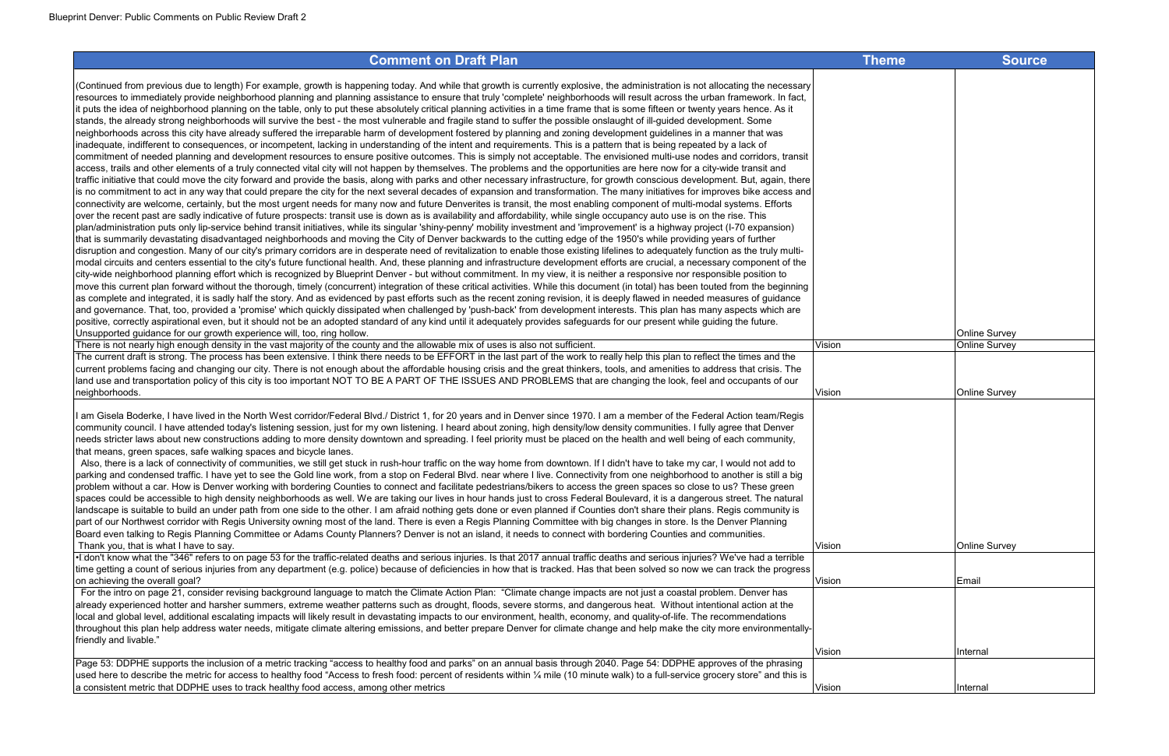(Continued from previous due to length) For example, growth is happening today. And while that growth is currently explosive, the administration is not allocating the necessary resources to immediately provide neighborhood planning and planning assistance to ensure that truly 'complete' neighborhoods will result across the urban framework. In fact, it puts the idea of neighborhood planning on the table, only to put these absolutely critical planning activities in a time frame that is some fifteen or twenty years hence. As it stands, the already strong neighborhoods will survive the best - the most vulnerable and fragile stand to suffer the possible onslaught of ill-guided development. Some neighborhoods across this city have already suffered the irreparable harm of development fostered by planning and zoning development guidelines in a manner that was inadequate, indifferent to consequences, or incompetent, lacking in understanding of the intent and requirements. This is a pattern that is being repeated by a lack of commitment of needed planning and development resources to ensure positive outcomes. This is simply not acceptable. The envisioned multi-use nodes and corridors, transit access, trails and other elements of a truly connected vital city will not happen by themselves. The problems and the opportunities are here now for a city-wide transit and traffic initiative that could move the city forward and provide the basis, along with parks and other necessary infrastructure, for growth conscious development. But, again, there is no commitment to act in any way that could prepare the city for the next several decades of expansion and transformation. The many initiatives for improves bike access and connectivity are welcome, certainly, but the most urgent needs for many now and future Denverites is transit, the most enabling component of multi-modal systems. Efforts over the recent past are sadly indicative of future prospects: transit use is down as is availability and affordability, while single occupancy auto use is on the rise. This plan/administration puts only lip-service behind transit initiatives, while its singular 'shiny-penny' mobility investment and 'improvement' is a highway project (I-70 expansion) that is summarily devastating disadvantaged neighborhoods and moving the City of Denver backwards to the cutting edge of the 1950's while providing years of further disruption and congestion. Many of our city's primary corridors are in desperate need of revitalization to enable those existing lifelines to adequately function as the truly multimodal circuits and centers essential to the city's future functional health. And, these planning and infrastructure development efforts are crucial, a necessary component of the city-wide neighborhood planning effort which is recognized by Blueprint Denver - but without commitment. In my view, it is neither a responsive nor responsible position to move this current plan forward without the thorough, timely (concurrent) integration of these critical activities. While this document (in total) has been touted from the beginning as complete and integrated, it is sadly half the story. And as evidenced by past efforts such as the recent zoning revision, it is deeply flawed in needed measures of guidance and governance. That, too, provided a 'promise' which quickly dissipated when challenged by 'push-back' from development interests. This plan has many aspects which are positive, correctly aspirational even, but it should not be an adopted standard of any kind until it adequately provides safeguards for our present while guiding the future. Unsupported quidance for our growth experience will, too, ring hollow.

There is not nearly high enough density in the vast majority of the county and the allowable mix of uses is also not sufficient. Vision The current draft is strong. The process has been extensive. I think there needs to be EFFORT in the last part of the work to really help this plan to reflect the times and the current problems facing and changing our city. There is not enough about the affordable housing crisis and the great thinkers, tools, and amenities to address that crisis. The land use and transportation policy of this city is too important NOT TO BE A PART OF THE ISSUES AND PROBLEMS that are changing the look, feel and occupants of our neighborhoods. Vision Online Survey

 Also, there is a lack of connectivity of communities, we still get stuck in rush-hour traffic on the way home from downtown. If I didn't have to take my car, I would not add to parking and condensed traffic. I have yet to see the Gold line work, from a stop on Federal Blvd. near where I live. Connectivity from one neighborhood to another is still a big problem without a car. How is Denver working with bordering Counties to connect and facilitate pedestrians/bikers to access the green spaces so close to us? These green spaces could be accessible to high density neighborhoods as well. We are taking our lives in hour hands just to cross Federal Boulevard, it is a dangerous street. The natural landscape is suitable to build an under path from one side to the other. I am afraid nothing gets done or even planned if Counties don't share their plans. Regis community is part of our Northwest corridor with Regis University owning most of the land. There is even a Regis Planning Committee with big changes in store. Is the Denver Planning Board even talking to Regis Planning Committee or Adams County Planners? Denver is not an island, it needs to connect with bordering Counties and communities. Thank you, that is what I have to say. In the survey of the Survey of the Survey of the Survey of the Survey of Thank you, that is what I have to say.

•Idon't know what the "346" refers to on page 53 for the traffic-related deaths and serious injuries. Is that 2017 annual traffic deaths and serious injuries? We've had a terrible time getting a count of serious injuries from any department (e.g. police) because of deficiencies in how that is tracked. Has that been solved so now we can track the progress on achieving the overall goal? Nision **Email and Secure 2012** Vision **Properties and Secure 2013** Vision **Properties and Secure 2013** 

I am Gisela Boderke, I have lived in the North West corridor/Federal Blvd./ District 1, for 20 years and in Denver since 1970. I am a member of the Federal Action team/Regis community council. I have attended today's listening session, just for my own listening. I heard about zoning, high density/low density communities. I fully agree that Denver needs stricter laws about new constructions adding to more density downtown and spreading. I feel priority must be placed on the health and well being of each community, that means, green spaces, safe walking spaces and bicycle lanes.

 For the intro on page 21, consider revising background language to match the Climate Action Plan: "Climate change impacts are not just a coastal problem. Denver has already experienced hotter and harsher summers, extreme weather patterns such as drought, floods, severe storms, and dangerous heat. Without intentional action at the local and global level, additional escalating impacts will likely result in devastating impacts to our environment, health, economy, and quality-of-life. The recommendations throughout this plan help address water needs, mitigate climate altering emissions, and better prepare Denver for climate change and help make the city more environmentallyfriendly and livable."

Vision

Page 53: DDPHE supports the inclusion of a metric tracking "access to healthy food and parks" on an annual basis through 2040. Page 54: DDPHE approves of the phrasing used here to describe the metric for access to healthy food "Access to fresh food: percent of residents within  $\frac{1}{4}$  mile (10 minute walk) to a full-service grocery store" and this is a consistent metric that DDPHE uses to track healthy food access, among other metrics **Vision** Internal Internal Internal Internal Internal Internal Internal Internal Internal Internal Internal Internal Internal Internal I

| Theme | Source                         |
|-------|--------------------------------|
|       |                                |
|       |                                |
|       |                                |
|       |                                |
|       |                                |
|       |                                |
|       |                                |
|       |                                |
|       |                                |
|       |                                |
|       |                                |
|       |                                |
|       |                                |
|       |                                |
|       |                                |
|       |                                |
|       |                                |
|       |                                |
|       | Online Survey<br>Online Survey |
|       |                                |
|       |                                |
|       |                                |
|       | <b>Online Survey</b>           |
|       |                                |
|       |                                |
|       |                                |
|       |                                |
|       |                                |
|       |                                |
|       |                                |
|       |                                |
|       |                                |
|       | Online Survey                  |
|       |                                |
|       | Email                          |
|       |                                |
|       |                                |
|       |                                |
|       |                                |
|       | Internal                       |
|       |                                |
|       |                                |
|       | Internal                       |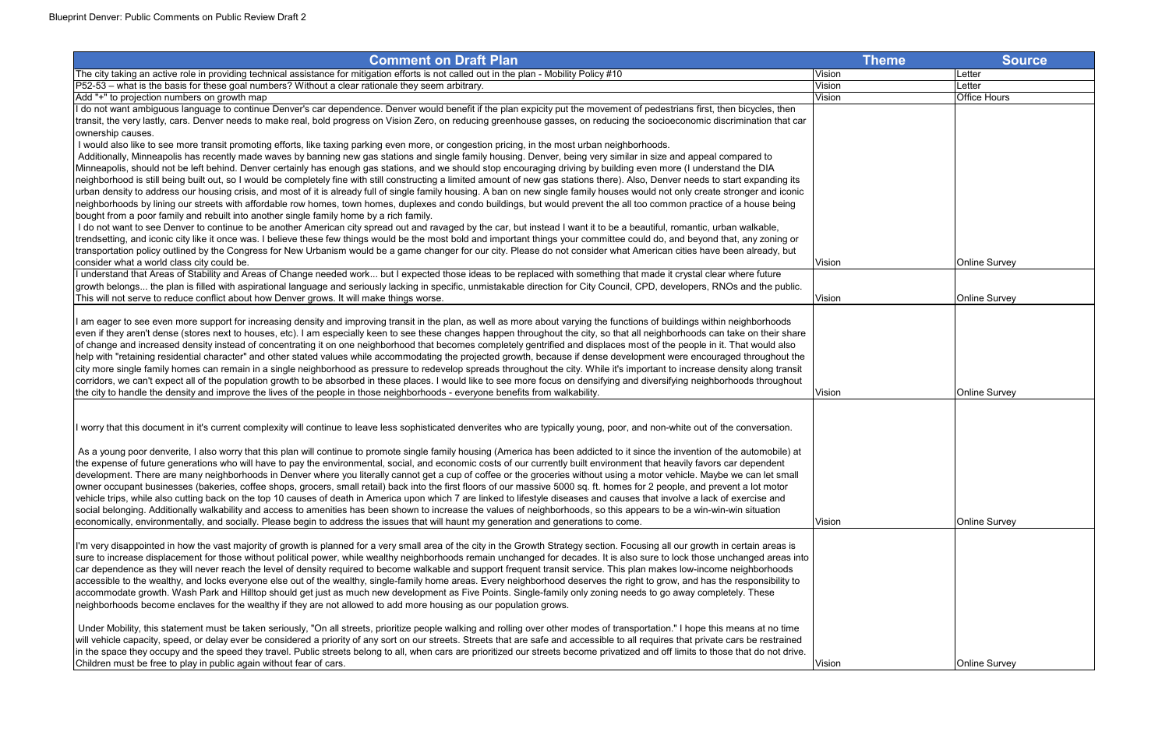| <b>Comment on Draft Plan</b>                                                                                                                                                          | <b>Theme</b>  | <b>Source</b>        |
|---------------------------------------------------------------------------------------------------------------------------------------------------------------------------------------|---------------|----------------------|
| The city taking an active role in providing technical assistance for mitigation efforts is not called out in the plan - Mobility Policy #10                                           | Vision        | Letter               |
| P52-53 – what is the basis for these goal numbers? Without a clear rationale they seem arbitrary.                                                                                     | Vision        | Letter               |
| Add "+" to projection numbers on growth map                                                                                                                                           | Vision        | <b>Office Hours</b>  |
| I do not want ambiguous language to continue Denver's car dependence. Denver would benefit if the plan expicity put the movement of pedestrians first, then bicycles, then            |               |                      |
| transit, the very lastly, cars. Denver needs to make real, bold progress on Vision Zero, on reducing greenhouse gasses, on reducing the socioeconomic discrimination that car         |               |                      |
| ownership causes.                                                                                                                                                                     |               |                      |
| I would also like to see more transit promoting efforts, like taxing parking even more, or congestion pricing, in the most urban neighborhoods.                                       |               |                      |
| Additionally, Minneapolis has recently made waves by banning new gas stations and single family housing. Denver, being very similar in size and appeal compared to                    |               |                      |
| Minneapolis, should not be left behind. Denver certainly has enough gas stations, and we should stop encouraging driving by building even more (I understand the DIA                  |               |                      |
| neighborhood is still being built out, so I would be completely fine with still constructing a limited amount of new gas stations there). Also, Denver needs to start expanding its   |               |                      |
| urban density to address our housing crisis, and most of it is already full of single family housing. A ban on new single family houses would not only create stronger and iconic     |               |                      |
| neighborhoods by lining our streets with affordable row homes, town homes, duplexes and condo buildings, but would prevent the all too common practice of a house being               |               |                      |
| bought from a poor family and rebuilt into another single family home by a rich family.                                                                                               |               |                      |
| I do not want to see Denver to continue to be another American city spread out and ravaged by the car, but instead I want it to be a beautiful, romantic, urban walkable,             |               |                      |
| trendsetting, and iconic city like it once was. I believe these few things would be the most bold and important things your committee could do, and beyond that, any zoning or        |               |                      |
| transportation policy outlined by the Congress for New Urbanism would be a game changer for our city. Please do not consider what American cities have been already, but              |               |                      |
| consider what a world class city could be.                                                                                                                                            | Vision        | <b>Online Survey</b> |
| I understand that Areas of Stability and Areas of Change needed work but I expected those ideas to be replaced with something that made it crystal clear where future                 |               |                      |
| growth belongs the plan is filled with aspirational language and seriously lacking in specific, unmistakable direction for City Council, CPD, developers, RNOs and the public.        |               |                      |
| This will not serve to reduce conflict about how Denver grows. It will make things worse.                                                                                             | Vision        | <b>Online Survey</b> |
|                                                                                                                                                                                       |               |                      |
| I am eager to see even more support for increasing density and improving transit in the plan, as well as more about varying the functions of buildings within neighborhoods           |               |                      |
| even if they aren't dense (stores next to houses, etc). I am especially keen to see these changes happen throughout the city, so that all neighborhoods can take on their share       |               |                      |
| of change and increased density instead of concentrating it on one neighborhood that becomes completely gentrified and displaces most of the people in it. That would also            |               |                      |
| help with "retaining residential character" and other stated values while accommodating the projected growth, because if dense development were encouraged throughout the             |               |                      |
| city more single family homes can remain in a single neighborhood as pressure to redevelop spreads throughout the city. While it's important to increase density along transit        |               |                      |
| corridors, we can't expect all of the population growth to be absorbed in these places. I would like to see more focus on densifying and diversifying neighborhoods throughout        |               |                      |
| the city to handle the density and improve the lives of the people in those neighborhoods - everyone benefits from walkability.                                                       | <b>Vision</b> | <b>Online Survey</b> |
|                                                                                                                                                                                       |               |                      |
|                                                                                                                                                                                       |               |                      |
| I worry that this document in it's current complexity will continue to leave less sophisticated denverites who are typically young, poor, and non-white out of the conversation.      |               |                      |
|                                                                                                                                                                                       |               |                      |
| As a young poor denverite, I also worry that this plan will continue to promote single family housing (America has been addicted to it since the invention of the automobile) at      |               |                      |
| the expense of future generations who will have to pay the environmental, social, and economic costs of our currently built environment that heavily favors car dependent             |               |                      |
| development. There are many neighborhoods in Denver where you literally cannot get a cup of coffee or the groceries without using a motor vehicle. Maybe we can let small             |               |                      |
| owner occupant businesses (bakeries, coffee shops, grocers, small retail) back into the first floors of our massive 5000 sq. ft. homes for 2 people, and prevent a lot motor          |               |                      |
| vehicle trips, while also cutting back on the top 10 causes of death in America upon which 7 are linked to lifestyle diseases and causes that involve a lack of exercise and          |               |                      |
| social belonging. Additionally walkability and access to amenities has been shown to increase the values of neighborhoods, so this appears to be a win-win-win situation              |               |                      |
| economically, environmentally, and socially. Please begin to address the issues that will haunt my generation and generations to come.                                                | Vision        | <b>Online Survey</b> |
|                                                                                                                                                                                       |               |                      |
| I'm very disappointed in how the vast majority of growth is planned for a very small area of the city in the Growth Strategy section. Focusing all our growth in certain areas is     |               |                      |
| sure to increase displacement for those without political power, while wealthy neighborhoods remain unchanged for decades. It is also sure to lock those unchanged areas into         |               |                      |
| car dependence as they will never reach the level of density required to become walkable and support frequent transit service. This plan makes low-income neighborhoods               |               |                      |
| accessible to the wealthy, and locks everyone else out of the wealthy, single-family home areas. Every neighborhood deserves the right to grow, and has the responsibility to         |               |                      |
| accommodate growth. Wash Park and Hilltop should get just as much new development as Five Points. Single-family only zoning needs to go away completely. These                        |               |                      |
| neighborhoods become enclaves for the wealthy if they are not allowed to add more housing as our population grows.                                                                    |               |                      |
|                                                                                                                                                                                       |               |                      |
| Under Mobility, this statement must be taken seriously, "On all streets, prioritize people walking and rolling over other modes of transportation." I hope this means at no time      |               |                      |
| will vehicle capacity, speed, or delay ever be considered a priority of any sort on our streets. Streets that are safe and accessible to all requires that private cars be restrained |               |                      |
| in the space they occupy and the speed they travel. Public streets belong to all, when cars are prioritized our streets become privatized and off limits to those that do not drive.  |               |                      |
| Children must be free to play in public again without fear of cars.                                                                                                                   | Vision        | <b>Online Survey</b> |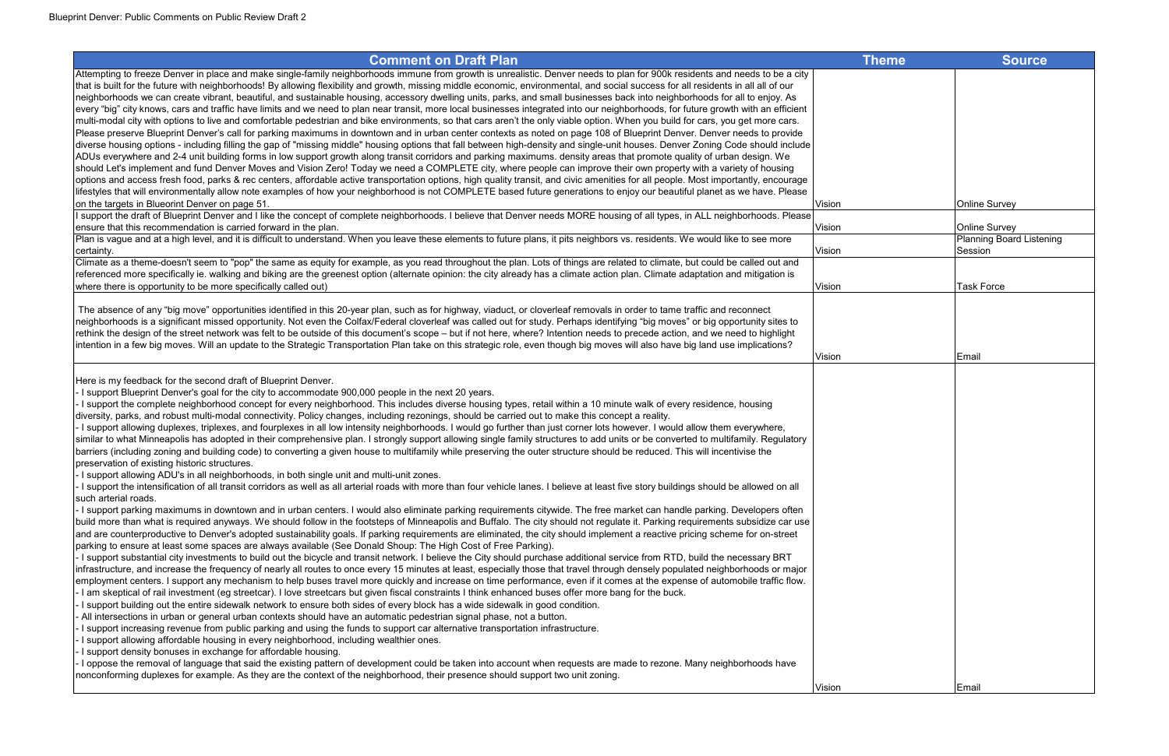Attempting to freeze Denver in place and make single-family neighborhoods immune from growth is unrealistic. Denver needs to plan for 900k residents and needs to be a city that is built for the future with neighborhoods! By allowing flexibility and growth, missing middle economic, environmental, and social success for all residents in all all of our neighborhoods we can create vibrant, beautiful, and sustainable housing, accessory dwelling units, parks, and small businesses back into neighborhoods for all to enjoy. As every "big" city knows, cars and traffic have limits and we need to plan near transit, more local businesses integrated into our neighborhoods, for future growth with an efficient multi-modal city with options to live and comfortable pedestrian and bike environments, so that cars aren't the only viable option. When you build for cars, you get more cars. Please preserve Blueprint Denver's call for parking maximums in downtown and in urban center contexts as noted on page 108 of Blueprint Denver. Denver needs to provide diverse housing options - including filling the gap of "missing middle" housing options that fall between high-density and single-unit houses. Denver Zoning Code should include ADUs everywhere and 2-4 unit building forms in low support growth along transit corridors and parking maximums. density areas that promote quality of urban design. We should Let's implement and fund Denver Moves and Vision Zero! Today we need a COMPLETE city, where people can improve their own property with a variety of housing options and access fresh food, parks & rec centers, affordable active transportation options, high quality transit, and civic amenities for all people. Most importantly, encourage lifestyles that will environmentally allow note examples of how your neighborhood is not COMPLETE based future generations to enjoy our beautiful planet as we have. Please on the targets in Blueorint Denver on page 51.  $\blacksquare$ 

I support the draft of Blueprint Denver and I like the concept of complete neighborhoods. I believe that Denver needs MORE housing of all types, in ALL neighborhoods. Please ensure that this recommendation is carried forward in the plan. Vision Online Survey of the Survey of Nision Online Survey of Nision Online Survey of Nision Online Survey of Nision Online Survey of Nision Online Survey of Plan is vague and at a high level, and it is difficult to understand. When you leave these elements to future plans, it pits neighbors vs. residents. We would like to see more certainty.

certainty. Vision Climate as a theme-doesn't seem to "pop" the same as equity for example, as you read throughout the plan. Lots of things are related to climate, but could be called out and referenced more specifically ie. walking and biking are the greenest option (alternate opinion: the city already has a climate action plan. Climate adaptation and mitigation is where there is opportunity to be more specifically called out)  $\blacksquare$ 

| Theme | Source                                           |
|-------|--------------------------------------------------|
|       |                                                  |
|       |                                                  |
|       |                                                  |
|       |                                                  |
|       |                                                  |
|       |                                                  |
|       |                                                  |
|       |                                                  |
|       |                                                  |
|       | Online Survey                                    |
|       |                                                  |
|       | Online Survey<br><b>Planning Board Listening</b> |
|       | Session                                          |
|       |                                                  |
|       |                                                  |
|       | <b>Task Force</b>                                |
|       |                                                  |
|       |                                                  |
|       |                                                  |
|       |                                                  |
|       | Email                                            |
|       |                                                  |
|       |                                                  |
|       |                                                  |
|       |                                                  |
|       |                                                  |
|       |                                                  |
|       |                                                  |
|       |                                                  |
|       |                                                  |
|       |                                                  |
|       |                                                  |
|       |                                                  |
|       |                                                  |
|       |                                                  |
|       |                                                  |
|       |                                                  |
|       |                                                  |
|       |                                                  |
|       |                                                  |
|       |                                                  |
|       |                                                  |
|       |                                                  |
|       | Email                                            |

 The absence of any "big move" opportunities identified in this 20-year plan, such as for highway, viaduct, or cloverleaf removals in order to tame traffic and reconnect neighborhoods is a significant missed opportunity. Not even the Colfax/Federal cloverleaf was called out for study. Perhaps identifying "big moves" or big opportunity sites to rethink the design of the street network was felt to be outside of this document's scope – but if not here, where? Intention needs to precede action, and we need to highlight intention in a few big moves. Will an update to the Strategic Transportation Plan take on this strategic role, even though big moves will also have big land use implications?

Here is my feedback for the second draft of Blueprint Denver.

- I support Blueprint Denver's goal for the city to accommodate 900,000 people in the next 20 years.

- I support the complete neighborhood concept for every neighborhood. This includes diverse housing types, retail within a 10 minute walk of every residence, housing diversity, parks, and robust multi-modal connectivity. Policy changes, including rezonings, should be carried out to make this concept a reality.

- I support allowing duplexes, triplexes, and fourplexes in all low intensity neighborhoods. I would go further than just corner lots however. I would allow them everywhere, similar to what Minneapolis has adopted in their comprehensive plan. I strongly support allowing single family structures to add units or be converted to multifamily. Regulatory barriers (including zoning and building code) to converting a given house to multifamily while preserving the outer structure should be reduced. This will incentivise the preservation of existing historic structures.

- I support allowing ADU's in all neighborhoods, in both single unit and multi-unit zones.

- I support the intensification of all transit corridors as well as all arterial roads with more than four vehicle lanes. I believe at least five story buildings should be allowed on all such arterial roads.

- I support parking maximums in downtown and in urban centers. I would also eliminate parking requirements citywide. The free market can handle parking. Developers often build more than what is required anyways. We should follow in the footsteps of Minneapolis and Buffalo. The city should not regulate it. Parking requirements subsidize car use and are counterproductive to Denver's adopted sustainability goals. If parking requirements are eliminated, the city should implement a reactive pricing scheme for on-street parking to ensure at least some spaces are always available (See Donald Shoup: The High Cost of Free Parking).

- I support substantial city investments to build out the bicycle and transit network. I believe the City should purchase additional service from RTD, build the necessary BRT infrastructure, and increase the frequency of nearly all routes to once every 15 minutes at least, especially those that travel through densely populated neighborhoods or major employment centers. I support any mechanism to help buses travel more quickly and increase on time performance, even if it comes at the expense of automobile traffic flow. - I am skeptical of rail investment (eg streetcar). I love streetcars but given fiscal constraints I think enhanced buses offer more bang for the buck.

- I support building out the entire sidewalk network to ensure both sides of every block has a wide sidewalk in good condition.

- All intersections in urban or general urban contexts should have an automatic pedestrian signal phase, not a button.

- I support increasing revenue from public parking and using the funds to support car alternative transportation infrastructure.

I support allowing affordable housing in every neighborhood, including wealthier ones.

- I support density bonuses in exchange for affordable housing.

- I oppose the removal of language that said the existing pattern of development could be taken into account when requests are made to rezone. Many neighborhoods have nonconforming duplexes for example. As they are the context of the neighborhood, their presence should support two unit zoning.

Vision

Vision